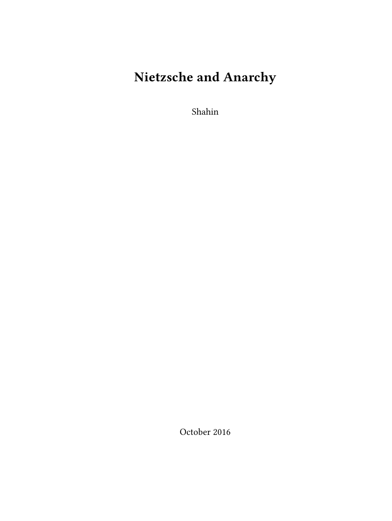# **Nietzsche and Anarchy**

Shahin

October 2016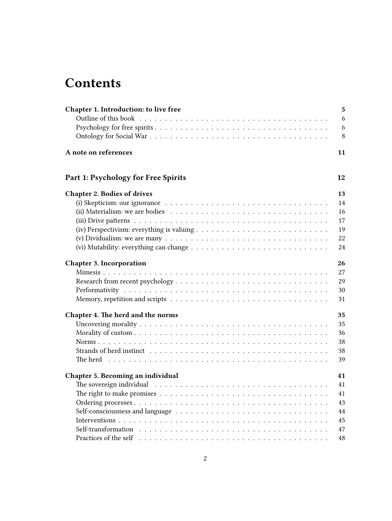# **Contents**

| Chapter 1. Introduction: to live free                                                                              | 5  |
|--------------------------------------------------------------------------------------------------------------------|----|
|                                                                                                                    | 6  |
|                                                                                                                    | 6  |
|                                                                                                                    | 8  |
| A note on references                                                                                               | 11 |
| Part 1: Psychology for Free Spirits                                                                                | 12 |
| <b>Chapter 2. Bodies of drives</b>                                                                                 | 13 |
|                                                                                                                    | 14 |
|                                                                                                                    | 16 |
|                                                                                                                    | 17 |
|                                                                                                                    | 19 |
| (v) Dividualism: we are many $\ldots \ldots \ldots \ldots \ldots \ldots \ldots \ldots \ldots \ldots \ldots \ldots$ | 22 |
|                                                                                                                    | 24 |
| <b>Chapter 3. Incorporation</b>                                                                                    | 26 |
|                                                                                                                    | 27 |
|                                                                                                                    | 29 |
|                                                                                                                    | 30 |
|                                                                                                                    | 31 |
| Chapter 4. The herd and the norms                                                                                  | 35 |
|                                                                                                                    | 35 |
|                                                                                                                    | 36 |
|                                                                                                                    | 38 |
|                                                                                                                    | 38 |
|                                                                                                                    | 39 |
| Chapter 5. Becoming an individual                                                                                  | 41 |
| The sovereign individual $\dots \dots \dots \dots \dots \dots \dots \dots \dots \dots \dots \dots \dots$           | 41 |
| The right to make promises $\ldots \ldots \ldots \ldots \ldots \ldots \ldots \ldots \ldots \ldots \ldots \ldots$   | 41 |
|                                                                                                                    | 43 |
|                                                                                                                    | 44 |
|                                                                                                                    | 45 |
|                                                                                                                    | 47 |
|                                                                                                                    | 48 |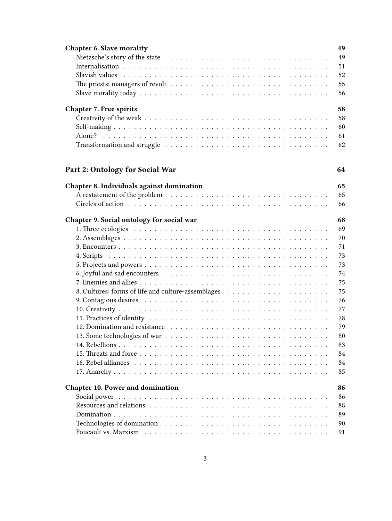| <b>Chapter 6. Slave morality</b>                                                                                | 49 |
|-----------------------------------------------------------------------------------------------------------------|----|
|                                                                                                                 | 49 |
|                                                                                                                 | 51 |
|                                                                                                                 | 52 |
| The priests: managers of revolt $\dots \dots \dots \dots \dots \dots \dots \dots \dots \dots \dots \dots \dots$ | 55 |
|                                                                                                                 | 56 |
| <b>Chapter 7. Free spirits</b>                                                                                  | 58 |
|                                                                                                                 | 58 |
|                                                                                                                 | 60 |
|                                                                                                                 | 61 |
|                                                                                                                 | 62 |
| Part 2: Ontology for Social War                                                                                 | 64 |
| Chapter 8. Individuals against domination                                                                       | 65 |
|                                                                                                                 | 65 |
|                                                                                                                 | 66 |
| Chapter 9. Social ontology for social war                                                                       | 68 |
|                                                                                                                 | 69 |
|                                                                                                                 | 70 |
|                                                                                                                 | 71 |
|                                                                                                                 | 73 |
|                                                                                                                 | 73 |
|                                                                                                                 | 74 |
|                                                                                                                 | 75 |
|                                                                                                                 | 75 |
|                                                                                                                 | 76 |
|                                                                                                                 | 77 |
|                                                                                                                 | 78 |
|                                                                                                                 | 79 |
|                                                                                                                 | 80 |
|                                                                                                                 | 83 |
|                                                                                                                 | 84 |
|                                                                                                                 | 84 |
|                                                                                                                 | 85 |
| Chapter 10. Power and domination                                                                                | 86 |
|                                                                                                                 | 86 |
|                                                                                                                 | 88 |
|                                                                                                                 | 89 |
|                                                                                                                 | 90 |
|                                                                                                                 | 91 |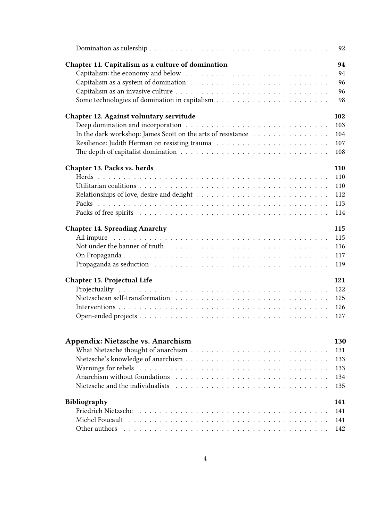|                                                                                                                                                                                                                                | 92  |
|--------------------------------------------------------------------------------------------------------------------------------------------------------------------------------------------------------------------------------|-----|
| Chapter 11. Capitalism as a culture of domination                                                                                                                                                                              | 94  |
| Capitalism: the economy and below $\ldots \ldots \ldots \ldots \ldots \ldots \ldots \ldots \ldots \ldots$                                                                                                                      | 94  |
| Capitalism as a system of domination $\dots \dots \dots \dots \dots \dots \dots \dots \dots \dots \dots$                                                                                                                       | 96  |
|                                                                                                                                                                                                                                | 96  |
|                                                                                                                                                                                                                                | 98  |
| Chapter 12. Against voluntary servitude                                                                                                                                                                                        | 102 |
|                                                                                                                                                                                                                                | 103 |
| In the dark workshop: James Scott on the arts of resistance                                                                                                                                                                    | 104 |
| Resilience: Judith Herman on resisting trauma<br>                                                                                                                                                                              | 107 |
| The depth of capitalist domination $\ldots \ldots \ldots \ldots \ldots \ldots \ldots \ldots \ldots \ldots$                                                                                                                     | 108 |
| Chapter 13. Packs vs. herds                                                                                                                                                                                                    | 110 |
|                                                                                                                                                                                                                                | 110 |
|                                                                                                                                                                                                                                | 110 |
|                                                                                                                                                                                                                                | 112 |
|                                                                                                                                                                                                                                | 113 |
|                                                                                                                                                                                                                                | 114 |
| <b>Chapter 14. Spreading Anarchy</b>                                                                                                                                                                                           | 115 |
|                                                                                                                                                                                                                                | 115 |
|                                                                                                                                                                                                                                | 116 |
|                                                                                                                                                                                                                                | 117 |
|                                                                                                                                                                                                                                | 119 |
| Chapter 15. Projectual Life                                                                                                                                                                                                    | 121 |
|                                                                                                                                                                                                                                | 122 |
|                                                                                                                                                                                                                                | 125 |
|                                                                                                                                                                                                                                | 126 |
|                                                                                                                                                                                                                                | 127 |
|                                                                                                                                                                                                                                |     |
| <b>Appendix: Nietzsche vs. Anarchism</b>                                                                                                                                                                                       | 130 |
|                                                                                                                                                                                                                                | 131 |
|                                                                                                                                                                                                                                | 133 |
|                                                                                                                                                                                                                                | 133 |
|                                                                                                                                                                                                                                | 134 |
|                                                                                                                                                                                                                                | 135 |
| <b>Bibliography</b>                                                                                                                                                                                                            | 141 |
| Friedrich Nietzsche (Charles Leiter, Leiter, Leiter, Leiter, Leiter, Leiter, Leiter, Leiter, Leiter, Leiter, L                                                                                                                 | 141 |
| Michel Foucault responses in the service of the service of the service of the service of the service of the service of the service of the service of the service of the service of the service of the service of the service o | 141 |
| Other authors                                                                                                                                                                                                                  | 142 |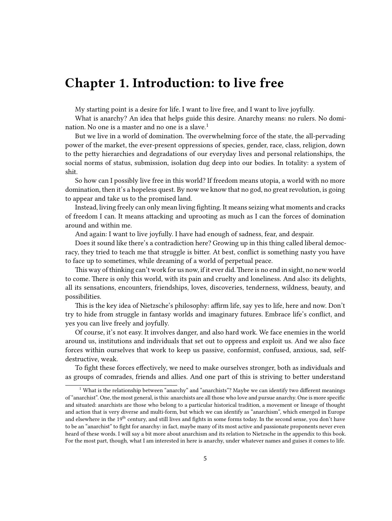# <span id="page-4-0"></span>**Chapter 1. Introduction: to live free**

My starting point is a desire for life. I want to live free, and I want to live joyfully.

What is anarchy? An idea that helps guide this desire. Anarchy means: no rulers. No domination. No one is a master and no one is a slave.<sup>1</sup>

But we live in a world of domination. The overwhelming force of the state, the all-pervading power of the market, the ever-present oppressions of species, gender, race, class, religion, down to the petty hierarchies and degradations of our everyday lives and personal relationships, the social norms of status, submission, isolation dug deep into our bodies. In totality: a system of shit.

So how can I possibly live free in this world? If freedom means utopia, a world with no more domination, then it's a hopeless quest. By now we know that no god, no great revolution, is going to appear and take us to the promised land.

Instead, living freely can only mean living fighting. It means seizing what moments and cracks of freedom I can. It means attacking and uprooting as much as I can the forces of domination around and within me.

And again: I want to live joyfully. I have had enough of sadness, fear, and despair.

Does it sound like there's a contradiction here? Growing up in this thing called liberal democracy, they tried to teach me that struggle is bitter. At best, conflict is something nasty you have to face up to sometimes, while dreaming of a world of perpetual peace.

This way of thinking can't work for us now, if it ever did.There is no end in sight, no new world to come. There is only this world, with its pain and cruelty and loneliness. And also: its delights, all its sensations, encounters, friendships, loves, discoveries, tenderness, wildness, beauty, and possibilities.

This is the key idea of Nietzsche's philosophy: affirm life, say yes to life, here and now. Don't try to hide from struggle in fantasy worlds and imaginary futures. Embrace life's conflict, and yes you can live freely and joyfully.

Of course, it's not easy. It involves danger, and also hard work. We face enemies in the world around us, institutions and individuals that set out to oppress and exploit us. And we also face forces within ourselves that work to keep us passive, conformist, confused, anxious, sad, selfdestructive, weak.

To fight these forces effectively, we need to make ourselves stronger, both as individuals and as groups of comrades, friends and allies. And one part of this is striving to better understand

 $1$  What is the relationship between "anarchy" and "anarchists"? Maybe we can identify two different meanings of "anarchist". One, the most general, is this: anarchists are all those who love and pursue anarchy. One is more specific and situated: anarchists are those who belong to a particular historical tradition, a movement or lineage of thought and action that is very diverse and multi-form, but which we can identify as "anarchism", which emerged in Europe and elsewhere in the 19<sup>th</sup> century, and still lives and fights in some forms today. In the second sense, you don't have to be an "anarchist" to fight for anarchy: in fact, maybe many of its most active and passionate proponents never even heard of these words. I will say a bit more about anarchism and its relation to Nietzsche in the appendix to this book. For the most part, though, what I am interested in here is anarchy, under whatever names and guises it comes to life.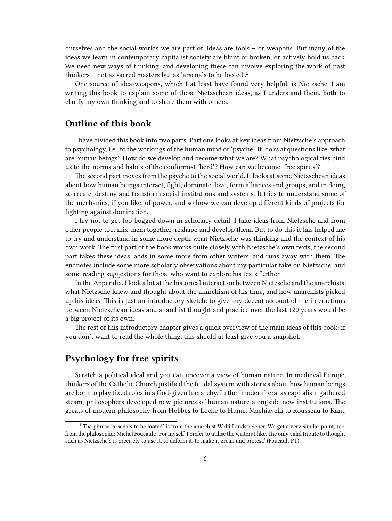ourselves and the social worlds we are part of. Ideas are tools – or weapons. But many of the ideas we learn in contemporary capitalist society are blunt or broken, or actively hold us back. We need new ways of thinking, and developing these can involve exploring the work of past thinkers – not as sacred masters but as 'arsenals to be looted'.<sup>2</sup>

One source of idea-weapons, which I at least have found very helpful, is Nietzsche. I am writing this book to explain some of these Nietzschean ideas, as I understand them, both to clarify my own thinking and to share them with others.

## <span id="page-5-0"></span>**Outline of this book**

I have divided this book into two parts. Part one looks at key ideas from Nietzsche's approach to psychology, i.e., to the workings of the human mind or 'psyche'. It looks at questions like: what are human beings? How do we develop and become what we are? What psychological ties bind us to the norms and habits of the conformist 'herd'? How can we become 'free spirits'?

The second part moves from the psyche to the social world. It looks at some Nietzschean ideas about how human beings interact, fight, dominate, love, form alliances and groups, and in doing so create, destroy and transform social institutions and systems. It tries to understand some of the mechanics, if you like, of power, and so how we can develop different kinds of projects for fighting against domination.

I try not to get too bogged down in scholarly detail. I take ideas from Nietzsche and from other people too, mix them together, reshape and develop them. But to do this it has helped me to try and understand in some more depth what Nietzsche was thinking and the context of his own work. The first part of the book works quite closely with Nietzsche's own texts; the second part takes these ideas, adds in some more from other writers, and runs away with them. The endnotes include some more scholarly observations about my particular take on Nietzsche, and some reading suggestions for those who want to explore his texts further.

In the Appendix, I look a bit at the historical interaction between Nietzsche and the anarchists: what Nietzsche knew and thought about the anarchism of his time, and how anarchists picked up his ideas. This is just an introductory sketch: to give any decent account of the interactions between Nietzschean ideas and anarchist thought and practice over the last 120 years would be a big project of its own.

The rest of this introductory chapter gives a quick overview of the main ideas of this book: if you don't want to read the whole thing, this should at least give you a snapshot.

# <span id="page-5-1"></span>**Psychology for free spirits**

Scratch a political ideal and you can uncover a view of human nature. In medieval Europe, thinkers of the Catholic Church justified the feudal system with stories about how human beings are born to play fixed roles in a God-given hierarchy. In the "modern" era, as capitalism gathered steam, philosophers developed new pictures of human nature alongside new institutions. The greats of modern philosophy from Hobbes to Locke to Hume, Machiavelli to Rousseau to Kant,

 $2$  The phrase 'arsenals to be looted' is from the anarchist Wolfi Landstreicher. We get a very similar point, too, from the philosopher Michel Foucault: 'For myself, I prefer to utilise the writers I like. The only valid tribute to thought such as Nietzsche's is precisely to use it, to deform it, to make it groan and protest.' (Foucault PT)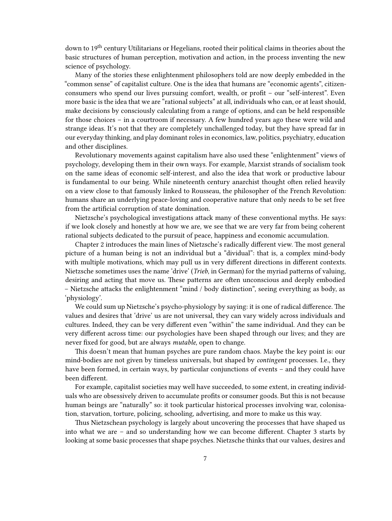down to 19<sup>th</sup> century Utilitarians or Hegelians, rooted their political claims in theories about the basic structures of human perception, motivation and action, in the process inventing the new science of psychology.

Many of the stories these enlightenment philosophers told are now deeply embedded in the "common sense" of capitalist culture. One is the idea that humans are "economic agents", citizenconsumers who spend our lives pursuing comfort, wealth, or profit – our "self-interest". Even more basic is the idea that we are "rational subjects" at all, individuals who can, or at least should, make decisions by consciously calculating from a range of options, and can be held responsible for those choices – in a courtroom if necessary. A few hundred years ago these were wild and strange ideas. It's not that they are completely unchallenged today, but they have spread far in our everyday thinking, and play dominant roles in economics, law, politics, psychiatry, education and other disciplines.

Revolutionary movements against capitalism have also used these "enlightenment" views of psychology, developing them in their own ways. For example, Marxist strands of socialism took on the same ideas of economic self-interest, and also the idea that work or productive labour is fundamental to our being. While nineteenth century anarchist thought often relied heavily on a view close to that famously linked to Rousseau, the philosopher of the French Revolution: humans share an underlying peace-loving and cooperative nature that only needs to be set free from the artificial corruption of state domination.

Nietzsche's psychological investigations attack many of these conventional myths. He says: if we look closely and honestly at how we are, we see that we are very far from being coherent rational subjects dedicated to the pursuit of peace, happiness and economic accumulation.

Chapter 2 introduces the main lines of Nietzsche's radically different view. The most general picture of a human being is not an individual but a "dividual": that is, a complex mind-body with multiple motivations, which may pull us in very different directions in different contexts. Nietzsche sometimes uses the name 'drive' (*Trieb*, in German) for the myriad patterns of valuing, desiring and acting that move us. These patterns are often unconscious and deeply embodied – Nietzsche attacks the enlightenment "mind / body distinction", seeing everything as body, as 'physiology'.

We could sum up Nietzsche's psycho-physiology by saying: it is one of radical difference. The values and desires that 'drive' us are not universal, they can vary widely across individuals and cultures. Indeed, they can be very different even "within" the same individual. And they can be very different across time: our psychologies have been shaped through our lives; and they are never fixed for good, but are always *mutable*, open to change.

This doesn't mean that human psyches are pure random chaos. Maybe the key point is: our mind-bodies are not given by timeless universals, but shaped by *contingent* processes. I.e., they have been formed, in certain ways, by particular conjunctions of events – and they could have been different.

For example, capitalist societies may well have succeeded, to some extent, in creating individuals who are obsessively driven to accumulate profits or consumer goods. But this is not because human beings are "naturally" so: it took particular historical processes involving war, colonisation, starvation, torture, policing, schooling, advertising, and more to make us this way.

Thus Nietzschean psychology is largely about uncovering the processes that have shaped us into what we are – and so understanding how we can become different. Chapter 3 starts by looking at some basic processes that shape psyches. Nietzsche thinks that our values, desires and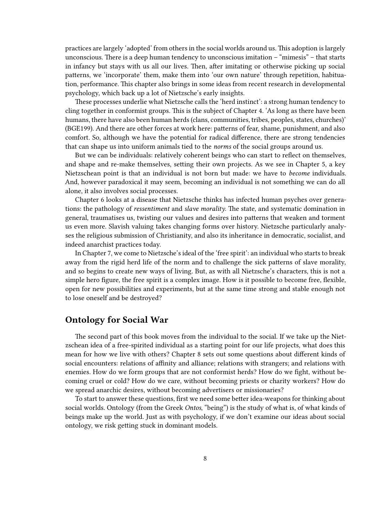practices are largely 'adopted' from others in the social worlds around us. This adoption is largely unconscious. There is a deep human tendency to unconscious imitation – "mimesis" – that starts in infancy but stays with us all our lives. Then, after imitating or otherwise picking up social patterns, we 'incorporate' them, make them into 'our own nature' through repetition, habituation, performance. This chapter also brings in some ideas from recent research in developmental psychology, which back up a lot of Nietzsche's early insights.

These processes underlie what Nietzsche calls the 'herd instinct': a strong human tendency to cling together in conformist groups. This is the subject of Chapter 4. 'As long as there have been humans, there have also been human herds (clans, communities, tribes, peoples, states, churches)' (BGE199). And there are other forces at work here: patterns of fear, shame, punishment, and also comfort. So, although we have the potential for radical difference, there are strong tendencies that can shape us into uniform animals tied to the *norms* of the social groups around us.

But we can be individuals: relatively coherent beings who can start to reflect on themselves, and shape and re-make themselves, setting their own projects. As we see in Chapter 5, a key Nietzschean point is that an individual is not born but made: we have to *become* individuals. And, however paradoxical it may seem, becoming an individual is not something we can do all alone, it also involves social processes.

Chapter 6 looks at a disease that Nietzsche thinks has infected human psyches over generations: the pathology of *ressentiment* and *slave morality*. The state, and systematic domination in general, traumatises us, twisting our values and desires into patterns that weaken and torment us even more. Slavish valuing takes changing forms over history. Nietzsche particularly analyses the religious submission of Christianity, and also its inheritance in democratic, socialist, and indeed anarchist practices today.

In Chapter 7, we come to Nietzsche's ideal of the 'free spirit': an individual who starts to break away from the rigid herd life of the norm and to challenge the sick patterns of slave morality, and so begins to create new ways of living. But, as with all Nietzsche's characters, this is not a simple hero figure, the free spirit is a complex image. How is it possible to become free, flexible, open for new possibilities and experiments, but at the same time strong and stable enough not to lose oneself and be destroyed?

## <span id="page-7-0"></span>**Ontology for Social War**

The second part of this book moves from the individual to the social. If we take up the Nietzschean idea of a free-spirited individual as a starting point for our life projects, what does this mean for how we live with others? Chapter 8 sets out some questions about different kinds of social encounters: relations of affinity and alliance; relations with strangers; and relations with enemies. How do we form groups that are not conformist herds? How do we fight, without becoming cruel or cold? How do we care, without becoming priests or charity workers? How do we spread anarchic desires, without becoming advertisers or missionaries?

To start to answer these questions, first we need some better idea-weapons for thinking about social worlds. Ontology (from the Greek *Ontos*, "being") is the study of what is, of what kinds of beings make up the world. Just as with psychology, if we don't examine our ideas about social ontology, we risk getting stuck in dominant models.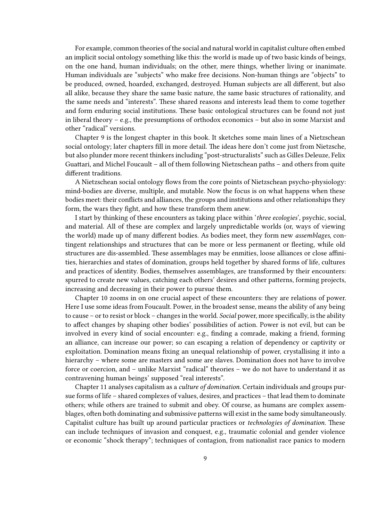For example, common theories of the social and natural world in capitalist culture often embed an implicit social ontology something like this: the world is made up of two basic kinds of beings, on the one hand, human individuals; on the other, mere things, whether living or inanimate. Human individuals are "subjects" who make free decisions. Non-human things are "objects" to be produced, owned, hoarded, exchanged, destroyed. Human subjects are all different, but also all alike, because they share the same basic nature, the same basic structures of rationality, and the same needs and "interests". These shared reasons and interests lead them to come together and form enduring social institutions. These basic ontological structures can be found not just in liberal theory – e.g., the presumptions of orthodox economics – but also in some Marxist and other "radical" versions.

Chapter 9 is the longest chapter in this book. It sketches some main lines of a Nietzschean social ontology; later chapters fill in more detail. The ideas here don't come just from Nietzsche, but also plunder more recent thinkers including "post-structuralists" such as Gilles Deleuze, Felix Guattari, and Michel Foucault – all of them following Nietzschean paths – and others from quite different traditions.

A Nietzschean social ontology flows from the core points of Nietzschean psycho-physiology: mind-bodies are diverse, multiple, and mutable. Now the focus is on what happens when these bodies meet: their conflicts and alliances, the groups and institutions and other relationships they form, the wars they fight, and how these transform them anew.

I start by thinking of these encounters as taking place within '*three ecologies*', psychic, social, and material. All of these are complex and largely unpredictable worlds (or, ways of viewing the world) made up of many different bodies. As bodies meet, they form new *assemblages*, contingent relationships and structures that can be more or less permanent or fleeting, while old structures are dis-assembled. These assemblages may be enmities, loose alliances or close affinities, hierarchies and states of domination, groups held together by shared forms of life, cultures and practices of identity. Bodies, themselves assemblages, are transformed by their encounters: spurred to create new values, catching each others' desires and other patterns, forming projects, increasing and decreasing in their power to pursue them.

Chapter 10 zooms in on one crucial aspect of these encounters: they are relations of power. Here I use some ideas from Foucault. Power, in the broadest sense, means the ability of any being to cause – or to resist or block – changes in the world. *Social* power, more specifically, is the ability to affect changes by shaping other bodies' possibilities of action. Power is not evil, but can be involved in every kind of social encounter: e.g., finding a comrade, making a friend, forming an alliance, can increase our power; so can escaping a relation of dependency or captivity or exploitation. Domination means fixing an unequal relationship of power, crystallising it into a hierarchy – where some are masters and some are slaves. Domination does not have to involve force or coercion, and – unlike Marxist "radical" theories – we do not have to understand it as contravening human beings' supposed "real interests".

Chapter 11 analyses capitalism as a *culture of domination*. Certain individuals and groups pursue forms of life – shared complexes of values, desires, and practices – that lead them to dominate others; while others are trained to submit and obey. Of course, as humans are complex assemblages, often both dominating and submissive patterns will exist in the same body simultaneously. Capitalist culture has built up around particular practices or *technologies of domination.* These can include techniques of invasion and conquest, e.g., traumatic colonial and gender violence or economic "shock therapy"; techniques of contagion, from nationalist race panics to modern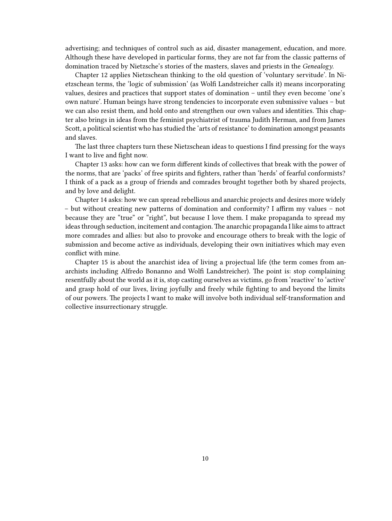advertising; and techniques of control such as aid, disaster management, education, and more. Although these have developed in particular forms, they are not far from the classic patterns of domination traced by Nietzsche's stories of the masters, slaves and priests in the *Genealogy*.

Chapter 12 applies Nietzschean thinking to the old question of 'voluntary servitude'. In Nietzschean terms, the 'logic of submission' (as Wolfi Landstreicher calls it) means incorporating values, desires and practices that support states of domination – until they even become 'one's own nature'. Human beings have strong tendencies to incorporate even submissive values – but we can also resist them, and hold onto and strengthen our own values and identities. This chapter also brings in ideas from the feminist psychiatrist of trauma Judith Herman, and from James Scott, a political scientist who has studied the 'arts of resistance' to domination amongst peasants and slaves.

The last three chapters turn these Nietzschean ideas to questions I find pressing for the ways I want to live and fight now.

Chapter 13 asks: how can we form different kinds of collectives that break with the power of the norms, that are 'packs' of free spirits and fighters, rather than 'herds' of fearful conformists? I think of a pack as a group of friends and comrades brought together both by shared projects, and by love and delight.

Chapter 14 asks: how we can spread rebellious and anarchic projects and desires more widely – but without creating new patterns of domination and conformity? I affirm my values – not because they are "true" or "right", but because I love them. I make propaganda to spread my ideas through seduction, incitement and contagion. The anarchic propaganda I like aims to attract more comrades and allies: but also to provoke and encourage others to break with the logic of submission and become active as individuals, developing their own initiatives which may even conflict with mine.

Chapter 15 is about the anarchist idea of living a projectual life (the term comes from anarchists including Alfredo Bonanno and Wolfi Landstreicher). The point is: stop complaining resentfully about the world as it is, stop casting ourselves as victims, go from 'reactive' to 'active' and grasp hold of our lives, living joyfully and freely while fighting to and beyond the limits of our powers. The projects I want to make will involve both individual self-transformation and collective insurrectionary struggle.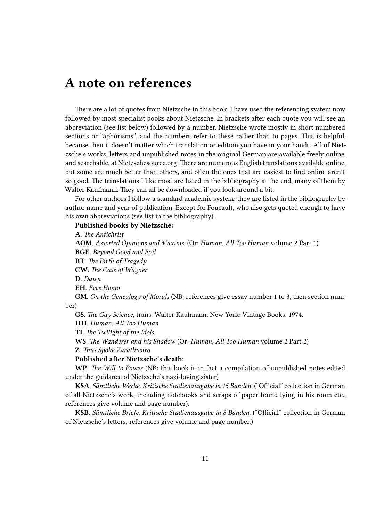# <span id="page-10-0"></span>**A note on references**

There are a lot of quotes from Nietzsche in this book. I have used the referencing system now followed by most specialist books about Nietzsche. In brackets after each quote you will see an abbreviation (see list below) followed by a number. Nietzsche wrote mostly in short numbered sections or "aphorisms", and the numbers refer to these rather than to pages. This is helpful, because then it doesn't matter which translation or edition you have in your hands. All of Nietzsche's works, letters and unpublished notes in the original German are available freely online, and searchable, at Nietzschesource.org. There are numerous English translations available online, but some are much better than others, and often the ones that are easiest to find online aren't so good. The translations I like most are listed in the bibliography at the end, many of them by Walter Kaufmann. They can all be downloaded if you look around a bit.

For other authors I follow a standard academic system: they are listed in the bibliography by author name and year of publication. Except for Foucault, who also gets quoted enough to have his own abbreviations (see list in the bibliography).

#### **Published books by Nietzsche:**

**A**. *The Antichrist* **AOM**. *Assorted Opinions and Maxims*. (Or: *Human, All Too Human* volume 2 Part 1) **BGE**. *Beyond Good and Evil* **BT**. *The Birth of Tragedy* **CW**. *The Case of Wagner* **D**. *Dawn* **EH**. *Ecce Homo* **GM**. *On the Genealogy of Morals* (NB: references give essay number 1 to 3, then section number) **GS**. *The Gay Science*, trans. Walter Kaufmann. New York: Vintage Books. 1974. **HH**. *Human, All Too Human*

**TI**. *The Twilight of the Idols*

**WS**. *The Wanderer and his Shadow* (Or: *Human, All Too Human* volume 2 Part 2)

**Z**. *Thus Spoke Zarathustra*

**Published after Nietzsche's death:**

**WP**. *The Will to Power* (NB: this book is in fact a compilation of unpublished notes edited under the guidance of Nietzsche's nazi-loving sister)

**KSA**. *Sämtliche Werke*. *Kritische Studienausgabe in 15 Bänden.* ("Official" collection in German of all Nietzsche's work, including notebooks and scraps of paper found lying in his room etc., references give volume and page number).

**KSB**. *Sämtliche Briefe*. *Kritische Studienausgabe in 8 Bänden.* ("Official" collection in German of Nietzsche's letters, references give volume and page number.)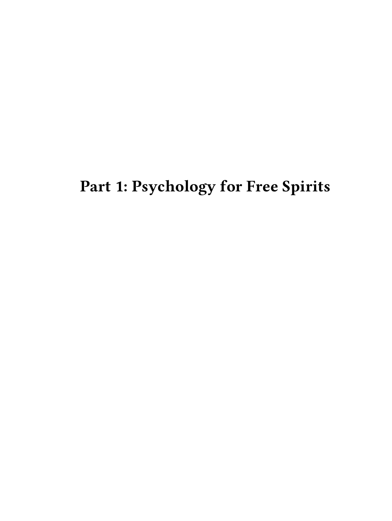# <span id="page-11-0"></span>**Part 1: Psychology for Free Spirits**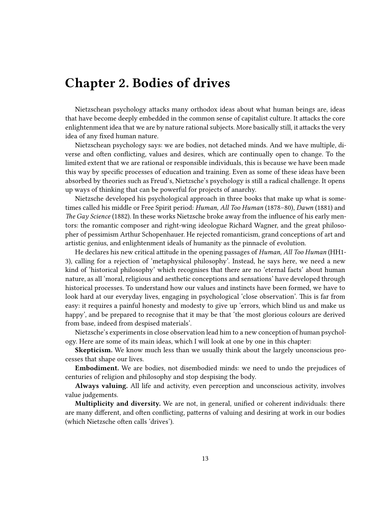# <span id="page-12-0"></span>**Chapter 2. Bodies of drives**

Nietzschean psychology attacks many orthodox ideas about what human beings are, ideas that have become deeply embedded in the common sense of capitalist culture. It attacks the core enlightenment idea that we are by nature rational subjects. More basically still, it attacks the very idea of any fixed human nature.

Nietzschean psychology says: we are bodies, not detached minds. And we have multiple, diverse and often conflicting, values and desires, which are continually open to change. To the limited extent that we are rational or responsible individuals, this is because we have been made this way by specific processes of education and training. Even as some of these ideas have been absorbed by theories such as Freud's, Nietzsche's psychology is still a radical challenge. It opens up ways of thinking that can be powerful for projects of anarchy.

Nietzsche developed his psychological approach in three books that make up what is sometimes called his middle or Free Spirit period: *Human, All Too Human* (1878–80), *Dawn* (1881) and *The Gay Science* (1882). In these works Nietzsche broke away from the influence of his early mentors: the romantic composer and right-wing ideologue Richard Wagner, and the great philosopher of pessimism Arthur Schopenhauer. He rejected romanticism, grand conceptions of art and artistic genius, and enlightenment ideals of humanity as the pinnacle of evolution.

He declares his new critical attitude in the opening passages of *Human, All Too Human* (HH1- 3), calling for a rejection of 'metaphysical philosophy'. Instead, he says here, we need a new kind of 'historical philosophy' which recognises that there are no 'eternal facts' about human nature, as all 'moral, religious and aesthetic conceptions and sensations' have developed through historical processes. To understand how our values and instincts have been formed, we have to look hard at our everyday lives, engaging in psychological 'close observation'. This is far from easy: it requires a painful honesty and modesty to give up 'errors, which blind us and make us happy', and be prepared to recognise that it may be that 'the most glorious colours are derived from base, indeed from despised materials'.

Nietzsche's experiments in close observation lead him to a new conception of human psychology. Here are some of its main ideas, which I will look at one by one in this chapter:

**Skepticism.** We know much less than we usually think about the largely unconscious processes that shape our lives.

**Embodiment.** We are bodies, not disembodied minds: we need to undo the prejudices of centuries of religion and philosophy and stop despising the body.

**Always valuing.** All life and activity, even perception and unconscious activity, involves value judgements.

**Multiplicity and diversity.** We are not, in general, unified or coherent individuals: there are many different, and often conflicting, patterns of valuing and desiring at work in our bodies (which Nietzsche often calls 'drives').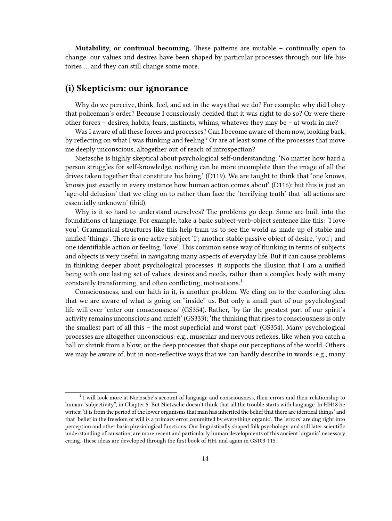**Mutability, or continual becoming.** These patterns are mutable – continually open to change: our values and desires have been shaped by particular processes through our life histories … and they can still change some more.

## <span id="page-13-0"></span>**(i) Skepticism: our ignorance**

Why do we perceive, think, feel, and act in the ways that we do? For example: why did I obey that policeman's order? Because I consciously decided that it was right to do so? Or were there other forces – desires, habits, fears, instincts, whims, whatever they may be – at work in me?

Was I aware of all these forces and processes? Can I become aware of them now, looking back, by reflecting on what I was thinking and feeling? Or are at least some of the processes that move me deeply unconscious, altogether out of reach of introspection?

Nietzsche is highly skeptical about psychological self-understanding. 'No matter how hard a person struggles for self-knowledge, nothing can be more incomplete than the image of all the drives taken together that constitute his being.' (D119). We are taught to think that 'one knows, knows just exactly in every instance how human action comes about' (D116); but this is just an 'age-old delusion' that we cling on to rather than face the 'terrifying truth' that 'all actions are essentially unknown' (ibid).

Why is it so hard to understand ourselves? The problems go deep. Some are built into the foundations of language. For example, take a basic subject-verb-object sentence like this: 'I love you'. Grammatical structures like this help train us to see the world as made up of stable and unified 'things'. There is one active subject 'I'; another stable passive object of desire, 'you'; and one identifiable action or feeling, 'love'. This common sense way of thinking in terms of subjects and objects is very useful in navigating many aspects of everyday life. But it can cause problems in thinking deeper about psychological processes: it supports the illusion that I am a unified being with one lasting set of values, desires and needs, rather than a complex body with many constantly transforming, and often conflicting, motivations.<sup>1</sup>

Consciousness, and our faith in it, is another problem. We cling on to the comforting idea that we are aware of what is going on "inside" us. But only a small part of our psychological life will ever 'enter our consciousness' (GS354). Rather, 'by far the greatest part of our spirit's activity remains unconscious and unfelt' (GS333); 'the thinking that rises to consciousness is only the smallest part of all this – the most superficial and worst part' (GS354). Many psychological processes are altogether unconscious: e.g., muscular and nervous reflexes, like when you catch a ball or shrink from a blow, or the deep processes that shape our perceptions of the world. Others we may be aware of, but in non-reflective ways that we can hardly describe in words: e.g., many

<sup>&</sup>lt;sup>1</sup> I will look more at Nietzsche's account of language and consciousness, their errors and their relationship to human "subjectivity", in Chapter 5. But Nietzsche doesn't think that all the trouble starts with language. In HH18 he writes: 'it is from the period of the lower organisms that man has inherited the belief that there are identical things' and that 'belief in the freedom of will is a primary error committed by everything organic'. The 'errors' are dug right into perception and other basic physiological functions. Our linguistically shaped folk psychology, and still later scientific understanding of causation, are more recent and particularly human developments of this ancient 'organic' necessary erring. These ideas are developed through the first book of HH, and again in GS103-115.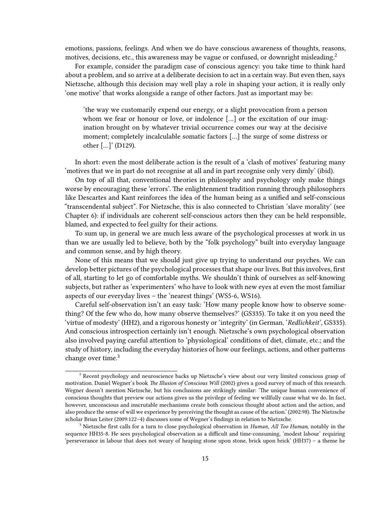emotions, passions, feelings. And when we do have conscious awareness of thoughts, reasons, motives, decisions, etc., this awareness may be vague or confused, or downright misleading.<sup>2</sup>

For example, consider the paradigm case of conscious agency: you take time to think hard about a problem, and so arrive at a deliberate decision to act in a certain way. But even then, says Nietzsche, although this decision may well play a role in shaping your action, it is really only 'one motive' that works alongside a range of other factors. Just as important may be:

'the way we customarily expend our energy, or a slight provocation from a person whom we fear or honour or love, or indolence [...] or the excitation of our imagination brought on by whatever trivial occurrence comes our way at the decisive moment; completely incalculable somatic factors […] the surge of some distress or other […]' (D129).

In short: even the most deliberate action is the result of a 'clash of motives' featuring many 'motives that we in part do not recognise at all and in part recognise only very dimly' (ibid).

On top of all that, conventional theories in philosophy and psychology only make things worse by encouraging these 'errors'. The enlightenment tradition running through philosophers like Descartes and Kant reinforces the idea of the human being as a unified and self-conscious "transcendental subject". For Nietzsche, this is also connected to Christian 'slave morality' (see Chapter 6): if individuals are coherent self-conscious actors then they can be held responsible, blamed, and expected to feel guilty for their actions.

To sum up, in general we are much less aware of the psychological processes at work in us than we are usually led to believe, both by the "folk psychology" built into everyday language and common sense, and by high theory.

None of this means that we should just give up trying to understand our psyches. We can develop better pictures of the psychological processes that shape our lives. But this involves, first of all, starting to let go of comfortable myths. We shouldn't think of ourselves as self-knowing subjects, but rather as 'experimenters' who have to look with new eyes at even the most familiar aspects of our everyday lives – the 'nearest things' (WS5-6, WS16).

Careful self-observation isn't an easy task: 'How many people know how to observe something? Of the few who do, how many observe themselves?' (GS335). To take it on you need the 'virtue of modesty' (HH2), and a rigorous honesty or 'integrity' (in German, '*Redlichkeit*', GS335). And conscious introspection certainly isn't enough. Nietzsche's own psychological observation also involved paying careful attention to 'physiological' conditions of diet, climate, etc.; and the study of history, including the everyday histories of how our feelings, actions, and other patterns change over time.<sup>3</sup>

<sup>2</sup> Recent psychology and neuroscience backs up Nietzsche's view about our very limited conscious grasp of motivation. Daniel Wegner's book *The Illusion of Conscious Will* (2002) gives a good survey of much of this research. Wegner doesn't mention Nietzsche, but his conclusions are strikingly similar: 'The unique human convenience of conscious thoughts that preview our actions gives us the privilege of feeling we willfully cause what we do. In fact, however, unconscious and inscrutable mechanisms create both conscious thought about action and the action, and also produce the sense of will we experience by perceiving the thought as cause of the action.' (2002:98). The Nietzsche scholar Brian Leiter (2009:122–4) discusses some of Wegner's findings in relation to Nietzsche.

<sup>3</sup> Nietzsche first calls for a turn to close psychological observation in *Human, All Too Human*, notably in the sequence HH35-8. He sees psychological observation as a difficult and time-consuming, 'modest labour' requiring 'perseverance in labour that does not weary of heaping stone upon stone, brick upon brick' (HH37) – a theme he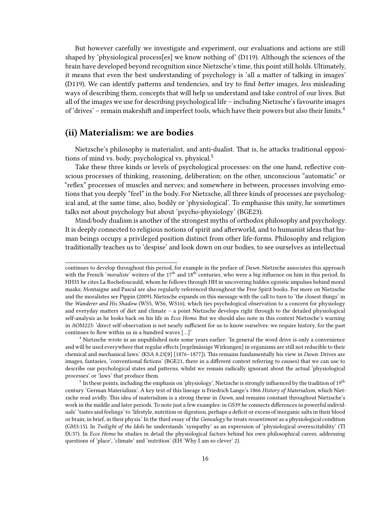But however carefully we investigate and experiment, our evaluations and actions are still shaped by 'physiological process[es] we know nothing of' (D119). Although the sciences of the brain have developed beyond recognition since Nietzsche's time, this point still holds. Ultimately, it means that even the best understanding of psychology is 'all a matter of talking in images' (D119). We can identify patterns and tendencies, and try to find *better* images, *less* misleading ways of describing them, concepts that will help us understand and take control of our lives. But all of the images we use for describing psychological life – including Nietzsche's favourite images of 'drives' – remain makeshift and imperfect tools, which have their powers but also their limits.<sup>4</sup>

## <span id="page-15-0"></span>**(ii) Materialism: we are bodies**

Nietzsche's philosophy is materialist, and anti-dualist. That is, he attacks traditional oppositions of mind vs. body, psychological vs. physical.<sup>5</sup>

Take these three kinds or levels of psychological processes: on the one hand, reflective conscious processes of thinking, reasoning, deliberation; on the other, unconscious "automatic" or "reflex" processes of muscles and nerves; and somewhere in between, processes involving emotions that you deeply "feel" in the body. For Nietzsche, all three kinds of processes are psychological and, at the same time, also, bodily or 'physiological'. To emphasise this unity, he sometimes talks not about psychology but about 'psycho-physiology' (BGE23).

Mind/body dualism is another of the strongest myths of orthodox philosophy and psychology. It is deeply connected to religious notions of spirit and afterworld, and to humanist ideas that human beings occupy a privileged position distinct from other life-forms. Philosophy and religion traditionally teaches us to 'despise' and look down on our bodies, to see ourselves as intellectual

continues to develop throughout this period, for example in the preface of *Dawn.* Nietzsche associates this approach with the French '*moraliste*' writers of the 17<sup>th</sup> and 18<sup>th</sup> centuries, who were a big influence on him in this period. In HH35 he cites La Rochefoucauld, whom he follows through HH in uncovering hidden egoistic impulses behind moral masks; Montaigne and Pascal are also regularly referenced throughout the Free Spirit books. For more on Nietzsche and the moralistes see Pippin (2009). Nietzsche expands on this message with the call to turn to 'the closest things' in the *Wanderer and His Shadow* (WS5, WS6, WS16), which ties psychological observation to a concern for physiology and everyday matters of diet and climate – a point Nietzsche develops right through to the detailed physiological self-analysis as he looks back on his life in *Ecce Homo*. But we should also note in this context Nietzsche's warning in AOM223: 'direct self-observation is not nearly sufficient for us to know ourselves: we require history, for the past continues to flow within us in a hundred waves […]'

<sup>&</sup>lt;sup>4</sup> Nietzsche wrote in an unpublished note some years earlier: 'In general the word drive is only a convenience and will be used everywhere that regular effects [regelmässige Wirkungen] in organisms are still not reducible to their chemical and mechanical laws.' (KSA 8.23[9] [1876–1877]). This remains fundamentally his view in *Dawn*. Drives are images, fantasies, 'conventional fictions' (BGE21, there in a different context referring to causes) that we can use to describe our psychological states and patterns, whilst we remain radically ignorant about the actual 'physiological processes' or 'laws' that produce them.

 $^5$  In these points, including the emphasis on 'physiology', Nietzsche is strongly influenced by the tradition of 19th century 'German Materialism'. A key text of this lineage is Friedrich Lange's 1866 *History of Materialism*, which Nietzsche read avidly. This idea of materialism is a strong theme in *Dawn*, and remains constant throughout Nietzsche's work in the middle and later periods. To note just a few examples: in GS39 he connects differences in powerful individuals' 'tastes and feelings' to 'lifestyle, nutrition or digestion, perhaps a deficit or excess of inorganic salts in their blood or brain; in brief, in their physis.' In the third essay of the *Genealogy* he treats *ressentiment* as a physiological condition (GM3:15). In *Twilight of the Idols* he understands 'sympathy' as an expression of 'physiological overexcitability' (TI IX:37). In *Ecce Homo* he studies in detail the physiological factors behind his own philosophical career, addressing questions of 'place', 'climate' and 'nutrition' (EH 'Why I am so clever' 2).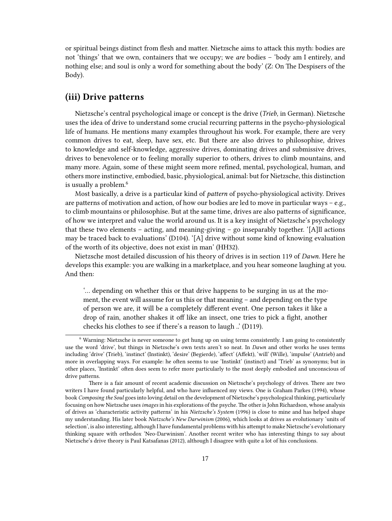or spiritual beings distinct from flesh and matter. Nietzsche aims to attack this myth: bodies are not 'things' that we own, containers that we occupy; we *are* bodies – 'body am I entirely, and nothing else; and soul is only a word for something about the body' (Z: On The Despisers of the Body).

# <span id="page-16-0"></span>**(iii) Drive patterns**

Nietzsche's central psychological image or concept is the drive (*Trieb*, in German). Nietzsche uses the idea of drive to understand some crucial recurring patterns in the psycho-physiological life of humans. He mentions many examples throughout his work. For example, there are very common drives to eat, sleep, have sex, etc. But there are also drives to philosophise, drives to knowledge and self-knowledge, aggressive drives, dominating drives and submissive drives, drives to benevolence or to feeling morally superior to others, drives to climb mountains, and many more. Again, some of these might seem more refined, mental, psychological, human, and others more instinctive, embodied, basic, physiological, animal: but for Nietzsche, this distinction is usually a problem.<sup>6</sup>

Most basically, a drive is a particular kind of *pattern* of psycho-physiological activity. Drives are patterns of motivation and action, of how our bodies are led to move in particular ways – e.g., to climb mountains or philosophise. But at the same time, drives are also patterns of significance, of how we interpret and value the world around us. It is a key insight of Nietzsche's psychology that these two elements – acting, and meaning-giving – go inseparably together.  $[A]$ ll actions may be traced back to evaluations' (D104). '[A] drive without some kind of knowing evaluation of the worth of its objective, does not exist in man' (HH32).

Nietzsche most detailed discussion of his theory of drives is in section 119 of *Dawn.* Here he develops this example: you are walking in a marketplace, and you hear someone laughing at you. And then:

'… depending on whether this or that drive happens to be surging in us at the moment, the event will assume for us this or that meaning – and depending on the type of person we are, it will be a completely different event. One person takes it like a drop of rain, another shakes it off like an insect, one tries to pick a fight, another checks his clothes to see if there's a reason to laugh ..' (D119).

<sup>6</sup> Warning: Nietzsche is never someone to get hung up on using terms consistently. I am going to consistently use the word 'drive', but things in Nietzsche's own texts aren't so neat. In *Dawn* and other works he uses terms including 'drive' (Trieb), 'instinct' (Instinkt), 'desire' (Begierde), 'affect' (Affekt), 'will' (Wille), 'impulse' (Antrieb) and more in overlapping ways. For example: he often seems to use 'Instinkt' (instinct) and 'Trieb' as synonyms; but in other places, 'Instinkt' often does seem to refer more particularly to the most deeply embodied and unconscious of drive patterns.

There is a fair amount of recent academic discussion on Nietzsche's psychology of drives. There are two writers I have found particularly helpful, and who have influenced my views. One is Graham Parkes (1994), whose book *Composing the Soul* goes into loving detail on the development of Nietzsche's psychological thinking, particularly focusing on how Nietzsche uses*images* in his explorations of the psyche. The other is John Richardson, whose analysis of drives as 'characteristic activity patterns' in his *Nietzsche's System* (1996) is close to mine and has helped shape my understanding. His later book *Nietzsche's New Darwinism* (2006), which looks at drives as evolutionary 'units of selection', is also interesting, although I have fundamental problems with his attempt to make Nietzsche's evolutionary thinking square with orthodox 'Neo-Darwinism'. Another recent writer who has interesting things to say about Nietzsche's drive theory is Paul Katsafanas (2012), although I disagree with quite a lot of his conclusions.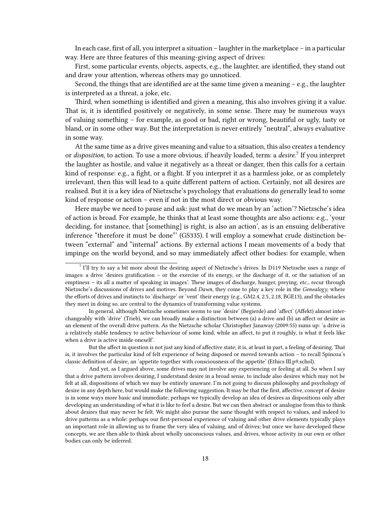In each case, first of all, you interpret a situation – laughter in the marketplace – in a particular way. Here are three features of this meaning-giving aspect of drives:

First, some particular events, objects, aspects, e.g., the laughter, are identified, they stand out and draw your attention, whereas others may go unnoticed.

Second, the things that are identified are at the same time given a meaning – e.g., the laughter is interpreted as a threat, a joke, etc.

Third, when something is identified and given a meaning, this also involves giving it a value. That is, it is identified positively or negatively, in some sense. There may be numerous ways of valuing something – for example, as good or bad, right or wrong, beautiful or ugly, tasty or bland, or in some other way. But the interpretation is never entirely "neutral", always evaluative in some way.

At the same time as a drive gives meaning and value to a situation, this also creates a tendency or *disposition*, to action. To use a more obvious, if heavily loaded, term: a *desire*. 7 If you interpret the laughter as hostile, and value it negatively as a threat or danger, then this calls for a certain kind of response: e.g., a fight, or a flight. If you interpret it as a harmless joke, or as completely irrelevant, then this will lead to a quite different pattern of action. Certainly, not all desires are realised. But it is a key idea of Nietzsche's psychology that evaluations do generally lead to some kind of response or action – even if not in the most direct or obvious way.

Here maybe we need to pause and ask: just what do we mean by an 'action'? Nietzsche's idea of action is broad. For example, he thinks that at least some thoughts are also actions: e.g., 'your deciding, for instance, that [something] is right, is also an action', as is an ensuing deliberative inference "therefore it must be done"' (GS335). I will employ a somewhat crude distinction between "external" and "internal" actions. By external actions I mean movements of a body that impinge on the world beyond, and so may immediately affect other bodies: for example, when

<sup>7</sup> I'll try to say a bit more about the desiring aspect of Nietzsche's drives. In D119 Nietzsche uses a range of images: a drive 'desires gratification – or the exercise of its energy, or the discharge of it, or the satiation of an emptiness – its all a matter of speaking in images'. These images of discharge, hunger, preying, etc., recur through Nietzsche's discussions of drives and motives. Beyond *Dawn*, they come to play a key role in the *Genealogy*, where the efforts of drives and instincts to 'discharge' or 'vent' their energy (e.g., GM2.4, 2.5, 2.18, BGE13), and the obstacles they meet in doing so, are central to the dynamics of transforming value systems.

In general, although Nietzsche sometimes seems to use 'desire' (Begierde) and 'affect' (Affekt) almost interchangeably with 'drive' (Trieb), we can broadly make a distinction between (a) a drive and (b) an affect or desire as an element of the overall drive pattern. As the Nietzsche scholar Christopher Janaway (2009:55) sums up: 'a drive is a relatively stable tendency to active behaviour of some kind, while an affect, to put it roughly, is what it feels like when a drive is active inside oneself'.

But the affect in question is not just any kind of affective state; it is, at least in part, a feeling of desiring. That is, it involves the particular kind of felt experience of being disposed or moved towards action – to recall Spinoza's classic definition of desire, an 'appetite together with consciousness of the appetite' (Ethics III.p9.schol).

And yet, as I argued above, some drives may not involve any experiencing or feeling at all. So when I say that a drive pattern involves desiring, I understand desire in a broad sense, to include also desires which may not be felt at all, dispositions of which we may be entirely unaware. I'm not going to discuss philosophy and psychology of desire in any depth here, but would make the following suggestion. It may be that the first, affective, concept of desire is in some ways more basic and immediate; perhaps we typically develop an idea of desires as dispositions only after developing an understanding of what it is like to feel a desire. But we can then abstract or analogise from this to think about desires that may never be felt. We might also pursue the same thought with respect to values, and indeed to drive patterns as a whole: perhaps our first-personal experience of valuing and other drive elements typically plays an important role in allowing us to frame the very idea of valuing, and of drives; but once we have developed these concepts, we are then able to think about wholly unconscious values, and drives, whose activity in our own or other bodies can only be inferred.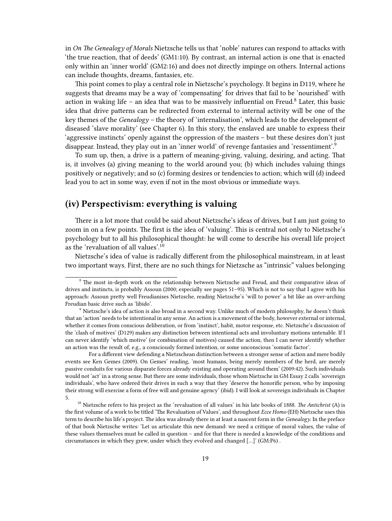in *On The Genealogy of Morals* Nietzsche tells us that 'noble' natures can respond to attacks with 'the true reaction, that of deeds' (GM1:10). By contrast, an internal action is one that is enacted only within an 'inner world' (GM2:16) and does not directly impinge on others. Internal actions can include thoughts, dreams, fantasies, etc.

This point comes to play a central role in Nietzsche's psychology. It begins in D119, where he suggests that dreams may be a way of 'compensating' for drives that fail to be 'nourished' with action in waking life – an idea that was to be massively influential on Freud.<sup>8</sup> Later, this basic idea that drive patterns can be redirected from external to internal activity will be one of the key themes of the *Genealogy –* the theory of 'internalisation', which leads to the development of diseased 'slave morality' (see Chapter 6). In this story, the enslaved are unable to express their 'aggressive instincts' openly against the oppression of the masters – but these desires don't just disappear. Instead, they play out in an 'inner world' of revenge fantasies and 'ressentiment'.<sup>9</sup>

To sum up, then, a drive is a pattern of meaning-giving, valuing, desiring, and acting. That is, it involves (a) giving meaning to the world around you; (b) which includes valuing things positively or negatively; and so (c) forming desires or tendencies to action; which will (d) indeed lead you to act in some way, even if not in the most obvious or immediate ways.

# <span id="page-18-0"></span>**(iv) Perspectivism: everything is valuing**

There is a lot more that could be said about Nietzsche's ideas of drives, but I am just going to zoom in on a few points. The first is the idea of 'valuing'. This is central not only to Nietzsche's psychology but to all his philosophical thought: he will come to describe his overall life project as the 'revaluation of all values'.<sup>10</sup>

Nietzsche's idea of value is radically different from the philosophical mainstream, in at least two important ways. First, there are no such things for Nietzsche as "intrinsic" values belonging

<sup>&</sup>lt;sup>8</sup> The most in-depth work on the relationship between Nietzsche and Freud, and their comparative ideas of drives and instincts, is probably Assoun (2000; especially see pages 51–95). Which is not to say that I agree with his approach: Assoun pretty well Freudianises Nietzsche, reading Nietzsche's 'will to power' a bit like an over-arching Freudian basic drive such as 'libido'.

<sup>9</sup> Nietzsche's idea of action is also broad in a second way. Unlike much of modern philosophy, he doesn't think that an 'action' needs to be intentional in any sense. An action is a movement of the body, however external or internal, whether it comes from conscious deliberation, or from 'instinct', habit, motor response, etc. Nietzsche's discussion of the 'clash of motives' (D129) makes any distinction between intentional acts and involuntary motions untenable. If I can never identify 'which motive' (or combination of motives) caused the action, then I can never identify whether an action was the result of, e.g., a consciously formed intention, or some unconscious 'somatic factor'.

For a different view defending a Nietzschean distinction between a stronger sense of action and mere bodily events see Ken Gemes (2009). On Gemes' reading, 'most humans, being merely members of the herd, are merely passive conduits for various disparate forces already existing and operating around them' (2009:42). Such individuals would not 'act' in a strong sense. But there are some individuals, those whom Nietzsche in GM Essay 2 calls 'sovereign individuals', who have ordered their drives in such a way that they 'deserve the honorific person, who by imposing their strong will exercise a form of free will and genuine agency' (ibid). I will look at sovereign individuals in Chapter 5.

<sup>10</sup> Nietzsche refers to his project as the 'revaluation of all values' in his late books of 1888. *The Antichrist* (A) is the first volume of a work to be titled 'The Revaluation of Values', and throughout *Ecce Homo* (EH) Nietzsche uses this term to describe his life's project. The idea was already there in at least a nascent form in the *Genealogy*. In the preface of that book Nietzsche writes: 'Let us articulate this new demand: we need a critique of moral values, the value of these values themselves must be called in question – and for that there is needed a knowledge of the conditions and circumstances in which they grew, under which they evolved and changed […]' (GM:P6) .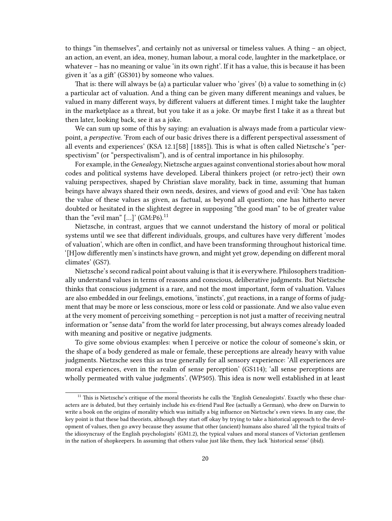to things "in themselves", and certainly not as universal or timeless values. A thing – an object, an action, an event, an idea, money, human labour, a moral code, laughter in the marketplace, or whatever – has no meaning or value 'in its own right'. If it has a value, this is because it has been given it 'as a gift' (GS301) by someone who values.

That is: there will always be (a) a particular valuer who 'gives' (b) a value to something in (c) a particular act of valuation. And a thing can be given many different meanings and values, be valued in many different ways, by different valuers at different times. I might take the laughter in the marketplace as a threat, but you take it as a joke. Or maybe first I take it as a threat but then later, looking back, see it as a joke.

We can sum up some of this by saying: an evaluation is always made from a particular viewpoint, a *perspective*. 'From each of our basic drives there is a different perspectival assessment of all events and experiences' (KSA 12.1[58] [1885]). This is what is often called Nietzsche's "perspectivism" (or "perspectivalism"), and is of central importance in his philosophy.

For example, in the *Genealogy*, Nietzsche argues against conventional stories about how moral codes and political systems have developed. Liberal thinkers project (or retro-ject) their own valuing perspectives, shaped by Christian slave morality, back in time, assuming that human beings have always shared their own needs, desires, and views of good and evil: 'One has taken the value of these values as given, as factual, as beyond all question; one has hitherto never doubted or hesitated in the slightest degree in supposing "the good man" to be of greater value than the "evil man"  $[...]'$  (GM:P6).<sup>11</sup>

Nietzsche, in contrast, argues that we cannot understand the history of moral or political systems until we see that different individuals, groups, and cultures have very different 'modes of valuation', which are often in conflict, and have been transforming throughout historical time. '[H]ow differently men's instincts have grown, and might yet grow, depending on different moral climates' (GS7).

Nietzsche's second radical point about valuing is that it is everywhere. Philosophers traditionally understand values in terms of reasons and conscious, deliberative judgments. But Nietzsche thinks that conscious judgment is a rare, and not the most important, form of valuation. Values are also embedded in our feelings, emotions, 'instincts', gut reactions, in a range of forms of judgment that may be more or less conscious, more or less cold or passionate. And we also value even at the very moment of perceiving something – perception is not just a matter of receiving neutral information or "sense data" from the world for later processing, but always comes already loaded with meaning and positive or negative judgments.

To give some obvious examples: when I perceive or notice the colour of someone's skin, or the shape of a body gendered as male or female, these perceptions are already heavy with value judgments. Nietzsche sees this as true generally for all sensory experience: 'All experiences are moral experiences, even in the realm of sense perception' (GS114); 'all sense perceptions are wholly permeated with value judgments'. (WP505). This idea is now well established in at least

 $11$  This is Nietzsche's critique of the moral theorists he calls the 'English Genealogists'. Exactly who these characters are is debated, but they certainly include his ex-friend Paul Ree (actually a German), who drew on Darwin to write a book on the origins of morality which was initially a big influence on Nietzsche's own views. In any case, the key point is that these bad theorists, although they start off okay by trying to take a historical approach to the development of values, then go awry because they assume that other (ancient) humans also shared 'all the typical traits of the idiosyncrasy of the English psychologists' (GM1.2), the typical values and moral stances of Victorian gentlemen in the nation of shopkeepers. In assuming that others value just like them, they lack 'historical sense' (ibid).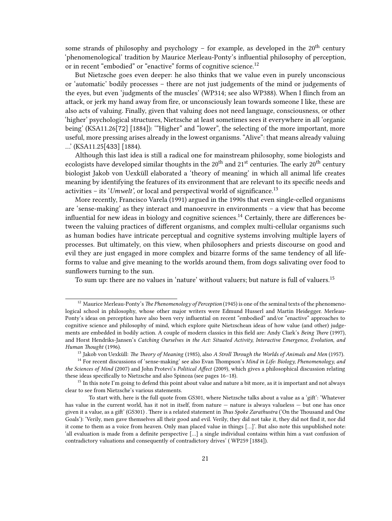some strands of philosophy and psychology – for example, as developed in the  $20^{th}$  century 'phenomenological' tradition by Maurice Merleau-Ponty's influential philosophy of perception, or in recent "embodied" or "enactive" forms of cognitive science.<sup>12</sup>

But Nietzsche goes even deeper: he also thinks that we value even in purely unconscious or 'automatic' bodily processes – there are not just judgements of the mind or judgements of the eyes, but even 'judgments of the muscles' (WP314; see also WP388). When I flinch from an attack, or jerk my hand away from fire, or unconsciously lean towards someone I like, these are also acts of valuing. Finally, given that valuing does not need language, consciousness, or other 'higher' psychological structures, Nietzsche at least sometimes sees it everywhere in all 'organic being' (KSA11.26[72] [1884]): '"Higher" and "lower", the selecting of the more important, more useful, more pressing arises already in the lowest organisms. "Alive": that means already valuing …' (KSA11.25[433] [1884).

Although this last idea is still a radical one for mainstream philosophy, some biologists and ecologists have developed similar thoughts in the  $20<sup>th</sup>$  and  $21<sup>st</sup>$  centuries. The early  $20<sup>th</sup>$  century biologist Jakob von Uexküll elaborated a 'theory of meaning' in which all animal life creates meaning by identifying the features of its environment that are relevant to its specific needs and activities – its '*Umwelt',* or local and perspectival world of significance.<sup>13</sup>

More recently, Francisco Varela (1991) argued in the 1990s that even single-celled organisms are 'sense-making' as they interact and manoeuvre in environments – a view that has become influential for new ideas in biology and cognitive sciences.<sup>14</sup> Certainly, there are differences between the valuing practices of different organisms, and complex multi-cellular organisms such as human bodies have intricate perceptual and cognitive systems involving multiple layers of processes. But ultimately, on this view, when philosophers and priests discourse on good and evil they are just engaged in more complex and bizarre forms of the same tendency of all lifeforms to value and give meaning to the worlds around them, from dogs salivating over food to sunflowers turning to the sun.

To sum up: there are no values in 'nature' without valuers; but nature is full of valuers.<sup>15</sup>

<sup>12</sup> Maurice Merleau-Ponty's *The Phenomenology of Perception* (1945) is one of the seminal texts of the phenomenological school in philosophy, whose other major writers were Edmund Husserl and Martin Heidegger. Merleau-Ponty's ideas on perception have also been very influential on recent "embodied" and/or "enactive" approaches to cognitive science and philosophy of mind, which explore quite Nietzschean ideas of how value (and other) judgements are embedded in bodily action. A couple of modern classics in this field are: Andy Clark's *Being There* (1997), and Horst Hendriks-Jansen's *Catching Ourselves in the Act: Situated Activity, Interactive Emergence, Evolution, and Human Thought* (1996)*.*

<sup>13</sup> Jakob von Uexküll: *The Theory of Meaning* (1985), also *A Stroll Through the Worlds of Animals and Men* (1957).

<sup>14</sup> For recent discussions of 'sense-making' see also Evan Thompson's *Mind in Life: Biology, Phenomenology, and the Sciences of Mind* (2007) and John Protevi's *Political Affect* (2009), which gives a philosophical discussion relating these ideas specifically to Nietzsche and also Spinoza (see pages 16–18).

<sup>&</sup>lt;sup>15</sup> In this note I'm going to defend this point about value and nature a bit more, as it is important and not always clear to see from Nietzsche's various statements.

To start with, here is the full quote from GS301, where Nietzsche talks about a value as a 'gift': 'Whatever has value in the current world, has it not in itself, from nature — nature is always valueless — but one has once given it a value, as a gift' (GS301) . There is a related statement in *Thus Spoke Zarathustra* ('On the Thousand and One Goals'): 'Verily, men gave themselves all their good and evil. Verily, they did not take it, they did not find it, nor did it come to them as a voice from heaven. Only man placed value in things […]'. But also note this unpublished note: 'all evaluation is made from a definite perspective […] a single individual contains within him a vast confusion of contradictory valuations and consequently of contradictory drives' ( WP259 [1884]).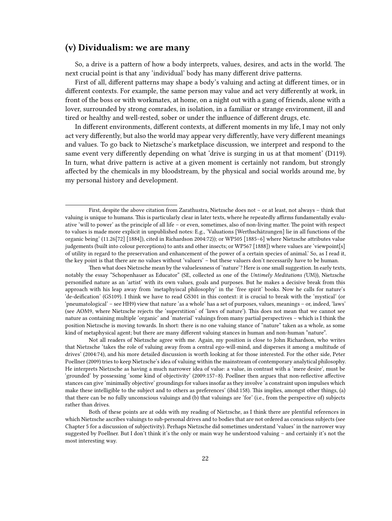# <span id="page-21-0"></span>**(v) Dividualism: we are many**

So, a drive is a pattern of how a body interprets, values, desires, and acts in the world. The next crucial point is that any 'individual' body has many different drive patterns.

First of all, different patterns may shape a body's valuing and acting at different times, or in different contexts. For example, the same person may value and act very differently at work, in front of the boss or with workmates, at home, on a night out with a gang of friends, alone with a lover, surrounded by strong comrades, in isolation, in a familiar or strange environment, ill and tired or healthy and well-rested, sober or under the influence of different drugs, etc.

In different environments, different contexts, at different moments in my life, I may not only act very differently, but also the world may appear very differently, have very different meanings and values. To go back to Nietzsche's marketplace discussion, we interpret and respond to the same event very differently depending on what 'drive is surging in us at that moment' (D119). In turn, what drive pattern is active at a given moment is certainly not random, but strongly affected by the chemicals in my bloodstream, by the physical and social worlds around me, by my personal history and development.

First, despite the above citation from Zarathustra, Nietzsche does not – or at least, not always – think that valuing is unique to humans. This is particularly clear in later texts, where he repeatedly affirms fundamentally evaluative 'will to power' as the principle of all life – or even, sometimes, also of non-living matter. The point with respect to values is made more explicit in unpublished notes: E.g., 'Valuations [Werthschätzungen] lie in all functions of the organic being' (11.26[72] [1884]), cited in Richardson 2004:72)); or WP505 [1885–6] where Nietzsche attributes value judgements (built into colour perceptions) to ants and other insects; or WP567 [1888]) where values are 'viewpoint[s] of utility in regard to the preservation and enhancement of the power of a certain species of animal.' So, as I read it, the key point is that there are no values without 'valuers' – but these valuers don't necessarily have to be human.

Then what does Nietzsche mean by the valuelessness of 'nature'? Here is one small suggestion. In early texts, notably the essay "Schopenhauer as Educator" (SE, collected as one of the *Untimely Meditations (*UM)), Nietzsche personified nature as an 'artist' with its own values, goals and purposes. But he makes a decisive break from this approach with his leap away from 'metaphyiscal philosophy' in the 'free spirit' books. Now he calls for nature's 'de-deification' (GS109). I think we have to read GS301 in this context: it is crucial to break with the 'mystical' (or 'pneumatological' – see HH9) view that nature 'as a whole' has a set of purposes, values, meanings – or, indeed, 'laws' (see AOM9, where Nietzsche rejects the 'superstition' of 'laws of nature'). This does not mean that we cannot see nature as containing multiple 'organic' and 'material' valuings from many partial perspectives – which is I think the position Nietzsche is moving towards. In short: there is no one valuing stance of "nature" taken as a whole, as some kind of metaphysical agent; but there are many different valuing stances in human and non-human "nature".

Not all readers of Nietzsche agree with me. Again, my position is close to John Richardson, who writes that Nietzsche 'takes the role of valuing away from a central ego-will-mind, and disperses it among a multitude of drives' (2004:74), and his more detailed discussion is worth looking at for those interested. For the other side, Peter Poellner (2009) tries to keep Nietzsche's idea of valuing within the mainstream of contemporary analytical philosophy. He interprets Nietzsche as having a much narrower idea of value: a value, in contrast with a 'mere desire', must be 'grounded' by possessing 'some kind of objectivity' (2009:157–8). Poellner then argues that non-reflective affective stances can give 'minimally objective' groundings for values insofar as they involve 'a constraint upon impulses which make these intelligible to the subject and to others as preferences' (ibid:158). This implies, amongst other things, (a) that there can be no fully unconscious valuings and (b) that valuings are 'for' (i.e., from the perspective of) subjects rather than drives.

Both of these points are at odds with my reading of Nietzsche, as I think there are plentiful references in which Nietzsche ascribes valuings to sub-personal drives and to bodies that are not ordered as conscious subjects (see Chapter 5 for a discussion of subjectivity). Perhaps Nietzsche did sometimes understand 'values' in the narrower way suggested by Poellner. But I don't think it's the only or main way he understood valuing – and certainly it's not the most interesting way.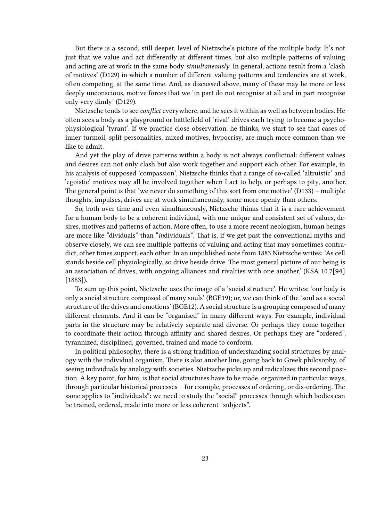But there is a second, still deeper, level of Nietzsche's picture of the multiple body. It's not just that we value and act differently at different times, but also multiple patterns of valuing and acting are at work in the same body *simultaneously*. In general, actions result from a 'clash of motives' (D129) in which a number of different valuing patterns and tendencies are at work, often competing, at the same time. And, as discussed above, many of these may be more or less deeply unconscious, motive forces that we 'in part do not recognise at all and in part recognise only very dimly' (D129).

Nietzsche tends to see *conflict* everywhere, and he sees it within as well as between bodies. He often sees a body as a playground or battlefield of 'rival' drives each trying to become a psychophysiological 'tyrant'. If we practice close observation, he thinks, we start to see that cases of inner turmoil, split personalities, mixed motives, hypocrisy, are much more common than we like to admit.

And yet the play of drive patterns within a body is not always conflictual: different values and desires can not only clash but also work together and support each other. For example, in his analysis of supposed 'compassion', Nietzsche thinks that a range of so-called 'altruistic' and 'egoistic' motives may all be involved together when I act to help, or perhaps to pity, another. The general point is that 'we never do something of this sort from one motive' (D133) – multiple thoughts, impulses, drives are at work simultaneously, some more openly than others.

So, both over time and even simultaneously, Nietzsche thinks that it is a rare achievement for a human body to be a coherent individual, with one unique and consistent set of values, desires, motives and patterns of action. More often, to use a more recent neologism, human beings are more like "dividuals" than "*in*dividuals". That is, if we get past the conventional myths and observe closely, we can see multiple patterns of valuing and acting that may sometimes contradict, other times support, each other. In an unpublished note from 1883 Nietzsche writes: 'As cell stands beside cell physiologically, so drive beside drive. The most general picture of our being is an association of drives, with ongoing alliances and rivalries with one another.' (KSA 10.7[94] [1883]).

To sum up this point, Nietzsche uses the image of a 'social structure'. He writes: 'our body is only a social structure composed of many souls' (BGE19); or, we can think of the 'soul as a social structure of the drives and emotions' (BGE12). A social structure is a grouping composed of many different elements. And it can be "organised" in many different ways. For example, individual parts in the structure may be relatively separate and diverse. Or perhaps they come together to coordinate their action through affinity and shared desires. Or perhaps they are "ordered", tyrannized, disciplined, governed, trained and made to conform.

In political philosophy, there is a strong tradition of understanding social structures by analogy with the individual organism. There is also another line, going back to Greek philosophy, of seeing individuals by analogy with societies. Nietzsche picks up and radicalizes this second position. A key point, for him, is that social structures have to be made, organized in particular ways, through particular historical processes – for example, processes of ordering, or dis-ordering. The same applies to "individuals": we need to study the "social" processes through which bodies can be trained, ordered, made into more or less coherent "subjects".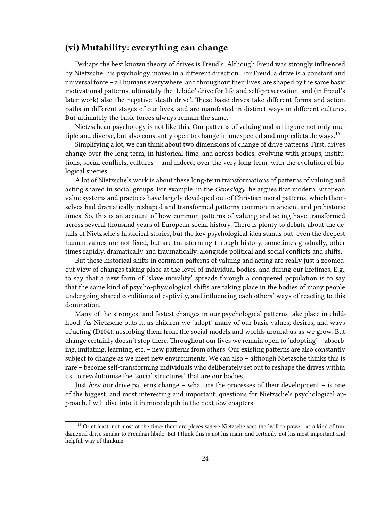# <span id="page-23-0"></span>**(vi) Mutability: everything can change**

Perhaps the best known theory of drives is Freud's. Although Freud was strongly influenced by Nietzsche, his psychology moves in a different direction. For Freud, a drive is a constant and universal force – all humans everywhere, and throughout their lives, are shaped by the same basic motivational patterns, ultimately the 'Libido' drive for life and self-preservation, and (in Freud's later work) also the negative 'death drive'. These basic drives take different forms and action paths in different stages of our lives, and are manifested in distinct ways in different cultures. But ultimately the basic forces always remain the same.

Nietzschean psychology is not like this. Our patterns of valuing and acting are not only multiple and diverse, but also constantly open to change in unexpected and unpredictable ways.<sup>16</sup>

Simplifying a lot, we can think about two dimensions of change of drive patterns. First, drives change over the long term, in historical time, and across bodies, evolving with groups, institutions, social conflicts, cultures – and indeed, over the very long term, with the evolution of biological species.

A lot of Nietzsche's work is about these long-term transformations of patterns of valuing and acting shared in social groups. For example, in the *Genealogy*, he argues that modern European value systems and practices have largely developed out of Christian moral patterns, which themselves had dramatically reshaped and transformed patterns common in ancient and prehistoric times. So, this is an account of how common patterns of valuing and acting have transformed across several thousand years of European social history. There is plenty to debate about the details of Nietzsche's historical stories, but the key psychological idea stands out: even the deepest human values are not fixed, but are transforming through history, sometimes gradually, other times rapidly, dramatically and traumatically, alongside political and social conflicts and shifts.

But these historical shifts in common patterns of valuing and acting are really just a zoomedout view of changes taking place at the level of individual bodies, and during our lifetimes. E.g., to say that a new form of 'slave morality' spreads through a conquered population is to say that the same kind of psycho-physiological shifts are taking place in the bodies of many people undergoing shared conditions of captivity, and influencing each others' ways of reacting to this domination.

Many of the strongest and fastest changes in our psychological patterns take place in childhood. As Nietzsche puts it, as children we 'adopt' many of our basic values, desires, and ways of acting (D104), absorbing them from the social models and worlds around us as we grow. But change certainly doesn't stop there. Throughout our lives we remain open to 'adopting' – absorbing, imitating, learning, etc. – new patterns from others. Our existing patterns are also constantly subject to change as we meet new environments. We can also – although Nietzsche thinks this is rare – become self-transforming individuals who deliberately set out to reshape the drives within us, to revolutionise the 'social structures' that are our bodies.

Just *how* our drive patterns change – what are the processes of their development – is one of the biggest, and most interesting and important, questions for Nietzsche's psychological approach. I will dive into it in more depth in the next few chapters.

<sup>&</sup>lt;sup>16</sup> Or at least, not most of the time: there are places where Nietzsche sees the 'will to power' as a kind of fundamental drive similar to Freudian libido. But I think this is not his main, and certainly not his most important and helpful, way of thinking.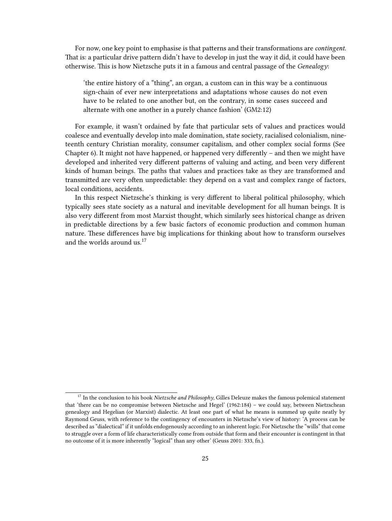For now, one key point to emphasise is that patterns and their transformations are *contingent*. That is: a particular drive pattern didn't have to develop in just the way it did, it could have been otherwise. This is how Nietzsche puts it in a famous and central passage of the *Genealogy*:

'the entire history of a "thing", an organ, a custom can in this way be a continuous sign-chain of ever new interpretations and adaptations whose causes do not even have to be related to one another but, on the contrary, in some cases succeed and alternate with one another in a purely chance fashion' (GM2:12)

For example, it wasn't ordained by fate that particular sets of values and practices would coalesce and eventually develop into male domination, state society, racialised colonialism, nineteenth century Christian morality, consumer capitalism, and other complex social forms (See Chapter 6). It might not have happened, or happened very differently – and then we might have developed and inherited very different patterns of valuing and acting, and been very different kinds of human beings. The paths that values and practices take as they are transformed and transmitted are very often unpredictable: they depend on a vast and complex range of factors, local conditions, accidents.

In this respect Nietzsche's thinking is very different to liberal political philosophy, which typically sees state society as a natural and inevitable development for all human beings. It is also very different from most Marxist thought, which similarly sees historical change as driven in predictable directions by a few basic factors of economic production and common human nature. These differences have big implications for thinking about how to transform ourselves and the worlds around us.<sup>17</sup>

<sup>17</sup> In the conclusion to his book *Nietzsche and Philosophy*, Gilles Deleuze makes the famous polemical statement that 'there can be no compromise between Nietzsche and Hegel' (1962:184) – we could say, between Nietzschean genealogy and Hegelian (or Marxist) dialectic. At least one part of what he means is summed up quite neatly by Raymond Geuss, with reference to the contingency of encounters in Nietzsche's view of history: 'A process can be described as "dialectical" if it unfolds endogenously according to an inherent logic. For Nietzsche the "wills" that come to struggle over a form of life characteristically come from outside that form and their encounter is contingent in that no outcome of it is more inherently "logical" than any other' (Geuss 2001: 333, fn.).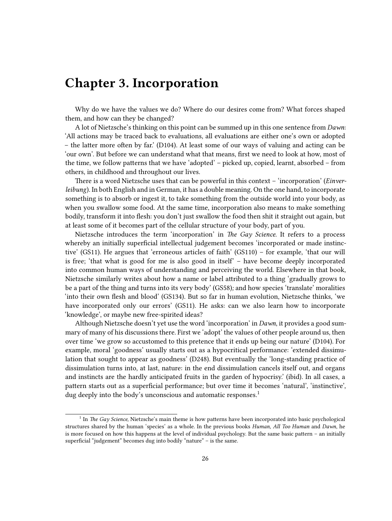# <span id="page-25-0"></span>**Chapter 3. Incorporation**

Why do we have the values we do? Where do our desires come from? What forces shaped them, and how can they be changed?

A lot of Nietzsche's thinking on this point can be summed up in this one sentence from *Dawn*: 'All actions may be traced back to evaluations, all evaluations are either one's own or adopted – the latter more often by far.' (D104). At least some of our ways of valuing and acting can be 'our own'. But before we can understand what that means, first we need to look at how, most of the time, we follow patterns that we have 'adopted' – picked up, copied, learnt, absorbed – from others, in childhood and throughout our lives.

There is a word Nietzsche uses that can be powerful in this context – 'incorporation' (*Einverleibung*). In both English and in German, it has a double meaning. On the one hand, to incorporate something is to absorb or ingest it, to take something from the outside world into your body, as when you swallow some food. At the same time, incorporation also means to make something bodily, transform it into flesh: you don't just swallow the food then shit it straight out again, but at least some of it becomes part of the cellular structure of your body, part of you.

Nietzsche introduces the term 'incorporation' in *The Gay Science*. It refers to a process whereby an initially superficial intellectual judgement becomes 'incorporated or made instinctive' (GS11). He argues that 'erroneous articles of faith' (GS110) – for example, 'that our will is free; 'that what is good for me is also good in itself' – have become deeply incorporated into common human ways of understanding and perceiving the world. Elsewhere in that book, Nietzsche similarly writes about how a name or label attributed to a thing 'gradually grows to be a part of the thing and turns into its very body' (GS58)*;* and how species 'translate' moralities 'into their own flesh and blood' (GS134). But so far in human evolution, Nietzsche thinks, 'we have incorporated only our errors' (GS11). He asks: can we also learn how to incorporate 'knowledge', or maybe new free-spirited ideas?

Although Nietzsche doesn't yet use the word 'incorporation' in *Dawn*, it provides a good summary of many of his discussions there. First we 'adopt' the values of other people around us, then over time 'we grow so accustomed to this pretence that it ends up being our nature' (D104). For example, moral 'goodness' usually starts out as a hypocritical performance: 'extended dissimulation that sought to appear as goodness' (D248). But eventually the 'long-standing practice of dissimulation turns into, at last, nature: in the end dissimulation cancels itself out, and organs and instincts are the hardly anticipated fruits in the garden of hypocrisy.' (ibid). In all cases, a pattern starts out as a superficial performance; but over time it becomes 'natural', 'instinctive', dug deeply into the body's unconscious and automatic responses.<sup>1</sup>

<sup>1</sup> In *The Gay Science,* Nietzsche's main theme is how patterns have been incorporated into basic psychological structures shared by the human 'species' as a whole. In the previous books *Human, All Too Human* and *Dawn*, he is more focused on how this happens at the level of individual psychology. But the same basic pattern – an initially superficial "judgement" becomes dug into bodily "nature" – is the same.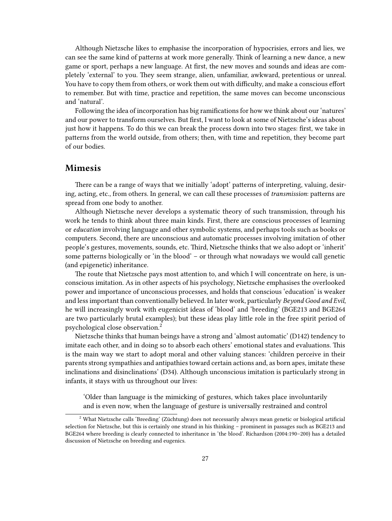Although Nietzsche likes to emphasise the incorporation of hypocrisies, errors and lies, we can see the same kind of patterns at work more generally. Think of learning a new dance, a new game or sport, perhaps a new language. At first, the new moves and sounds and ideas are completely 'external' to you. They seem strange, alien, unfamiliar, awkward, pretentious or unreal. You have to copy them from others, or work them out with difficulty, and make a conscious effort to remember. But with time, practice and repetition, the same moves can become unconscious and 'natural'.

Following the idea of incorporation has big ramifications for how we think about our 'natures' and our power to transform ourselves. But first, I want to look at some of Nietzsche's ideas about just how it happens. To do this we can break the process down into two stages: first, we take in patterns from the world outside, from others; then, with time and repetition, they become part of our bodies.

## <span id="page-26-0"></span>**Mimesis**

There can be a range of ways that we initially 'adopt' patterns of interpreting, valuing, desiring, acting, etc., from others. In general, we can call these processes of *transmission*: patterns are spread from one body to another.

Although Nietzsche never develops a systematic theory of such transmission, through his work he tends to think about three main kinds. First, there are conscious processes of learning or *education* involving language and other symbolic systems, and perhaps tools such as books or computers. Second, there are unconscious and automatic processes involving imitation of other people's gestures, movements, sounds, etc. Third, Nietzsche thinks that we also adopt or 'inherit' some patterns biologically or 'in the blood' – or through what nowadays we would call genetic (and epigenetic) inheritance.

The route that Nietzsche pays most attention to, and which I will concentrate on here, is unconscious imitation. As in other aspects of his psychology, Nietzsche emphasises the overlooked power and importance of unconscious processes, and holds that conscious 'education' is weaker and less important than conventionally believed. In later work, particularly *Beyond Good and Evil*, he will increasingly work with eugenicist ideas of 'blood' and 'breeding' (BGE213 and BGE264 are two particularly brutal examples); but these ideas play little role in the free spirit period of psychological close observation.<sup>2</sup>

Nietzsche thinks that human beings have a strong and 'almost automatic' (D142) tendency to imitate each other, and in doing so to absorb each others' emotional states and evaluations. This is the main way we start to adopt moral and other valuing stances: 'children perceive in their parents strong sympathies and antipathies toward certain actions and, as born apes, imitate these inclinations and disinclinations' (D34). Although unconscious imitation is particularly strong in infants, it stays with us throughout our lives:

'Older than language is the mimicking of gestures, which takes place involuntarily and is even now, when the language of gesture is universally restrained and control

 $2$  What Nietzsche calls 'Breeding' (Züchtung) does not necessarily always mean genetic or biological artificial selection for Nietzsche, but this is certainly one strand in his thinking – prominent in passages such as BGE213 and BGE264 where breeding is clearly connected to inheritance in 'the blood'. Richardson (2004:190–200) has a detailed discussion of Nietzsche on breeding and eugenics.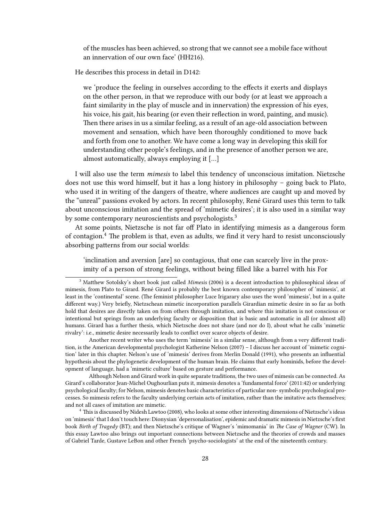of the muscles has been achieved, so strong that we cannot see a mobile face without an innervation of our own face' (HH216).

He describes this process in detail in D142:

we 'produce the feeling in ourselves according to the effects it exerts and displays on the other person, in that we reproduce with our body (or at least we approach a faint similarity in the play of muscle and in innervation) the expression of his eyes, his voice, his gait, his bearing (or even their reflection in word, painting, and music). Then there arises in us a similar feeling, as a result of an age-old association between movement and sensation, which have been thoroughly conditioned to move back and forth from one to another. We have come a long way in developing this skill for understanding other people's feelings, and in the presence of another person we are, almost automatically, always employing it […]

I will also use the term *mimesis* to label this tendency of unconscious imitation. Nietzsche does not use this word himself, but it has a long history in philosophy – going back to Plato, who used it in writing of the dangers of theatre, where audiences are caught up and moved by the "unreal" passions evoked by actors. In recent philosophy, René Girard uses this term to talk about unconscious imitation and the spread of 'mimetic desires'; it is also used in a similar way by some contemporary neuroscientists and psychologists.<sup>3</sup>

At some points, Nietzsche is not far off Plato in identifying mimesis as a dangerous form of contagion.<sup>4</sup> The problem is that, even as adults, we find it very hard to resist unconsciously absorbing patterns from our social worlds:

'inclination and aversion [are] so contagious, that one can scarcely live in the proximity of a person of strong feelings, without being filled like a barrel with his For

Another recent writer who uses the term 'mimesis' in a similar sense, although from a very different tradition, is the American developmental psychologist Katherine Nelson (2007) – I discuss her account of 'mimetic cognition' later in this chapter. Nelson's use of 'mimesis' derives from Merlin Donald (1991), who presents an influential hypothesis about the phylogenetic development of the human brain. He claims that early hominids, before the development of language, had a 'mimetic culture' based on gesture and performance.

Although Nelson and Girard work in quite separate traditions, the two uses of mimesis can be connected. As Girard's collaborator Jean-Michel Oughourlian puts it, mimesis denotes a 'fundamental force' (2011:42) or underlying psychological faculty; for Nelson, mimesis denotes basic characteristics of particular non- symbolic psychological processes. So mimesis refers to the faculty underlying certain acts of imitation, rather than the imitative acts themselves; and not all cases of imitation are mimetic.

<sup>4</sup> This is discussed by Nidesh Lawtoo (2008), who looks at some other interesting dimensions of Nietzsche's ideas on 'mimesis' that I don't touch here: Dionysian 'depersonalisation', epidemic and dramatic mimesis in Nietzsche's first book *Birth of Tragedy* (BT); and then Nietzsche's critique of Wagner's 'mimomania' in *The Case of Wagner* (CW). In this essay Lawtoo also brings out important connections between Nietzsche and the theories of crowds and masses of Gabriel Tarde, Gustave LeBon and other French 'psycho-sociologists' at the end of the nineteenth century.

<sup>3</sup> Matthew Sotolsky's short book just called *Mimesis* (2006) is a decent introduction to philosophical ideas of mimesis, from Plato to Girard. René Girard is probably the best known contemporary philosopher of 'mimesis', at least in the 'continental' scene. (The feminist philosopher Luce Irigarary also uses the word 'mimesis', but in a quite different way.) Very briefly, Nietzschean mimetic incorporation parallels Girardian mimetic desire in so far as both hold that desires are directly taken on from others through imitation, and where this imitation is not conscious or intentional but springs from an underlying faculty or disposition that is basic and automatic in all (or almost all) humans. Girard has a further thesis, which Nietzsche does not share (and nor do I), about what he calls 'mimetic rivalry': i.e., mimetic desire necessarily leads to conflict over scarce objects of desire.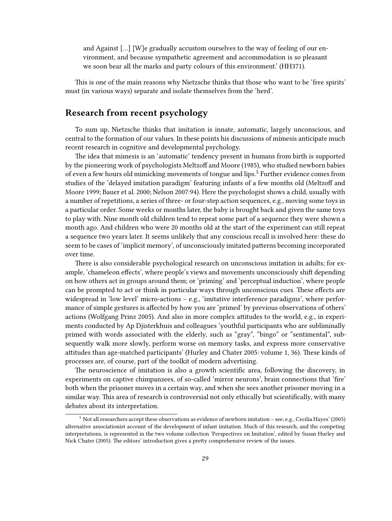and Against […] [W]e gradually accustom ourselves to the way of feeling of our environment, and because sympathetic agreement and accommodation is so pleasant we soon bear all the marks and party colours of this environment.' (HH371).

This is one of the main reasons why Nietzsche thinks that those who want to be 'free spirits' must (in various ways) separate and isolate themselves from the 'herd'.

## <span id="page-28-0"></span>**Research from recent psychology**

To sum up, Nietzsche thinks that imitation is innate, automatic, largely unconscious, and central to the formation of our values. In these points his discussions of mimesis anticipate much recent research in cognitive and developmental psychology.

The idea that mimesis is an 'automatic' tendency present in humans from birth is supported by the pioneering work of psychologists Meltzoff and Moore (1985), who studied newborn babies of even a few hours old mimicking movements of tongue and lips.<sup>5</sup> Further evidence comes from studies of the 'delayed imitation paradigm' featuring infants of a few months old (Meltzoff and Moore 1999; Bauer et al. 2000; Nelson 2007:94). Here the psychologist shows a child, usually with a number of repetitions, a series of three- or four-step action sequences, e.g., moving some toys in a particular order. Some weeks or months later, the baby is brought back and given the same toys to play with. Nine month old children tend to repeat some part of a sequence they were shown a month ago. And children who were 20 months old at the start of the experiment can still repeat a sequence two years later. It seems unlikely that any conscious recall is involved here: these do seem to be cases of 'implicit memory', of unconsciously imitated patterns becoming incorporated over time.

There is also considerable psychological research on unconscious imitation in adults; for example, 'chameleon effects', where people's views and movements unconsciously shift depending on how others act in groups around them; or 'priming' and 'perceptual induction', where people can be prompted to act or think in particular ways through unconscious cues. These effects are widespread in 'low level' micro-actions – e.g., 'imitative interference paradigms', where performance of simple gestures is affected by how you are 'primed' by previous observations of others' actions (Wolfgang Prinz 2005). And also in more complex attitudes to the world, e.g., in experiments conducted by Ap Djisterkhuis and colleagues 'youthful participants who are subliminally primed with words associated with the elderly, such as "gray", "bingo" or "sentimental", subsequently walk more slowly, perform worse on memory tasks, and express more conservative attitudes than age-matched participants' (Hurley and Chater 2005: volume 1, 36). These kinds of processes are, of course, part of the toolkit of modern advertising.

The neuroscience of imitation is also a growth scientific area, following the discovery, in experiments on captive chimpanzees, of so-called 'mirror neurons', brain connections that 'fire' both when the prisoner moves in a certain way, and when she sees another prisoner moving in a similar way. This area of research is controversial not only ethically but scientifically, with many debates about its interpretation.

 $^5$  Not all researchers accept these observations as evidence of newborn imitation – see, e.g., Cecilia Hayes' (2005) alternative associationist account of the development of infant imitation. Much of this research, and the competing interpretations, is represented in the two volume collection 'Perspectives on Imitation', edited by Susan Hurley and Nick Chater (2005). The editors' introduction gives a pretty comprehensive review of the issues.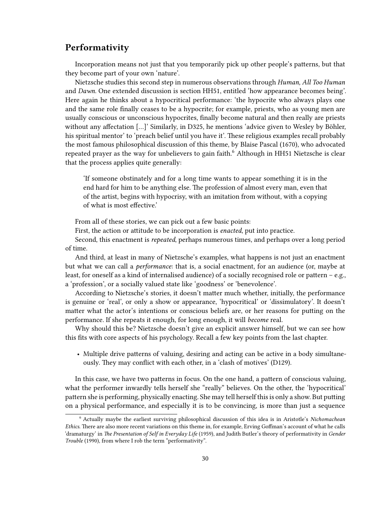# <span id="page-29-0"></span>**Performativity**

Incorporation means not just that you temporarily pick up other people's patterns, but that they become part of your own 'nature'.

Nietzsche studies this second step in numerous observations through *Human, All Too Human* and *Dawn*. One extended discussion is section HH51, entitled 'how appearance becomes being'. Here again he thinks about a hypocritical performance: 'the hypocrite who always plays one and the same role finally ceases to be a hypocrite; for example, priests, who as young men are usually conscious or unconscious hypocrites, finally become natural and then really are priests without any affectation […]' Similarly, in D325, he mentions 'advice given to Wesley by Böhler, his spiritual mentor' to 'preach belief until you have it'. These religious examples recall probably the most famous philosophical discussion of this theme, by Blaise Pascal (1670), who advocated repeated prayer as the way for unbelievers to gain faith.<sup>6</sup> Although in HH51 Nietzsche is clear that the process applies quite generally:

'If someone obstinately and for a long time wants to appear something it is in the end hard for him to be anything else. The profession of almost every man, even that of the artist, begins with hypocrisy, with an imitation from without, with a copying of what is most effective.'

From all of these stories, we can pick out a few basic points:

First, the action or attitude to be incorporation is *enacted*, put into practice.

Second, this enactment is *repeated*, perhaps numerous times, and perhaps over a long period of time.

And third, at least in many of Nietzsche's examples, what happens is not just an enactment but what we can call a *performance*: that is, a social enactment, for an audience (or, maybe at least, for oneself as a kind of internalised audience) of a socially recognised role or pattern – e.g., a 'profession', or a socially valued state like 'goodness' or 'benevolence'.

According to Nietzsche's stories, it doesn't matter much whether, initially, the performance is genuine or 'real', or only a show or appearance, 'hypocritical' or 'dissimulatory'. It doesn't matter what the actor's intentions or conscious beliefs are, or her reasons for putting on the performance. If she repeats it enough, for long enough, it will *become* real.

Why should this be? Nietzsche doesn't give an explicit answer himself, but we can see how this fits with core aspects of his psychology. Recall a few key points from the last chapter.

• Multiple drive patterns of valuing, desiring and acting can be active in a body simultaneously. They may conflict with each other, in a 'clash of motives' (D129).

In this case, we have two patterns in focus. On the one hand, a pattern of conscious valuing, what the performer inwardly tells herself she "really" believes. On the other, the 'hypocritical' pattern she is performing, physically enacting. She may tell herself this is only a show. But putting on a physical performance, and especially it is to be convincing, is more than just a sequence

<sup>6</sup> Actually maybe the earliest surviving philosophical discussion of this idea is in Aristotle's *Nichomachean Ethics*. There are also more recent variations on this theme in, for example, Erving Goffman's account of what he calls 'dramaturgy' in *The Presentation of Self in Everyday Life* (1959), and Judith Butler's theory of performativity in *Gender Trouble* (1990), from where I rob the term "performativity".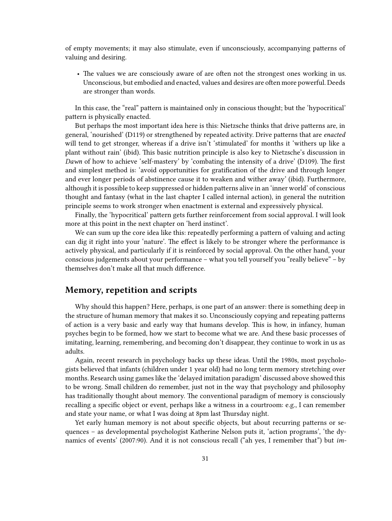of empty movements; it may also stimulate, even if unconsciously, accompanying patterns of valuing and desiring.

• The values we are consciously aware of are often not the strongest ones working in us. Unconscious, but embodied and enacted, values and desires are often more powerful. Deeds are stronger than words.

In this case, the "real" pattern is maintained only in conscious thought; but the 'hypocritical' pattern is physically enacted.

But perhaps the most important idea here is this: Nietzsche thinks that drive patterns are, in general, 'nourished' (D119) or strengthened by repeated activity. Drive patterns that are *enacted* will tend to get stronger, whereas if a drive isn't 'stimulated' for months it 'withers up like a plant without rain' (ibid). This basic nutrition principle is also key to Nietzsche's discussion in *Dawn* of how to achieve 'self-mastery' by 'combating the intensity of a drive' (D109). The first and simplest method is: 'avoid opportunities for gratification of the drive and through longer and ever longer periods of abstinence cause it to weaken and wither away' (ibid). Furthermore, although it is possible to keep suppressed or hidden patterns alive in an 'inner world' of conscious thought and fantasy (what in the last chapter I called internal action), in general the nutrition principle seems to work stronger when enactment is external and expressively physical.

Finally, the 'hypocritical' pattern gets further reinforcement from social approval. I will look more at this point in the next chapter on 'herd instinct'.

We can sum up the core idea like this: repeatedly performing a pattern of valuing and acting can dig it right into your 'nature'. The effect is likely to be stronger where the performance is actively physical, and particularly if it is reinforced by social approval. On the other hand, your conscious judgements about your performance – what you tell yourself you "really believe" – by themselves don't make all that much difference.

# <span id="page-30-0"></span>**Memory, repetition and scripts**

Why should this happen? Here, perhaps, is one part of an answer: there is something deep in the structure of human memory that makes it so. Unconsciously copying and repeating patterns of action is a very basic and early way that humans develop. This is how, in infancy, human psyches begin to be formed, how we start to become what we are. And these basic processes of imitating, learning, remembering, and becoming don't disappear, they continue to work in us as adults.

Again, recent research in psychology backs up these ideas. Until the 1980s, most psychologists believed that infants (children under 1 year old) had no long term memory stretching over months. Research using games like the 'delayed imitation paradigm' discussed above showed this to be wrong. Small children do remember, just not in the way that psychology and philosophy has traditionally thought about memory. The conventional paradigm of memory is consciously recalling a specific object or event, perhaps like a witness in a courtroom: e.g., I can remember and state your name, or what I was doing at 8pm last Thursday night.

Yet early human memory is not about specific objects, but about recurring patterns or sequences – as developmental psychologist Katherine Nelson puts it, 'action programs', 'the dynamics of events' (2007:90). And it is not conscious recall ("ah yes, I remember that") but *im-*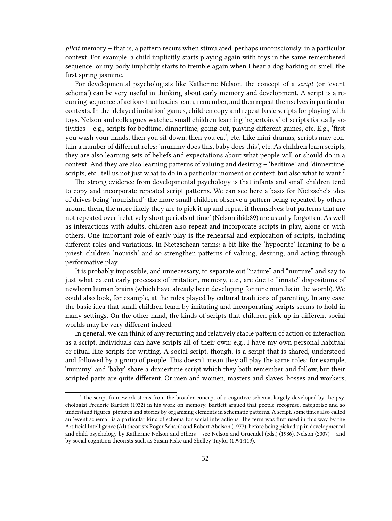*plicit* memory – that is, a pattern recurs when stimulated, perhaps unconsciously, in a particular context. For example, a child implicitly starts playing again with toys in the same remembered sequence, or my body implicitly starts to tremble again when I hear a dog barking or smell the first spring jasmine.

For developmental psychologists like Katherine Nelson, the concept of a *script* (or 'event schema') can be very useful in thinking about early memory and development. A script is a recurring sequence of actions that bodies learn, remember, and then repeat themselves in particular contexts. In the 'delayed imitation' games, children copy and repeat basic scripts for playing with toys. Nelson and colleagues watched small children learning 'repertoires' of scripts for daily activities – e.g., scripts for bedtime, dinnertime, going out, playing different games, etc. E.g., 'first you wash your hands, then you sit down, then you eat', etc. Like mini-dramas, scripts may contain a number of different roles: 'mummy does this, baby does this', etc. As children learn scripts, they are also learning sets of beliefs and expectations about what people will or should do in a context. And they are also learning patterns of valuing and desiring – 'bedtime' and 'dinnertime' scripts, etc., tell us not just what to do in a particular moment or context, but also what to want.<sup>7</sup>

The strong evidence from developmental psychology is that infants and small children tend to copy and incorporate repeated script patterns. We can see here a basis for Nietzsche's idea of drives being 'nourished': the more small children observe a pattern being repeated by others around them, the more likely they are to pick it up and repeat it themselves; but patterns that are not repeated over 'relatively short periods of time' (Nelson ibid:89) are usually forgotten. As well as interactions with adults, children also repeat and incorporate scripts in play, alone or with others. One important role of early play is the rehearsal and exploration of scripts, including different roles and variations. In Nietzschean terms: a bit like the 'hypocrite' learning to be a priest, children 'nourish' and so strengthen patterns of valuing, desiring, and acting through performative play.

It is probably impossible, and unnecessary, to separate out "nature" and "nurture" and say to just what extent early processes of imitation, memory, etc., are due to "innate" dispositions of newborn human brains (which have already been developing for nine months in the womb). We could also look, for example, at the roles played by cultural traditions of parenting. In any case, the basic idea that small children learn by imitating and incorporating scripts seems to hold in many settings. On the other hand, the kinds of scripts that children pick up in different social worlds may be very different indeed.

In general, we can think of any recurring and relatively stable pattern of action or interaction as a script. Individuals can have scripts all of their own: e.g., I have my own personal habitual or ritual-like scripts for writing. A social script, though, is a script that is shared, understood and followed by a group of people. This doesn't mean they all play the same roles: for example, 'mummy' and 'baby' share a dinnertime script which they both remember and follow, but their scripted parts are quite different. Or men and women, masters and slaves, bosses and workers,

 $<sup>7</sup>$  The script framework stems from the broader concept of a cognitive schema, largely developed by the psy-</sup> chologist Frederic Bartlett (1932) in his work on memory. Bartlett argued that people recognise, categorise and so understand figures, pictures and stories by organising elements in schematic patterns. A script, sometimes also called an 'event schema', is a particular kind of schema for social interactions. The term was first used in this way by the Artificial Intelligence (AI) theorists Roger Schank and Robert Abelson (1977), before being picked up in developmental and child psychology by Katherine Nelson and others – see Nelson and Gruendel (eds.) (1986), Nelson (2007) – and by social cognition theorists such as Susan Fiske and Shelley Taylor (1991:119).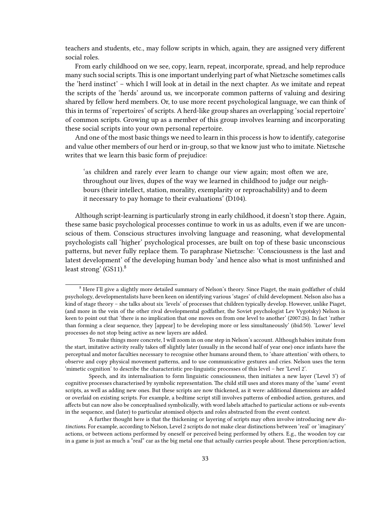teachers and students, etc., may follow scripts in which, again, they are assigned very different social roles.

From early childhood on we see, copy, learn, repeat, incorporate, spread, and help reproduce many such social scripts. This is one important underlying part of what Nietzsche sometimes calls the 'herd instinct' – which I will look at in detail in the next chapter. As we imitate and repeat the scripts of the 'herds' around us, we incorporate common patterns of valuing and desiring shared by fellow herd members. Or, to use more recent psychological language, we can think of this in terms of 'repertoires' of scripts. A herd-like group shares an overlapping 'social repertoire' of common scripts. Growing up as a member of this group involves learning and incorporating these social scripts into your own personal repertoire.

And one of the most basic things we need to learn in this process is how to identify, categorise and value other members of our herd or in-group, so that we know just who to imitate. Nietzsche writes that we learn this basic form of prejudice:

'as children and rarely ever learn to change our view again; most often we are, throughout our lives, dupes of the way we learned in childhood to judge our neighbours (their intellect, station, morality, exemplarity or reproachability) and to deem it necessary to pay homage to their evaluations' (D104).

Although script-learning is particularly strong in early childhood, it doesn't stop there. Again, these same basic psychological processes continue to work in us as adults, even if we are unconscious of them. Conscious structures involving language and reasoning, what developmental psychologists call 'higher' psychological processes, are built on top of these basic unconscious patterns, but never fully replace them. To paraphrase Nietzsche: 'Consciousness is the last and latest development' of the developing human body 'and hence also what is most unfinished and least strong'  $(GS11)<sup>8</sup>$ 

 $8$  Here I'll give a slightly more detailed summary of Nelson's theory. Since Piaget, the main godfather of child psychology, developmentalists have been keen on identifying various 'stages' of child development. Nelson also has a kind of stage theory – she talks about six 'levels' of processes that children typically develop. However, unlike Piaget, (and more in the vein of the other rival developmental godfather, the Soviet psychologist Lev Vygotsky) Nelson is keen to point out that 'there is no implication that one moves on from one level to another' (2007:26). In fact 'rather than forming a clear sequence, they [appear] to be developing more or less simultaneously' (ibid:50). 'Lower' level processes do not stop being active as new layers are added.

To make things more concrete, I will zoom in on one step in Nelson's account. Although babies imitate from the start, imitative activity really takes off slightly later (usually in the second half of year one) once infants have the perceptual and motor faculties necessary to recognise other humans around them, to 'share attention' with others, to observe and copy physical movement patterns, and to use communicative gestures and cries. Nelson uses the term 'mimetic cognition' to describe the characteristic pre-linguistic processes of this level – her 'Level 2'.

Speech, and its internalisation to form linguistic consciousness, then initiates a new layer ('Level 3') of cognitive processes characterised by symbolic representation. The child still uses and stores many of the 'same' event scripts, as well as adding new ones. But these scripts are now thickened, as it were: additional dimensions are added or overlaid on existing scripts. For example, a bedtime script still involves patterns of embodied action, gestures, and affects but can now also be conceptualised symbolically, with word labels attached to particular actions or sub-events in the sequence, and (later) to particular atomised objects and roles abstracted from the event context.

A further thought here is that the thickening or layering of scripts may often involve introducing new *distinctions*. For example, according to Nelson, Level 2 scripts do not make clear distinctions between 'real' or 'imaginary' actions, or between actions performed by oneself or perceived being performed by others. E.g., the wooden toy car in a game is just as much a "real" car as the big metal one that actually carries people about. These perception/action,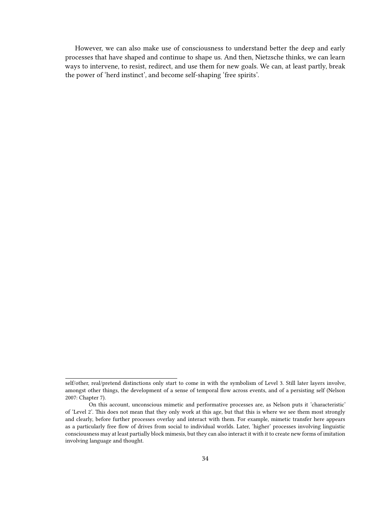However, we can also make use of consciousness to understand better the deep and early processes that have shaped and continue to shape us. And then, Nietzsche thinks, we can learn ways to intervene, to resist, redirect, and use them for new goals. We can, at least partly, break the power of 'herd instinct', and become self-shaping 'free spirits'.

self/other, real/pretend distinctions only start to come in with the symbolism of Level 3. Still later layers involve, amongst other things, the development of a sense of temporal flow across events, and of a persisting self (Nelson 2007: Chapter 7).

On this account, unconscious mimetic and performative processes are, as Nelson puts it 'characteristic' of 'Level 2'. This does not mean that they only work at this age, but that this is where we see them most strongly and clearly, before further processes overlay and interact with them. For example, mimetic transfer here appears as a particularly free flow of drives from social to individual worlds. Later, 'higher' processes involving linguistic consciousness may at least partially block mimesis, but they can also interact it with it to create new forms of imitation involving language and thought.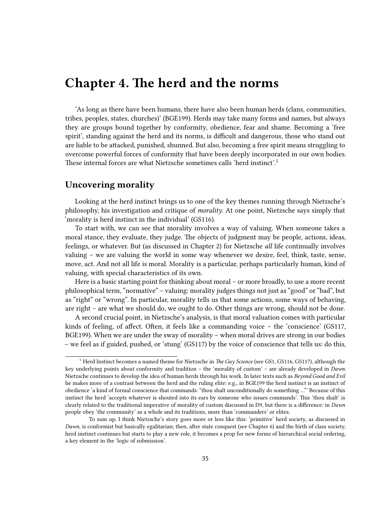# <span id="page-34-0"></span>**Chapter 4. The herd and the norms**

'As long as there have been humans, there have also been human herds (clans, communities, tribes, peoples, states, churches)' (BGE199). Herds may take many forms and names, but always they are groups bound together by conformity, obedience, fear and shame. Becoming a 'free spirit', standing against the herd and its norms, is difficult and dangerous, those who stand out are liable to be attacked, punished, shunned. But also, becoming a free spirit means struggling to overcome powerful forces of conformity that have been deeply incorporated in our own bodies. These internal forces are what Nietzsche sometimes calls 'herd instinct'.<sup>1</sup>

## <span id="page-34-1"></span>**Uncovering morality**

Looking at the herd instinct brings us to one of the key themes running through Nietzsche's philosophy, his investigation and critique of *morality*. At one point, Nietzsche says simply that 'morality is herd instinct in the individual' (GS116).

To start with, we can see that morality involves a way of valuing. When someone takes a moral stance, they evaluate, they judge. The objects of judgment may be people, actions, ideas, feelings, or whatever. But (as discussed in Chapter 2) for Nietzsche *all* life continually involves valuing – we are valuing the world in some way whenever we desire, feel, think, taste, sense, move, act. And not all life is moral. Morality is a particular, perhaps particularly human, kind of valuing, with special characteristics of its own.

Here is a basic starting point for thinking about moral – or more broadly, to use a more recent philosophical term, "normative" – valuing: morality judges things not just as "good" or "bad", but as "right" or "wrong". In particular, morality tells us that some actions, some ways of behaving, are right – are what we should do, we ought to do. Other things are wrong, should not be done.

A second crucial point, in Nietzsche's analysis, is that moral valuation comes with particular kinds of feeling, of affect. Often, it feels like a commanding voice – the 'conscience' (GS117, BGE199). When we are under the sway of morality – when moral drives are strong in our bodies – we feel as if guided, pushed, or 'stung' (GS117) by the voice of conscience that tells us: do this,

<sup>1</sup> Herd Instinct becomes a named theme for Nietzsche in *The Gay Science* (see GS1, GS116, GS117), although the key underlying points about conformity and tradition – the 'morality of custom' – are already developed in *Dawn*. Nietzsche continues to develop the idea of human herds through his work. In later texts such as *Beyond Good and Evil* he makes more of a contrast between the herd and the ruling elite: e.g., in BGE199 the herd instinct is an instinct of obedience 'a kind of formal conscience that commands: "thou shalt unconditionally do something …"' Because of this instinct the herd 'accepts whatever is shouted into its ears by someone who issues commands'. This 'thou shalt' is clearly related to the traditional imperative of morality of custom discussed in D9, but there is a difference: in *Dawn* people obey 'the community' as a whole and its traditions, more than 'commanders' or elites.

To sum up, I think Nietzsche's story goes more or less like this: 'primitive' herd society, as discussed in *Dawn*, is conformist but basically egalitarian; then, after state conquest (see Chapter 6) and the birth of class society, herd instinct continues but starts to play a new role, it becomes a prop for new forms of hierarchical social ordering, a key element in the 'logic of submission'.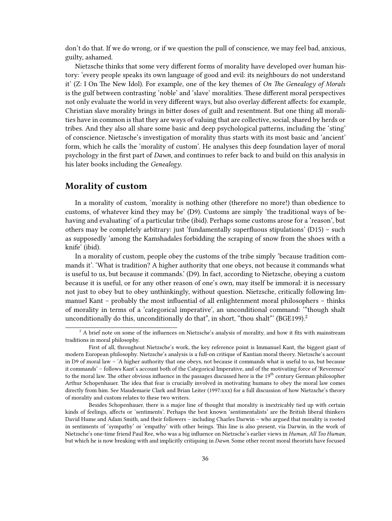don't do that. If we do wrong, or if we question the pull of conscience, we may feel bad, anxious, guilty, ashamed.

Nietzsche thinks that some very different forms of morality have developed over human history: 'every people speaks its own language of good and evil: its neighbours do not understand it' (Z: I On The New Idol). For example, one of the key themes of *On The Genealogy of Morals* is the gulf between contrasting 'noble' and 'slave' moralities. These different moral perspectives not only evaluate the world in very different ways, but also overlay different affects: for example, Christian slave morality brings in bitter doses of guilt and resentment. But one thing all moralities have in common is that they are ways of valuing that are collective, social, shared by herds or tribes. And they also all share some basic and deep psychological patterns, including the 'sting' of conscience. Nietzsche's investigation of morality thus starts with its most basic and 'ancient' form, which he calls the 'morality of custom'. He analyses this deep foundation layer of moral psychology in the first part of *Dawn,* and continues to refer back to and build on this analysis in his later books including the *Genealogy*.

# <span id="page-35-0"></span>**Morality of custom**

In a morality of custom, 'morality is nothing other (therefore no more!) than obedience to customs, of whatever kind they may be' (D9). Customs are simply 'the traditional ways of behaving and evaluating' of a particular tribe (ibid). Perhaps some customs arose for a 'reason', but others may be completely arbitrary: just 'fundamentally superfluous stipulations' (D15) – such as supposedly 'among the Kamshadales forbidding the scraping of snow from the shoes with a knife' (ibid).

In a morality of custom, people obey the customs of the tribe simply 'because tradition commands it'. 'What is tradition? A higher authority that one obeys, not because it commands what is useful to us, but because it commands.' (D9). In fact, according to Nietzsche, obeying a custom because it is useful, or for any other reason of one's own, may itself be immoral: it is necessary not just to obey but to obey unthinkingly, without question. Nietzsche, critically following Immanuel Kant – probably the most influential of all enlightenment moral philosophers – thinks of morality in terms of a 'categorical imperative', an unconditional command: '"though shalt unconditionally do this, unconditionally do that", in short, "thou shalt"' (BGE199).<sup>2</sup>

 $2$  A brief note on some of the influences on Nietzsche's analysis of morality, and how it fits with mainstream traditions in moral philosophy.

First of all, throughout Nietzsche's work, the key reference point is Immanuel Kant, the biggest giant of modern European philosophy. Nietzsche's analysis is a full-on critique of Kantian moral theory. Nietzsche's account in D9 of moral law – 'A higher authority that one obeys, not because it commands what is useful to us, but because it commands' – follows Kant's account both of the Categorical Imperative, and of the motivating force of 'Reverence' to the moral law. The other obvious influence in the passages discussed here is the 19<sup>th</sup> century German philosopher Arthur Schopenhauer. The idea that fear is crucially involved in motivating humans to obey the moral law comes directly from him. See Maudemarie Clark and Brian Leiter (1997:xxx) for a full discussion of how Nietzsche's theory of morality and custom relates to these two writers.

Besides Schopenhauer, there is a major line of thought that morality is inextricably tied up with certain kinds of feelings, affects or 'sentiments'. Perhaps the best known 'sentimentalists' are the British liberal thinkers David Hume and Adam Smith, and their followers – including Charles Darwin – who argued that morality is rooted in sentiments of 'sympathy' or 'empathy' with other beings. This line is also present, via Darwin, in the work of Nietzsche's one-time friend Paul Ree, who was a big influence on Nietzsche's earlier views in *Human, All Too Human*, but which he is now breaking with and implicitly critiquing in *Dawn*. Some other recent moral theorists have focused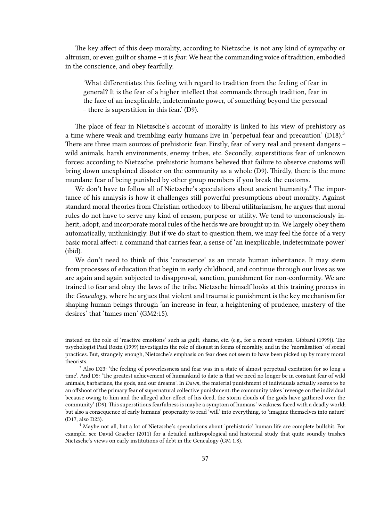The key affect of this deep morality, according to Nietzsche, is not any kind of sympathy or altruism, or even guilt or shame – it is*fear*. We hear the commanding voice of tradition, embodied in the conscience, and obey fearfully.

'What differentiates this feeling with regard to tradition from the feeling of fear in general? It is the fear of a higher intellect that commands through tradition, fear in the face of an inexplicable, indeterminate power, of something beyond the personal – there is superstition in this fear.' (D9).

The place of fear in Nietzsche's account of morality is linked to his view of prehistory as a time where weak and trembling early humans live in 'perpetual fear and precaution' (D18).<sup>3</sup> There are three main sources of prehistoric fear. Firstly, fear of very real and present dangers – wild animals, harsh environments, enemy tribes, etc. Secondly, superstitious fear of unknown forces: according to Nietzsche, prehistoric humans believed that failure to observe customs will bring down unexplained disaster on the community as a whole (D9). Thirdly, there is the more mundane fear of being punished by other group members if you break the customs.

We don't have to follow all of Nietzsche's speculations about ancient humanity.<sup>4</sup> The importance of his analysis is how it challenges still powerful presumptions about morality. Against standard moral theories from Christian orthodoxy to liberal utilitarianism, he argues that moral rules do not have to serve any kind of reason, purpose or utility. We tend to unconsciously inherit, adopt, and incorporate moral rules of the herds we are brought up in. We largely obey them automatically, unthinkingly. But if we do start to question them, we may feel the force of a very basic moral affect: a command that carries fear, a sense of 'an inexplicable, indeterminate power' (ibid).

We don't need to think of this 'conscience' as an innate human inheritance. It may stem from processes of education that begin in early childhood, and continue through our lives as we are again and again subjected to disapproval, sanction, punishment for non-conformity. We are trained to fear and obey the laws of the tribe. Nietzsche himself looks at this training process in the *Genealogy*, where he argues that violent and traumatic punishment is the key mechanism for shaping human beings through 'an increase in fear, a heightening of prudence, mastery of the desires' that 'tames men' (GM2:15).

instead on the role of 'reactive emotions' such as guilt, shame, etc. (e.g., for a recent version, Gibbard (1999)). The psychologist Paul Rozin (1999) investigates the role of disgust in forms of morality, and in the 'moralisation' of social practices. But, strangely enough, Nietzsche's emphasis on fear does not seem to have been picked up by many moral theorists.

<sup>&</sup>lt;sup>3</sup> Also D23: 'the feeling of powerlessness and fear was in a state of almost perpetual excitation for so long a time'. And D5: 'The greatest achievement of humankind to date is that we need no longer be in constant fear of wild animals, barbarians, the gods, and our dreams'. In *Dawn*, the material punishment of individuals actually seems to be an offshoot of the primary fear of supernatural collective punishment: the community takes 'revenge on the individual because owing to him and the alleged after-effect of his deed, the storm clouds of the gods have gathered over the community' (D9). This superstitious fearfulness is maybe a symptom of humans' weakness faced with a deadly world; but also a consequence of early humans' propensity to read 'will' into everything, to 'imagine themselves into nature' (D17, also D23).

<sup>4</sup> Maybe not all, but a lot of Nietzsche's speculations about 'prehistoric' human life are complete bullshit. For example, see David Graeber (2011) for a detailed anthropological and historical study that quite soundly trashes Nietzsche's views on early institutions of debt in the Genealogy (GM 1.8).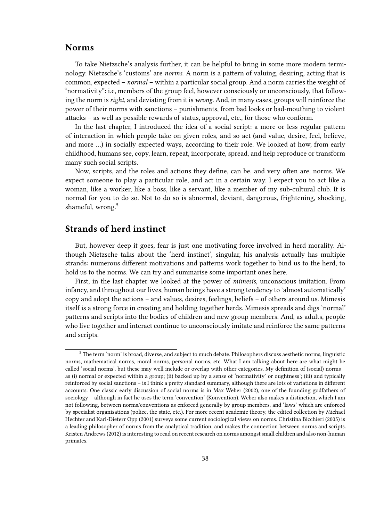#### **Norms**

To take Nietzsche's analysis further, it can be helpful to bring in some more modern terminology. Nietzsche's 'customs' are *norms*. A norm is a pattern of valuing, desiring, acting that is common, expected – *normal* – within a particular social group. And a norm carries the weight of "normativity": i.e, members of the group feel, however consciously or unconsciously, that following the norm is*right*, and deviating from it is *wrong*. And, in many cases, groups will reinforce the power of their norms with sanctions – punishments, from bad looks or bad-mouthing to violent attacks – as well as possible rewards of status, approval, etc., for those who conform.

In the last chapter, I introduced the idea of a social script: a more or less regular pattern of interaction in which people take on given roles, and so act (and value, desire, feel, believe, and more …) in socially expected ways, according to their role. We looked at how, from early childhood, humans see, copy, learn, repeat, incorporate, spread, and help reproduce or transform many such social scripts.

Now, scripts, and the roles and actions they define, can be, and very often are, norms. We expect someone to play a particular role, and act in a certain way. I expect you to act like a woman, like a worker, like a boss, like a servant, like a member of my sub-cultural club. It is normal for you to do so. Not to do so is abnormal, deviant, dangerous, frightening, shocking, shameful, wrong.<sup>5</sup>

### **Strands of herd instinct**

But, however deep it goes, fear is just one motivating force involved in herd morality. Although Nietzsche talks about the 'herd instinct', singular, his analysis actually has multiple strands: numerous different motivations and patterns work together to bind us to the herd, to hold us to the norms. We can try and summarise some important ones here.

First, in the last chapter we looked at the power of *mimesis*, unconscious imitation. From infancy, and throughout our lives, human beings have a strong tendency to 'almost automatically' copy and adopt the actions – and values, desires, feelings, beliefs – of others around us. Mimesis itself is a strong force in creating and holding together herds. Mimesis spreads and digs 'normal' patterns and scripts into the bodies of children and new group members. And, as adults, people who live together and interact continue to unconsciously imitate and reinforce the same patterns and scripts.

 $5$  The term 'norm' is broad, diverse, and subject to much debate. Philosophers discuss aesthetic norms, linguistic norms, mathematical norms, moral norms, personal norms, etc. What I am talking about here are what might be called 'social norms', but these may well include or overlap with other categories. My definition of (social) norms – as (i) normal or expected within a group; (ii) backed up by a sense of 'normativity' or oughtness'; (iii) and typically reinforced by social sanctions – is I think a pretty standard summary, although there are lots of variations in different accounts. One classic early discussion of social norms is in Max Weber (2002), one of the founding godfathers of sociology – although in fact he uses the term 'convention' (Konvention). Weber also makes a distinction, which I am not following, between norms/conventions as enforced generally by group members, and 'laws' which are enforced by specialist organisations (police, the state, etc.). For more recent academic theory, the edited collection by Michael Hechter and Karl-Dieterr Opp (2001) surveys some current sociological views on norms. Christina Bicchieri (2005) is a leading philosopher of norms from the analytical tradition, and makes the connection between norms and scripts. Kristen Andrews (2012) is interesting to read on recent research on norms amongst small children and also non-human primates.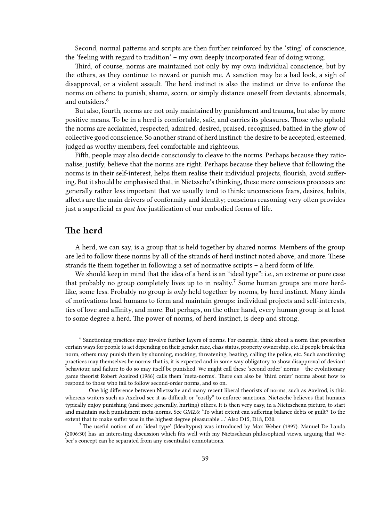Second, normal patterns and scripts are then further reinforced by the 'sting' of conscience, the 'feeling with regard to tradition' – my own deeply incorporated fear of doing wrong.

Third, of course, norms are maintained not only by my own individual conscience, but by the others, as they continue to reward or punish me. A sanction may be a bad look, a sigh of disapproval, or a violent assault. The herd instinct is also the instinct or drive to enforce the norms on others: to punish, shame, scorn, or simply distance oneself from deviants, abnormals, and outsiders.<sup>6</sup>

But also, fourth, norms are not only maintained by punishment and trauma, but also by more positive means. To be in a herd is comfortable, safe, and carries its pleasures. Those who uphold the norms are acclaimed, respected, admired, desired, praised, recognised, bathed in the glow of collective good conscience. So another strand of herd instinct: the desire to be accepted, esteemed, judged as worthy members, feel comfortable and righteous.

Fifth, people may also decide consciously to cleave to the norms. Perhaps because they rationalise, justify, believe that the norms are right. Perhaps because they believe that following the norms is in their self-interest, helps them realise their individual projects, flourish, avoid suffering. But it should be emphasised that, in Nietzsche's thinking, these more conscious processes are generally rather less important that we usually tend to think: unconscious fears, desires, habits, affects are the main drivers of conformity and identity; conscious reasoning very often provides just a superficial *ex post hoc* justification of our embodied forms of life.

#### **The herd**

A herd, we can say, is a group that is held together by shared norms. Members of the group are led to follow these norms by all of the strands of herd instinct noted above, and more. These strands tie them together in following a set of normative scripts – a herd form of life.

We should keep in mind that the idea of a herd is an "ideal type": i.e., an extreme or pure case that probably no group completely lives up to in reality.<sup>7</sup> Some human groups are more herdlike, some less. Probably no group is *only* held together by norms, by herd instinct. Many kinds of motivations lead humans to form and maintain groups: individual projects and self-interests, ties of love and affinity, and more. But perhaps, on the other hand, every human group is at least to some degree a herd. The power of norms, of herd instinct, is deep and strong.

<sup>6</sup> Sanctioning practices may involve further layers of norms. For example, think about a norm that prescribes certain ways for people to act depending on their gender, race, class status, property ownership, etc. If people break this norm, others may punish them by shunning, mocking, threatening, beating, calling the police, etc. Such sanctioning practices may themselves be norms: that is, it is expected and in some way obligatory to show disapproval of deviant behaviour, and failure to do so may itself be punished. We might call these 'second order' norms – the evolutionary game theorist Robert Axelrod (1986) calls them 'meta-norms'. There can also be 'third order' norms about how to respond to those who fail to follow second-order norms, and so on.

One big difference between Nietzsche and many recent liberal theorists of norms, such as Axelrod, is this: whereas writers such as Axelrod see it as difficult or "costly" to enforce sanctions, Nietzsche believes that humans typically enjoy punishing (and more generally, hurting) others. It is then very easy, in a Nietzschean picture, to start and maintain such punishment meta-norms. See GM2.6: 'To what extent can suffering balance debts or guilt? To the extent that to make suffer was in the highest degree pleasurable …' Also D15, D18, D30.

 $^7$  The useful notion of an 'ideal type' (Idealtypus) was introduced by Max Weber (1997). Manuel De Landa (2006:30) has an interesting discussion which fits well with my Nietzschean philosophical views, arguing that Weber's concept can be separated from any essentialist connotations.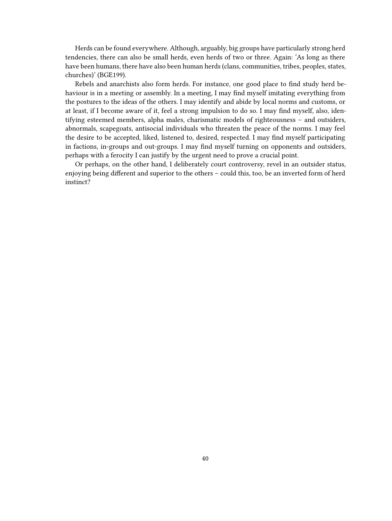Herds can be found everywhere. Although, arguably, big groups have particularly strong herd tendencies, there can also be small herds, even herds of two or three. Again: 'As long as there have been humans, there have also been human herds (clans, communities, tribes, peoples, states, churches)' (BGE199).

Rebels and anarchists also form herds. For instance, one good place to find study herd behaviour is in a meeting or assembly. In a meeting, I may find myself imitating everything from the postures to the ideas of the others. I may identify and abide by local norms and customs, or at least, if I become aware of it, feel a strong impulsion to do so. I may find myself, also, identifying esteemed members, alpha males, charismatic models of righteousness – and outsiders, abnormals, scapegoats, antisocial individuals who threaten the peace of the norms. I may feel the desire to be accepted, liked, listened to, desired, respected. I may find myself participating in factions, in-groups and out-groups. I may find myself turning on opponents and outsiders, perhaps with a ferocity I can justify by the urgent need to prove a crucial point.

Or perhaps, on the other hand, I deliberately court controversy, revel in an outsider status, enjoying being different and superior to the others – could this, too, be an inverted form of herd instinct?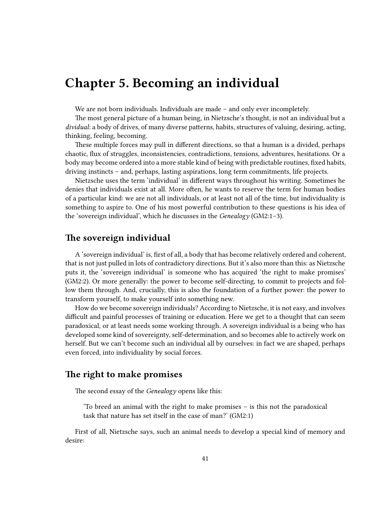## **Chapter 5. Becoming an individual**

We are not born individuals. Individuals are made – and only ever incompletely.

The most general picture of a human being, in Nietzsche's thought, is not an individual but a *dividual*: a body of drives, of many diverse patterns, habits, structures of valuing, desiring, acting, thinking, feeling, becoming.

These multiple forces may pull in different directions, so that a human is a divided, perhaps chaotic, flux of struggles, inconsistencies, contradictions, tensions, adventures, hesitations. Or a body may become ordered into a more stable kind of being with predictable routines, fixed habits, driving instincts – and, perhaps, lasting aspirations, long term commitments, life projects.

Nietzsche uses the term 'individual' in different ways throughout his writing. Sometimes he denies that individuals exist at all. More often, he wants to reserve the term for human bodies of a particular kind: we are not all individuals, or at least not all of the time, but individuality is something to aspire to. One of his most powerful contribution to these questions is his idea of the 'sovereign individual', which he discusses in the *Genealogy* (GM2:1–3).

#### **The sovereign individual**

A 'sovereign individual' is, first of all, a body that has become relatively ordered and coherent, that is not just pulled in lots of contradictory directions. But it's also more than this: as Nietzsche puts it, the 'sovereign individual' is someone who has acquired 'the right to make promises' (GM2:2). Or more generally: the power to become self-directing, to commit to projects and follow them through. And, crucially, this is also the foundation of a further power: the power to transform yourself, to make yourself into something new.

How do we become sovereign individuals? According to Nietzsche, it is not easy, and involves difficult and painful processes of training or education. Here we get to a thought that can seem paradoxical, or at least needs some working through. A sovereign individual is a being who has developed some kind of sovereignty, self-determination, and so becomes able to actively work on herself. But we can't become such an individual all by ourselves: in fact we are shaped, perhaps even forced, into individuality by social forces.

#### **The right to make promises**

The second essay of the *Genealogy* opens like this:

'To breed an animal with the right to make promises – is this not the paradoxical task that nature has set itself in the case of man?' (GM2:1)

First of all, Nietzsche says, such an animal needs to develop a special kind of memory and desire: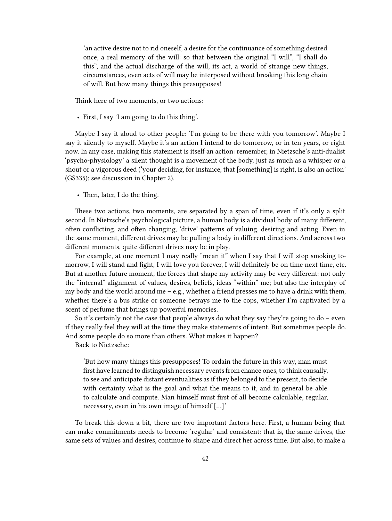'an active desire not to rid oneself, a desire for the continuance of something desired once, a real memory of the will: so that between the original "I will", "I shall do this", and the actual discharge of the will, its act, a world of strange new things, circumstances, even acts of will may be interposed without breaking this long chain of will. But how many things this presupposes!

Think here of two moments, or two actions:

• First, I say 'I am going to do this thing'.

Maybe I say it aloud to other people: 'I'm going to be there with you tomorrow'. Maybe I say it silently to myself. Maybe it's an action I intend to do tomorrow, or in ten years, or right now. In any case, making this statement is itself an action: remember, in Nietzsche's anti-dualist 'psycho-physiology' a silent thought is a movement of the body, just as much as a whisper or a shout or a vigorous deed ('your deciding, for instance, that [something] is right, is also an action' (GS335); see discussion in Chapter 2).

• Then, later, I do the thing.

These two actions, two moments, are separated by a span of time, even if it's only a split second. In Nietzsche's psychological picture, a human body is a dividual body of many different, often conflicting, and often changing, 'drive' patterns of valuing, desiring and acting. Even in the same moment, different drives may be pulling a body in different directions. And across two different moments, quite different drives may be in play.

For example, at one moment I may really "mean it" when I say that I will stop smoking tomorrow, I will stand and fight, I will love you forever, I will definitely be on time next time, etc. But at another future moment, the forces that shape my activity may be very different: not only the "internal" alignment of values, desires, beliefs, ideas "within" me; but also the interplay of my body and the world around me – e.g., whether a friend presses me to have a drink with them, whether there's a bus strike or someone betrays me to the cops, whether I'm captivated by a scent of perfume that brings up powerful memories.

So it's certainly not the case that people always do what they say they're going to do – even if they really feel they will at the time they make statements of intent. But sometimes people do. And some people do so more than others. What makes it happen?

Back to Nietzsche:

'But how many things this presupposes! To ordain the future in this way, man must first have learned to distinguish necessary events from chance ones, to think causally, to see and anticipate distant eventualities as if they belonged to the present, to decide with certainty what is the goal and what the means to it, and in general be able to calculate and compute. Man himself must first of all become calculable, regular, necessary, even in his own image of himself […]'

To break this down a bit, there are two important factors here. First, a human being that can make commitments needs to become 'regular' and consistent: that is, the same drives, the same sets of values and desires, continue to shape and direct her across time. But also, to make a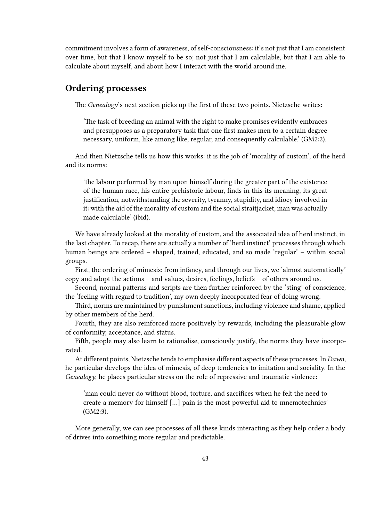commitment involves a form of awareness, of self-consciousness: it's not just that I am consistent over time, but that I know myself to be so; not just that I am calculable, but that I am able to calculate about myself, and about how I interact with the world around me.

#### **Ordering processes**

The *Genealogy*'s next section picks up the first of these two points. Nietzsche writes:

'The task of breeding an animal with the right to make promises evidently embraces and presupposes as a preparatory task that one first makes men to a certain degree necessary, uniform, like among like, regular, and consequently calculable.' (GM2:2).

And then Nietzsche tells us how this works: it is the job of 'morality of custom', of the herd and its norms:

'the labour performed by man upon himself during the greater part of the existence of the human race, his entire prehistoric labour, finds in this its meaning, its great justification, notwithstanding the severity, tyranny, stupidity, and idiocy involved in it: with the aid of the morality of custom and the social straitjacket, man was actually made calculable' (ibid).

We have already looked at the morality of custom, and the associated idea of herd instinct, in the last chapter. To recap, there are actually a number of 'herd instinct' processes through which human beings are ordered – shaped, trained, educated, and so made 'regular' – within social groups.

First, the ordering of mimesis: from infancy, and through our lives, we 'almost automatically' copy and adopt the actions – and values, desires, feelings, beliefs – of others around us.

Second, normal patterns and scripts are then further reinforced by the 'sting' of conscience, the 'feeling with regard to tradition', my own deeply incorporated fear of doing wrong.

Third, norms are maintained by punishment sanctions, including violence and shame, applied by other members of the herd.

Fourth, they are also reinforced more positively by rewards, including the pleasurable glow of conformity, acceptance, and status.

Fifth, people may also learn to rationalise, consciously justify, the norms they have incorporated.

At different points, Nietzsche tends to emphasise different aspects of these processes. In *Dawn*, he particular develops the idea of mimesis, of deep tendencies to imitation and sociality. In the *Genealogy*, he places particular stress on the role of repressive and traumatic violence:

'man could never do without blood, torture, and sacrifices when he felt the need to create a memory for himself […] pain is the most powerful aid to mnemotechnics' (GM2:3).

More generally, we can see processes of all these kinds interacting as they help order a body of drives into something more regular and predictable.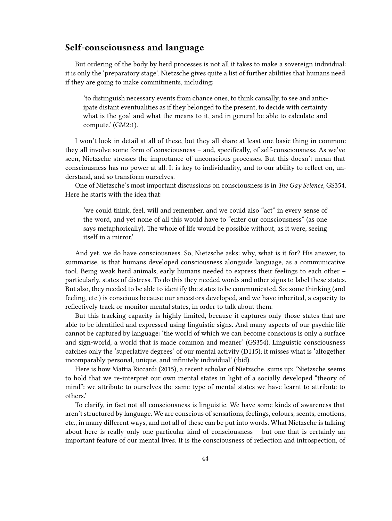#### **Self-consciousness and language**

But ordering of the body by herd processes is not all it takes to make a sovereign individual: it is only the 'preparatory stage'. Nietzsche gives quite a list of further abilities that humans need if they are going to make commitments, including:

'to distinguish necessary events from chance ones, to think causally, to see and anticipate distant eventualities as if they belonged to the present, to decide with certainty what is the goal and what the means to it, and in general be able to calculate and compute.' (GM2:1).

I won't look in detail at all of these, but they all share at least one basic thing in common: they all involve some form of consciousness – and, specifically, of self-consciousness. As we've seen, Nietzsche stresses the importance of unconscious processes. But this doesn't mean that consciousness has no power at all. It is key to individuality, and to our ability to reflect on, understand, and so transform ourselves.

One of Nietzsche's most important discussions on consciousness is in *The Gay Science*, GS354. Here he starts with the idea that:

'we could think, feel, will and remember, and we could also "act" in every sense of the word, and yet none of all this would have to "enter our consciousness" (as one says metaphorically). The whole of life would be possible without, as it were, seeing itself in a mirror.'

And yet, we do have consciousness. So, Nietzsche asks: why, what is it for? His answer, to summarise, is that humans developed consciousness alongside language, as a communicative tool. Being weak herd animals, early humans needed to express their feelings to each other – particularly, states of distress. To do this they needed words and other signs to label these states. But also, they needed to be able to identify the states to be communicated. So: some thinking (and feeling, etc.) is conscious because our ancestors developed, and we have inherited, a capacity to reflectively track or monitor mental states, in order to talk about them.

But this tracking capacity is highly limited, because it captures only those states that are able to be identified and expressed using linguistic signs. And many aspects of our psychic life cannot be captured by language: 'the world of which we can become conscious is only a surface and sign-world, a world that is made common and meaner' (GS354). Linguistic consciousness catches only the 'superlative degrees' of our mental activity (D115); it misses what is 'altogether incomparably personal, unique, and infinitely individual' (ibid).

Here is how Mattia Riccardi (2015), a recent scholar of Nietzsche, sums up: 'Nietzsche seems to hold that we re-interpret our own mental states in light of a socially developed "theory of mind": we attribute to ourselves the same type of mental states we have learnt to attribute to others.'

To clarify, in fact not all consciousness is linguistic. We have some kinds of awareness that aren't structured by language. We are conscious of sensations, feelings, colours, scents, emotions, etc., in many different ways, and not all of these can be put into words. What Nietzsche is talking about here is really only one particular kind of consciousness – but one that is certainly an important feature of our mental lives. It is the consciousness of reflection and introspection, of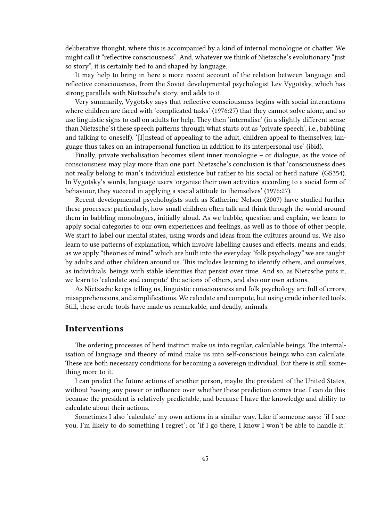deliberative thought, where this is accompanied by a kind of internal monologue or chatter. We might call it "reflective consciousness". And, whatever we think of Nietzsche's evolutionary "just so story", it is certainly tied to and shaped by language.

It may help to bring in here a more recent account of the relation between language and reflective consciousness, from the Soviet developmental psychologist Lev Vygotsky, which has strong parallels with Nietzsche's story, and adds to it.

Very summarily, Vygotsky says that reflective consciousness begins with social interactions where children are faced with 'complicated tasks' (1976:27) that they cannot solve alone, and so use linguistic signs to call on adults for help. They then 'internalise' (in a slightly different sense than Nietzsche's) these speech patterns through what starts out as 'private speech', i.e., babbling and talking to oneself). '[I]nstead of appealing to the adult, children appeal to themselves; language thus takes on an intrapersonal function in addition to its interpersonal use' (ibid).

Finally, private verbalisation becomes silent inner monologue – or dialogue, as the voice of consciousness may play more than one part. Nietzsche's conclusion is that 'consciousness does not really belong to man's individual existence but rather to his social or herd nature' (GS354). In Vygotsky's words, language users 'organise their own activities according to a social form of behaviour, they succeed in applying a social attitude to themselves' (1976:27).

Recent developmental psychologists such as Katherine Nelson (2007) have studied further these processes: particularly, how small children often talk and think through the world around them in babbling monologues, initially aloud. As we babble, question and explain, we learn to apply social categories to our own experiences and feelings, as well as to those of other people. We start to label our mental states, using words and ideas from the cultures around us. We also learn to use patterns of explanation, which involve labelling causes and effects, means and ends, as we apply "theories of mind" which are built into the everyday "folk psychology" we are taught by adults and other children around us. This includes learning to identify others, and ourselves, as individuals, beings with stable identities that persist over time. And so, as Nietzsche puts it, we learn to 'calculate and compute' the actions of others, and also our own actions.

As Nietzsche keeps telling us, linguistic consciousness and folk psychology are full of errors, misapprehensions, and simplifications. We calculate and compute, but using crude inherited tools. Still, these crude tools have made us remarkable, and deadly, animals.

#### **Interventions**

The ordering processes of herd instinct make us into regular, calculable beings. The internalisation of language and theory of mind make us into self-conscious beings who can calculate. These are both necessary conditions for becoming a sovereign individual. But there is still something more to it.

I can predict the future actions of another person, maybe the president of the United States, without having any power or influence over whether these prediction comes true. I can do this because the president is relatively predictable, and because I have the knowledge and ability to calculate about their actions.

Sometimes I also 'calculate' my own actions in a similar way. Like if someone says: 'if I see you, I'm likely to do something I regret'; or 'if I go there, I know I won't be able to handle it.'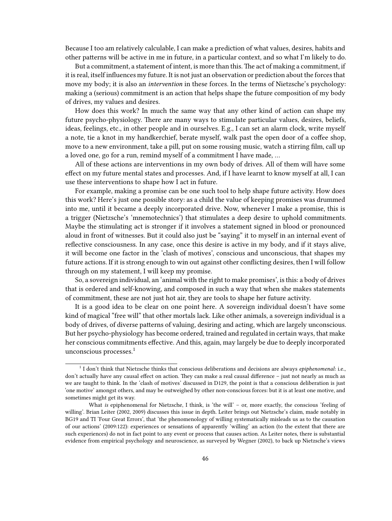Because I too am relatively calculable, I can make a prediction of what values, desires, habits and other patterns will be active in me in future, in a particular context, and so what I'm likely to do.

But a commitment, a statement of intent, is more than this.The act of making a commitment, if it is real, itself influences my future. It is not just an observation or prediction about the forces that move my body; it is also an *intervention* in these forces. In the terms of Nietzsche's psychology: making a (serious) commitment is an action that helps shape the future composition of my body of drives, my values and desires.

How does this work? In much the same way that any other kind of action can shape my future psycho-physiology. There are many ways to stimulate particular values, desires, beliefs, ideas, feelings, etc., in other people and in ourselves. E.g., I can set an alarm clock, write myself a note, tie a knot in my handkerchief, berate myself, walk past the open door of a coffee shop, move to a new environment, take a pill, put on some rousing music, watch a stirring film, call up a loved one, go for a run, remind myself of a commitment I have made, …

All of these actions are interventions in my own body of drives. All of them will have some effect on my future mental states and processes. And, if I have learnt to know myself at all, I can use these interventions to shape how I act in future.

For example, making a promise can be one such tool to help shape future activity. How does this work? Here's just one possible story: as a child the value of keeping promises was drummed into me, until it became a deeply incorporated drive. Now, whenever I make a promise, this is a trigger (Nietzsche's 'mnemotechnics') that stimulates a deep desire to uphold commitments. Maybe the stimulating act is stronger if it involves a statement signed in blood or pronounced aloud in front of witnesses. But it could also just be "saying" it to myself in an internal event of reflective consciousness. In any case, once this desire is active in my body, and if it stays alive, it will become one factor in the 'clash of motives', conscious and unconscious, that shapes my future actions. If it is strong enough to win out against other conflicting desires, then I will follow through on my statement, I will keep my promise.

So, a sovereign individual, an 'animal with the right to make promises', is this: a body of drives that is ordered and self-knowing, and composed in such a way that when she makes statements of commitment, these are not just hot air, they are tools to shape her future activity.

It is a good idea to be clear on one point here. A sovereign individual doesn't have some kind of magical "free will" that other mortals lack. Like other animals, a sovereign individual is a body of drives, of diverse patterns of valuing, desiring and acting, which are largely unconscious. But her psycho-physiology has become ordered, trained and regulated in certain ways, that make her conscious commitments effective. And this, again, may largely be due to deeply incorporated unconscious processes.<sup>1</sup>

<sup>1</sup> I don't think that Nietzsche thinks that conscious deliberations and decisions are always *epiphenomenal*: i.e., don't actually have any causal effect on action. They can make a real causal difference – just not nearly as much as we are taught to think. In the 'clash of motives' discussed in D129, the point is that a conscious deliberation is just 'one motive' amongst others, and may be outweighed by other non-conscious forces: but it is at least one motive, and sometimes might get its way.

What *is* epiphenomenal for Nietzsche, I think, is 'the will' – or, more exactly, the conscious 'feeling of willing'. Brian Leiter (2002, 2009) discusses this issue in depth. Leiter brings out Nietzsche's claim, made notably in BG19 and TI 'Four Great Errors', that 'the phenomenology of willing systematically misleads us as to the causation of our actions' (2009:122): experiences or sensations of apparently 'willing' an action (to the extent that there are such experiences) do not in fact point to any event or process that causes action. As Leiter notes, there is substantial evidence from empirical psychology and neuroscience, as surveyed by Wegner (2002), to back up Nietzsche's views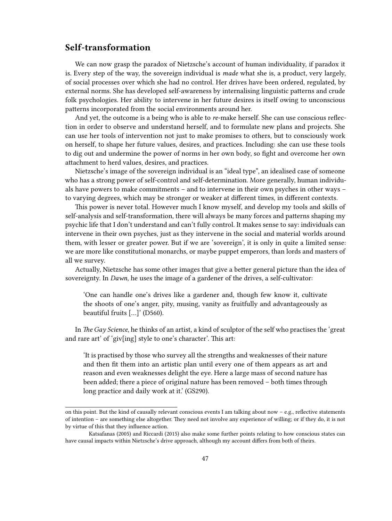## **Self-transformation**

We can now grasp the paradox of Nietzsche's account of human individuality, if paradox it is. Every step of the way, the sovereign individual is *made* what she is, a product, very largely, of social processes over which she had no control. Her drives have been ordered, regulated, by external norms. She has developed self-awareness by internalising linguistic patterns and crude folk psychologies. Her ability to intervene in her future desires is itself owing to unconscious patterns incorporated from the social environments around her.

And yet, the outcome is a being who is able to *re*-make herself. She can use conscious reflection in order to observe and understand herself, and to formulate new plans and projects. She can use her tools of intervention not just to make promises to others, but to consciously work on herself, to shape her future values, desires, and practices. Including: she can use these tools to dig out and undermine the power of norms in her own body, so fight and overcome her own attachment to herd values, desires, and practices.

Nietzsche's image of the sovereign individual is an "ideal type", an idealised case of someone who has a strong power of self-control and self-determination. More generally, human individuals have powers to make commitments – and to intervene in their own psyches in other ways – to varying degrees, which may be stronger or weaker at different times, in different contexts.

This power is never total. However much I know myself, and develop my tools and skills of self-analysis and self-transformation, there will always be many forces and patterns shaping my psychic life that I don't understand and can't fully control. It makes sense to say: individuals can intervene in their own psyches, just as they intervene in the social and material worlds around them, with lesser or greater power. But if we are 'sovereign', it is only in quite a limited sense: we are more like constitutional monarchs, or maybe puppet emperors, than lords and masters of all we survey.

Actually, Nietzsche has some other images that give a better general picture than the idea of sovereignty. In *Dawn*, he uses the image of a gardener of the drives, a self-cultivator:

'One can handle one's drives like a gardener and, though few know it, cultivate the shoots of one's anger, pity, musing, vanity as fruitfully and advantageously as beautiful fruits […]' (D560).

In *The Gay Science*, he thinks of an artist, a kind of sculptor of the self who practises the 'great and rare art' of 'giv[ing] style to one's character'. This art:

'It is practised by those who survey all the strengths and weaknesses of their nature and then fit them into an artistic plan until every one of them appears as art and reason and even weaknesses delight the eye. Here a large mass of second nature has been added; there a piece of original nature has been removed – both times through long practice and daily work at it.' (GS290).

on this point. But the kind of causally relevant conscious events I am talking about now – e.g., reflective statements of intention – are something else altogether. They need not involve any experience of willing; or if they do, it is not by virtue of this that they influence action.

Katsafanas (2005) and Riccardi (2015) also make some further points relating to how conscious states can have causal impacts within Nietzsche's drive approach, although my account differs from both of theirs.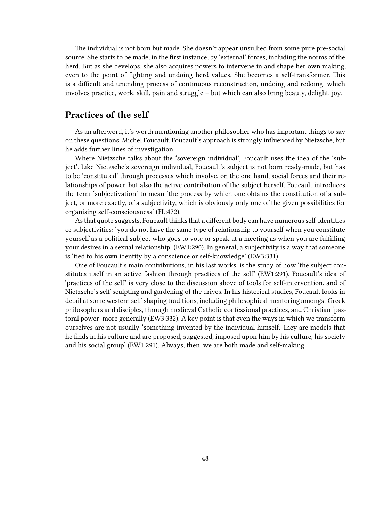The individual is not born but made. She doesn't appear unsullied from some pure pre-social source. She starts to be made, in the first instance, by 'external' forces, including the norms of the herd. But as she develops, she also acquires powers to intervene in and shape her own making, even to the point of fighting and undoing herd values. She becomes a self-transformer. This is a difficult and unending process of continuous reconstruction, undoing and redoing, which involves practice, work, skill, pain and struggle – but which can also bring beauty, delight, joy.

#### **Practices of the self**

As an afterword, it's worth mentioning another philosopher who has important things to say on these questions, Michel Foucault. Foucault's approach is strongly influenced by Nietzsche, but he adds further lines of investigation.

Where Nietzsche talks about the 'sovereign individual', Foucault uses the idea of the 'subject'. Like Nietzsche's sovereign individual, Foucault's subject is not born ready-made, but has to be 'constituted' through processes which involve, on the one hand, social forces and their relationships of power, but also the active contribution of the subject herself. Foucault introduces the term 'subjectivation' to mean 'the process by which one obtains the constitution of a subject, or more exactly, of a subjectivity, which is obviously only one of the given possibilities for organising self-consciousness' (FL:472).

As that quote suggests, Foucault thinks that a different body can have numerous self-identities or subjectivities: 'you do not have the same type of relationship to yourself when you constitute yourself as a political subject who goes to vote or speak at a meeting as when you are fulfilling your desires in a sexual relationship' (EW1:290). In general, a subjectivity is a way that someone is 'tied to his own identity by a conscience or self-knowledge' (EW3:331).

One of Foucault's main contributions, in his last works, is the study of how 'the subject constitutes itself in an active fashion through practices of the self' (EW1:291). Foucault's idea of 'practices of the self' is very close to the discussion above of tools for self-intervention, and of Nietzsche's self-sculpting and gardening of the drives. In his historical studies, Foucault looks in detail at some western self-shaping traditions, including philosophical mentoring amongst Greek philosophers and disciples, through medieval Catholic confessional practices, and Christian 'pastoral power' more generally (EW3:332). A key point is that even the ways in which we transform ourselves are not usually 'something invented by the individual himself. They are models that he finds in his culture and are proposed, suggested, imposed upon him by his culture, his society and his social group' (EW1:291). Always, then, we are both made and self-making.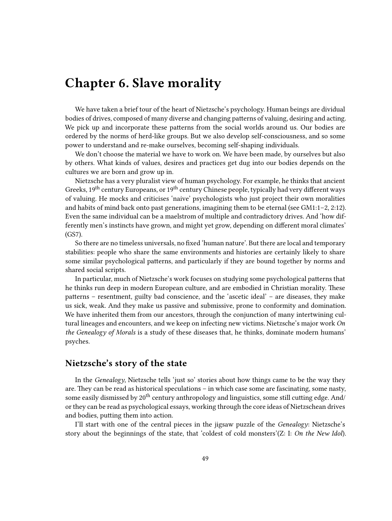# **Chapter 6. Slave morality**

We have taken a brief tour of the heart of Nietzsche's psychology. Human beings are dividual bodies of drives, composed of many diverse and changing patterns of valuing, desiring and acting. We pick up and incorporate these patterns from the social worlds around us. Our bodies are ordered by the norms of herd-like groups. But we also develop self-consciousness, and so some power to understand and re-make ourselves, becoming self-shaping individuals.

We don't choose the material we have to work on. We have been made, by ourselves but also by others. What kinds of values, desires and practices get dug into our bodies depends on the cultures we are born and grow up in.

Nietzsche has a very pluralist view of human psychology. For example, he thinks that ancient Greeks,  $19<sup>th</sup>$  century Europeans, or  $19<sup>th</sup>$  century Chinese people, typically had very different ways of valuing. He mocks and criticises 'naive' psychologists who just project their own moralities and habits of mind back onto past generations, imagining them to be eternal (see GM1:1–2, 2:12). Even the same individual can be a maelstrom of multiple and contradictory drives. And 'how differently men's instincts have grown, and might yet grow, depending on different moral climates' (GS7).

So there are no timeless universals, no fixed 'human nature'. But there are local and temporary stabilities: people who share the same environments and histories are certainly likely to share some similar psychological patterns, and particularly if they are bound together by norms and shared social scripts.

In particular, much of Nietzsche's work focuses on studying some psychological patterns that he thinks run deep in modern European culture, and are embodied in Christian morality. These patterns – resentment, guilty bad conscience, and the 'ascetic ideal' – are diseases, they make us sick, weak. And they make us passive and submissive, prone to conformity and domination. We have inherited them from our ancestors, through the conjunction of many intertwining cultural lineages and encounters, and we keep on infecting new victims. Nietzsche's major work *On the Genealogy of Morals* is a study of these diseases that, he thinks, dominate modern humans' psyches.

#### **Nietzsche's story of the state**

In the *Genealogy*, Nietzsche tells 'just so' stories about how things came to be the way they are. They can be read as historical speculations – in which case some are fascinating, some nasty, some easily dismissed by 20<sup>th</sup> century anthropology and linguistics, some still cutting edge. And/ or they can be read as psychological essays, working through the core ideas of Nietzschean drives and bodies, putting them into action.

I'll start with one of the central pieces in the jigsaw puzzle of the *Genealogy*: Nietzsche's story about the beginnings of the state, that 'coldest of cold monsters'(Z: I: *On the New Idol*).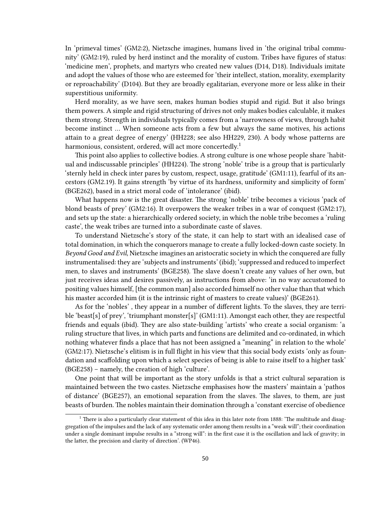In 'primeval times' (GM2:2), Nietzsche imagines, humans lived in 'the original tribal community' (GM2:19), ruled by herd instinct and the morality of custom. Tribes have figures of status: 'medicine men', prophets, and martyrs who created new values (D14, D18). Individuals imitate and adopt the values of those who are esteemed for 'their intellect, station, morality, exemplarity or reproachability' (D104). But they are broadly egalitarian, everyone more or less alike in their superstitious uniformity.

Herd morality, as we have seen, makes human bodies stupid and rigid. But it also brings them powers. A simple and rigid structuring of drives not only makes bodies calculable, it makes them strong. Strength in individuals typically comes from a 'narrowness of views, through habit become instinct … When someone acts from a few but always the same motives, his actions attain to a great degree of energy' (HH228; see also HH229, 230). A body whose patterns are harmonious, consistent, ordered, will act more concertedly.<sup>1</sup>

This point also applies to collective bodies. A strong culture is one whose people share 'habitual and indiscussable principles' (HH224). The strong 'noble' tribe is a group that is particularly 'sternly held in check inter pares by custom, respect, usage, gratitude' (GM1:11), fearful of its ancestors (GM2.19). It gains strength 'by virtue of its hardness, uniformity and simplicity of form' (BGE262), based in a strict moral code of 'intolerance' (ibid).

What happens now is the great disaster. The strong 'noble' tribe becomes a vicious 'pack of blond beasts of prey' (GM2:16). It overpowers the weaker tribes in a war of conquest (GM2:17), and sets up the state: a hierarchically ordered society, in which the noble tribe becomes a 'ruling caste', the weak tribes are turned into a subordinate caste of slaves.

To understand Nietzsche's story of the state, it can help to start with an idealised case of total domination, in which the conquerors manage to create a fully locked-down caste society. In *Beyond Good and Evil*, Nietzsche imagines an aristocratic society in which the conquered are fully instrumentalised: they are 'subjects and instruments' (ibid); 'suppressed and reduced to imperfect men, to slaves and instruments' (BGE258). The slave doesn't create any values of her own, but just receives ideas and desires passively, as instructions from above: 'in no way accustomed to positing values himself, [the common man] also accorded himself no other value than that which his master accorded him (it is the intrinsic right of masters to create values)' (BGE261).

As for the 'nobles' , they appear in a number of different lights. To the slaves, they are terrible 'beast[s] of prey', 'triumphant monster[s]' (GM1:11). Amongst each other, they are respectful friends and equals (ibid). They are also state-building 'artists' who create a social organism: 'a ruling structure that lives, in which parts and functions are delimited and co-ordinated, in which nothing whatever finds a place that has not been assigned a "meaning" in relation to the whole' (GM2:17). Nietzsche's elitism is in full flight in his view that this social body exists 'only as foundation and scaffolding upon which a select species of being is able to raise itself to a higher task' (BGE258) – namely, the creation of high 'culture'.

One point that will be important as the story unfolds is that a strict cultural separation is maintained between the two castes. Nietzsche emphasises how the masters' maintain a 'pathos of distance' (BGE257), an emotional separation from the slaves. The slaves, to them, are just beasts of burden. The nobles maintain their domination through a 'constant exercise of obedience

<sup>&</sup>lt;sup>1</sup> There is also a particularly clear statement of this idea in this later note from 1888: 'The multitude and disaggregation of the impulses and the lack of any systematic order among them results in a "weak will"; their coordination under a single dominant impulse results in a "strong will": in the first case it is the oscillation and lack of gravity; in the latter, the precision and clarity of direction'. (WP46).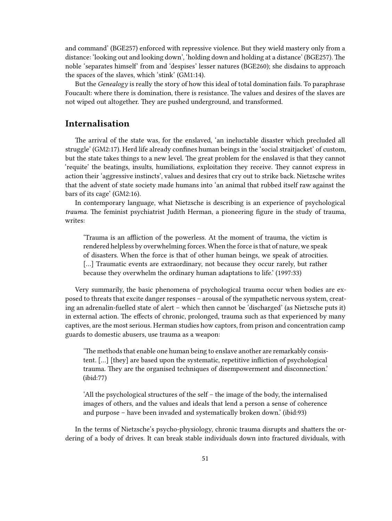and command' (BGE257) enforced with repressive violence. But they wield mastery only from a distance: 'looking out and looking down', 'holding down and holding at a distance' (BGE257). The noble 'separates himself' from and 'despises' lesser natures (BGE260); she disdains to approach the spaces of the slaves, which 'stink' (GM1:14).

But the *Genealogy* is really the story of how this ideal of total domination fails. To paraphrase Foucault: where there is domination, there is resistance. The values and desires of the slaves are not wiped out altogether. They are pushed underground, and transformed.

#### **Internalisation**

The arrival of the state was, for the enslaved, 'an ineluctable disaster which precluded all struggle' (GM2:17). Herd life already confines human beings in the 'social straitjacket' of custom, but the state takes things to a new level. The great problem for the enslaved is that they cannot 'requite' the beatings, insults, humiliations, exploitation they receive. They cannot express in action their 'aggressive instincts', values and desires that cry out to strike back. Nietzsche writes that the advent of state society made humans into 'an animal that rubbed itself raw against the bars of its cage' (GM2:16).

In contemporary language, what Nietzsche is describing is an experience of psychological *trauma*. The feminist psychiatrist Judith Herman, a pioneering figure in the study of trauma, writes:

'Trauma is an affliction of the powerless. At the moment of trauma, the victim is rendered helpless by overwhelming forces. When the force is that of nature, we speak of disasters. When the force is that of other human beings, we speak of atrocities. [...] Traumatic events are extraordinary, not because they occur rarely, but rather because they overwhelm the ordinary human adaptations to life.' (1997:33)

Very summarily, the basic phenomena of psychological trauma occur when bodies are exposed to threats that excite danger responses – arousal of the sympathetic nervous system, creating an adrenalin-fuelled state of alert – which then cannot be 'discharged' (as Nietzsche puts it) in external action. The effects of chronic, prolonged, trauma such as that experienced by many captives, are the most serious. Herman studies how captors, from prison and concentration camp guards to domestic abusers, use trauma as a weapon:

'The methods that enable one human being to enslave another are remarkably consistent. […] [they] are based upon the systematic, repetitive infliction of psychological trauma. They are the organised techniques of disempowerment and disconnection.' (ibid:77)

'All the psychological structures of the self – the image of the body, the internalised images of others, and the values and ideals that lend a person a sense of coherence and purpose – have been invaded and systematically broken down.' (ibid:93)

In the terms of Nietzsche's psycho-physiology, chronic trauma disrupts and shatters the ordering of a body of drives. It can break stable individuals down into fractured dividuals, with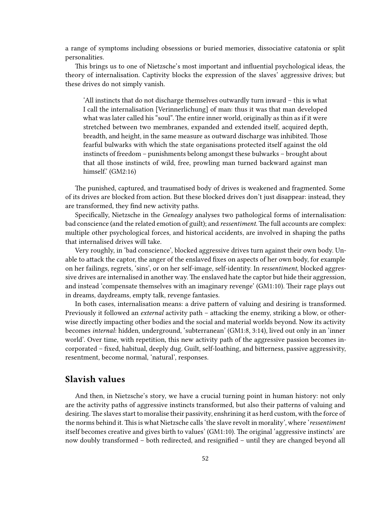a range of symptoms including obsessions or buried memories, dissociative catatonia or split personalities.

This brings us to one of Nietzsche's most important and influential psychological ideas, the theory of internalisation. Captivity blocks the expression of the slaves' aggressive drives; but these drives do not simply vanish.

'All instincts that do not discharge themselves outwardly turn inward – this is what I call the internalisation [Verinnerlichung] of man: thus it was that man developed what was later called his "soul". The entire inner world, originally as thin as if it were stretched between two membranes, expanded and extended itself, acquired depth, breadth, and height, in the same measure as outward discharge was inhibited. Those fearful bulwarks with which the state organisations protected itself against the old instincts of freedom – punishments belong amongst these bulwarks – brought about that all those instincts of wild, free, prowling man turned backward against man himself.' (GM2:16)

The punished, captured, and traumatised body of drives is weakened and fragmented. Some of its drives are blocked from action. But these blocked drives don't just disappear: instead, they are transformed, they find new activity paths.

Specifically, Nietzsche in the *Genealogy* analyses two pathological forms of internalisation: bad conscience (and the related emotion of guilt); and *ressentiment*. The full accounts are complex: multiple other psychological forces, and historical accidents, are involved in shaping the paths that internalised drives will take.

Very roughly, in 'bad conscience', blocked aggressive drives turn against their own body. Unable to attack the captor, the anger of the enslaved fixes on aspects of her own body, for example on her failings, regrets, 'sins', or on her self-image, self-identity. In *ressentiment*, blocked aggressive drives are internalised in another way. The enslaved hate the captor but hide their aggression, and instead 'compensate themselves with an imaginary revenge' (GM1:10). Their rage plays out in dreams, daydreams, empty talk, revenge fantasies.

In both cases, internalisation means: a drive pattern of valuing and desiring is transformed. Previously it followed an *external* activity path – attacking the enemy, striking a blow, or otherwise directly impacting other bodies and the social and material worlds beyond. Now its activity becomes *internal*: hidden, underground, 'subterranean' (GM1:8, 3:14), lived out only in an 'inner world'. Over time, with repetition, this new activity path of the aggressive passion becomes incorporated – fixed, habitual, deeply dug. Guilt, self-loathing, and bitterness, passive aggressivity, resentment, become normal, 'natural', responses.

#### **Slavish values**

And then, in Nietzsche's story, we have a crucial turning point in human history: not only are the activity paths of aggressive instincts transformed, but also their patterns of valuing and desiring. The slaves start to moralise their passivity, enshrining it as herd custom, with the force of the norms behind it. This is what Nietzsche calls 'the slave revolt in morality', where '*ressentiment* itself becomes creative and gives birth to values' (GM1:10). The original 'aggressive instincts' are now doubly transformed – both redirected, and resignified – until they are changed beyond all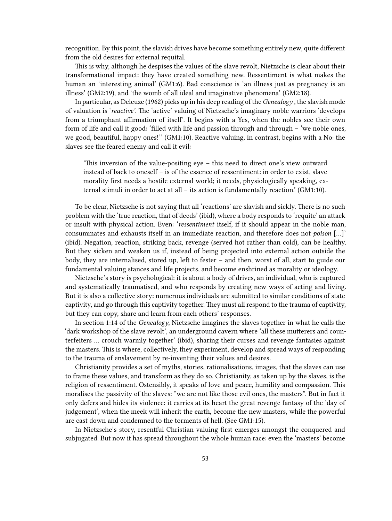recognition. By this point, the slavish drives have become something entirely new, quite different from the old desires for external requital.

This is why, although he despises the values of the slave revolt, Nietzsche is clear about their transformational impact: they have created something new. Ressentiment is what makes the human an 'interesting animal' (GM1:6). Bad conscience is 'an illness just as pregnancy is an illness' (GM2:19), and 'the womb of all ideal and imaginative phenomena' (GM2:18).

In particular, as Deleuze (1962) picks up in his deep reading of the *Genealogy* , the slavish mode of valuation is '*reactive'*. The 'active' valuing of Nietzsche's imaginary noble warriors 'develops from a triumphant affirmation of itself'. It begins with a Yes, when the nobles see their own form of life and call it good: 'filled with life and passion through and through – 'we noble ones, we good, beautiful, happy ones!'' (GM1:10). Reactive valuing, in contrast, begins with a No: the slaves see the feared enemy and call it evil:

'This inversion of the value-positing eye – this need to direct one's view outward instead of back to oneself – is of the essence of ressentiment: in order to exist, slave morality first needs a hostile external world; it needs, physiologically speaking, external stimuli in order to act at all – its action is fundamentally reaction.' (GM1:10).

To be clear, Nietzsche is not saying that all 'reactions' are slavish and sickly. There is no such problem with the 'true reaction, that of deeds' (ibid), where a body responds to 'requite' an attack or insult with physical action. Even: '*ressentiment* itself, if it should appear in the noble man, consummates and exhausts itself in an immediate reaction, and therefore does not *poison* […]' (ibid). Negation, reaction, striking back, revenge (served hot rather than cold), can be healthy. But they sicken and weaken us if, instead of being projected into external action outside the body, they are internalised, stored up, left to fester – and then, worst of all, start to guide our fundamental valuing stances and life projects, and become enshrined as morality or ideology.

Nietzsche's story is psychological: it is about a body of drives, an individual, who is captured and systematically traumatised, and who responds by creating new ways of acting and living. But it is also a collective story: numerous individuals are submitted to similar conditions of state captivity, and go through this captivity together. They must all respond to the trauma of captivity, but they can copy, share and learn from each others' responses.

In section 1:14 of the *Genealogy*, Nietzsche imagines the slaves together in what he calls the 'dark workshop of the slave revolt', an underground cavern where 'all these mutterers and counterfeiters … crouch warmly together' (ibid), sharing their curses and revenge fantasies against the masters. This is where, collectively, they experiment, develop and spread ways of responding to the trauma of enslavement by re-inventing their values and desires.

Christianity provides a set of myths, stories, rationalisations, images, that the slaves can use to frame these values, and transform as they do so. Christianity, as taken up by the slaves, is the religion of ressentiment. Ostensibly, it speaks of love and peace, humility and compassion. This moralises the passivity of the slaves: "we are not like those evil ones, the masters". But in fact it only defers and hides its violence: it carries at its heart the great revenge fantasy of the 'day of judgement', when the meek will inherit the earth, become the new masters, while the powerful are cast down and condemned to the torments of hell. (See GM1:15).

In Nietzsche's story, resentful Christian valuing first emerges amongst the conquered and subjugated. But now it has spread throughout the whole human race: even the 'masters' become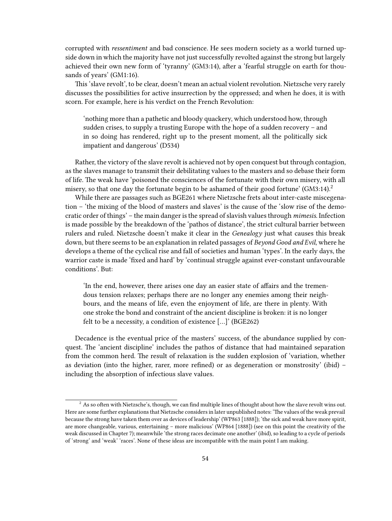corrupted with *ressentiment* and bad conscience. He sees modern society as a world turned upside down in which the majority have not just successfully revolted against the strong but largely achieved their own new form of 'tyranny' (GM3:14), after a 'fearful struggle on earth for thousands of years' (GM1:16).

This 'slave revolt', to be clear, doesn't mean an actual violent revolution. Nietzsche very rarely discusses the possibilities for active insurrection by the oppressed; and when he does, it is with scorn. For example, here is his verdict on the French Revolution:

'nothing more than a pathetic and bloody quackery, which understood how, through sudden crises, to supply a trusting Europe with the hope of a sudden recovery – and in so doing has rendered, right up to the present moment, all the politically sick impatient and dangerous' (D534)

Rather, the victory of the slave revolt is achieved not by open conquest but through contagion, as the slaves manage to transmit their debilitating values to the masters and so debase their form of life. The weak have 'poisoned the consciences of the fortunate with their own misery, with all misery, so that one day the fortunate begin to be ashamed of their good fortune'  $(GM3:14)<sup>2</sup>$ 

While there are passages such as BGE261 where Nietzsche frets about inter-caste miscegenation – 'the mixing of the blood of masters and slaves' is the cause of the 'slow rise of the democratic order of things' – the main danger is the spread of slavish values through *mimesis*. Infection is made possible by the breakdown of the 'pathos of distance', the strict cultural barrier between rulers and ruled. Nietzsche doesn't make it clear in the *Genealogy* just what causes this break down, but there seems to be an explanation in related passages of *Beyond Good and Evil*, where he develops a theme of the cyclical rise and fall of societies and human 'types'. In the early days, the warrior caste is made 'fixed and hard' by 'continual struggle against ever-constant unfavourable conditions'. But:

'In the end, however, there arises one day an easier state of affairs and the tremendous tension relaxes; perhaps there are no longer any enemies among their neighbours, and the means of life, even the enjoyment of life, are there in plenty. With one stroke the bond and constraint of the ancient discipline is broken: it is no longer felt to be a necessity, a condition of existence […]' (BGE262)

Decadence is the eventual price of the masters' success, of the abundance supplied by conquest. The 'ancient discipline' includes the pathos of distance that had maintained separation from the common herd. The result of relaxation is the sudden explosion of 'variation, whether as deviation (into the higher, rarer, more refined) or as degeneration or monstrosity' (ibid) – including the absorption of infectious slave values.

 $2$  As so often with Nietzsche's, though, we can find multiple lines of thought about how the slave revolt wins out. Here are some further explanations that Nietzsche considers in later unpublished notes: 'The values of the weak prevail because the strong have taken them over as devices of leadership' (WP863 [1888]); 'the sick and weak have more spirit, are more changeable, various, entertaining – more malicious' (WP864 [1888]) (see on this point the creativity of the weak discussed in Chapter 7); meanwhile 'the strong races decimate one another' (ibid), so leading to a cycle of periods of 'strong' and 'weak' 'races'. None of these ideas are incompatible with the main point I am making.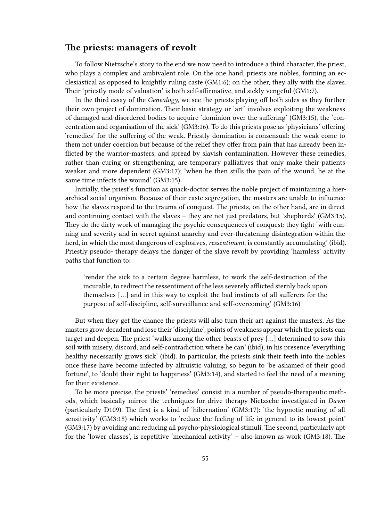### **The priests: managers of revolt**

To follow Nietzsche's story to the end we now need to introduce a third character, the priest, who plays a complex and ambivalent role. On the one hand, priests are nobles, forming an ecclesiastical as opposed to knightly ruling caste (GM1:6); on the other, they ally with the slaves. Their 'priestly mode of valuation' is both self-affirmative, and sickly vengeful (GM1:7).

In the third essay of the *Genealogy*, we see the priests playing off both sides as they further their own project of domination. Their basic strategy or 'art' involves exploiting the weakness of damaged and disordered bodies to acquire 'dominion over the suffering' (GM3:15), the 'concentration and organisation of the sick' (GM3:16). To do this priests pose as 'physicians' offering 'remedies' for the suffering of the weak. Priestly domination is consensual: the weak come to them not under coercion but because of the relief they offer from pain that has already been inflicted by the warrior-masters, and spread by slavish contamination. However these remedies, rather than curing or strengthening, are temporary palliatives that only make their patients weaker and more dependent (GM3:17); 'when he then stills the pain of the wound, he at the same time infects the wound' (GM3:15).

Initially, the priest's function as quack-doctor serves the noble project of maintaining a hierarchical social organism. Because of their caste segregation, the masters are unable to influence how the slaves respond to the trauma of conquest. The priests, on the other hand, are in direct and continuing contact with the slaves – they are not just predators, but 'shepherds' (GM3:15). They do the dirty work of managing the psychic consequences of conquest: they fight 'with cunning and severity and in secret against anarchy and ever-threatening disintegration within the herd, in which the most dangerous of explosives, *ressentiment*, is constantly accumulating' (ibid). Priestly pseudo- therapy delays the danger of the slave revolt by providing 'harmless' activity paths that function to:

'render the sick to a certain degree harmless, to work the self-destruction of the incurable, to redirect the ressentiment of the less severely afflicted sternly back upon themselves […] and in this way to exploit the bad instincts of all sufferers for the purpose of self-discipline, self-surveillance and self-overcoming' (GM3:16)

But when they get the chance the priests will also turn their art against the masters. As the masters grow decadent and lose their 'discipline', points of weakness appear which the priests can target and deepen. The priest 'walks among the other beasts of prey […] determined to sow this soil with misery, discord, and self-contradiction where he can' (ibid); in his presence 'everything healthy necessarily grows sick' (ibid). In particular, the priests sink their teeth into the nobles once these have become infected by altruistic valuing, so begun to 'be ashamed of their good fortune', to 'doubt their right to happiness' (GM3:14), and started to feel the need of a meaning for their existence.

To be more precise, the priests' 'remedies' consist in a number of pseudo-therapeutic methods, which basically mirror the techniques for drive therapy Nietzsche investigated in *Dawn* (particularly D109). The first is a kind of 'hibernation' (GM3:17): 'the hypnotic muting of all sensitivity' (GM3:18) which works to 'reduce the feeling of life in general to its lowest point' (GM3:17) by avoiding and reducing all psycho-physiological stimuli. The second, particularly apt for the 'lower classes', is repetitive 'mechanical activity' – also known as work (GM3:18). The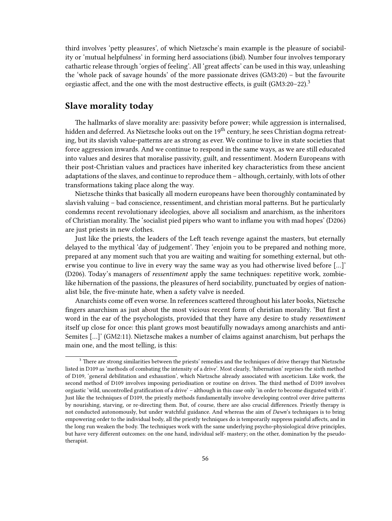third involves 'petty pleasures', of which Nietzsche's main example is the pleasure of sociability or 'mutual helpfulness' in forming herd associations (ibid). Number four involves temporary cathartic release through 'orgies of feeling'. All 'great affects' can be used in this way, unleashing the 'whole pack of savage hounds' of the more passionate drives (GM3:20) – but the favourite orgiastic affect, and the one with the most destructive effects, is guilt  $(GM3:20-22).$ <sup>3</sup>

#### **Slave morality today**

The hallmarks of slave morality are: passivity before power; while aggression is internalised, hidden and deferred. As Nietzsche looks out on the 19<sup>th</sup> century, he sees Christian dogma retreating, but its slavish value-patterns are as strong as ever. We continue to live in state societies that force aggression inwards. And we continue to respond in the same ways, as we are still educated into values and desires that moralise passivity, guilt, and ressentiment. Modern Europeans with their post-Christian values and practices have inherited key characteristics from these ancient adaptations of the slaves, and continue to reproduce them – although, certainly, with lots of other transformations taking place along the way.

Nietzsche thinks that basically all modern europeans have been thoroughly contaminated by slavish valuing – bad conscience, ressentiment, and christian moral patterns. But he particularly condemns recent revolutionary ideologies, above all socialism and anarchism, as the inheritors of Christian morality. The 'socialist pied pipers who want to inflame you with mad hopes' (D206) are just priests in new clothes.

Just like the priests, the leaders of the Left teach revenge against the masters, but eternally delayed to the mythical 'day of judgement'. They 'enjoin you to be prepared and nothing more, prepared at any moment such that you are waiting and waiting for something external, but otherwise you continue to live in every way the same way as you had otherwise lived before […]' (D206). Today's managers of *ressentiment* apply the same techniques: repetitive work, zombielike hibernation of the passions, the pleasures of herd sociability, punctuated by orgies of nationalist bile, the five-minute hate, when a safety valve is needed.

Anarchists come off even worse. In references scattered throughout his later books, Nietzsche fingers anarchism as just about the most vicious recent form of christian morality. 'But first a word in the ear of the psychologists, provided that they have any desire to study *ressentiment* itself up close for once: this plant grows most beautifully nowadays among anarchists and anti-Semites […]' (GM2:11). Nietzsche makes a number of claims against anarchism, but perhaps the main one, and the most telling, is this:

 $3$  There are strong similarities between the priests' remedies and the techniques of drive therapy that Nietzsche listed in D109 as 'methods of combating the intensity of a drive'. Most clearly, 'hibernation' reprises the sixth method of D109, 'general debilitation and exhaustion', which Nietzsche already associated with asceticism. Like work, the second method of D109 involves imposing periodisation or routine on drives. The third method of D109 involves orgiastic 'wild, uncontrolled gratification of a drive' – although in this case only 'in order to become disgusted with it'. Just like the techniques of D109, the priestly methods fundamentally involve developing control over drive patterns by nourishing, starving, or re-directing them. But, of course, there are also crucial differences. Priestly therapy is not conducted autonomously, but under watchful guidance. And whereas the aim of *Dawn*'s techniques is to bring empowering order to the individual body, all the priestly techniques do is temporarily suppress painful affects, and in the long run weaken the body. The techniques work with the same underlying psycho-physiological drive principles, but have very different outcomes: on the one hand, individual self- mastery; on the other, domination by the pseudotherapist.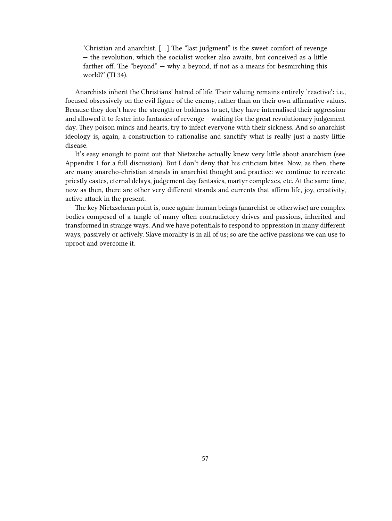'Christian and anarchist. […] The "last judgment" is the sweet comfort of revenge — the revolution, which the socialist worker also awaits, but conceived as a little farther off. The "beyond" — why a beyond, if not as a means for besmirching this world?' (TI 34).

Anarchists inherit the Christians' hatred of life. Their valuing remains entirely 'reactive': i.e., focused obsessively on the evil figure of the enemy, rather than on their own affirmative values. Because they don't have the strength or boldness to act, they have internalised their aggression and allowed it to fester into fantasies of revenge – waiting for the great revolutionary judgement day. They poison minds and hearts, try to infect everyone with their sickness. And so anarchist ideology is, again, a construction to rationalise and sanctify what is really just a nasty little disease.

It's easy enough to point out that Nietzsche actually knew very little about anarchism (see Appendix 1 for a full discussion). But I don't deny that his criticism bites. Now, as then, there are many anarcho-christian strands in anarchist thought and practice: we continue to recreate priestly castes, eternal delays, judgement day fantasies, martyr complexes, etc. At the same time, now as then, there are other very different strands and currents that affirm life, joy, creativity, active attack in the present.

The key Nietzschean point is, once again: human beings (anarchist or otherwise) are complex bodies composed of a tangle of many often contradictory drives and passions, inherited and transformed in strange ways. And we have potentials to respond to oppression in many different ways, passively or actively. Slave morality is in all of us; so are the active passions we can use to uproot and overcome it.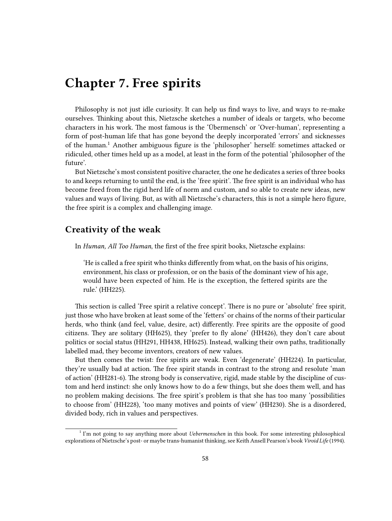# **Chapter 7. Free spirits**

Philosophy is not just idle curiosity. It can help us find ways to live, and ways to re-make ourselves. Thinking about this, Nietzsche sketches a number of ideals or targets, who become characters in his work. The most famous is the 'Übermensch' or 'Over-human', representing a form of post-human life that has gone beyond the deeply incorporated 'errors' and sicknesses of the human.<sup>1</sup> Another ambiguous figure is the 'philosopher' herself: sometimes attacked or ridiculed, other times held up as a model, at least in the form of the potential 'philosopher of the future'.

But Nietzsche's most consistent positive character, the one he dedicates a series of three books to and keeps returning to until the end, is the 'free spirit'. The free spirit is an individual who has become freed from the rigid herd life of norm and custom, and so able to create new ideas, new values and ways of living. But, as with all Nietzsche's characters, this is not a simple hero figure, the free spirit is a complex and challenging image.

#### **Creativity of the weak**

In *Human, All Too Human*, the first of the free spirit books, Nietzsche explains:

'He is called a free spirit who thinks differently from what, on the basis of his origins, environment, his class or profession, or on the basis of the dominant view of his age, would have been expected of him. He is the exception, the fettered spirits are the rule.' (HH225).

This section is called 'Free spirit a relative concept'. There is no pure or 'absolute' free spirit, just those who have broken at least some of the 'fetters' or chains of the norms of their particular herds, who think (and feel, value, desire, act) differently. Free spirits are the opposite of good citizens. They are solitary (HH625), they 'prefer to fly alone' (HH426), they don't care about politics or social status (HH291, HH438, HH625). Instead, walking their own paths, traditionally labelled mad, they become inventors, creators of new values.

But then comes the twist: free spirits are weak. Even 'degenerate' (HH224). In particular, they're usually bad at action. The free spirit stands in contrast to the strong and resolute 'man of action' (HH281-6). The strong body is conservative, rigid, made stable by the discipline of custom and herd instinct: she only knows how to do a few things, but she does them well, and has no problem making decisions. The free spirit's problem is that she has too many 'possibilities to choose from' (HH228), 'too many motives and points of view' (HH230). She is a disordered, divided body, rich in values and perspectives.

<sup>&</sup>lt;sup>1</sup> I'm not going to say anything more about *Uebermenschen* in this book. For some interesting philosophical explorations of Nietzsche's post- or maybe trans-humanist thinking, see Keith Ansell Pearson's book *Viroid Life* (1994).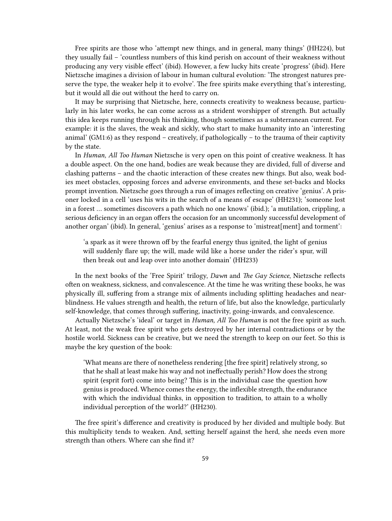Free spirits are those who 'attempt new things, and in general, many things' (HH224), but they usually fail – 'countless numbers of this kind perish on account of their weakness without producing any very visible effect' (ibid). However, a few lucky hits create 'progress' (ibid). Here Nietzsche imagines a division of labour in human cultural evolution: 'The strongest natures preserve the type, the weaker help it to evolve'. The free spirits make everything that's interesting, but it would all die out without the herd to carry on.

It may be surprising that Nietzsche, here, connects creativity to weakness because, particularly in his later works, he can come across as a strident worshipper of strength. But actually this idea keeps running through his thinking, though sometimes as a subterranean current. For example: it is the slaves, the weak and sickly, who start to make humanity into an 'interesting animal' (GM1:6) as they respond – creatively, if pathologically – to the trauma of their captivity by the state.

In *Human, All Too Human* Nietzsche is very open on this point of creative weakness. It has a double aspect. On the one hand, bodies are weak because they are divided, full of diverse and clashing patterns – and the chaotic interaction of these creates new things. But also, weak bodies meet obstacles, opposing forces and adverse environments, and these set-backs and blocks prompt invention. Nietzsche goes through a run of images reflecting on creative 'genius'. A prisoner locked in a cell 'uses his wits in the search of a means of escape' (HH231); 'someone lost in a forest … sometimes discovers a path which no one knows' (ibid.); 'a mutilation, crippling, a serious deficiency in an organ offers the occasion for an uncommonly successful development of another organ' (ibid). In general, 'genius' arises as a response to 'mistreat[ment] and torment':

'a spark as it were thrown off by the fearful energy thus ignited, the light of genius will suddenly flare up; the will, made wild like a horse under the rider's spur, will then break out and leap over into another domain' (HH233)

In the next books of the 'Free Spirit' trilogy, *Dawn* and *The Gay Science*, Nietzsche reflects often on weakness, sickness, and convalescence. At the time he was writing these books, he was physically ill, suffering from a strange mix of ailments including splitting headaches and nearblindness. He values strength and health, the return of life, but also the knowledge, particularly self-knowledge, that comes through suffering, inactivity, going-inwards, and convalescence.

Actually Nietzsche's 'ideal' or target in *Human, All Too Human* is not the free spirit as such. At least, not the weak free spirit who gets destroyed by her internal contradictions or by the hostile world. Sickness can be creative, but we need the strength to keep on our feet. So this is maybe the key question of the book:

'What means are there of nonetheless rendering [the free spirit] relatively strong, so that he shall at least make his way and not ineffectually perish? How does the strong spirit (esprit fort) come into being? This is in the individual case the question how genius is produced. Whence comes the energy, the inflexible strength, the endurance with which the individual thinks, in opposition to tradition, to attain to a wholly individual perception of the world?' (HH230).

The free spirit's difference and creativity is produced by her divided and multiple body. But this multiplicity tends to weaken. And, setting herself against the herd, she needs even more strength than others. Where can she find it?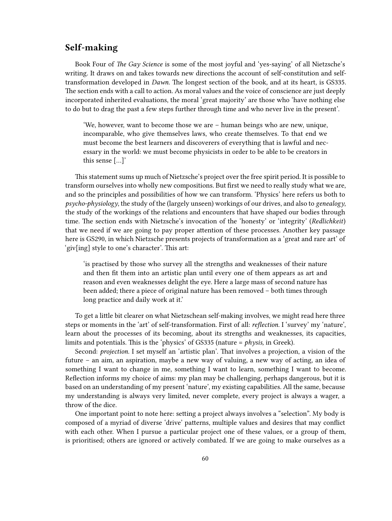#### **Self-making**

Book Four of *The Gay Science* is some of the most joyful and 'yes-saying' of all Nietzsche's writing. It draws on and takes towards new directions the account of self-constitution and selftransformation developed in *Dawn*. The longest section of the book, and at its heart, is GS335. The section ends with a call to action. As moral values and the voice of conscience are just deeply incorporated inherited evaluations, the moral 'great majority' are those who 'have nothing else to do but to drag the past a few steps further through time and who never live in the present'.

'We, however, want to become those we are – human beings who are new, unique, incomparable, who give themselves laws, who create themselves. To that end we must become the best learners and discoverers of everything that is lawful and necessary in the world: we must become physicists in order to be able to be creators in this sense […]'

This statement sums up much of Nietzsche's project over the free spirit period. It is possible to transform ourselves into wholly new compositions. But first we need to really study what we are, and so the principles and possibilities of how we can transform. 'Physics' here refers us both to *psycho-physiology*, the study of the (largely unseen) workings of our drives, and also to *genealogy*, the study of the workings of the relations and encounters that have shaped our bodies through time. The section ends with Nietzsche's invocation of the 'honesty' or 'integrity' (*Redlichkeit*) that we need if we are going to pay proper attention of these processes. Another key passage here is GS290, in which Nietzsche presents projects of transformation as a 'great and rare art' of 'giv[ing] style to one's character'. This art:

'is practised by those who survey all the strengths and weaknesses of their nature and then fit them into an artistic plan until every one of them appears as art and reason and even weaknesses delight the eye. Here a large mass of second nature has been added; there a piece of original nature has been removed – both times through long practice and daily work at it.'

To get a little bit clearer on what Nietzschean self-making involves, we might read here three steps or moments in the 'art' of self-transformation. First of all: *reflection*. I 'survey' my 'nature', learn about the processes of its becoming, about its strengths and weaknesses, its capacities, limits and potentials. This is the 'physics' of GS335 (nature = *physis,* in Greek).

Second: *projection*. I set myself an 'artistic plan'. That involves a projection, a vision of the future – an aim, an aspiration, maybe a new way of valuing, a new way of acting, an idea of something I want to change in me, something I want to learn, something I want to become. Reflection informs my choice of aims: my plan may be challenging, perhaps dangerous, but it is based on an understanding of my present 'nature', my existing capabilities. All the same, because my understanding is always very limited, never complete, every project is always a wager, a throw of the dice.

One important point to note here: setting a project always involves a "selection". My body is composed of a myriad of diverse 'drive' patterns, multiple values and desires that may conflict with each other. When I pursue a particular project one of these values, or a group of them, is prioritised; others are ignored or actively combated. If we are going to make ourselves as a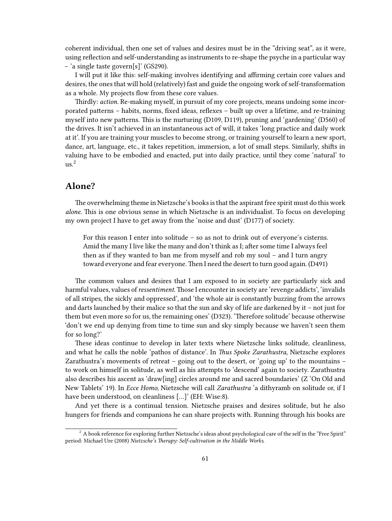coherent individual, then one set of values and desires must be in the "driving seat", as it were, using reflection and self-understanding as instruments to re-shape the psyche in a particular way – 'a single taste govern[s]' (GS290).

I will put it like this: self-making involves identifying and affirming certain core values and desires, the ones that will hold (relatively) fast and guide the ongoing work of self-transformation as a whole. My projects flow from these core values.

Thirdly: *action*. Re-making myself, in pursuit of my core projects, means undoing some incorporated patterns – habits, norms, fixed ideas, reflexes – built up over a lifetime, and re-training myself into new patterns. This is the nurturing (D109, D119), pruning and 'gardening' (D560) of the drives. It isn't achieved in an instantaneous act of will, it takes 'long practice and daily work at it'. If you are training your muscles to become strong, or training yourself to learn a new sport, dance, art, language, etc., it takes repetition, immersion, a lot of small steps. Similarly, shifts in valuing have to be embodied and enacted, put into daily practice, until they come 'natural' to  $_{\rm H}$   $_{\rm Z}$ <sup>2</sup>

### **Alone?**

The overwhelming theme in Nietzsche's books is that the aspirant free spirit must do this work *alone*. This is one obvious sense in which Nietzsche is an individualist. To focus on developing my own project I have to get away from the 'noise and dust' (D177) of society.

For this reason I enter into solitude – so as not to drink out of everyone's cisterns. Amid the many I live like the many and don't think as I; after some time I always feel then as if they wanted to ban me from myself and rob my soul – and I turn angry toward everyone and fear everyone. Then I need the desert to turn good again. (D491)

The common values and desires that I am exposed to in society are particularly sick and harmful values, values of*ressentiment*.Those I encounter in society are 'revenge addicts', 'invalids of all stripes, the sickly and oppressed', and 'the whole air is constantly buzzing from the arrows and darts launched by their malice so that the sun and sky of life are darkened by it – not just for them but even more so for us, the remaining ones' (D323). 'Therefore solitude' because otherwise 'don't we end up denying from time to time sun and sky simply because we haven't seen them for so long?'

These ideas continue to develop in later texts where Nietzsche links solitude, cleanliness, and what he calls the noble 'pathos of distance'. In *Thus Spoke Zarathustra*, Nietzsche explores Zarathustra's movements of retreat – going out to the desert, or 'going up' to the mountains – to work on himself in solitude, as well as his attempts to 'descend' again to society. Zarathustra also describes his ascent as 'draw[ing] circles around me and sacred boundaries' (Z 'On Old and New Tablets' 19). In *Ecce Homo*, Nietzsche will call *Zarathustra* 'a dithyramb on solitude or, if I have been understood, on cleanliness […]' (EH: Wise:8).

And yet there is a continual tension. Nietzsche praises and desires solitude, but he also hungers for friends and companions he can share projects with. Running through his books are

 $2^2$  A book reference for exploring further Nietzsche's ideas about psychological care of the self in the "Free Spirit" period: Michael Ure (2008) *Nietzsche's Therapy: Self-cultivation in the Middle Works*.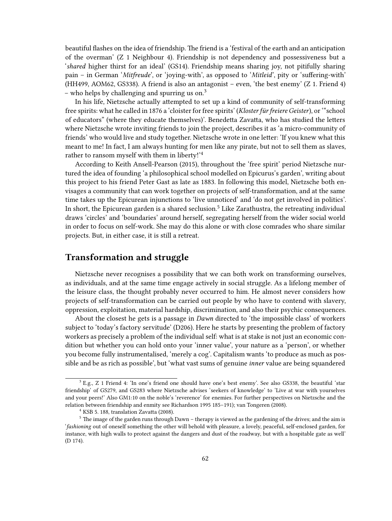beautiful flashes on the idea of friendship. The friend is a 'festival of the earth and an anticipation of the overman' (Z 1 Neighbour 4). Friendship is not dependency and possessiveness but a '*shared* higher thirst for an ideal' (GS14). Friendship means sharing joy, not pitifully sharing pain – in German '*Mitfreude*', or 'joying-with', as opposed to '*Mitleid*', pity or 'suffering-with' (HH499, AOM62, GS338). A friend is also an antagonist – even, 'the best enemy' (Z 1. Friend 4) – who helps by challenging and spurring us on. $3$ 

In his life, Nietzsche actually attempted to set up a kind of community of self-transforming free spirits: what he called in 1876 a 'cloister for free spirits' (*Kloster für freiere Geister*), or '"school of educators" (where they educate themselves)'. Benedetta Zavatta, who has studied the letters where Nietzsche wrote inviting friends to join the project, describes it as 'a micro-community of friends' who would live and study together. Nietzsche wrote in one letter: 'If you knew what this meant to me! In fact, I am always hunting for men like any pirate, but not to sell them as slaves, rather to ransom myself with them in liberty!'<sup>4</sup>

According to Keith Ansell-Pearson (2015), throughout the 'free spirit' period Nietzsche nurtured the idea of founding 'a philosophical school modelled on Epicurus's garden', writing about this project to his friend Peter Gast as late as 1883. In following this model, Nietzsche both envisages a community that can work together on projects of self-transformation, and at the same time takes up the Epicurean injunctions to 'live unnoticed' and 'do not get involved in politics'. In short, the Epicurean garden is a shared seclusion.<sup>5</sup> Like Zarathustra, the retreating individual draws 'circles' and 'boundaries' around herself, segregating herself from the wider social world in order to focus on self-work. She may do this alone or with close comrades who share similar projects. But, in either case, it is still a retreat.

#### **Transformation and struggle**

Nietzsche never recognises a possibility that we can both work on transforming ourselves, as individuals, and at the same time engage actively in social struggle. As a lifelong member of the leisure class, the thought probably never occurred to him. He almost never considers how projects of self-transformation can be carried out people by who have to contend with slavery, oppression, exploitation, material hardship, discrimination, and also their psychic consequences.

About the closest he gets is a passage in *Dawn* directed to 'the impossible class' of workers subject to 'today's factory servitude' (D206). Here he starts by presenting the problem of factory workers as precisely a problem of the individual self: what is at stake is not just an economic condition but whether you can hold onto your 'inner value', your nature as a 'person', or whether you become fully instrumentalised, 'merely a cog'. Capitalism wants 'to produce as much as possible and be as rich as possible', but 'what vast sums of genuine *inner* value are being squandered

<sup>&</sup>lt;sup>3</sup> E.g., Z 1 Friend 4: 'In one's friend one should have one's best enemy'. See also GS338, the beautiful 'star friendship' of GS279, and GS283 where Nietzsche advises 'seekers of knowledge' to 'Live at war with yourselves and your peers!' Also GM1:10 on the noble's 'reverence' for enemies. For further perspectives on Nietzsche and the relation between friendship and enmity see Richardson 1995 185–191); van Tongeren (2008).

<sup>4</sup> KSB 5. 188, translation Zavatta (2008).

<sup>5</sup> The image of the garden runs through Dawn – therapy is viewed as the gardening of the drives; and the aim is '*fashioning* out of oneself something the other will behold with pleasure, a lovely, peaceful, self-enclosed garden, for instance, with high walls to protect against the dangers and dust of the roadway, but with a hospitable gate as well' (D 174).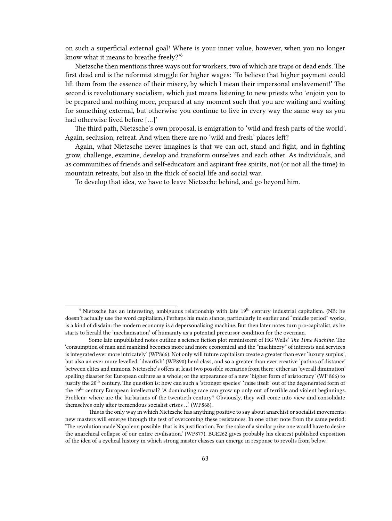on such a superficial external goal! Where is your inner value, however, when you no longer know what it means to breathe freely?'<sup>6</sup>

Nietzsche then mentions three ways out for workers, two of which are traps or dead ends. The first dead end is the reformist struggle for higher wages: 'To believe that higher payment could lift them from the essence of their misery, by which I mean their impersonal enslavement!' The second is revolutionary socialism, which just means listening to new priests who 'enjoin you to be prepared and nothing more, prepared at any moment such that you are waiting and waiting for something external, but otherwise you continue to live in every way the same way as you had otherwise lived before […]'

The third path, Nietzsche's own proposal, is emigration to 'wild and fresh parts of the world'. Again, seclusion, retreat. And when there are no 'wild and fresh' places left?

Again, what Nietzsche never imagines is that we can act, stand and fight, and in fighting grow, challenge, examine, develop and transform ourselves and each other. As individuals, and as communities of friends and self-educators and aspirant free spirits, not (or not all the time) in mountain retreats, but also in the thick of social life and social war.

To develop that idea, we have to leave Nietzsche behind, and go beyond him.

 $6$  Nietzsche has an interesting, ambiguous relationship with late  $19<sup>th</sup>$  century industrial capitalism. (NB: he doesn't actually use the word capitalism.) Perhaps his main stance, particularly in earlier and "middle period" works, is a kind of disdain: the modern economy is a depersonalising machine. But then later notes turn pro-capitalist, as he starts to herald the 'mechanisation' of humanity as a potential precursor condition for the overman.

Some late unpublished notes outline a science fiction plot reminiscent of HG Wells' *The Time Machine*. The 'consumption of man and mankind becomes more and more economical and the "machinery" of interests and services is integrated ever more intricately' (WP866). Not only will future capitalism create a greater than ever 'luxury surplus', but also an ever more levelled, 'dwarfish' (WP890) herd class, and so a greater than ever creative 'pathos of distance' between elites and minions. Nietzsche's offers at least two possible scenarios from there: either an 'overall diminution' spelling disaster for European culture as a whole; or the appearance of a new 'higher form of aristocracy' (WP 866) to justify the 20<sup>th</sup> century. The question is: how can such a 'stronger species' 'raise itself' out of the degenerated form of the 19<sup>th</sup> century European intellectual? 'A dominating race can grow up only out of terrible and violent beginnings. Problem: where are the barbarians of the twentieth century? Obviously, they will come into view and consolidate themselves only after tremendous socialist crises …' (WP868).

This is the only way in which Nietzsche has anything positive to say about anarchist or socialist movements: new masters will emerge through the test of overcoming these resistances. In one other note from the same period: 'The revolution made Napoleon possible: that is its justification. For the sake of a similar prize one would have to desire the anarchical collapse of our entire civilisation.' (WP877). BGE262 gives probably his clearest published exposition of the idea of a cyclical history in which strong master classes can emerge in response to revolts from below.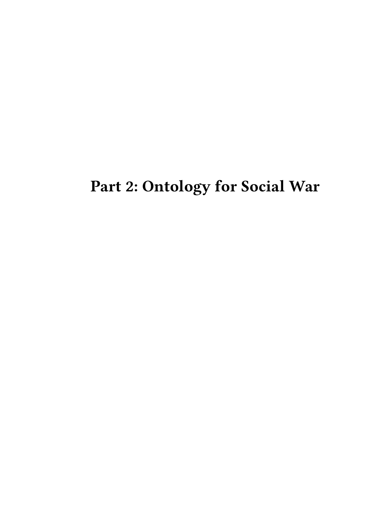# **Part 2: Ontology for Social War**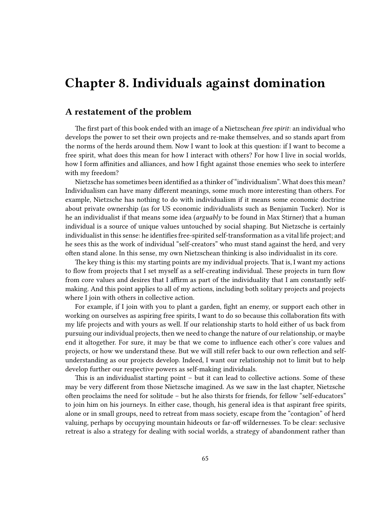# **Chapter 8. Individuals against domination**

#### **A restatement of the problem**

The first part of this book ended with an image of a Nietzschean *free spirit*: an individual who develops the power to set their own projects and re-make themselves, and so stands apart from the norms of the herds around them. Now I want to look at this question: if I want to become a free spirit, what does this mean for how I interact with others? For how I live in social worlds, how I form affinities and alliances, and how I fight against those enemies who seek to interfere with my freedom?

Nietzsche has sometimes been identified as a thinker of "individualism". What does this mean? Individualism can have many different meanings, some much more interesting than others. For example, Nietzsche has nothing to do with individualism if it means some economic doctrine about private ownership (as for US economic individualists such as Benjamin Tucker). Nor is he an individualist if that means some idea (*arguably* to be found in Max Stirner) that a human individual is a source of unique values untouched by social shaping. But Nietzsche is certainly individualist in this sense: he identifies free-spirited self-transformation as a vital life project; and he sees this as the work of individual "self-creators" who must stand against the herd, and very often stand alone. In this sense, my own Nietzschean thinking is also individualist in its core.

The key thing is this: my starting points are my individual projects. That is, I want my actions to flow from projects that I set myself as a self-creating individual. These projects in turn flow from core values and desires that I affirm as part of the individuality that I am constantly selfmaking. And this point applies to all of my actions, including both solitary projects and projects where I join with others in collective action.

For example, if I join with you to plant a garden, fight an enemy, or support each other in working on ourselves as aspiring free spirits, I want to do so because this collaboration fits with my life projects and with yours as well. If our relationship starts to hold either of us back from pursuing our individual projects, then we need to change the nature of our relationship, or maybe end it altogether. For sure, it may be that we come to influence each other's core values and projects, or how we understand these. But we will still refer back to our own reflection and selfunderstanding as our projects develop. Indeed, I want our relationship not to limit but to help develop further our respective powers as self-making individuals.

This is an individualist starting point – but it can lead to collective actions. Some of these may be very different from those Nietzsche imagined. As we saw in the last chapter, Nietzsche often proclaims the need for solitude – but he also thirsts for friends, for fellow "self-educators" to join him on his journeys. In either case, though, his general idea is that aspirant free spirits, alone or in small groups, need to retreat from mass society, escape from the "contagion" of herd valuing, perhaps by occupying mountain hideouts or far-off wildernesses. To be clear: seclusive retreat is also a strategy for dealing with social worlds, a strategy of abandonment rather than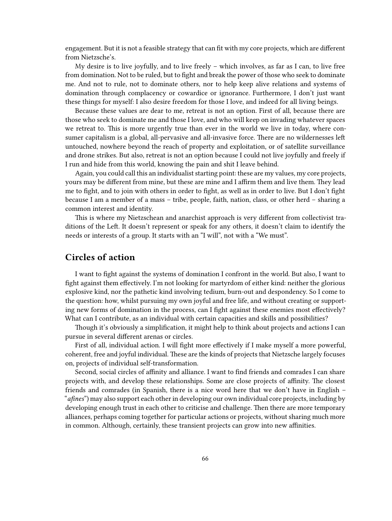engagement. But it is not a feasible strategy that can fit with my core projects, which are different from Nietzsche's.

My desire is to live joyfully, and to live freely – which involves, as far as I can, to live free from domination. Not to be ruled, but to fight and break the power of those who seek to dominate me. And not to rule, not to dominate others, nor to help keep alive relations and systems of domination through complacency or cowardice or ignorance. Furthermore, I don't just want these things for myself: I also desire freedom for those I love, and indeed for all living beings.

Because these values are dear to me, retreat is not an option. First of all, because there are those who seek to dominate me and those I love, and who will keep on invading whatever spaces we retreat to. This is more urgently true than ever in the world we live in today, where consumer capitalism is a global, all-pervasive and all-invasive force. There are no wildernesses left untouched, nowhere beyond the reach of property and exploitation, or of satellite surveillance and drone strikes. But also, retreat is not an option because I could not live joyfully and freely if I run and hide from this world, knowing the pain and shit I leave behind.

Again, you could call this an individualist starting point: these are my values, my core projects, yours may be different from mine, but these are mine and I affirm them and live them. They lead me to fight, and to join with others in order to fight, as well as in order to live. But I don't fight because I am a member of a mass – tribe, people, faith, nation, class, or other herd – sharing a common interest and identity.

This is where my Nietzschean and anarchist approach is very different from collectivist traditions of the Left. It doesn't represent or speak for any others, it doesn't claim to identify the needs or interests of a group. It starts with an "I will", not with a "We must".

### **Circles of action**

I want to fight against the systems of domination I confront in the world. But also, I want to fight against them effectively. I'm not looking for martyrdom of either kind: neither the glorious explosive kind, nor the pathetic kind involving tedium, burn-out and despondency. So I come to the question: how, whilst pursuing my own joyful and free life, and without creating or supporting new forms of domination in the process, can I fight against these enemies most effectively? What can I contribute, as an individual with certain capacities and skills and possibilities?

Though it's obviously a simplification, it might help to think about projects and actions I can pursue in several different arenas or circles.

First of all, individual action. I will fight more effectively if I make myself a more powerful, coherent, free and joyful individual. These are the kinds of projects that Nietzsche largely focuses on, projects of individual self-transformation.

Second, social circles of affinity and alliance. I want to find friends and comrades I can share projects with, and develop these relationships. Some are close projects of affinity. The closest friends and comrades (in Spanish, there is a nice word here that we don't have in English – "*afines*") may also support each other in developing our own individual core projects, including by developing enough trust in each other to criticise and challenge. Then there are more temporary alliances, perhaps coming together for particular actions or projects, without sharing much more in common. Although, certainly, these transient projects can grow into new affinities.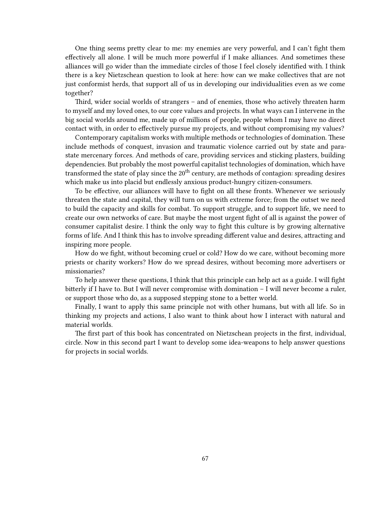One thing seems pretty clear to me: my enemies are very powerful, and I can't fight them effectively all alone. I will be much more powerful if I make alliances. And sometimes these alliances will go wider than the immediate circles of those I feel closely identified with. I think there is a key Nietzschean question to look at here: how can we make collectives that are not just conformist herds, that support all of us in developing our individualities even as we come together?

Third, wider social worlds of strangers – and of enemies, those who actively threaten harm to myself and my loved ones, to our core values and projects. In what ways can I intervene in the big social worlds around me, made up of millions of people, people whom I may have no direct contact with, in order to effectively pursue my projects, and without compromising my values?

Contemporary capitalism works with multiple methods or technologies of domination. These include methods of conquest, invasion and traumatic violence carried out by state and parastate mercenary forces. And methods of care, providing services and sticking plasters, building dependencies. But probably the most powerful capitalist technologies of domination, which have transformed the state of play since the  $20<sup>th</sup>$  century, are methods of contagion: spreading desires which make us into placid but endlessly anxious product-hungry citizen-consumers.

To be effective, our alliances will have to fight on all these fronts. Whenever we seriously threaten the state and capital, they will turn on us with extreme force; from the outset we need to build the capacity and skills for combat. To support struggle, and to support life, we need to create our own networks of care. But maybe the most urgent fight of all is against the power of consumer capitalist desire. I think the only way to fight this culture is by growing alternative forms of life. And I think this has to involve spreading different value and desires, attracting and inspiring more people.

How do we fight, without becoming cruel or cold? How do we care, without becoming more priests or charity workers? How do we spread desires, without becoming more advertisers or missionaries?

To help answer these questions, I think that this principle can help act as a guide. I will fight bitterly if I have to. But I will never compromise with domination – I will never become a ruler, or support those who do, as a supposed stepping stone to a better world.

Finally, I want to apply this same principle not with other humans, but with all life. So in thinking my projects and actions, I also want to think about how I interact with natural and material worlds.

The first part of this book has concentrated on Nietzschean projects in the first, individual, circle. Now in this second part I want to develop some idea-weapons to help answer questions for projects in social worlds.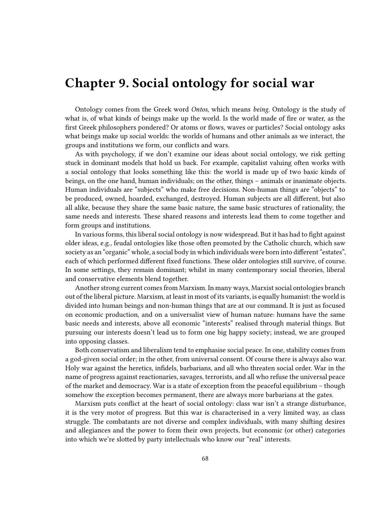## **Chapter 9. Social ontology for social war**

Ontology comes from the Greek word *Ontos*, which means *being*. Ontology is the study of what is, of what kinds of beings make up the world. Is the world made of fire or water, as the first Greek philosophers pondered? Or atoms or flows, waves or particles? Social ontology asks what beings make up social worlds: the worlds of humans and other animals as we interact, the groups and institutions we form, our conflicts and wars.

As with psychology, if we don't examine our ideas about social ontology, we risk getting stuck in dominant models that hold us back. For example, capitalist valuing often works with a social ontology that looks something like this: the world is made up of two basic kinds of beings, on the one hand, human individuals; on the other, things – animals or inanimate objects. Human individuals are "subjects" who make free decisions. Non-human things are "objects" to be produced, owned, hoarded, exchanged, destroyed. Human subjects are all different, but also all alike, because they share the same basic nature, the same basic structures of rationality, the same needs and interests. These shared reasons and interests lead them to come together and form groups and institutions.

In various forms, this liberal social ontology is now widespread. But it has had to fight against older ideas, e.g., feudal ontologies like those often promoted by the Catholic church, which saw society as an "organic" whole, a social body in which individuals were born into different "estates", each of which performed different fixed functions. These older ontologies still survive, of course. In some settings, they remain dominant; whilst in many contemporary social theories, liberal and conservative elements blend together.

Another strong current comes from Marxism. In many ways, Marxist social ontologies branch out of the liberal picture. Marxism, at least in most of its variants, is equally humanist: the world is divided into human beings and non-human things that are at our command. It is just as focused on economic production, and on a universalist view of human nature: humans have the same basic needs and interests, above all economic "interests" realised through material things. But pursuing our interests doesn't lead us to form one big happy society; instead, we are grouped into opposing classes.

Both conservatism and liberalism tend to emphasise social peace. In one, stability comes from a god-given social order; in the other, from universal consent. Of course there is always also war. Holy war against the heretics, infidels, barbarians, and all who threaten social order. War in the name of progress against reactionaries, savages, terrorists, and all who refuse the universal peace of the market and democracy. War is a state of exception from the peaceful equilibrium – though somehow the exception becomes permanent, there are always more barbarians at the gates.

Marxism puts conflict at the heart of social ontology: class war isn't a strange disturbance, it is the very motor of progress. But this war is characterised in a very limited way, as class struggle. The combatants are not diverse and complex individuals, with many shifting desires and allegiances and the power to form their own projects, but economic (or other) categories into which we're slotted by party intellectuals who know our "real" interests.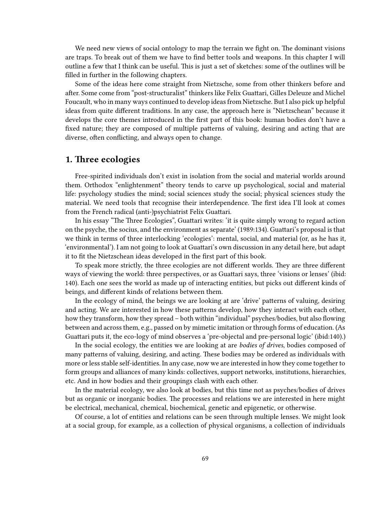We need new views of social ontology to map the terrain we fight on. The dominant visions are traps. To break out of them we have to find better tools and weapons. In this chapter I will outline a few that I think can be useful. This is just a set of sketches: some of the outlines will be filled in further in the following chapters.

Some of the ideas here come straight from Nietzsche, some from other thinkers before and after. Some come from "post-structuralist" thinkers like Felix Guattari, Gilles Deleuze and Michel Foucault, who in many ways continued to develop ideas from Nietzsche. But I also pick up helpful ideas from quite different traditions. In any case, the approach here is "Nietzschean" because it develops the core themes introduced in the first part of this book: human bodies don't have a fixed nature; they are composed of multiple patterns of valuing, desiring and acting that are diverse, often conflicting, and always open to change.

#### **1. Three ecologies**

Free-spirited individuals don't exist in isolation from the social and material worlds around them. Orthodox "enlightenment" theory tends to carve up psychological, social and material life: psychology studies the mind; social sciences study the social; physical sciences study the material. We need tools that recognise their interdependence. The first idea I'll look at comes from the French radical (anti-)psychiatrist Felix Guattari.

In his essay "The Three Ecologies", Guattari writes: 'it is quite simply wrong to regard action on the psyche, the socius, and the environment as separate' (1989:134). Guattari's proposal is that we think in terms of three interlocking 'ecologies': mental, social, and material (or, as he has it, 'environmental'). I am not going to look at Guattari's own discussion in any detail here, but adapt it to fit the Nietzschean ideas developed in the first part of this book.

To speak more strictly, the three ecologies are not different worlds. They are three different ways of viewing the world: three perspectives, or as Guattari says, three 'visions or lenses' (ibid: 140). Each one sees the world as made up of interacting entities, but picks out different kinds of beings, and different kinds of relations between them.

In the ecology of mind, the beings we are looking at are 'drive' patterns of valuing, desiring and acting. We are interested in how these patterns develop, how they interact with each other, how they transform, how they spread – both within "individual" psyches/bodies, but also flowing between and across them, e.g., passed on by mimetic imitation or through forms of education. (As Guattari puts it, the eco-logy of mind observes a 'pre-objectal and pre-personal logic' (ibid:140).)

In the social ecology, the entities we are looking at are *bodies of drives*, bodies composed of many patterns of valuing, desiring, and acting. These bodies may be ordered as individuals with more or less stable self-identities. In any case, now we are interested in how they come together to form groups and alliances of many kinds: collectives, support networks, institutions, hierarchies, etc. And in how bodies and their groupings clash with each other.

In the material ecology, we also look at bodies, but this time not as psyches/bodies of drives but as organic or inorganic bodies. The processes and relations we are interested in here might be electrical, mechanical, chemical, biochemical, genetic and epigenetic, or otherwise.

Of course, a lot of entities and relations can be seen through multiple lenses. We might look at a social group, for example, as a collection of physical organisms, a collection of individuals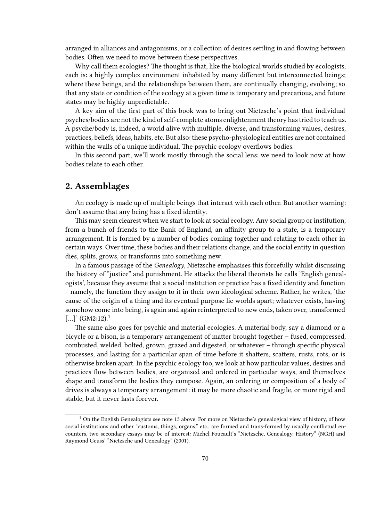arranged in alliances and antagonisms, or a collection of desires settling in and flowing between bodies. Often we need to move between these perspectives.

Why call them ecologies? The thought is that, like the biological worlds studied by ecologists, each is: a highly complex environment inhabited by many different but interconnected beings; where these beings, and the relationships between them, are continually changing, evolving; so that any state or condition of the ecology at a given time is temporary and precarious, and future states may be highly unpredictable.

A key aim of the first part of this book was to bring out Nietzsche's point that individual psyches/bodies are not the kind of self-complete atoms enlightenment theory has tried to teach us. A psyche/body is, indeed, a world alive with multiple, diverse, and transforming values, desires, practices, beliefs, ideas, habits, etc. But also: these psycho-physiological entities are not contained within the walls of a unique individual. The psychic ecology overflows bodies.

In this second part, we'll work mostly through the social lens: we need to look now at how bodies relate to each other.

#### **2. Assemblages**

An ecology is made up of multiple beings that interact with each other. But another warning: don't assume that any being has a fixed identity.

This may seem clearest when we start to look at social ecology. Any social group or institution, from a bunch of friends to the Bank of England, an affinity group to a state, is a temporary arrangement. It is formed by a number of bodies coming together and relating to each other in certain ways. Over time, these bodies and their relations change, and the social entity in question dies, splits, grows, or transforms into something new.

In a famous passage of the *Genealogy*, Nietzsche emphasises this forcefully whilst discussing the history of "justice" and punishment. He attacks the liberal theorists he calls 'English genealogists', because they assume that a social institution or practice has a fixed identity and function – namely, the function they assign to it in their own ideological scheme. Rather, he writes, 'the cause of the origin of a thing and its eventual purpose lie worlds apart; whatever exists, having somehow come into being, is again and again reinterpreted to new ends, taken over, transformed  $[...]'$  (GM2:12).<sup>1</sup>

The same also goes for psychic and material ecologies. A material body, say a diamond or a bicycle or a bison, is a temporary arrangement of matter brought together – fused, compressed, combusted, welded, bolted, grown, grazed and digested, or whatever – through specific physical processes, and lasting for a particular span of time before it shatters, scatters, rusts, rots, or is otherwise broken apart. In the psychic ecology too, we look at how particular values, desires and practices flow between bodies, are organised and ordered in particular ways, and themselves shape and transform the bodies they compose. Again, an ordering or composition of a body of drives is always a temporary arrangement: it may be more chaotic and fragile, or more rigid and stable, but it never lasts forever.

 $1$  On the English Genealogists see note 13 above. For more on Nietzsche's genealogical view of history, of how social institutions and other "customs, things, organs," etc., are formed and trans-formed by usually conflictual encounters, two secondary essays may be of interest: Michel Foucault's "Nietzsche, Genealogy, History" (NGH) and Raymond Geuss' "Nietzsche and Genealogy" (2001).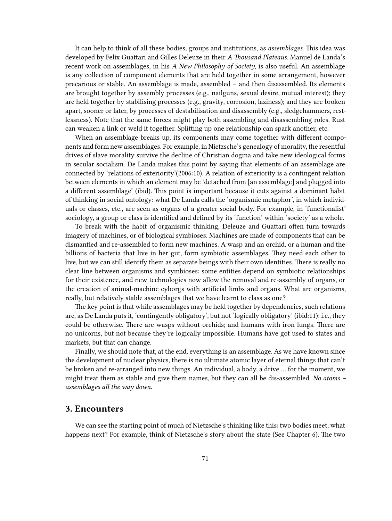It can help to think of all these bodies, groups and institutions, as *assemblages*. This idea was developed by Felix Guattari and Gilles Deleuze in their *A Thousand Plateaus*. Manuel de Landa's recent work on assemblages, in his *A New Philosophy of Society*, is also useful. An assemblage is any collection of component elements that are held together in some arrangement, however precarious or stable. An assemblage is made, assembled – and then disassembled. Its elements are brought together by assembly processes (e.g., nailguns, sexual desire, mutual interest); they are held together by stabilising processes (e.g., gravity, corrosion, laziness); and they are broken apart, sooner or later, by processes of destabilisation and disassembly (e.g., sledgehammers, restlessness). Note that the same forces might play both assembling and disassembling roles. Rust can weaken a link or weld it together. Splitting up one relationship can spark another, etc.

When an assemblage breaks up, its components may come together with different components and form new assemblages. For example, in Nietzsche's genealogy of morality, the resentful drives of slave morality survive the decline of Christian dogma and take new ideological forms in secular socialism. De Landa makes this point by saying that elements of an assemblage are connected by 'relations of exteriority'(2006:10). A relation of exteriority is a contingent relation between elements in which an element may be 'detached from [an assemblage] and plugged into a different assemblage' (ibid). This point is important because it cuts against a dominant habit of thinking in social ontology: what De Landa calls the 'organismic metaphor', in which individuals or classes, etc., are seen as organs of a greater social body. For example, in 'functionalist' sociology, a group or class is identified and defined by its 'function' within 'society' as a whole.

To break with the habit of organismic thinking, Deleuze and Guattari often turn towards imagery of machines, or of biological symbioses. Machines are made of components that can be dismantled and re-assembled to form new machines. A wasp and an orchid, or a human and the billions of bacteria that live in her gut, form symbiotic assemblages. They need each other to live, but we can still identify them as separate beings with their own identities. There is really no clear line between organisms and symbioses: some entities depend on symbiotic relationships for their existence, and new technologies now allow the removal and re-assembly of organs, or the creation of animal-machine cyborgs with artificial limbs and organs. What are organisms, really, but relatively stable assemblages that we have learnt to class as one?

The key point is that while assemblages may be held together by dependencies, such relations are, as De Landa puts it, 'contingently obligatory', but not 'logically obligatory' (ibid:11): i.e., they could be otherwise. There are wasps without orchids; and humans with iron lungs. There are no unicorns, but not because they're logically impossible. Humans have got used to states and markets, but that can change.

Finally, we should note that, at the end, everything is an assemblage. As we have known since the development of nuclear physics, there is no ultimate atomic layer of eternal things that can't be broken and re-arranged into new things. An individual, a body, a drive … for the moment, we might treat them as stable and give them names, but they can all be dis-assembled. *No atoms – assemblages all the way down.*

#### **3. Encounters**

We can see the starting point of much of Nietzsche's thinking like this: two bodies meet; what happens next? For example, think of Nietzsche's story about the state (See Chapter 6). The two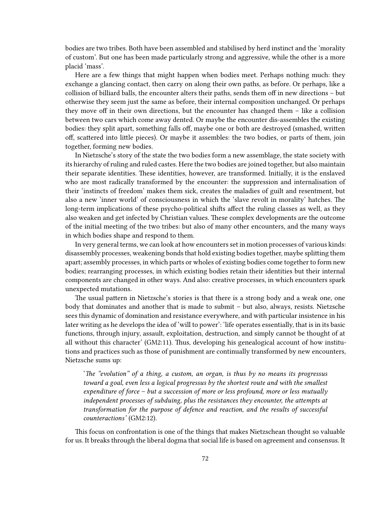bodies are two tribes. Both have been assembled and stabilised by herd instinct and the 'morality of custom'. But one has been made particularly strong and aggressive, while the other is a more placid 'mass'.

Here are a few things that might happen when bodies meet. Perhaps nothing much: they exchange a glancing contact, then carry on along their own paths, as before. Or perhaps, like a collision of billiard balls, the encounter alters their paths, sends them off in new directions – but otherwise they seem just the same as before, their internal composition unchanged. Or perhaps they move off in their own directions, but the encounter has changed them – like a collision between two cars which come away dented. Or maybe the encounter dis-assembles the existing bodies: they split apart, something falls off, maybe one or both are destroyed (smashed, written off, scattered into little pieces). Or maybe it assembles: the two bodies, or parts of them, join together, forming new bodies.

In Nietzsche's story of the state the two bodies form a new assemblage, the state society with its hierarchy of ruling and ruled castes. Here the two bodies are joined together, but also maintain their separate identities. These identities, however, are transformed. Initially, it is the enslaved who are most radically transformed by the encounter: the suppression and internalisation of their 'instincts of freedom' makes them sick, creates the maladies of guilt and resentment, but also a new 'inner world' of consciousness in which the 'slave revolt in morality' hatches. The long-term implications of these psycho-political shifts affect the ruling classes as well, as they also weaken and get infected by Christian values. These complex developments are the outcome of the initial meeting of the two tribes: but also of many other encounters, and the many ways in which bodies shape and respond to them.

In very general terms, we can look at how encounters set in motion processes of various kinds: disassembly processes, weakening bonds that hold existing bodies together, maybe splitting them apart; assembly processes, in which parts or wholes of existing bodies come together to form new bodies; rearranging processes, in which existing bodies retain their identities but their internal components are changed in other ways. And also: creative processes, in which encounters spark unexpected mutations.

The usual pattern in Nietzsche's stories is that there is a strong body and a weak one, one body that dominates and another that is made to submit – but also, always, resists. Nietzsche sees this dynamic of domination and resistance everywhere, and with particular insistence in his later writing as he develops the idea of 'will to power': 'life operates essentially, that is in its basic functions, through injury, assault, exploitation, destruction, and simply cannot be thought of at all without this character' (GM2:11). Thus, developing his genealogical account of how institutions and practices such as those of punishment are continually transformed by new encounters, Nietzsche sums up:

'*The "evolution" of a thing, a custom, an organ, is thus by no means its progressus toward a goal, even less a logical progressus by the shortest route and with the smallest expenditure of force – but a succession of more or less profound, more or less mutually independent processes of subduing, plus the resistances they encounter, the attempts at transformation for the purpose of defence and reaction, and the results of successful counteractions'* (GM2:12).

This focus on confrontation is one of the things that makes Nietzschean thought so valuable for us. It breaks through the liberal dogma that social life is based on agreement and consensus. It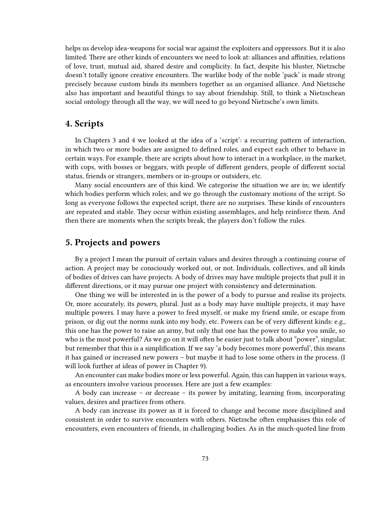helps us develop idea-weapons for social war against the exploiters and oppressors. But it is also limited. There are other kinds of encounters we need to look at: alliances and affinities, relations of love, trust, mutual aid, shared desire and complicity. In fact, despite his bluster, Nietzsche doesn't totally ignore creative encounters. The warlike body of the noble 'pack' is made strong precisely because custom binds its members together as an organised alliance. And Nietzsche also has important and beautiful things to say about friendship. Still, to think a Nietzschean social ontology through all the way, we will need to go beyond Nietzsche's own limits.

#### **4. Scripts**

In Chapters 3 and 4 we looked at the idea of a 'script': a recurring pattern of interaction, in which two or more bodies are assigned to defined roles, and expect each other to behave in certain ways. For example, there are scripts about how to interact in a workplace, in the market, with cops, with bosses or beggars, with people of different genders, people of different social status, friends or strangers, members or in-groups or outsiders, etc.

Many social encounters are of this kind. We categorise the situation we are in; we identify which bodies perform which roles; and we go through the customary motions of the script. So long as everyone follows the expected script, there are no surprises. These kinds of encounters are repeated and stable. They occur within existing assemblages, and help reinforce them. And then there are moments when the scripts break, the players don't follow the rules.

#### **5. Projects and powers**

By a project I mean the pursuit of certain values and desires through a continuing course of action. A project may be consciously worked out, or not. Individuals, collectives, and all kinds of bodies of drives can have projects. A body of drives may have multiple projects that pull it in different directions, or it may pursue one project with consistency and determination.

One thing we will be interested in is the power of a body to pursue and realise its projects. Or, more accurately, its *powers*, plural. Just as a body may have multiple projects, it may have multiple powers. I may have a power to feed myself, or make my friend smile, or escape from prison, or dig out the norms sunk into my body, etc. Powers can be of very different kinds: e.g., this one has the power to raise an army, but only that one has the power to make you smile, so who is the most powerful? As we go on it will often be easier just to talk about "power", singular, but remember that this is a simplification. If we say 'a body becomes more powerful', this means it has gained or increased new powers – but maybe it had to lose some others in the process. (I will look further at ideas of power in Chapter 9).

An encounter can make bodies more or less powerful. Again, this can happen in various ways, as encounters involve various processes. Here are just a few examples:

A body can increase – or decrease – its power by imitating, learning from, incorporating values, desires and practices from others.

A body can increase its power as it is forced to change and become more disciplined and consistent in order to survive encounters with others. Nietzsche often emphasises this role of encounters, even encounters of friends, in challenging bodies. As in the much-quoted line from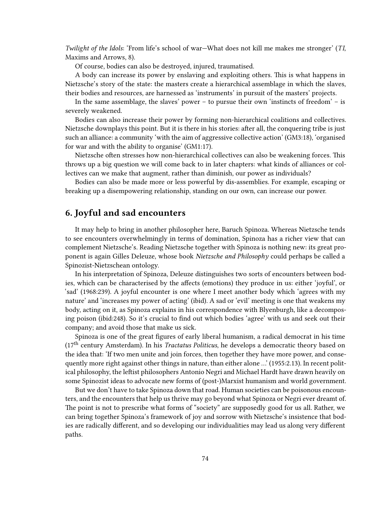*Twilight of the Idols*: 'From life's school of war—What does not kill me makes me stronger' (*TI*, Maxims and Arrows, 8).

Of course, bodies can also be destroyed, injured, traumatised.

A body can increase its power by enslaving and exploiting others. This is what happens in Nietzsche's story of the state: the masters create a hierarchical assemblage in which the slaves, their bodies and resources, are harnessed as 'instruments' in pursuit of the masters' projects.

In the same assemblage, the slaves' power – to pursue their own 'instincts of freedom' – is severely weakened.

Bodies can also increase their power by forming non-hierarchical coalitions and collectives. Nietzsche downplays this point. But it is there in his stories: after all, the conquering tribe is just such an alliance: a community 'with the aim of aggressive collective action' (GM3:18), 'organised for war and with the ability to organise' (GM1:17).

Nietzsche often stresses how non-hierarchical collectives can also be weakening forces. This throws up a big question we will come back to in later chapters: what kinds of alliances or collectives can we make that augment, rather than diminish, our power as individuals?

Bodies can also be made more or less powerful by dis-assemblies. For example, escaping or breaking up a disempowering relationship, standing on our own, can increase our power.

#### **6. Joyful and sad encounters**

It may help to bring in another philosopher here, Baruch Spinoza. Whereas Nietzsche tends to see encounters overwhelmingly in terms of domination, Spinoza has a richer view that can complement Nietzsche's. Reading Nietzsche together with Spinoza is nothing new: its great proponent is again Gilles Deleuze, whose book *Nietzsche and Philosophy* could perhaps be called a Spinozist-Nietzschean ontology.

In his interpretation of Spinoza, Deleuze distinguishes two sorts of encounters between bodies, which can be characterised by the affects (emotions) they produce in us: either 'joyful', or 'sad' (1968:239). A joyful encounter is one where I meet another body which 'agrees with my nature' and 'increases my power of acting' (ibid). A sad or 'evil' meeting is one that weakens my body, acting on it, as Spinoza explains in his correspondence with Blyenburgh, like a decomposing poison (ibid:248). So it's crucial to find out which bodies 'agree' with us and seek out their company; and avoid those that make us sick.

Spinoza is one of the great figures of early liberal humanism, a radical democrat in his time (17th century Amsterdam). In his *Tractatus Politicus*, he develops a democratic theory based on the idea that: 'If two men unite and join forces, then together they have more power, and consequently more right against other things in nature, than either alone …' (1955:2.13). In recent political philosophy, the leftist philosophers Antonio Negri and Michael Hardt have drawn heavily on some Spinozist ideas to advocate new forms of (post-)Marxist humanism and world government.

But we don't have to take Spinoza down that road. Human societies can be poisonous encounters, and the encounters that help us thrive may go beyond what Spinoza or Negri ever dreamt of. The point is not to prescribe what forms of "society" are supposedly good for us all. Rather, we can bring together Spinoza's framework of joy and sorrow with Nietzsche's insistence that bodies are radically different, and so developing our individualities may lead us along very different paths.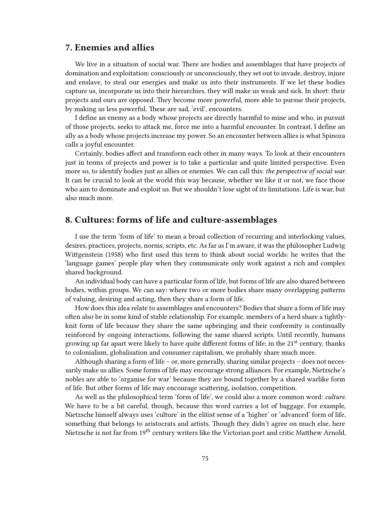## **7. Enemies and allies**

We live in a situation of social war. There are bodies and assemblages that have projects of domination and exploitation: consciously or unconsciously, they set out to invade, destroy, injure and enslave, to steal our energies and make us into their instruments. If we let these bodies capture us, incorporate us into their hierarchies, they will make us weak and sick. In short: their projects and ours are opposed. They become more powerful, more able to pursue their projects, by making us less powerful. These are sad, 'evil', encounters.

I define an enemy as a body whose projects are directly harmful to mine and who, in pursuit of those projects, seeks to attack me, force me into a harmful encounter. In contrast, I define an ally as a body whose projects increase my power. So an encounter between allies is what Spinoza calls a joyful encounter.

Certainly, bodies affect and transform each other in many ways. To look at their encounters just in terms of projects and power is to take a particular and quite limited perspective. Even more so, to identify bodies just as allies or enemies. We can call this: *the perspective of social war*. It can be crucial to look at the world this way because, whether we like it or not, we face those who aim to dominate and exploit us. But we shouldn't lose sight of its limitations. Life is war, but also much more.

## **8. Cultures: forms of life and culture-assemblages**

I use the term 'form of life' to mean a broad collection of recurring and interlocking values, desires, practices, projects, norms, scripts, etc. As far as I'm aware, it was the philosopher Ludwig Wittgenstein (1958) who first used this term to think about social worlds: he writes that the 'language games' people play when they communicate only work against a rich and complex shared background.

An individual body can have a particular form of life, but forms of life are also shared between bodies, within groups. We can say: where two or more bodies share many overlapping patterns of valuing, desiring and acting, then they share a form of life.

How does this idea relate to assemblages and encounters? Bodies that share a form of life may often also be in some kind of stable relationship. For example, members of a herd share a tightlyknit form of life because they share the same upbringing and their conformity is continually reinforced by ongoing interactions, following the same shared scripts. Until recently, humans growing up far apart were likely to have quite different forms of life; in the  $21<sup>st</sup>$  century, thanks to colonialism, globalisation and consumer capitalism, we probably share much more.

Although sharing a form of life – or, more generally, sharing similar projects – does not necessarily make us allies. Some forms of life may encourage strong alliances. For example, Nietzsche's nobles are able to 'organise for war' because they are bound together by a shared warlike form of life. But other forms of life may encourage scattering, isolation, competition.

As well as the philosophical term 'form of life', we could also a more common word: *culture*. We have to be a bit careful, though, because this word carries a lot of baggage. For example, Nietzsche himself always uses 'culture' in the elitist sense of a 'higher' or 'advanced' form of life, something that belongs to aristocrats and artists. Though they didn't agree on much else, here Nietzsche is not far from 19<sup>th</sup> century writers like the Victorian poet and critic Matthew Arnold,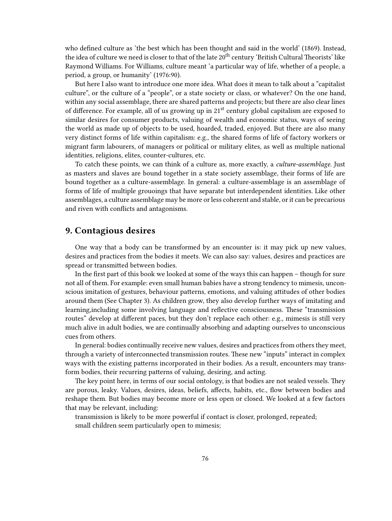who defined culture as 'the best which has been thought and said in the world' (1869). Instead, the idea of culture we need is closer to that of the late 20<sup>th</sup> century 'British Cultural Theorists' like Raymond Williams. For Williams, culture meant 'a particular way of life, whether of a people, a period, a group, or humanity' (1976:90).

But here I also want to introduce one more idea. What does it mean to talk about a "capitalist culture", or the culture of a "people", or a state society or class, or whatever? On the one hand, within any social assemblage, there are shared patterns and projects; but there are also clear lines of difference. For example, all of us growing up in  $21<sup>st</sup>$  century global capitalism are exposed to similar desires for consumer products, valuing of wealth and economic status, ways of seeing the world as made up of objects to be used, hoarded, traded, enjoyed. But there are also many very distinct forms of life within capitalism: e.g., the shared forms of life of factory workers or migrant farm labourers, of managers or political or military elites, as well as multiple national identities, religions, elites, counter-cultures, etc.

To catch these points, we can think of a culture as, more exactly, a *culture-assemblage*. Just as masters and slaves are bound together in a state society assemblage, their forms of life are bound together as a culture-assemblage. In general: a culture-assemblage is an assemblage of forms of life of multiple grouoings that have separate but interdependent identities. Like other assemblages, a culture assemblage may be more or less coherent and stable, or it can be precarious and riven with conflicts and antagonisms.

## **9. Contagious desires**

One way that a body can be transformed by an encounter is: it may pick up new values, desires and practices from the bodies it meets. We can also say: values, desires and practices are spread or transmitted between bodies.

In the first part of this book we looked at some of the ways this can happen – though for sure not all of them. For example: even small human babies have a strong tendency to mimesis, unconscious imitation of gestures, behaviour patterns, emotions, and valuing attitudes of other bodies around them (See Chapter 3). As children grow, they also develop further ways of imitating and learning,including some involving language and reflective consciousness. These "transmission routes" develop at different paces, but they don't replace each other: e.g., mimesis is still very much alive in adult bodies, we are continually absorbing and adapting ourselves to unconscious cues from others.

In general: bodies continually receive new values, desires and practices from others they meet, through a variety of interconnected transmission routes. These new "inputs" interact in complex ways with the existing patterns incorporated in their bodies. As a result, encounters may transform bodies, their recurring patterns of valuing, desiring, and acting.

The key point here, in terms of our social ontology, is that bodies are not sealed vessels. They are porous, leaky. Values, desires, ideas, beliefs, affects, habits, etc., flow between bodies and reshape them. But bodies may become more or less open or closed. We looked at a few factors that may be relevant, including:

transmission is likely to be more powerful if contact is closer, prolonged, repeated; small children seem particularly open to mimesis;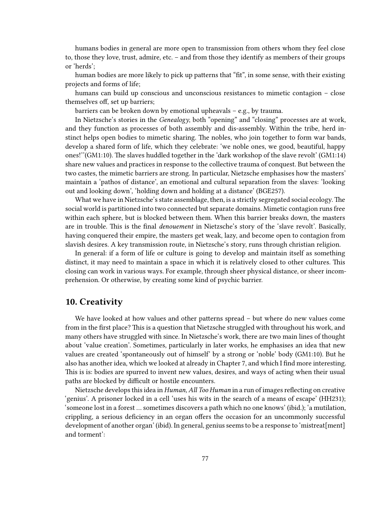humans bodies in general are more open to transmission from others whom they feel close to, those they love, trust, admire, etc. – and from those they identify as members of their groups or 'herds';

human bodies are more likely to pick up patterns that "fit", in some sense, with their existing projects and forms of life;

humans can build up conscious and unconscious resistances to mimetic contagion – close themselves off, set up barriers;

barriers can be broken down by emotional upheavals – e.g., by trauma.

In Nietzsche's stories in the *Genealogy*, both "opening" and "closing" processes are at work, and they function as processes of both assembly and dis-assembly. Within the tribe, herd instinct helps open bodies to mimetic sharing. The nobles, who join together to form war bands, develop a shared form of life, which they celebrate: 'we noble ones, we good, beautiful, happy ones!''(GM1:10). The slaves huddled together in the 'dark workshop of the slave revolt' (GM1:14) share new values and practices in response to the collective trauma of conquest. But between the two castes, the mimetic barriers are strong. In particular, Nietzsche emphasises how the masters' maintain a 'pathos of distance', an emotional and cultural separation from the slaves: 'looking out and looking down', 'holding down and holding at a distance' (BGE257).

What we have in Nietzsche's state assemblage, then, is a strictly segregated social ecology. The social world is partitioned into two connected but separate domains. Mimetic contagion runs free within each sphere, but is blocked between them. When this barrier breaks down, the masters are in trouble. This is the final *denouement* in Nietzsche's story of the 'slave revolt'. Basically, having conquered their empire, the masters get weak, lazy, and become open to contagion from slavish desires. A key transmission route, in Nietzsche's story, runs through christian religion.

In general: if a form of life or culture is going to develop and maintain itself as something distinct, it may need to maintain a space in which it is relatively closed to other cultures. This closing can work in various ways. For example, through sheer physical distance, or sheer incomprehension. Or otherwise, by creating some kind of psychic barrier.

#### **10. Creativity**

We have looked at how values and other patterns spread – but where do new values come from in the first place? This is a question that Nietzsche struggled with throughout his work, and many others have struggled with since. In Nietzsche's work, there are two main lines of thought about 'value creation'. Sometimes, particularly in later works, he emphasises an idea that new values are created 'spontaneously out of himself' by a strong or 'noble' body (GM1:10). But he also has another idea, which we looked at already in Chapter 7, and which I find more interesting. This is is: bodies are spurred to invent new values, desires, and ways of acting when their usual paths are blocked by difficult or hostile encounters.

Nietzsche develops this idea in *Human, All Too Human* in a run of images reflecting on creative 'genius'. A prisoner locked in a cell 'uses his wits in the search of a means of escape' (HH231); 'someone lost in a forest … sometimes discovers a path which no one knows' (ibid.); 'a mutilation, crippling, a serious deficiency in an organ offers the occasion for an uncommonly successful development of another organ' (ibid). In general, genius seems to be a response to 'mistreat[ment] and torment':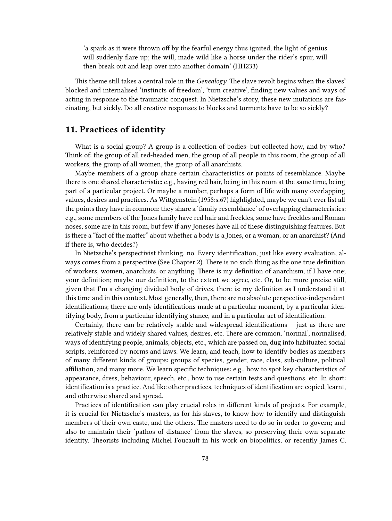'a spark as it were thrown off by the fearful energy thus ignited, the light of genius will suddenly flare up; the will, made wild like a horse under the rider's spur, will then break out and leap over into another domain' (HH233)

This theme still takes a central role in the *Genealogy*. The slave revolt begins when the slaves' blocked and internalised 'instincts of freedom', 'turn creative', finding new values and ways of acting in response to the traumatic conquest. In Nietzsche's story, these new mutations are fascinating, but sickly. Do all creative responses to blocks and torments have to be so sickly?

## **11. Practices of identity**

What is a social group? A group is a collection of bodies: but collected how, and by who? Think of: the group of all red-headed men, the group of all people in this room, the group of all workers, the group of all women, the group of all anarchists.

Maybe members of a group share certain characteristics or points of resemblance. Maybe there is one shared characteristic: e.g., having red hair, being in this room at the same time, being part of a particular project. Or maybe a number, perhaps a form of life with many overlapping values, desires and practices. As Wittgenstein (1958:s.67) highlighted, maybe we can't ever list all the points they have in common: they share a 'family resemblance' of overlapping characteristics: e.g., some members of the Jones family have red hair and freckles, some have freckles and Roman noses, some are in this room, but few if any Joneses have all of these distinguishing features. But is there a "fact of the matter" about whether a body is a Jones, or a woman, or an anarchist? (And if there is, who decides?)

In Nietzsche's perspectivist thinking, no. Every identification, just like every evaluation, always comes from a perspective (See Chapter 2). There is no such thing as the one true definition of workers, women, anarchists, or anything. There is my definition of anarchism, if I have one; your definition; maybe our definition, to the extent we agree, etc. Or, to be more precise still, given that I'm a changing dividual body of drives, there is: my definition as I understand it at this time and in this context. Most generally, then, there are no absolute perspective-independent identifications; there are only identifications made at a particular moment, by a particular identifying body, from a particular identifying stance, and in a particular act of identification.

Certainly, there can be relatively stable and widespread identifications – just as there are relatively stable and widely shared values, desires, etc. There are common, 'normal', normalised, ways of identifying people, animals, objects, etc., which are passed on, dug into habituated social scripts, reinforced by norms and laws. We learn, and teach, how to identify bodies as members of many different kinds of groups: groups of species, gender, race, class, sub-culture, political affiliation, and many more. We learn specific techniques: e.g., how to spot key characteristics of appearance, dress, behaviour, speech, etc., how to use certain tests and questions, etc. In short: identification is a practice. And like other practices, techniques of identification are copied, learnt, and otherwise shared and spread.

Practices of identification can play crucial roles in different kinds of projects. For example, it is crucial for Nietzsche's masters, as for his slaves, to know how to identify and distinguish members of their own caste, and the others. The masters need to do so in order to govern; and also to maintain their 'pathos of distance' from the slaves, so preserving their own separate identity. Theorists including Michel Foucault in his work on biopolitics, or recently James C.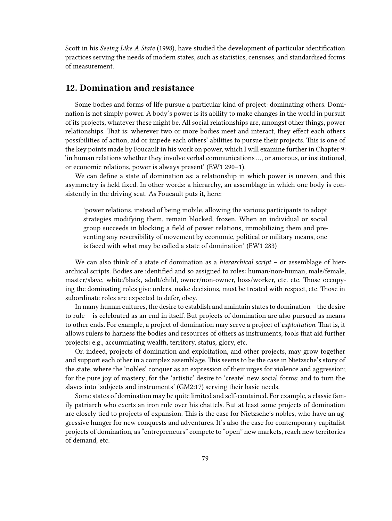Scott in his *Seeing Like A State* (1998), have studied the development of particular identification practices serving the needs of modern states, such as statistics, censuses, and standardised forms of measurement.

#### **12. Domination and resistance**

Some bodies and forms of life pursue a particular kind of project: dominating others. Domination is not simply power. A body's power is its ability to make changes in the world in pursuit of its projects, whatever these might be. All social relationships are, amongst other things, power relationships. That is: wherever two or more bodies meet and interact, they effect each others possibilities of action, aid or impede each others' abilities to pursue their projects. This is one of the key points made by Foucault in his work on power, which I will examine further in Chapter 9: 'in human relations whether they involve verbal communications …, or amorous, or institutional, or economic relations, power is always present' (EW1 290–1).

We can define a state of domination as: a relationship in which power is uneven, and this asymmetry is held fixed. In other words: a hierarchy, an assemblage in which one body is consistently in the driving seat. As Foucault puts it, here:

'power relations, instead of being mobile, allowing the various participants to adopt strategies modifying them, remain blocked, frozen. When an individual or social group succeeds in blocking a field of power relations, immobilizing them and preventing any reversibility of movement by economic, political or military means, one is faced with what may be called a state of domination' (EW1 283)

We can also think of a state of domination as a *hierarchical script* – or assemblage of hierarchical scripts. Bodies are identified and so assigned to roles: human/non-human, male/female, master/slave, white/black, adult/child, owner/non-owner, boss/worker, etc. etc. Those occupying the dominating roles give orders, make decisions, must be treated with respect, etc. Those in subordinate roles are expected to defer, obey.

In many human cultures, the desire to establish and maintain states to domination – the desire to rule – is celebrated as an end in itself. But projects of domination are also pursued as means to other ends. For example, a project of domination may serve a project of *exploitation*. That is, it allows rulers to harness the bodies and resources of others as instruments, tools that aid further projects: e.g., accumulating wealth, territory, status, glory, etc.

Or, indeed, projects of domination and exploitation, and other projects, may grow together and support each other in a complex assemblage. This seems to be the case in Nietzsche's story of the state, where the 'nobles' conquer as an expression of their urges for violence and aggression; for the pure joy of mastery; for the 'artistic' desire to 'create' new social forms; and to turn the slaves into 'subjects and instruments' (GM2:17) serving their basic needs.

Some states of domination may be quite limited and self-contained. For example, a classic family patriarch who exerts an iron rule over his chattels. But at least some projects of domination are closely tied to projects of expansion. This is the case for Nietzsche's nobles, who have an aggressive hunger for new conquests and adventures. It's also the case for contemporary capitalist projects of domination, as "entrepreneurs" compete to "open" new markets, reach new territories of demand, etc.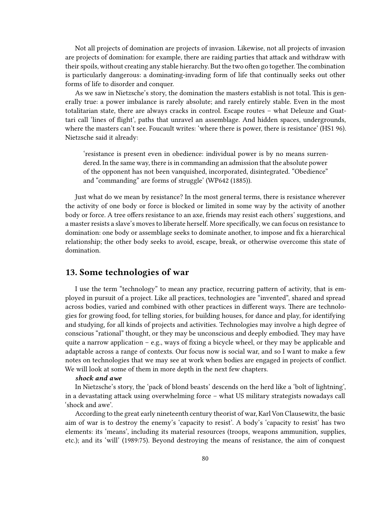Not all projects of domination are projects of invasion. Likewise, not all projects of invasion are projects of domination: for example, there are raiding parties that attack and withdraw with their spoils, without creating any stable hierarchy. But the two often go together.The combination is particularly dangerous: a dominating-invading form of life that continually seeks out other forms of life to disorder and conquer.

As we saw in Nietzsche's story, the domination the masters establish is not total. This is generally true: a power imbalance is rarely absolute; and rarely entirely stable. Even in the most totalitarian state, there are always cracks in control. Escape routes – what Deleuze and Guattari call 'lines of flight', paths that unravel an assemblage. And hidden spaces, undergrounds, where the masters can't see. Foucault writes: 'where there is power, there is resistance' (HS1 96). Nietzsche said it already:

'resistance is present even in obedience: individual power is by no means surrendered. In the same way, there is in commanding an admission that the absolute power of the opponent has not been vanquished, incorporated, disintegrated. "Obedience" and "commanding" are forms of struggle' (WP642 (1885)).

Just what do we mean by resistance? In the most general terms, there is resistance wherever the activity of one body or force is blocked or limited in some way by the activity of another body or force. A tree offers resistance to an axe, friends may resist each others' suggestions, and a master resists a slave's moves to liberate herself. More specifically, we can focus on resistance to domination: one body or assemblage seeks to dominate another, to impose and fix a hierarchical relationship; the other body seeks to avoid, escape, break, or otherwise overcome this state of domination.

## **13. Some technologies of war**

I use the term "technology" to mean any practice, recurring pattern of activity, that is employed in pursuit of a project. Like all practices, technologies are "invented", shared and spread across bodies, varied and combined with other practices in different ways. There are technologies for growing food, for telling stories, for building houses, for dance and play, for identifying and studying, for all kinds of projects and activities. Technologies may involve a high degree of conscious "rational" thought, or they may be unconscious and deeply embodied. They may have quite a narrow application – e.g., ways of fixing a bicycle wheel, or they may be applicable and adaptable across a range of contexts. Our focus now is social war, and so I want to make a few notes on technologies that we may see at work when bodies are engaged in projects of conflict. We will look at some of them in more depth in the next few chapters.

#### *shock and awe*

In Nietzsche's story, the 'pack of blond beasts' descends on the herd like a 'bolt of lightning', in a devastating attack using overwhelming force – what US military strategists nowadays call 'shock and awe'.

According to the great early nineteenth century theorist of war, Karl Von Clausewitz, the basic aim of war is to destroy the enemy's 'capacity to resist'. A body's 'capacity to resist' has two elements: its 'means', including its material resources (troops, weapons ammunition, supplies, etc.); and its 'will' (1989:75). Beyond destroying the means of resistance, the aim of conquest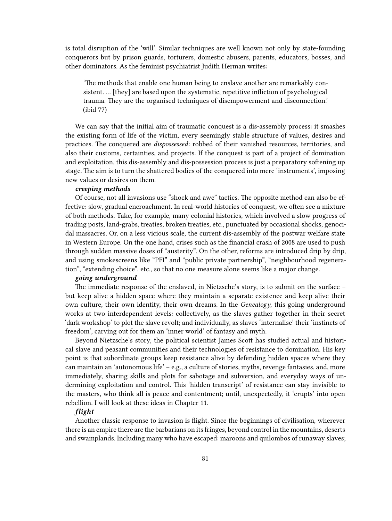is total disruption of the 'will'. Similar techniques are well known not only by state-founding conquerors but by prison guards, torturers, domestic abusers, parents, educators, bosses, and other dominators. As the feminist psychiatrist Judith Herman writes:

'The methods that enable one human being to enslave another are remarkably consistent. … [they] are based upon the systematic, repetitive infliction of psychological trauma. They are the organised techniques of disempowerment and disconnection.' (ibid 77)

We can say that the initial aim of traumatic conquest is a dis-assembly process: it smashes the existing form of life of the victim, every seemingly stable structure of values, desires and practices. The conquered are *dispossessed*: robbed of their vanished resources, territories, and also their customs, certainties, and projects. If the conquest is part of a project of domination and exploitation, this dis-assembly and dis-possession process is just a preparatory softening up stage. The aim is to turn the shattered bodies of the conquered into mere 'instruments', imposing new values or desires on them.

#### *creeping methods*

Of course, not all invasions use "shock and awe" tactics. The opposite method can also be effective: slow, gradual encroachment. In real-world histories of conquest, we often see a mixture of both methods. Take, for example, many colonial histories, which involved a slow progress of trading posts, land-grabs, treaties, broken treaties, etc., punctuated by occasional shocks, genocidal massacres. Or, on a less vicious scale, the current dis-assembly of the postwar welfare state in Western Europe. On the one hand, crises such as the financial crash of 2008 are used to push through sudden massive doses of "austerity". On the other, reforms are introduced drip by drip, and using smokescreens like "PFI" and "public private partnership", "neighbourhood regeneration", "extending choice", etc., so that no one measure alone seems like a major change.

#### *going underground*

The immediate response of the enslaved, in Nietzsche's story, is to submit on the surface – but keep alive a hidden space where they maintain a separate existence and keep alive their own culture, their own identity, their own dreams. In the *Genealogy*, this going underground works at two interdependent levels: collectively, as the slaves gather together in their secret 'dark workshop' to plot the slave revolt; and individually, as slaves 'internalise' their 'instincts of freedom', carving out for them an 'inner world' of fantasy and myth.

Beyond Nietzsche's story, the political scientist James Scott has studied actual and historical slave and peasant communities and their technologies of resistance to domination. His key point is that subordinate groups keep resistance alive by defending hidden spaces where they can maintain an 'autonomous life' – e.g., a culture of stories, myths, revenge fantasies, and, more immediately, sharing skills and plots for sabotage and subversion, and everyday ways of undermining exploitation and control. This 'hidden transcript' of resistance can stay invisible to the masters, who think all is peace and contentment; until, unexpectedly, it 'erupts' into open rebellion. I will look at these ideas in Chapter 11.

#### *flight*

Another classic response to invasion is flight. Since the beginnings of civilisation, wherever there is an empire there are the barbarians on its fringes, beyond control in the mountains, deserts and swamplands. Including many who have escaped: maroons and quilombos of runaway slaves;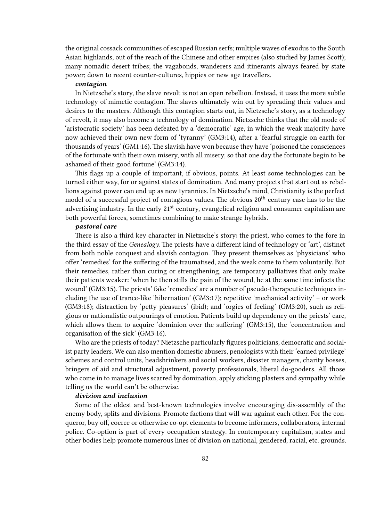the original cossack communities of escaped Russian serfs; multiple waves of exodus to the South Asian highlands, out of the reach of the Chinese and other empires (also studied by James Scott); many nomadic desert tribes; the vagabonds, wanderers and itinerants always feared by state power; down to recent counter-cultures, hippies or new age travellers.

#### *contagion*

In Nietzsche's story, the slave revolt is not an open rebellion. Instead, it uses the more subtle technology of mimetic contagion. The slaves ultimately win out by spreading their values and desires to the masters. Although this contagion starts out, in Nietzsche's story, as a technology of revolt, it may also become a technology of domination. Nietzsche thinks that the old mode of 'aristocratic society' has been defeated by a 'democratic' age, in which the weak majority have now achieved their own new form of 'tyranny' (GM3:14), after a 'fearful struggle on earth for thousands of years' (GM1:16). The slavish have won because they have 'poisoned the consciences of the fortunate with their own misery, with all misery, so that one day the fortunate begin to be ashamed of their good fortune' (GM3:14).

This flags up a couple of important, if obvious, points. At least some technologies can be turned either way, for or against states of domination. And many projects that start out as rebellions against power can end up as new tyrannies. In Nietzsche's mind, Christianity is the perfect model of a successful project of contagious values. The obvious 20<sup>th</sup> century case has to be the advertising industry. In the early  $21<sup>st</sup>$  century, evangelical religion and consumer capitalism are both powerful forces, sometimes combining to make strange hybrids.

#### *pastoral care*

There is also a third key character in Nietzsche's story: the priest, who comes to the fore in the third essay of the *Genealogy.* The priests have a different kind of technology or 'art', distinct from both noble conquest and slavish contagion. They present themselves as 'physicians' who offer 'remedies' for the suffering of the traumatised, and the weak come to them voluntarily. But their remedies, rather than curing or strengthening, are temporary palliatives that only make their patients weaker: 'when he then stills the pain of the wound, he at the same time infects the wound' (GM3:15). The priests' fake 'remedies' are a number of pseudo-therapeutic techniques including the use of trance-like 'hibernation' (GM3:17); repetitive 'mechanical activity' – or work (GM3:18); distraction by 'petty pleasures' (ibid); and 'orgies of feeling' (GM3:20), such as religious or nationalistic outpourings of emotion. Patients build up dependency on the priests' care, which allows them to acquire 'dominion over the suffering' (GM3:15), the 'concentration and organisation of the sick' (GM3:16).

Who are the priests of today? Nietzsche particularly figures politicians, democratic and socialist party leaders. We can also mention domestic abusers, penologists with their 'earned privilege' schemes and control units, headshrinkers and social workers, disaster managers, charity bosses, bringers of aid and structural adjustment, poverty professionals, liberal do-gooders. All those who come in to manage lives scarred by domination, apply sticking plasters and sympathy while telling us the world can't be otherwise.

#### *division and inclusion*

Some of the oldest and best-known technologies involve encouraging dis-assembly of the enemy body, splits and divisions. Promote factions that will war against each other. For the conqueror, buy off, coerce or otherwise co-opt elements to become informers, collaborators, internal police. Co-option is part of every occupation strategy. In contemporary capitalism, states and other bodies help promote numerous lines of division on national, gendered, racial, etc. grounds.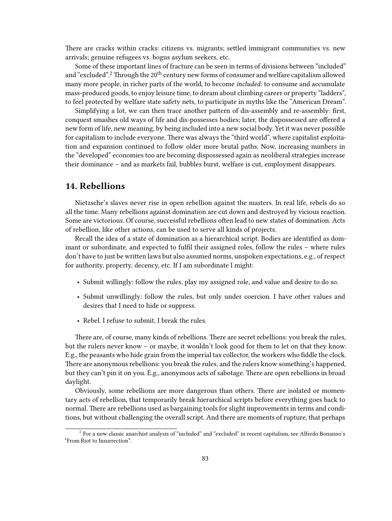There are cracks within cracks: citizens vs. migrants; settled immigrant communities vs. new arrivals; genuine refugees vs. bogus asylum seekers, etc.

Some of these important lines of fracture can be seen in terms of divisions between "included" and "excluded".<sup>2</sup> Through the 20<sup>th</sup> century new forms of consumer and welfare capitalism allowed many more people, in richer parts of the world, to become *included*: to consume and accumulate mass-produced goods, to enjoy leisure time, to dream about climbing career or property "ladders", to feel protected by welfare state safety nets, to participate in myths like the "American Dream".

Simplifying a lot, we can then trace another pattern of dis-assembly and re-assembly: first, conquest smashes old ways of life and dis-possesses bodies; later, the dispossessed are offered a new form of life, new meaning, by being included into a new social body. Yet it was never possible for capitalism to include everyone. There was always the "third world", where capitalist exploitation and expansion continued to follow older more brutal paths. Now, increasing numbers in the "developed" economies too are becoming dispossessed again as neoliberal strategies increase their dominance – and as markets fail, bubbles burst, welfare is cut, employment disappears.

### **14. Rebellions**

Nietzsche's slaves never rise in open rebellion against the masters. In real life, rebels do so all the time. Many rebellions against domination are cut down and destroyed by vicious reaction. Some are victorious. Of course, successful rebellions often lead to new states of domination. Acts of rebellion, like other actions, can be used to serve all kinds of projects.

Recall the idea of a state of domination as a hierarchical script. Bodies are identified as dominant or subordinate, and expected to fulfil their assigned roles, follow the rules – where rules don't have to just be written laws but also assumed norms, unspoken expectations, e.g., of respect for authority, property, decency, etc. If I am subordinate I might:

- Submit willingly: follow the rules, play my assigned role, and value and desire to do so.
- Submit unwillingly: follow the rules, but only under coercion. I have other values and desires that I need to hide or suppress.
- Rebel. I refuse to submit, I break the rules.

There are, of course, many kinds of rebellions. There are secret rebellions: you break the rules, but the rulers never know – or maybe, it wouldn't look good for them to let on that they know. E.g., the peasants who hide grain from the imperial tax collector, the workers who fiddle the clock. There are anonymous rebellions: you break the rules, and the rulers know something's happened, but they can't pin it on you. E.g., anonymous acts of sabotage. There are open rebellions in broad daylight.

Obviously, some rebellions are more dangerous than others. There are isolated or momentary acts of rebellion, that temporarily break hierarchical scripts before everything goes back to normal. There are rebellions used as bargaining tools for slight improvements in terms and conditions, but without challenging the overall script. And there are moments of rupture, that perhaps

 $^2$  For a now classic anarchist analysis of "included" and "excluded" in recent capitalism, see Alfredo Bonanno's "From Riot to Insurrection".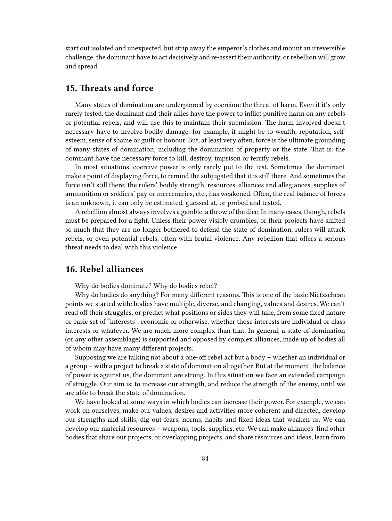start out isolated and unexpected, but strip away the emperor's clothes and mount an irreversible challenge: the dominant have to act decisively and re-assert their authority, or rebellion will grow and spread.

## **15. Threats and force**

Many states of domination are underpinned by coercion: the threat of harm. Even if it's only rarely tested, the dominant and their allies have the power to inflict punitive harm on any rebels or potential rebels, and will use this to maintain their submission. The harm involved doesn't necessary have to involve bodily damage: for example, it might be to wealth, reputation, selfesteem, sense of shame or guilt or honour. But, at least very often, force is the ultimate grounding of many states of domination, including the domination of property or the state. That is: the dominant have the necessary force to kill, destroy, imprison or terrify rebels.

In most situations, coercive power is only rarely put to the test. Sometimes the dominant make a point of displaying force, to remind the subjugated that it is still there. And sometimes the force isn't still there: the rulers' bodily strength, resources, alliances and allegiances, supplies of ammunition or soldiers' pay or mercenaries, etc., has weakened. Often, the real balance of forces is an unknown, it can only be estimated, guessed at, or probed and tested.

A rebellion almost always involves a gamble, a throw of the dice. In many cases, though, rebels must be prepared for a fight. Unless their power visibly crumbles, or their projects have shifted so much that they are no longer bothered to defend the state of domination, rulers will attack rebels, or even potential rebels, often with brutal violence. Any rebellion that offers a serious threat needs to deal with this violence.

#### **16. Rebel alliances**

Why do bodies dominate? Why do bodies rebel?

Why do bodies do anything? For many different reasons. This is one of the basic Nietzschean points we started with: bodies have multiple, diverse, and changing, values and desires. We can't read off their struggles, or predict what positions or sides they will take, from some fixed nature or basic set of "interests", economic or otherwise, whether those interests are individual or class interests or whatever. We are much more complex than that. In general, a state of domination (or any other assemblage) is supported and opposed by complex alliances, made up of bodies all of whom may have many different projects.

Supposing we are talking not about a one-off rebel act but a body – whether an individual or a group – with a project to break a state of domination altogether. But at the moment, the balance of power is against us, the dominant are strong. In this situation we face an extended campaign of struggle. Our aim is: to increase our strength, and reduce the strength of the enemy, until we are able to break the state of domination.

We have looked at some ways in which bodies can increase their power. For example, we can work on ourselves, make our values, desires and activities more coherent and directed, develop our strengths and skills, dig out fears, norms, habits and fixed ideas that weaken us. We can develop our material resources – weapons, tools, supplies, etc. We can make alliances: find other bodies that share our projects, or overlapping projects, and share resources and ideas, learn from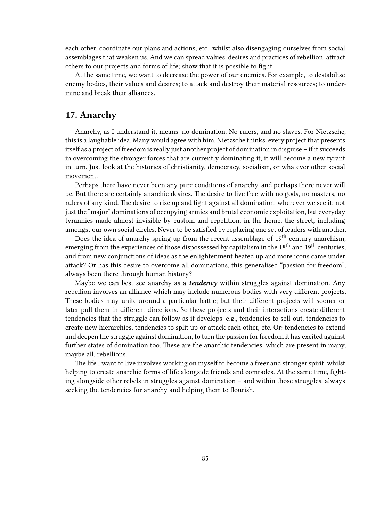each other, coordinate our plans and actions, etc., whilst also disengaging ourselves from social assemblages that weaken us. And we can spread values, desires and practices of rebellion: attract others to our projects and forms of life; show that it is possible to fight.

At the same time, we want to decrease the power of our enemies. For example, to destabilise enemy bodies, their values and desires; to attack and destroy their material resources; to undermine and break their alliances.

#### **17. Anarchy**

Anarchy, as I understand it, means: no domination. No rulers, and no slaves. For Nietzsche, this is a laughable idea. Many would agree with him. Nietzsche thinks: every project that presents itself as a project of freedom is really just another project of domination in disguise – if it succeeds in overcoming the stronger forces that are currently dominating it, it will become a new tyrant in turn. Just look at the histories of christianity, democracy, socialism, or whatever other social movement.

Perhaps there have never been any pure conditions of anarchy, and perhaps there never will be. But there are certainly anarchic desires. The desire to live free with no gods, no masters, no rulers of any kind. The desire to rise up and fight against all domination, wherever we see it: not just the "major" dominations of occupying armies and brutal economic exploitation, but everyday tyrannies made almost invisible by custom and repetition, in the home, the street, including amongst our own social circles. Never to be satisfied by replacing one set of leaders with another.

Does the idea of anarchy spring up from the recent assemblage of  $19<sup>th</sup>$  century anarchism, emerging from the experiences of those dispossessed by capitalism in the 18<sup>th</sup> and 19<sup>th</sup> centuries, and from new conjunctions of ideas as the enlightenment heated up and more icons came under attack? Or has this desire to overcome all dominations, this generalised "passion for freedom", always been there through human history?

Maybe we can best see anarchy as a *tendency* within struggles against domination. Any rebellion involves an alliance which may include numerous bodies with very different projects. These bodies may unite around a particular battle; but their different projects will sooner or later pull them in different directions. So these projects and their interactions create different tendencies that the struggle can follow as it develops: e.g., tendencies to sell-out, tendencies to create new hierarchies, tendencies to split up or attack each other, etc. Or: tendencies to extend and deepen the struggle against domination, to turn the passion for freedom it has excited against further states of domination too. These are the anarchic tendencies, which are present in many, maybe all, rebellions.

The life I want to live involves working on myself to become a freer and stronger spirit, whilst helping to create anarchic forms of life alongside friends and comrades. At the same time, fighting alongside other rebels in struggles against domination – and within those struggles, always seeking the tendencies for anarchy and helping them to flourish.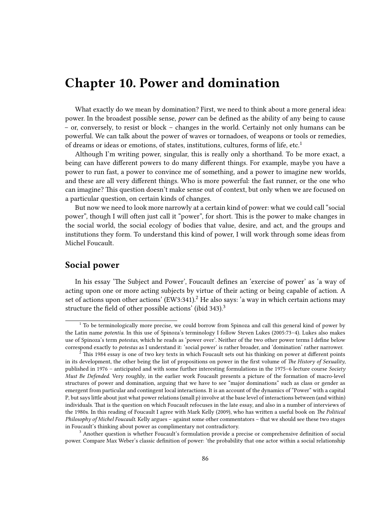## **Chapter 10. Power and domination**

What exactly do we mean by domination? First, we need to think about a more general idea: power. In the broadest possible sense, *power* can be defined as the ability of any being to cause – or, conversely, to resist or block – changes in the world. Certainly not only humans can be powerful. We can talk about the power of waves or tornadoes, of weapons or tools or remedies, of dreams or ideas or emotions, of states, institutions, cultures, forms of life, etc.<sup>1</sup>

Although I'm writing power, singular, this is really only a shorthand. To be more exact, a being can have different powers to do many different things. For example, maybe you have a power to run fast, a power to convince me of something, and a power to imagine new worlds, and these are all very different things. Who is more powerful: the fast runner, or the one who can imagine? This question doesn't make sense out of context, but only when we are focused on a particular question, on certain kinds of changes.

But now we need to look more narrowly at a certain kind of power: what we could call "social power", though I will often just call it "power", for short. This is the power to make changes in the social world, the social ecology of bodies that value, desire, and act, and the groups and institutions they form. To understand this kind of power, I will work through some ideas from Michel Foucault.

## **Social power**

In his essay 'The Subject and Power', Foucault defines an 'exercise of power' as 'a way of acting upon one or more acting subjects by virtue of their acting or being capable of action. A set of actions upon other actions' (EW3:341).<sup>2</sup> He also says: 'a way in which certain actions may structure the field of other possible actions' (ibid 343).<sup>3</sup>

<sup>&</sup>lt;sup>1</sup> To be terminologically more precise, we could borrow from Spinoza and call this general kind of power by the Latin name *potentia.* In this use of Spinoza's terminology I follow Steven Lukes (2005:73–4). Lukes also makes use of Spinoza's term *potestas*, which he reads as 'power over'. Neither of the two other power terms I define below correspond exactly to *potestas* as I understand it: 'social power' is rather broader, and 'domination' rather narrower.

<sup>2</sup> This 1984 essay is one of two key texts in which Foucault sets out his thinking on power at different points in its development, the other being the list of propositions on power in the first volume of *The History of Sexuality*, published in 1976 – anticipated and with some further interesting formulations in the 1975–6 lecture course *Society Must Be Defended*. Very roughly, in the earlier work Foucault presents a picture of the formation of macro-level structures of power and domination, arguing that we have to see "major dominations" such as class or gender as emergent from particular and contingent local interactions. It is an account of the dynamics of "Power" with a capital P, but says little about just what power relations (small p) involve at the base level of interactions between (and within) individuals. That is the question on which Foucault refocuses in the late essay, and also in a number of interviews of the 1980s. In this reading of Foucault I agree with Mark Kelly (2009), who has written a useful book on *The Political Philosophy of Michel Foucault*. Kelly argues – against some other commentators – that we should see these two stages in Foucault's thinking about power as complimentary not contradictory.

<sup>&</sup>lt;sup>3</sup> Another question is whether Foucault's formulation provide a precise or comprehensive definition of social power. Compare Max Weber's classic definition of power: 'the probability that one actor within a social relationship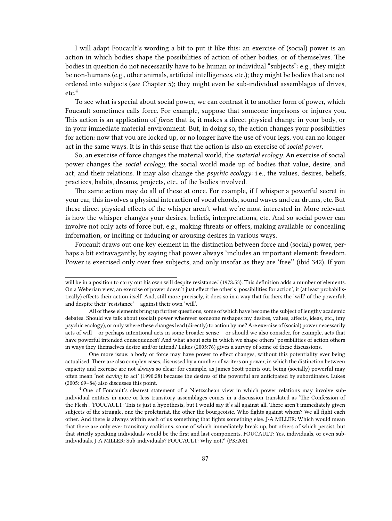I will adapt Foucault's wording a bit to put it like this: an exercise of (social) power is an action in which bodies shape the possibilities of action of other bodies, or of themselves. The bodies in question do not necessarily have to be human or individual "subjects": e.g., they might be non-humans (e.g., other animals, artificial intelligences, etc.); they might be bodies that are not ordered into subjects (see Chapter 5); they might even be sub-individual assemblages of drives, etc.<sup>4</sup>

To see what is special about social power, we can contrast it to another form of power, which Foucault sometimes calls force. For example, suppose that someone imprisons or injures you. This action is an application of *force*: that is, it makes a direct physical change in your body, or in your immediate material environment. But, in doing so, the action changes your possibilities for action: now that you are locked up, or no longer have the use of your legs, you can no longer act in the same ways. It is in this sense that the action is also an exercise of *social power*.

So, an exercise of force changes the material world, the *material ecology*. An exercise of social power changes the *social ecology,* the social world made up of bodies that value, desire, and act, and their relations. It may also change the *psychic ecology*: i.e., the values, desires, beliefs, practices, habits, dreams, projects, etc., of the bodies involved.

The same action may do all of these at once. For example, if I whisper a powerful secret in your ear, this involves a physical interaction of vocal chords, sound waves and ear drums, etc. But these direct physical effects of the whisper aren't what we're most interested in. More relevant is how the whisper changes your desires, beliefs, interpretations, etc. And so social power can involve not only acts of force but, e.g., making threats or offers, making available or concealing information, or inciting or inducing or arousing desires in various ways.

Foucault draws out one key element in the distinction between force and (social) power, perhaps a bit extravagantly, by saying that power always 'includes an important element: freedom. Power is exercised only over free subjects, and only insofar as they are 'free'' (ibid 342). If you

will be in a position to carry out his own will despite resistance.' (1978:53). This definition adds a number of elements. On a Weberian view, an exercise of power doesn't just effect the other's 'possibilities for action', it (at least probabilistically) effects their action itself. And, still more precisely, it does so in a way that furthers the 'will' of the powerful; and despite their 'resistance' – against their own 'will'.

All of these elements bring up further questions, some of which have become the subject of lengthy academic debates. Should we talk about (social) power wherever someone reshapes my desires, values, affects, ideas, etc., (my psychic ecology), or only where these changes lead (directly) to action by me? Are exercise of (social) power necessarily acts of will – or perhaps intentional acts in some broader sense – or should we also consider, for example, acts that have powerful intended consequences? And what about acts in which we shape others' possibilities of action others in ways they themselves desire and/or intend? Lukes (2005:76) gives a survey of some of these discussions.

One more issue: a body or force may have power to effect changes, without this potentiality ever being actualised. There are also complex cases, discussed by a number of writers on power, in which the distinction between capacity and exercise are not always so clear: for example, as James Scott points out, being (socially) powerful may often mean 'not *having* to act' (1990:28) because the desires of the powerful are anticipated by subordinates. Lukes (2005: 69–84) also discusses this point.

<sup>4</sup> One of Foucault's clearest statement of a Nietzschean view in which power relations may involve subindividual entities in more or less transitory assemblages comes in a discussion translated as 'The Confession of the Flesh'. 'FOUCAULT: This is just a hypothesis, but I would say it's all against all. There aren't immediately given subjects of the struggle, one the proletariat, the other the bourgeoisie. Who fights against whom? We all fight each other. And there is always within each of us something that fights something else. J-A MILLER: Which would mean that there are only ever transitory coalitions, some of which immediately break up, but others of which persist, but that strictly speaking individuals would be the first and last components. FOUCAULT: Yes, individuals, or even subindividuals. J-A MILLER: Sub-individuals? FOUCAULT: Why not?' (PK:208).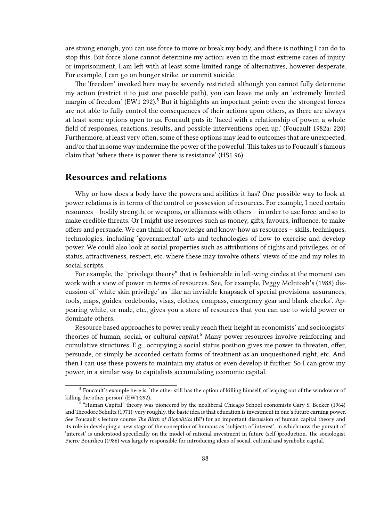are strong enough, you can use force to move or break my body, and there is nothing I can do to stop this. But force alone cannot determine my action: even in the most extreme cases of injury or imprisonment, I am left with at least some limited range of alternatives, however desperate. For example, I can go on hunger strike, or commit suicide.

The 'freedom' invoked here may be severely restricted: although you cannot fully determine my action (restrict it to just one possible path), you can leave me only an 'extremely limited margin of freedom' (EW1 292).<sup>5</sup> But it highlights an important point: even the strongest forces are not able to fully control the consequences of their actions upon others, as there are always at least some options open to us. Foucault puts it: 'faced with a relationship of power, a whole field of responses, reactions, results, and possible interventions open up.' (Foucault 1982a: 220) Furthermore, at least very often, some of these options may lead to outcomes that are unexpected, and/or that in some way undermine the power of the powerful. This takes us to Foucault's famous claim that 'where there is power there is resistance' (HS1 96).

#### **Resources and relations**

Why or how does a body have the powers and abilities it has? One possible way to look at power relations is in terms of the control or possession of resources. For example, I need certain resources – bodily strength, or weapons, or alliances with others – in order to use force, and so to make credible threats. Or I might use resources such as money, gifts, favours, influence, to make offers and persuade. We can think of knowledge and know-how as resources – skills, techniques, technologies, including 'governmental' arts and technologies of how to exercise and develop power. We could also look at social properties such as attributions of rights and privileges, or of status, attractiveness, respect, etc. where these may involve others' views of me and my roles in social scripts.

For example, the "privilege theory" that is fashionable in left-wing circles at the moment can work with a view of power in terms of resources. See, for example, Peggy McIntosh's (1988) discussion of 'white skin privilege' as 'like an invisible knapsack of special provisions, assurances, tools, maps, guides, codebooks, visas, clothes, compass, emergency gear and blank checks'. Appearing white, or male, etc., gives you a store of resources that you can use to wield power or dominate others.

Resource based approaches to power really reach their height in economists' and sociologists' theories of human, social, or cultural *capital*. <sup>6</sup> Many power resources involve reinforcing and cumulative structures. E.g., occupying a social status position gives me power to threaten, offer, persuade, or simply be accorded certain forms of treatment as an unquestioned right, etc. And then I can use these powers to maintain my status or even develop it further. So I can grow my power, in a similar way to capitalists accumulating economic capital.

<sup>&</sup>lt;sup>5</sup> Foucault's example here is: 'the other still has the option of killing himself, of leaping out of the window or of killing the other person' (EW1:292).

<sup>&</sup>lt;sup>6</sup> "Human Capital" theory was pioneered by the neoliberal Chicago School economists Gary S. Becker (1964) and Theodore Schultz (1971): very roughly, the basic idea is that education is investment in one's future earning power. See Foucault's lecture course *The Birth of Biopolitics* (BP) for an important discussion of human capital theory and its role in developing a new stage of the conception of humans as 'subjects of interest', in which now the pursuit of 'interest' is understood specifically on the model of rational investment in future (self-)production. The sociologist Pierre Bourdieu (1986) was largely responsible for introducing ideas of social, cultural and symbolic capital.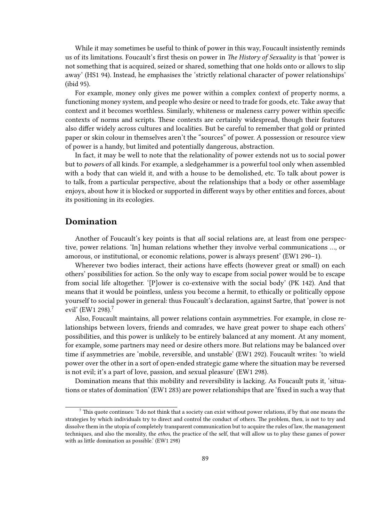While it may sometimes be useful to think of power in this way, Foucault insistently reminds us of its limitations. Foucault's first thesis on power in *The History of Sexuality* is that 'power is not something that is acquired, seized or shared, something that one holds onto or allows to slip away' (HS1 94). Instead, he emphasises the 'strictly relational character of power relationships' (ibid 95).

For example, money only gives me power within a complex context of property norms, a functioning money system, and people who desire or need to trade for goods, etc. Take away that context and it becomes worthless. Similarly, whiteness or maleness carry power within specific contexts of norms and scripts. These contexts are certainly widespread, though their features also differ widely across cultures and localities. But be careful to remember that gold or printed paper or skin colour in themselves aren't the "sources" of power. A possession or resource view of power is a handy, but limited and potentially dangerous, abstraction.

In fact, it may be well to note that the relationality of power extends not us to social power but to *powers* of all kinds. For example, a sledgehammer is a powerful tool only when assembled with a body that can wield it, and with a house to be demolished, etc. To talk about power is to talk, from a particular perspective, about the relationships that a body or other assemblage enjoys, about how it is blocked or supported in different ways by other entities and forces, about its positioning in its ecologies.

### **Domination**

Another of Foucault's key points is that *all* social relations are, at least from one perspective, power relations. 'In] human relations whether they involve verbal communications …, or amorous, or institutional, or economic relations, power is always present' (EW1 290–1).

Wherever two bodies interact, their actions have effects (however great or small) on each others' possibilities for action. So the only way to escape from social power would be to escape from social life altogether. '[P]ower is co-extensive with the social body' (PK 142). And that means that it would be pointless, unless you become a hermit, to ethically or politically oppose yourself to social power in general: thus Foucault's declaration, against Sartre, that 'power is not evil' (EW1 298).<sup>7</sup>

Also, Foucault maintains, all power relations contain asymmetries. For example, in close relationships between lovers, friends and comrades, we have great power to shape each others' possibilities, and this power is unlikely to be entirely balanced at any moment. At any moment, for example, some partners may need or desire others more. But relations may be balanced over time if asymmetries are 'mobile, reversible, and unstable' (EW1 292). Foucault writes: 'to wield power over the other in a sort of open-ended strategic game where the situation may be reversed is not evil; it's a part of love, passion, and sexual pleasure' (EW1 298).

Domination means that this mobility and reversibility is lacking. As Foucault puts it, 'situations or states of domination' (EW1 283) are power relationships that are 'fixed in such a way that

 $^7$  This quote continues: 'I do not think that a society can exist without power relations, if by that one means the strategies by which individuals try to direct and control the conduct of others. The problem, then, is not to try and dissolve them in the utopia of completely transparent communication but to acquire the rules of law, the management techniques, and also the morality, the *ethos*, the practice of the self, that will allow us to play these games of power with as little domination as possible.' (EW1 298)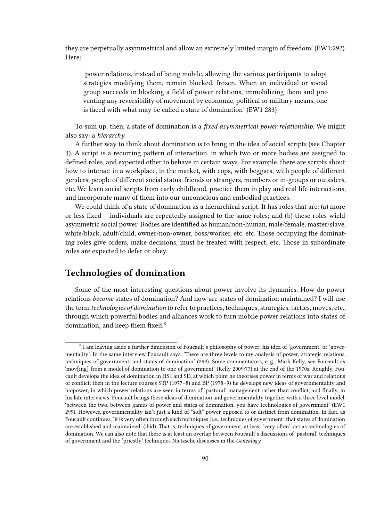they are perpetually asymmetrical and allow an extremely limited margin of freedom' (EW1:292). Here:

'power relations, instead of being mobile, allowing the various participants to adopt strategies modifying them, remain blocked, frozen. When an individual or social group succeeds in blocking a field of power relations, immobilizing them and preventing any reversibility of movement by economic, political or military means, one is faced with what may be called a state of domination' (EW1 283)

To sum up, then, a state of domination is a *fixed asymmetrical power relationship*. We might also say: a *hierarchy*.

A further way to think about domination is to bring in the idea of social scripts (see Chapter 3). A script is a recurring pattern of interaction, in which two or more bodies are assigned to defined roles, and expected other to behave in certain ways. For example, there are scripts about how to interact in a workplace, in the market, with cops, with beggars, with people of different genders, people of different social status, friends or strangers, members or in-groups or outsiders, etc. We learn social scripts from early childhood, practice them in play and real life interactions, and incorporate many of them into our unconscious and embodied practices.

We could think of a state of domination as a hierarchical script. It has roles that are: (a) more or less fixed – individuals are repeatedly assigned to the same roles; and (b) these roles wield asymmetric social power. Bodies are identified as human/non-human, male/female, master/slave, white/black, adult/child, owner/non-owner, boss/worker, etc. etc. Those occupying the dominating roles give orders, make decisions, must be treated with respect, etc. Those in subordinate roles are expected to defer or obey.

#### **Technologies of domination**

Some of the most interesting questions about power involve its dynamics. How do power relations *become* states of domination? And how are states of domination maintained? I will use the term *technologies of domination* to refer to practices, techniques, strategies, tactics, moves, etc., through which powerful bodies and alliances work to turn mobile power relations into states of domination, and keep them fixed.<sup>8</sup>

<sup>&</sup>lt;sup>8</sup> I am leaving aside a further dimension of Foucault's philosophy of power: his idea of 'government' or 'govermentality'. In the same interview Foucault says: 'There are three levels to my analysis of power; strategic relations, techniques of government, and states of domination' (299). Some commentators, e..g., Mark Kelly, see Foucault as 'mov[ing] from a model of domination to one of government' (Kelly 2009:77) at the end of the 1970s. Roughly, Foucault develops the idea of domination in HS1 and SD, at which point he theorises power in terms of war and relations of conflict; then in the lecture courses STP (1977–8) and BP (1978–9) he develops new ideas of governmentality and biopower, in which power relations are seen in terms of 'pastoral' management rather than conflict; and finally, in his late interviews, Foucault brings these ideas of domination and governmentality together with a three level model: 'between the two, between games of power and states of domination, you have technologies of government' (EW1 299). However, governmentality isn't just a kind of "soft" power opposed to or distinct from domination. In fact, as Foucault continues, 'it is very often through such techniques [i.e., techniques of government] that states of domination are established and maintained' (ibid). That is, techniques of government, at least 'very often', act as technologies of domination. We can also note that there is at least an overlap between Foucault's discussions of 'pastoral' techniques of government and the 'priestly' techniques Nietzsche discusses in the *Genealogy.*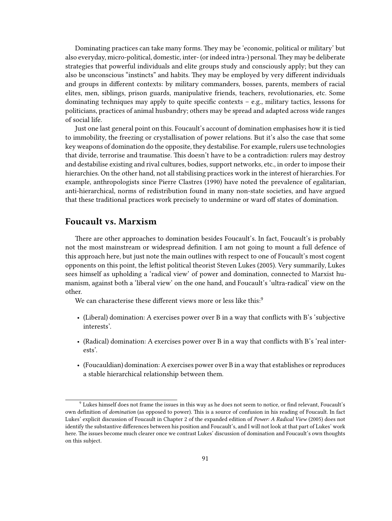Dominating practices can take many forms. They may be 'economic, political or military' but also everyday, micro-political, domestic, inter- (or indeed intra-) personal. They may be deliberate strategies that powerful individuals and elite groups study and consciously apply; but they can also be unconscious "instincts" and habits. They may be employed by very different individuals and groups in different contexts: by military commanders, bosses, parents, members of racial elites, men, siblings, prison guards, manipulative friends, teachers, revolutionaries, etc. Some dominating techniques may apply to quite specific contexts – e.g., military tactics, lessons for politicians, practices of animal husbandry; others may be spread and adapted across wide ranges of social life.

Just one last general point on this. Foucault's account of domination emphasises how it is tied to immobility, the freezing or crystallisation of power relations. But it's also the case that some key weapons of domination do the opposite, they destabilise. For example, rulers use technologies that divide, terrorise and traumatise. This doesn't have to be a contradiction: rulers may destroy and destabilise existing and rival cultures, bodies, support networks, etc., in order to impose their hierarchies. On the other hand, not all stabilising practices work in the interest of hierarchies. For example, anthropologists since Pierre Clastres (1990) have noted the prevalence of egalitarian, anti-hierarchical, norms of redistribution found in many non-state societies, and have argued that these traditional practices work precisely to undermine or ward off states of domination.

## **Foucault vs. Marxism**

There are other approaches to domination besides Foucault's. In fact, Foucault's is probably not the most mainstream or widespread definition. I am not going to mount a full defence of this approach here, but just note the main outlines with respect to one of Foucault's most cogent opponents on this point, the leftist political theorist Steven Lukes (2005). Very summarily, Lukes sees himself as upholding a 'radical view' of power and domination, connected to Marxist humanism, against both a 'liberal view' on the one hand, and Foucault's 'ultra-radical' view on the other.

We can characterise these different views more or less like this:<sup>9</sup>

- (Liberal) domination: A exercises power over B in a way that conflicts with B's 'subjective interests'.
- (Radical) domination: A exercises power over B in a way that conflicts with B's 'real interests'.
- (Foucauldian) domination: A exercises power over B in a way that establishes or reproduces a stable hierarchical relationship between them.

 $9$  Lukes himself does not frame the issues in this way as he does not seem to notice, or find relevant, Foucault's own definition of *domination* (as opposed to power). This is a source of confusion in his reading of Foucault. In fact Lukes' explicit discussion of Foucault in Chapter 2 of the expanded edition of *Power: A Radical View* (2005) does not identify the substantive differences between his position and Foucault's, and I will not look at that part of Lukes' work here. The issues become much clearer once we contrast Lukes' discussion of domination and Foucault's own thoughts on this subject.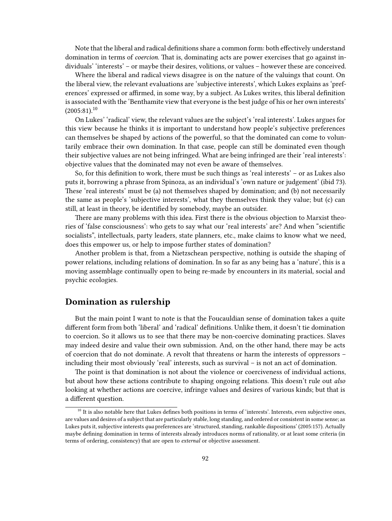Note that the liberal and radical definitions share a common form: both effectively understand domination in terms of *coercion*. That is, dominating acts are power exercises that go against individuals' 'interests' – or maybe their desires, volitions, or values – however these are conceived.

Where the liberal and radical views disagree is on the nature of the valuings that count. On the liberal view, the relevant evaluations are 'subjective interests', which Lukes explains as 'preferences' expressed or affirmed, in some way, by a subject. As Lukes writes, this liberal definition is associated with the 'Benthamite view that everyone is the best judge of his or her own interests'  $(2005:81).^{10}$ 

On Lukes' 'radical' view, the relevant values are the subject's 'real interests'. Lukes argues for this view because he thinks it is important to understand how people's subjective preferences can themselves be shaped by actions of the powerful, so that the dominated can come to voluntarily embrace their own domination. In that case, people can still be dominated even though their subjective values are not being infringed. What are being infringed are their 'real interests': objective values that the dominated may not even be aware of themselves.

So, for this definition to work, there must be such things as 'real interests' – or as Lukes also puts it, borrowing a phrase from Spinoza, as an individual's 'own nature or judgement' (ibid 73). These 'real interests' must be (a) not themselves shaped by domination; and (b) not necessarily the same as people's 'subjective interests', what they themselves think they value; but (c) can still, at least in theory, be identified by somebody, maybe an outsider.

There are many problems with this idea. First there is the obvious objection to Marxist theories of 'false consciousness': who gets to say what our 'real interests' are? And when "scientific socialists", intellectuals, party leaders, state planners, etc., make claims to know what we need, does this empower us, or help to impose further states of domination?

Another problem is that, from a Nietzschean perspective, nothing is outside the shaping of power relations, including relations of domination. In so far as any being has a 'nature', this is a moving assemblage continually open to being re-made by encounters in its material, social and psychic ecologies.

#### **Domination as rulership**

But the main point I want to note is that the Foucauldian sense of domination takes a quite different form from both 'liberal' and 'radical' definitions. Unlike them, it doesn't tie domination to coercion. So it allows us to see that there may be non-coercive dominating practices. Slaves may indeed desire and value their own submission. And, on the other hand, there may be acts of coercion that do not dominate. A revolt that threatens or harm the interests of oppressors – including their most obviously 'real' interests, such as survival – is not an act of domination.

The point is that domination is not about the violence or coerciveness of individual actions, but about how these actions contribute to shaping ongoing relations. This doesn't rule out *also* looking at whether actions are coercive, infringe values and desires of various kinds; but that is a different question.

<sup>&</sup>lt;sup>10</sup> It is also notable here that Lukes defines both positions in terms of 'interests'. Interests, even subjective ones, are values and desires of a subject that are particularly stable, long standing, and ordered or consistent in some sense; as Lukes puts it, subjective interests *qua* preferences are 'structured, standing, rankable dispositions' (2005:157). Actually maybe defining domination in terms of interests already introduces norms of rationality, or at least some criteria (in terms of ordering, consistency) that are open to *external* or objective assessment.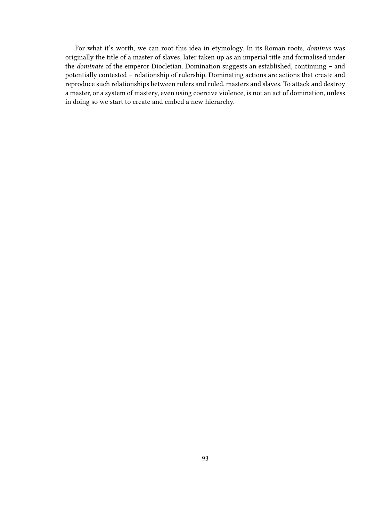For what it's worth, we can root this idea in etymology. In its Roman roots, *dominus* was originally the title of a master of slaves, later taken up as an imperial title and formalised under the *dominate* of the emperor Diocletian. Domination suggests an established, continuing – and potentially contested – relationship of rulership. Dominating actions are actions that create and reproduce such relationships between rulers and ruled, masters and slaves. To attack and destroy a master, or a system of mastery, even using coercive violence, is not an act of domination, unless in doing so we start to create and embed a new hierarchy.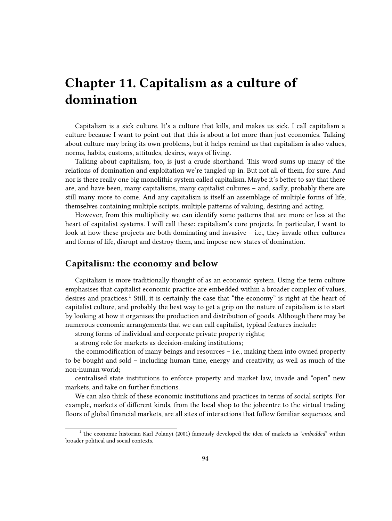# **Chapter 11. Capitalism as a culture of domination**

Capitalism is a sick culture. It's a culture that kills, and makes us sick. I call capitalism a culture because I want to point out that this is about a lot more than just economics. Talking about culture may bring its own problems, but it helps remind us that capitalism is also values, norms, habits, customs, attitudes, desires, ways of living.

Talking about capitalism, too, is just a crude shorthand. This word sums up many of the relations of domination and exploitation we're tangled up in. But not all of them, for sure. And nor is there really one big monolithic system called capitalism. Maybe it's better to say that there are, and have been, many capitalisms, many capitalist cultures – and, sadly, probably there are still many more to come. And any capitalism is itself an assemblage of multiple forms of life, themselves containing multiple scripts, multiple patterns of valuing, desiring and acting.

However, from this multiplicity we can identify some patterns that are more or less at the heart of capitalist systems. I will call these: capitalism's core projects. In particular, I want to look at how these projects are both dominating and invasive – i.e., they invade other cultures and forms of life, disrupt and destroy them, and impose new states of domination.

#### **Capitalism: the economy and below**

Capitalism is more traditionally thought of as an economic system. Using the term culture emphasises that capitalist economic practice are embedded within a broader complex of values, desires and practices.<sup>1</sup> Still, it is certainly the case that "the economy" is right at the heart of capitalist culture, and probably the best way to get a grip on the nature of capitalism is to start by looking at how it organises the production and distribution of goods. Although there may be numerous economic arrangements that we can call capitalist, typical features include:

strong forms of individual and corporate private property rights;

a strong role for markets as decision-making institutions;

the commodification of many beings and resources – i.e., making them into owned property to be bought and sold – including human time, energy and creativity, as well as much of the non-human world;

centralised state institutions to enforce property and market law, invade and "open" new markets, and take on further functions.

We can also think of these economic institutions and practices in terms of social scripts. For example, markets of different kinds, from the local shop to the jobcentre to the virtual trading floors of global financial markets, are all sites of interactions that follow familiar sequences, and

<sup>1</sup> The economic historian Karl Polanyi (2001) famously developed the idea of markets as '*embedded*' within broader political and social contexts.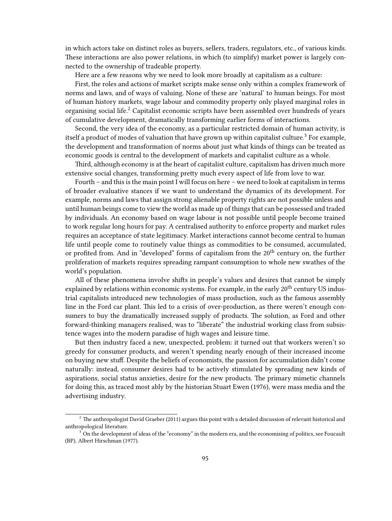in which actors take on distinct roles as buyers, sellers, traders, regulators, etc., of various kinds. These interactions are also power relations, in which (to simplify) market power is largely connected to the ownership of tradeable property.

Here are a few reasons why we need to look more broadly at capitalism as a culture:

First, the roles and actions of market scripts make sense only within a complex framework of norms and laws, and of ways of valuing. None of these are 'natural' to human beings. For most of human history markets, wage labour and commodity property only played marginal roles in organising social life.<sup>2</sup> Capitalist economic scripts have been assembled over hundreds of years of cumulative development, dramatically transforming earlier forms of interactions.

Second, the very idea of the economy, as a particular restricted domain of human activity, is itself a product of modes of valuation that have grown up within capitalist culture.<sup>3</sup> For example, the development and transformation of norms about just what kinds of things can be treated as economic goods is central to the development of markets and capitalist culture as a whole.

Third, although economy is at the heart of capitalist culture, capitalism has driven much more extensive social changes, transforming pretty much every aspect of life from love to war.

Fourth – and this is the main point I will focus on here – we need to look at capitalism in terms of broader evaluative stances if we want to understand the dynamics of its development. For example, norms and laws that assign strong alienable property rights are not possible unless and until human beings come to view the world as made up of things that can be possessed and traded by individuals. An economy based on wage labour is not possible until people become trained to work regular long hours for pay. A centralised authority to enforce property and market rules requires an acceptance of state legitimacy. Market interactions cannot become central to human life until people come to routinely value things as commodities to be consumed, accumulated, or profited from. And in "developed" forms of capitalism from the 20<sup>th</sup> century on, the further proliferation of markets requires spreading rampant consumption to whole new swathes of the world's population.

All of these phenomena involve shifts in people's values and desires that cannot be simply explained by relations within economic systems. For example, in the early  $20<sup>th</sup>$  century US industrial capitalists introduced new technologies of mass production, such as the famous assembly line in the Ford car plant. This led to a crisis of over-production, as there weren't enough consumers to buy the dramatically increased supply of products. The solution, as Ford and other forward-thinking managers realised, was to "liberate" the industrial working class from subsistence wages into the modern paradise of high wages and leisure time.

But then industry faced a new, unexpected, problem: it turned out that workers weren't so greedy for consumer products, and weren't spending nearly enough of their increased income on buying new stuff. Despite the beliefs of economists, the passion for accumulation didn't come naturally: instead, consumer desires had to be actively stimulated by spreading new kinds of aspirations, social status anxieties, desire for the new products. The primary mimetic channels for doing this, as traced most ably by the historian Stuart Ewen (1976), were mass media and the advertising industry.

<sup>&</sup>lt;sup>2</sup> The anthropologist David Graeber (2011) argues this point with a detailed discussion of relevant historical and anthropological literature.

<sup>&</sup>lt;sup>3</sup> On the development of ideas of the "economy" in the modern era, and the economising of politics, see Foucault (BP), Albert Hirschman (1977).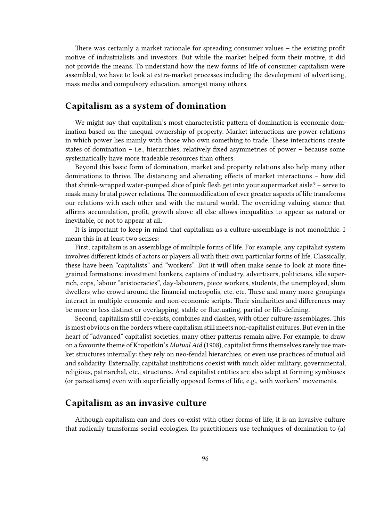There was certainly a market rationale for spreading consumer values – the existing profit motive of industrialists and investors. But while the market helped form their motive, it did not provide the means. To understand how the new forms of life of consumer capitalism were assembled, we have to look at extra-market processes including the development of advertising, mass media and compulsory education, amongst many others.

## **Capitalism as a system of domination**

We might say that capitalism's most characteristic pattern of domination is economic domination based on the unequal ownership of property. Market interactions are power relations in which power lies mainly with those who own something to trade. These interactions create states of domination – i.e., hierarchies, relatively fixed asymmetries of power – because some systematically have more tradeable resources than others.

Beyond this basic form of domination, market and property relations also help many other dominations to thrive. The distancing and alienating effects of market interactions – how did that shrink-wrapped water-pumped slice of pink flesh get into your supermarket aisle? – serve to mask many brutal power relations. The commodification of ever greater aspects of life transforms our relations with each other and with the natural world. The overriding valuing stance that affirms accumulation, profit, growth above all else allows inequalities to appear as natural or inevitable, or not to appear at all.

It is important to keep in mind that capitalism as a culture-assemblage is not monolithic. I mean this in at least two senses:

First, capitalism is an assemblage of multiple forms of life. For example, any capitalist system involves different kinds of actors or players all with their own particular forms of life. Classically, these have been "capitalists" and "workers". But it will often make sense to look at more finegrained formations: investment bankers, captains of industry, advertisers, politicians, idle superrich, cops, labour "aristocracies", day-labourers, piece workers, students, the unemployed, slum dwellers who crowd around the financial metropolis, etc. etc. These and many more groupings interact in multiple economic and non-economic scripts. Their similarities and differences may be more or less distinct or overlapping, stable or fluctuating, partial or life-defining.

Second, capitalism still co-exists, combines and clashes, with other culture-assemblages. This is most obvious on the borders where capitalism still meets non-capitalist cultures. But even in the heart of "advanced" capitalist societies, many other patterns remain alive. For example, to draw on a favourite theme of Kropotkin's *Mutual Aid* (1908), capitalist firms themselves rarely use market structures internally: they rely on neo-feudal hierarchies, or even use practices of mutual aid and solidarity. Externally, capitalist institutions coexist with much older military, governmental, religious, patriarchal, etc., structures. And capitalist entities are also adept at forming symbioses (or parasitisms) even with superficially opposed forms of life, e.g., with workers' movements.

#### **Capitalism as an invasive culture**

Although capitalism can and does co-exist with other forms of life, it is an invasive culture that radically transforms social ecologies. Its practitioners use techniques of domination to (a)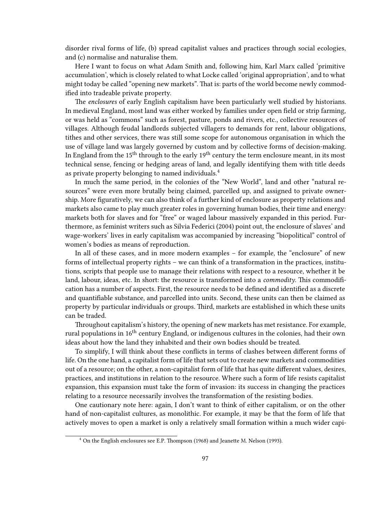disorder rival forms of life, (b) spread capitalist values and practices through social ecologies, and (c) normalise and naturalise them.

Here I want to focus on what Adam Smith and, following him, Karl Marx called 'primitive accumulation', which is closely related to what Locke called 'original appropriation', and to what might today be called "opening new markets". That is: parts of the world become newly commodified into tradeable private property.

The *enclosures* of early English capitalism have been particularly well studied by historians. In medieval England, most land was either worked by families under open field or strip farming, or was held as "commons" such as forest, pasture, ponds and rivers, etc., collective resources of villages. Although feudal landlords subjected villagers to demands for rent, labour obligations, tithes and other services, there was still some scope for autonomous organisation in which the use of village land was largely governed by custom and by collective forms of decision-making. In England from the 15<sup>th</sup> through to the early 19<sup>th</sup> century the term enclosure meant, in its most technical sense, fencing or hedging areas of land, and legally identifying them with title deeds as private property belonging to named individuals.<sup>4</sup>

In much the same period, in the colonies of the "New World", land and other "natural resources" were even more brutally being claimed, parcelled up, and assigned to private ownership. More figuratively, we can also think of a further kind of enclosure as property relations and markets also came to play much greater roles in governing human bodies, their time and energy: markets both for slaves and for "free" or waged labour massively expanded in this period. Furthermore, as feminist writers such as Silvia Federici (2004) point out, the enclosure of slaves' and wage-workers' lives in early capitalism was accompanied by increasing "biopolitical" control of women's bodies as means of reproduction.

In all of these cases, and in more modern examples – for example, the "enclosure" of new forms of intellectual property rights – we can think of a transformation in the practices, institutions, scripts that people use to manage their relations with respect to a resource, whether it be land, labour, ideas, etc. In short: the resource is transformed into a *commodity*. This commodification has a number of aspects. First, the resource needs to be defined and identified as a discrete and quantifiable substance, and parcelled into units. Second, these units can then be claimed as property by particular individuals or groups. Third, markets are established in which these units can be traded.

Throughout capitalism's history, the opening of new markets has met resistance. For example, rural populations in 16<sup>th</sup> century England, or indigenous cultures in the colonies, had their own ideas about how the land they inhabited and their own bodies should be treated.

To simplify, I will think about these conflicts in terms of clashes between different forms of life. On the one hand, a capitalist form of life that sets out to create new markets and commodities out of a resource; on the other, a non-capitalist form of life that has quite different values, desires, practices, and institutions in relation to the resource. Where such a form of life resists capitalist expansion, this expansion must take the form of invasion: its success in changing the practices relating to a resource necessarily involves the transformation of the resisting bodies.

One cautionary note here: again, I don't want to think of either capitalism, or on the other hand of non-capitalist cultures, as monolithic. For example, it may be that the form of life that actively moves to open a market is only a relatively small formation within a much wider capi-

<sup>4</sup> On the English enclosures see E.P. Thompson (1968) and Jeanette M. Nelson (1993).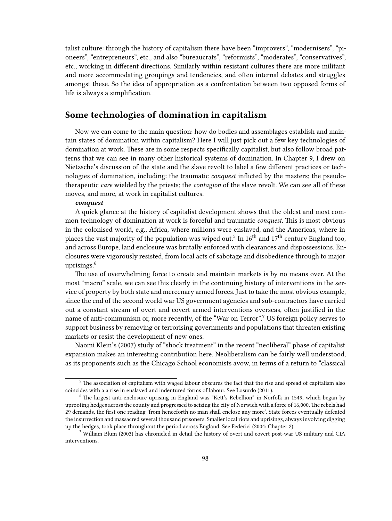talist culture: through the history of capitalism there have been "improvers", "modernisers", "pioneers", "entrepreneurs", etc., and also "bureaucrats", "reformists", "moderates", "conservatives", etc., working in different directions. Similarly within resistant cultures there are more militant and more accommodating groupings and tendencies, and often internal debates and struggles amongst these. So the idea of appropriation as a confrontation between two opposed forms of life is always a simplification.

#### **Some technologies of domination in capitalism**

Now we can come to the main question: how do bodies and assemblages establish and maintain states of domination within capitalism? Here I will just pick out a few key technologies of domination at work. These are in some respects specifically capitalist, but also follow broad patterns that we can see in many other historical systems of domination. In Chapter 9, I drew on Nietzsche's discussion of the state and the slave revolt to label a few different practices or technologies of domination, including: the traumatic *conquest* inflicted by the masters; the pseudotherapeutic *care* wielded by the priests; the *contagion* of the slave revolt. We can see all of these moves, and more, at work in capitalist cultures.

#### *conquest*

A quick glance at the history of capitalist development shows that the oldest and most common technology of domination at work is forceful and traumatic *conquest*. This is most obvious in the colonised world, e.g., Africa, where millions were enslaved, and the Americas, where in places the vast majority of the population was wiped out. $^5$  In 16 $^{\rm th}$  and 17 $^{\rm th}$  century England too, and across Europe, land enclosure was brutally enforced with clearances and dispossessions. Enclosures were vigorously resisted, from local acts of sabotage and disobedience through to major uprisings.<sup>6</sup>

The use of overwhelming force to create and maintain markets is by no means over. At the most "macro" scale, we can see this clearly in the continuing history of interventions in the service of property by both state and mercenary armed forces. Just to take the most obvious example, since the end of the second world war US government agencies and sub-contractors have carried out a constant stream of overt and covert armed interventions overseas, often justified in the name of anti-communism or, more recently, of the "War on Terror".<sup>7</sup> US foreign policy serves to support business by removing or terrorising governments and populations that threaten existing markets or resist the development of new ones.

Naomi Klein's (2007) study of "shock treatment" in the recent "neoliberal" phase of capitalist expansion makes an interesting contribution here. Neoliberalism can be fairly well understood, as its proponents such as the Chicago School economists avow, in terms of a return to "classical

 $5$  The association of capitalism with waged labour obscures the fact that the rise and spread of capitalism also coincides with a a rise in enslaved and indentured forms of labour. See Losurdo (2011).

<sup>6</sup> The largest anti-enclosure uprising in England was "Kett's Rebellion" in Norfolk in 1549, which began by uprooting hedges across the county and progressed to seizing the city of Norwich with a force of 16,000. The rebels had 29 demands, the first one reading 'from henceforth no man shall enclose any more'. State forces eventually defeated the insurrection and massacred several thousand prisoners. Smaller local riots and uprisings, always involving digging up the hedges, took place throughout the period across England. See Federici (2004: Chapter 2).

 $7$  William Blum (2003) has chronicled in detail the history of overt and covert post-war US military and CIA interventions.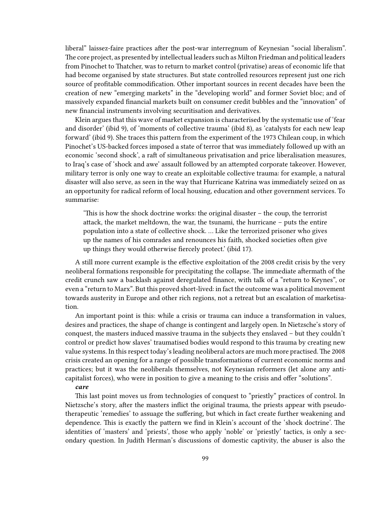liberal" laissez-faire practices after the post-war interregnum of Keynesian "social liberalism". The core project, as presented by intellectual leaders such as Milton Friedman and political leaders from Pinochet to Thatcher, was to return to market control (privatise) areas of economic life that had become organised by state structures. But state controlled resources represent just one rich source of profitable commodification. Other important sources in recent decades have been the creation of new "emerging markets" in the "developing world" and former Soviet bloc; and of massively expanded financial markets built on consumer credit bubbles and the "innovation" of new financial instruments involving securitisation and derivatives.

Klein argues that this wave of market expansion is characterised by the systematic use of 'fear and disorder' (ibid 9), of 'moments of collective trauma' (ibid 8), as 'catalysts for each new leap forward' (ibid 9). She traces this pattern from the experiment of the 1973 Chilean coup, in which Pinochet's US-backed forces imposed a state of terror that was immediately followed up with an economic 'second shock', a raft of simultaneous privatisation and price liberalisation measures, to Iraq's case of 'shock and awe' assault followed by an attempted corporate takeover. However, military terror is only one way to create an exploitable collective trauma: for example, a natural disaster will also serve, as seen in the way that Hurricane Katrina was immediately seized on as an opportunity for radical reform of local housing, education and other government services. To summarise:

'This is how the shock doctrine works: the original disaster – the coup, the terrorist attack, the market meltdown, the war, the tsunami, the hurricane – puts the entire population into a state of collective shock. … Like the terrorized prisoner who gives up the names of his comrades and renounces his faith, shocked societies often give up things they would otherwise fiercely protect.' (ibid 17).

A still more current example is the effective exploitation of the 2008 credit crisis by the very neoliberal formations responsible for precipitating the collapse. The immediate aftermath of the credit crunch saw a backlash against deregulated finance, with talk of a "return to Keynes", or even a "return to Marx". But this proved short-lived: in fact the outcome was a political movement towards austerity in Europe and other rich regions, not a retreat but an escalation of marketisation.

An important point is this: while a crisis or trauma can induce a transformation in values, desires and practices, the shape of change is contingent and largely open. In Nietzsche's story of conquest, the masters induced massive trauma in the subjects they enslaved – but they couldn't control or predict how slaves' traumatised bodies would respond to this trauma by creating new value systems. In this respect today's leading neoliberal actors are much more practised. The 2008 crisis created an opening for a range of possible transformations of current economic norms and practices; but it was the neoliberals themselves, not Keynesian reformers (let alone any anticapitalist forces), who were in position to give a meaning to the crisis and offer "solutions".

#### *care*

This last point moves us from technologies of conquest to "priestly" practices of control. In Nietzsche's story, after the masters inflict the original trauma, the priests appear with pseudotherapeutic 'remedies' to assuage the suffering, but which in fact create further weakening and dependence. This is exactly the pattern we find in Klein's account of the 'shock doctrine'. The identities of 'masters' and 'priests', those who apply 'noble' or 'priestly' tactics, is only a secondary question. In Judith Herman's discussions of domestic captivity, the abuser is also the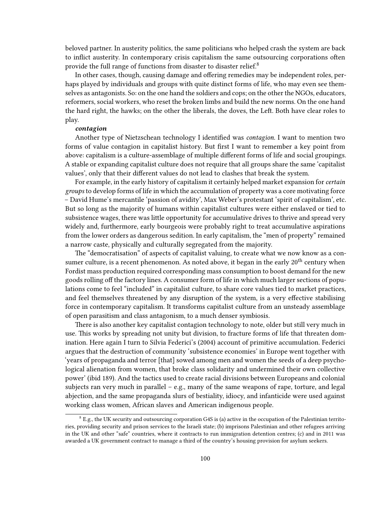beloved partner. In austerity politics, the same politicians who helped crash the system are back to inflict austerity. In contemporary crisis capitalism the same outsourcing corporations often provide the full range of functions from disaster to disaster relief.<sup>8</sup>

In other cases, though, causing damage and offering remedies may be independent roles, perhaps played by individuals and groups with quite distinct forms of life, who may even see themselves as antagonists. So: on the one hand the soldiers and cops; on the other the NGOs, educators, reformers, social workers, who reset the broken limbs and build the new norms. On the one hand the hard right, the hawks; on the other the liberals, the doves, the Left. Both have clear roles to play.

#### *contagion*

Another type of Nietzschean technology I identified was *contagion*. I want to mention two forms of value contagion in capitalist history. But first I want to remember a key point from above: capitalism is a culture-assemblage of multiple different forms of life and social groupings. A stable or expanding capitalist culture does not require that all groups share the same 'capitalist values', only that their different values do not lead to clashes that break the system.

For example, in the early history of capitalism it certainly helped market expansion for*certain groups* to develop forms of life in which the accumulation of property was a core motivating force – David Hume's mercantile 'passion of avidity', Max Weber's protestant 'spirit of capitalism', etc. But so long as the majority of humans within capitalist cultures were either enslaved or tied to subsistence wages, there was little opportunity for accumulative drives to thrive and spread very widely and, furthermore, early bourgeois were probably right to treat accumulative aspirations from the lower orders as dangerous sedition. In early capitalism, the "men of property" remained a narrow caste, physically and culturally segregated from the majority.

The "democratisation" of aspects of capitalist valuing, to create what we now know as a consumer culture, is a recent phenomenon. As noted above, it began in the early 20<sup>th</sup> century when Fordist mass production required corresponding mass consumption to boost demand for the new goods rolling off the factory lines. A consumer form of life in which much larger sections of populations come to feel "included" in capitalist culture, to share core values tied to market practices, and feel themselves threatened by any disruption of the system, is a very effective stabilising force in contemporary capitalism. It transforms capitalist culture from an unsteady assemblage of open parasitism and class antagonism, to a much denser symbiosis.

There is also another key capitalist contagion technology to note, older but still very much in use. This works by spreading not unity but division, to fracture forms of life that threaten domination. Here again I turn to Silvia Federici's (2004) account of primitive accumulation. Federici argues that the destruction of community 'subsistence economies' in Europe went together with 'years of propaganda and terror [that] sowed among men and women the seeds of a deep psychological alienation from women, that broke class solidarity and undermined their own collective power' (ibid 189). And the tactics used to create racial divisions between Europeans and colonial subjects ran very much in parallel  $-$  e.g., many of the same weapons of rape, torture, and legal abjection, and the same propaganda slurs of bestiality, idiocy, and infanticide were used against working class women, African slaves and American indigenous people.

<sup>&</sup>lt;sup>8</sup> E.g., the UK security and outsourcing corporation G4S is (a) active in the occupation of the Palestinian territories, providing security and prison services to the Israeli state; (b) imprisons Palestinian and other refugees arriving in the UK and other "safe" countries, where it contracts to run immigration detention centres; (c) and in 2011 was awarded a UK government contract to manage a third of the country's housing provision for asylum seekers.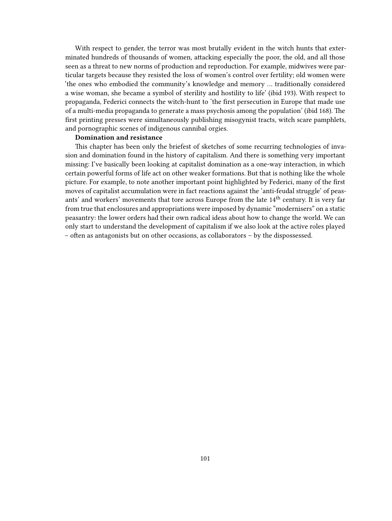With respect to gender, the terror was most brutally evident in the witch hunts that exterminated hundreds of thousands of women, attacking especially the poor, the old, and all those seen as a threat to new norms of production and reproduction. For example, midwives were particular targets because they resisted the loss of women's control over fertility; old women were 'the ones who embodied the community's knowledge and memory … traditionally considered a wise woman, she became a symbol of sterility and hostility to life' (ibid 193). With respect to propaganda, Federici connects the witch-hunt to 'the first persecution in Europe that made use of a multi-media propaganda to generate a mass psychosis among the population' (ibid 168). The first printing presses were simultaneously publishing misogynist tracts, witch scare pamphlets, and pornographic scenes of indigenous cannibal orgies.

#### **Domination and resistance**

This chapter has been only the briefest of sketches of some recurring technologies of invasion and domination found in the history of capitalism. And there is something very important missing: I've basically been looking at capitalist domination as a one-way interaction, in which certain powerful forms of life act on other weaker formations. But that is nothing like the whole picture. For example, to note another important point highlighted by Federici, many of the first moves of capitalist accumulation were in fact reactions against the 'anti-feudal struggle' of peasants' and workers' movements that tore across Europe from the late 14<sup>th</sup> century. It is very far from true that enclosures and appropriations were imposed by dynamic "modernisers" on a static peasantry: the lower orders had their own radical ideas about how to change the world. We can only start to understand the development of capitalism if we also look at the active roles played – often as antagonists but on other occasions, as collaborators – by the dispossessed.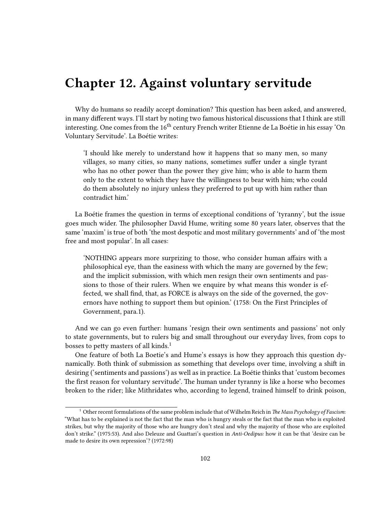# **Chapter 12. Against voluntary servitude**

Why do humans so readily accept domination? This question has been asked, and answered, in many different ways. I'll start by noting two famous historical discussions that I think are still interesting. One comes from the  $16<sup>th</sup>$  century French writer Etienne de La Boétie in his essay 'On Voluntary Servitude'. La Boétie writes:

'I should like merely to understand how it happens that so many men, so many villages, so many cities, so many nations, sometimes suffer under a single tyrant who has no other power than the power they give him; who is able to harm them only to the extent to which they have the willingness to bear with him; who could do them absolutely no injury unless they preferred to put up with him rather than contradict him.'

La Boétie frames the question in terms of exceptional conditions of 'tyranny', but the issue goes much wider. The philosopher David Hume, writing some 80 years later, observes that the same 'maxim' is true of both 'the most despotic and most military governments' and of 'the most free and most popular'. In all cases:

'NOTHING appears more surprizing to those, who consider human affairs with a philosophical eye, than the easiness with which the many are governed by the few; and the implicit submission, with which men resign their own sentiments and passions to those of their rulers. When we enquire by what means this wonder is effected, we shall find, that, as FORCE is always on the side of the governed, the governors have nothing to support them but opinion.' (1758: On the First Principles of Government, para.1).

And we can go even further: humans 'resign their own sentiments and passions' not only to state governments, but to rulers big and small throughout our everyday lives, from cops to bosses to petty masters of all kinds.<sup>1</sup>

One feature of both La Boetie's and Hume's essays is how they approach this question dynamically. Both think of submission as something that develops over time, involving a shift in desiring ('sentiments and passions') as well as in practice. La Boétie thinks that 'custom becomes the first reason for voluntary servitude'. The human under tyranny is like a horse who becomes broken to the rider; like Mithridates who, according to legend, trained himself to drink poison,

<sup>1</sup> Other recent formulations of the same problem include that of Wilhelm Reich in *The Mass Psychology of Fascism*: "What has to be explained is not the fact that the man who is hungry steals or the fact that the man who is exploited strikes, but why the majority of those who are hungry don't steal and why the majority of those who are exploited don't strike." (1975:53). And also Deleuze and Guattari's question in *Anti-Oedipus:* how it can be that 'desire can be made to desire its own repression'? (1972:98)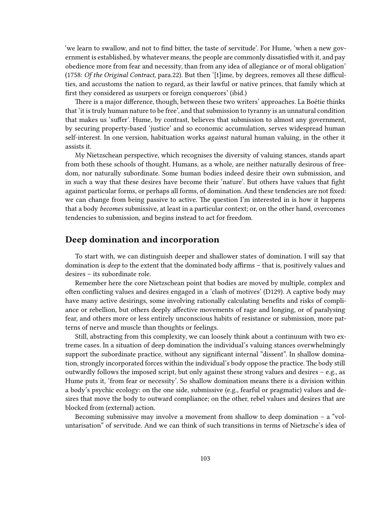'we learn to swallow, and not to find bitter, the taste of servitude'. For Hume, 'when a new government is established, by whatever means, the people are commonly dissatisfied with it, and pay obedience more from fear and necessity, than from any idea of allegiance or of moral obligation' (1758: *Of the Original Contract,* para.22). But then '[t]ime, by degrees, removes all these difficulties, and accustoms the nation to regard, as their lawful or native princes, that family which at first they considered as usurpers or foreign conquerors' (ibid.)

There is a major difference, though, between these two writers' approaches. La Boétie thinks that 'it is truly human nature to be free', and that submission to tyranny is an unnatural condition that makes us 'suffer'. Hume, by contrast, believes that submission to almost any government, by securing property-based 'justice' and so economic accumulation, serves widespread human self-interest. In one version, habituation works *against* natural human valuing, in the other it assists it.

My Nietzschean perspective, which recognises the diversity of valuing stances, stands apart from both these schools of thought. Humans, as a whole, are neither naturally desirous of freedom, nor naturally subordinate. Some human bodies indeed desire their own submission, and in such a way that these desires have become their 'nature'. But others have values that fight against particular forms, or perhaps all forms, of domination. And these tendencies are not fixed: we can change from being passive to active. The question I'm interested in is how it happens that a body *becomes* submissive, at least in a particular context; or, on the other hand, overcomes tendencies to submission, and begins instead to act for freedom.

### **Deep domination and incorporation**

To start with, we can distinguish deeper and shallower states of domination. I will say that domination is *deep* to the extent that the dominated body affirms – that is, positively values and desires – its subordinate role.

Remember here the core Nietzschean point that bodies are moved by multiple, complex and often conflicting values and desires engaged in a 'clash of motives' (D129). A captive body may have many active desirings, some involving rationally calculating benefits and risks of compliance or rebellion, but others deeply affective movements of rage and longing, or of paralysing fear, and others more or less entirely unconscious habits of resistance or submission, more patterns of nerve and muscle than thoughts or feelings.

Still, abstracting from this complexity, we can loosely think about a continuum with two extreme cases. In a situation of deep domination the individual's valuing stances overwhelmingly support the subordinate practice, without any significant internal "dissent". In shallow domination, strongly incorporated forces within the individual's body oppose the practice. The body still outwardly follows the imposed script, but only against these strong values and desires – e.g., as Hume puts it, 'from fear or necessity'. So shallow domination means there is a division within a body's psychic ecology: on the one side, submissive (e.g., fearful or pragmatic) values and desires that move the body to outward compliance; on the other, rebel values and desires that are blocked from (external) action.

Becoming submissive may involve a movement from shallow to deep domination – a "voluntarisation" of servitude. And we can think of such transitions in terms of Nietzsche's idea of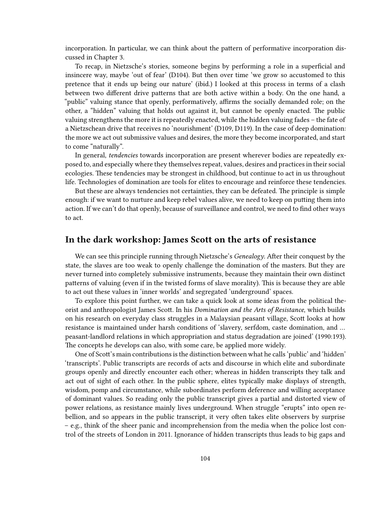incorporation. In particular, we can think about the pattern of performative incorporation discussed in Chapter 3.

To recap, in Nietzsche's stories, someone begins by performing a role in a superficial and insincere way, maybe 'out of fear' (D104). But then over time 'we grow so accustomed to this pretence that it ends up being our nature' (ibid.) I looked at this process in terms of a clash between two different drive patterns that are both active within a body. On the one hand, a "public" valuing stance that openly, performatively, affirms the socially demanded role; on the other, a "hidden" valuing that holds out against it, but cannot be openly enacted. The public valuing strengthens the more it is repeatedly enacted, while the hidden valuing fades – the fate of a Nietzschean drive that receives no 'nourishment' (D109, D119). In the case of deep domination: the more we act out submissive values and desires, the more they become incorporated, and start to come "naturally".

In general, *tendencies* towards incorporation are present wherever bodies are repeatedly exposed to, and especially where they themselves repeat, values, desires and practices in their social ecologies. These tendencies may be strongest in childhood, but continue to act in us throughout life. Technologies of domination are tools for elites to encourage and reinforce these tendencies.

But these are always tendencies not certainties, they can be defeated. The principle is simple enough: if we want to nurture and keep rebel values alive, we need to keep on putting them into action. If we can't do that openly, because of surveillance and control, we need to find other ways to act.

#### **In the dark workshop: James Scott on the arts of resistance**

We can see this principle running through Nietzsche's *Genealogy*. After their conquest by the state, the slaves are too weak to openly challenge the domination of the masters. But they are never turned into completely submissive instruments, because they maintain their own distinct patterns of valuing (even if in the twisted forms of slave morality). This is because they are able to act out these values in 'inner worlds' and segregated 'underground' spaces.

To explore this point further, we can take a quick look at some ideas from the political theorist and anthropologist James Scott. In his *Domination and the Arts of Resistance*, which builds on his research on everyday class struggles in a Malaysian peasant village, Scott looks at how resistance is maintained under harsh conditions of 'slavery, serfdom, caste domination, and … peasant-landlord relations in which appropriation and status degradation are joined' (1990:193). The concepts he develops can also, with some care, be applied more widely.

One of Scott's main contributions is the distinction between what he calls 'public' and 'hidden' 'transcripts'. Public transcripts are records of acts and discourse in which elite and subordinate groups openly and directly encounter each other; whereas in hidden transcripts they talk and act out of sight of each other. In the public sphere, elites typically make displays of strength, wisdom, pomp and circumstance, while subordinates perform deference and willing acceptance of dominant values. So reading only the public transcript gives a partial and distorted view of power relations, as resistance mainly lives underground. When struggle "erupts" into open rebellion, and so appears in the public transcript, it very often takes elite observers by surprise – e.g., think of the sheer panic and incomprehension from the media when the police lost control of the streets of London in 2011. Ignorance of hidden transcripts thus leads to big gaps and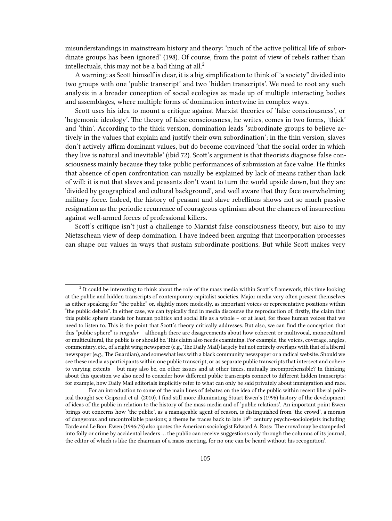misunderstandings in mainstream history and theory: 'much of the active political life of subordinate groups has been ignored' (198). Of course, from the point of view of rebels rather than intellectuals, this may not be a bad thing at all. $<sup>2</sup>$ </sup>

A warning: as Scott himself is clear, it is a big simplification to think of "a society" divided into two groups with one 'public transcript' and two 'hidden transcripts'. We need to root any such analysis in a broader conception of social ecologies as made up of multiple interacting bodies and assemblages, where multiple forms of domination intertwine in complex ways.

Scott uses his idea to mount a critique against Marxist theories of 'false consciousness', or 'hegemonic ideology'. The theory of false consciousness, he writes, comes in two forms, 'thick' and 'thin'. According to the thick version, domination leads 'subordinate groups to believe actively in the values that explain and justify their own subordination'; in the thin version, slaves don't actively affirm dominant values, but do become convinced 'that the social order in which they live is natural and inevitable' (ibid 72). Scott's argument is that theorists diagnose false consciousness mainly because they take public performances of submission at face value. He thinks that absence of open confrontation can usually be explained by lack of means rather than lack of will: it is not that slaves and peasants don't want to turn the world upside down, but they are 'divided by geographical and cultural background', and well aware that they face overwhelming military force. Indeed, the history of peasant and slave rebellions shows not so much passive resignation as the periodic recurrence of courageous optimism about the chances of insurrection against well-armed forces of professional killers.

Scott's critique isn't just a challenge to Marxist false consciousness theory, but also to my Nietzschean view of deep domination. I have indeed been arguing that incorporation processes can shape our values in ways that sustain subordinate positions. But while Scott makes very

<sup>&</sup>lt;sup>2</sup> It could be interesting to think about the role of the mass media within Scott's framework, this time looking at the public and hidden transcripts of contemporary capitalist societies. Major media very often present themselves as either speaking for "the public" or, slightly more modestly, as important voices or representative positions within "the public debate". In either case, we can typically find in media discourse the reproduction of, firstly, the claim that this public sphere stands for human politics and social life as a whole – or at least, for those human voices that we need to listen to. This is the point that Scott's theory critically addresses. But also, we can find the conception that this "public sphere" is *singular* – although there are disagreements about how coherent or multivocal, monocultural or multicultural, the public is or should be. This claim also needs examining. For example, the voices, coverage, angles, commentary, etc., of a right wing newspaper (e.g., The Daily Mail) largely but not entirely overlaps with that of a liberal newspaper (e.g., The Guardian), and somewhat less with a black community newspaper or a radical website. Should we see these media as participants within one public transcript, or as separate public transcripts that intersect and cohere to varying extents – but may also be, on other issues and at other times, mutually incomprehensible? In thinking about this question we also need to consider how different public transcripts connect to different hidden transcripts: for example, how Daily Mail editorials implicitly refer to what can only be said privately about immigration and race.

For an introduction to some of the main lines of debates on the idea of the public within recent liberal political thought see Gripsrud et al. (2010). I find still more illuminating Stuart Ewen's (1996) history of the development of ideas of the public in relation to the history of the mass media and of 'public relations'. An important point Ewen brings out concerns how 'the public', as a manageable agent of reason, is distinguished from 'the crowd', a morass of dangerous and uncontrollable passions; a theme he traces back to late  $19<sup>th</sup>$  century psycho-sociologists including Tarde and Le Bon. Ewen (1996:73) also quotes the American sociologist Edward A. Ross: 'The crowd may be stampeded into folly or crime by accidental leaders … the public can receive suggestions only through the columns of its journal, the editor of which is like the chairman of a mass-meeting, for no one can be heard without his recognition'.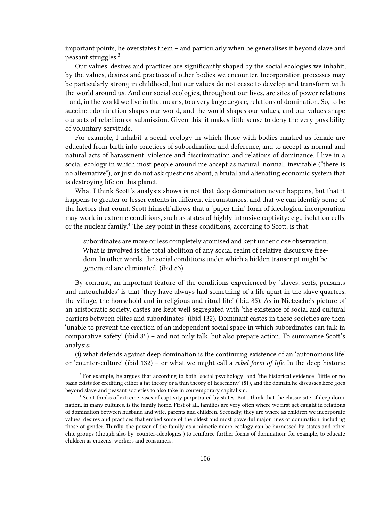important points, he overstates them – and particularly when he generalises it beyond slave and peasant struggles.<sup>3</sup>

Our values, desires and practices are significantly shaped by the social ecologies we inhabit, by the values, desires and practices of other bodies we encounter. Incorporation processes may be particularly strong in childhood, but our values do not cease to develop and transform with the world around us. And our social ecologies, throughout our lives, are sites of power relations – and, in the world we live in that means, to a very large degree, relations of domination. So, to be succinct: domination shapes our world, and the world shapes our values, and our values shape our acts of rebellion or submission. Given this, it makes little sense to deny the very possibility of voluntary servitude.

For example, I inhabit a social ecology in which those with bodies marked as female are educated from birth into practices of subordination and deference, and to accept as normal and natural acts of harassment, violence and discrimination and relations of dominance. I live in a social ecology in which most people around me accept as natural, normal, inevitable ("there is no alternative"), or just do not ask questions about, a brutal and alienating economic system that is destroying life on this planet.

What I think Scott's analysis shows is not that deep domination never happens, but that it happens to greater or lesser extents in different circumstances, and that we can identify some of the factors that count. Scott himself allows that a 'paper thin' form of ideological incorporation may work in extreme conditions, such as states of highly intrusive captivity: e.g., isolation cells, or the nuclear family.<sup>4</sup> The key point in these conditions, according to Scott, is that:

subordinates are more or less completely atomised and kept under close observation. What is involved is the total abolition of any social realm of relative discursive freedom. In other words, the social conditions under which a hidden transcript might be generated are eliminated. (ibid 83)

By contrast, an important feature of the conditions experienced by 'slaves, serfs, peasants and untouchables' is that 'they have always had something of a life apart in the slave quarters, the village, the household and in religious and ritual life' (ibid 85). As in Nietzsche's picture of an aristocratic society, castes are kept well segregated with 'the existence of social and cultural barriers between elites and subordinates' (ibid 132). Dominant castes in these societies are then 'unable to prevent the creation of an independent social space in which subordinates can talk in comparative safety' (ibid 85) – and not only talk, but also prepare action. To summarise Scott's analysis:

(i) what defends against deep domination is the continuing existence of an 'autonomous life' or 'counter-culture' (ibid 132) – or what we might call a *rebel form of life*. In the deep historic

<sup>&</sup>lt;sup>3</sup> For example, he argues that according to both 'social psychology' and 'the historical evidence' 'little or no basis exists for crediting either a fat theory or a thin theory of hegemony' (81), and the domain he discusses here goes beyond slave and peasant societies to also take in contemporary capitalism.

<sup>4</sup> Scott thinks of extreme cases of captivity perpetrated by states. But I think that the classic site of deep domination, in many cultures, is the family home. First of all, families are very often where we first get caught in relations of domination between husband and wife, parents and children. Secondly, they are where as children we incorporate values, desires and practices that embed some of the oldest and most powerful major lines of domination, including those of gender. Thirdly, the power of the family as a mimetic micro-ecology can be harnessed by states and other elite groups (though also by 'counter-ideologies') to reinforce further forms of domination: for example, to educate children as citizens, workers and consumers.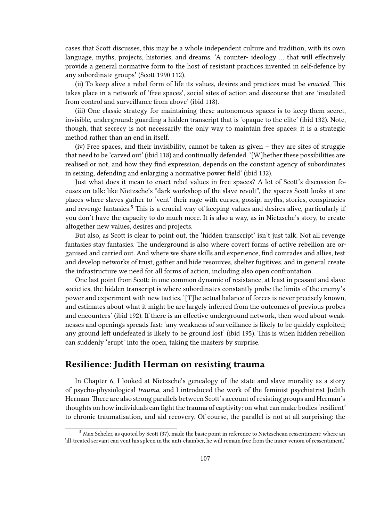cases that Scott discusses, this may be a whole independent culture and tradition, with its own language, myths, projects, histories, and dreams. 'A counter- ideology … that will effectively provide a general normative form to the host of resistant practices invented in self-defence by any subordinate groups' (Scott 1990 112).

(ii) To keep alive a rebel form of life its values, desires and practices must be *enacted*. This takes place in a network of 'free spaces', social sites of action and discourse that are 'insulated from control and surveillance from above' (ibid 118).

(iii) One classic strategy for maintaining these autonomous spaces is to keep them secret, invisible, underground: guarding a hidden transcript that is 'opaque to the elite' (ibid 132). Note, though, that secrecy is not necessarily the only way to maintain free spaces: it is a strategic method rather than an end in itself.

(iv) Free spaces, and their invisibility, cannot be taken as given – they are sites of struggle that need to be 'carved out' (ibid 118) and continually defended. '[W]hether these possibilities are realised or not, and how they find expression, depends on the constant agency of subordinates in seizing, defending and enlarging a normative power field' (ibid 132).

Just what does it mean to enact rebel values in free spaces? A lot of Scott's discussion focuses on talk: like Nietzsche's "dark workshop of the slave revolt", the spaces Scott looks at are places where slaves gather to 'vent' their rage with curses, gossip, myths, stories, conspiracies and revenge fantasies.<sup>5</sup> This is a crucial way of keeping values and desires alive, particularly if you don't have the capacity to do much more. It is also a way, as in Nietzsche's story, to create altogether new values, desires and projects.

But also, as Scott is clear to point out, the 'hidden transcript' isn't just talk. Not all revenge fantasies stay fantasies. The underground is also where covert forms of active rebellion are organised and carried out. And where we share skills and experience, find comrades and allies, test and develop networks of trust, gather and hide resources, shelter fugitives, and in general create the infrastructure we need for all forms of action, including also open confrontation.

One last point from Scott: in one common dynamic of resistance, at least in peasant and slave societies, the hidden transcript is where subordinates constantly probe the limits of the enemy's power and experiment with new tactics. '[T]he actual balance of forces is never precisely known, and estimates about what it might be are largely inferred from the outcomes of previous probes and encounters' (ibid 192). If there is an effective underground network, then word about weaknesses and openings spreads fast: 'any weakness of surveillance is likely to be quickly exploited; any ground left undefeated is likely to be ground lost' (ibid 195). This is when hidden rebellion can suddenly 'erupt' into the open, taking the masters by surprise.

#### **Resilience: Judith Herman on resisting trauma**

In Chapter 6, I looked at Nietzsche's genealogy of the state and slave morality as a story of psycho-physiological *trauma*, and I introduced the work of the feminist psychiatrist Judith Herman.There are also strong parallels between Scott's account of resisting groups and Herman's thoughts on how individuals can fight the trauma of captivity: on what can make bodies 'resilient' to chronic traumatisation, and aid recovery. Of course, the parallel is not at all surprising: the

 $5$  Max Scheler, as quoted by Scott (37), made the basic point in reference to Nietzschean ressentiment: where an 'ill-treated servant can vent his spleen in the anti-chamber, he will remain free from the inner venom of ressentiment.'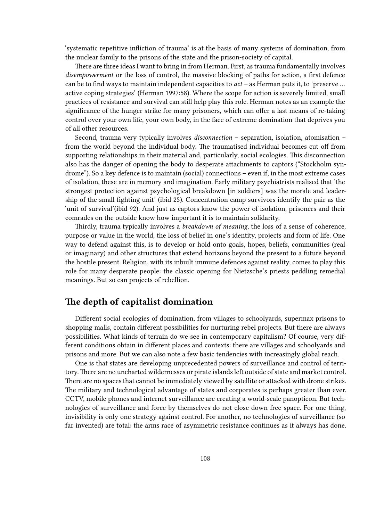'systematic repetitive infliction of trauma' is at the basis of many systems of domination, from the nuclear family to the prisons of the state and the prison-society of capital.

There are three ideas I want to bring in from Herman. First, as trauma fundamentally involves *disempowerment* or the loss of control, the massive blocking of paths for action, a first defence can be to find ways to maintain independent capacities to *act –* as Herman puts it, to 'preserve … active coping strategies' (Herman 1997:58). Where the scope for action is severely limited, small practices of resistance and survival can still help play this role. Herman notes as an example the significance of the hunger strike for many prisoners, which can offer a last means of re-taking control over your own life, your own body, in the face of extreme domination that deprives you of all other resources.

Second, trauma very typically involves *disconnection* – separation, isolation, atomisation – from the world beyond the individual body. The traumatised individual becomes cut off from supporting relationships in their material and, particularly, social ecologies. This disconnection also has the danger of opening the body to desperate attachments to captors ("Stockholm syndrome"). So a key defence is to maintain (social) connections – even if, in the most extreme cases of isolation, these are in memory and imagination. Early military psychiatrists realised that 'the strongest protection against psychological breakdown [in soldiers] was the morale and leadership of the small fighting unit' (ibid 25). Concentration camp survivors identify the pair as the 'unit of survival'(ibid 92). And just as captors know the power of isolation, prisoners and their comrades on the outside know how important it is to maintain solidarity.

Thirdly, trauma typically involves a *breakdown of meaning*, the loss of a sense of coherence, purpose or value in the world, the loss of belief in one's identity, projects and form of life. One way to defend against this, is to develop or hold onto goals, hopes, beliefs, communities (real or imaginary) and other structures that extend horizons beyond the present to a future beyond the hostile present. Religion, with its inbuilt immune defences against reality, comes to play this role for many desperate people: the classic opening for Nietzsche's priests peddling remedial meanings. But so can projects of rebellion.

## **The depth of capitalist domination**

Different social ecologies of domination, from villages to schoolyards, supermax prisons to shopping malls, contain different possibilities for nurturing rebel projects. But there are always possibilities. What kinds of terrain do we see in contemporary capitalism? Of course, very different conditions obtain in different places and contexts: there are villages and schoolyards and prisons and more. But we can also note a few basic tendencies with increasingly global reach.

One is that states are developing unprecedented powers of surveillance and control of territory. There are no uncharted wildernesses or pirate islands left outside of state and market control. There are no spaces that cannot be immediately viewed by satellite or attacked with drone strikes. The military and technological advantage of states and corporates is perhaps greater than ever. CCTV, mobile phones and internet surveillance are creating a world-scale panopticon. But technologies of surveillance and force by themselves do not close down free space. For one thing, invisibility is only one strategy against control. For another, no technologies of surveillance (so far invented) are total: the arms race of asymmetric resistance continues as it always has done.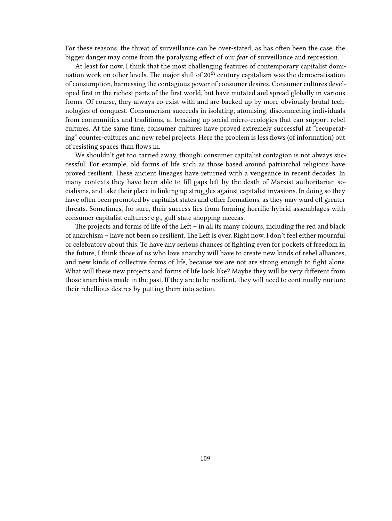For these reasons, the threat of surveillance can be over-stated; as has often been the case, the bigger danger may come from the paralysing effect of our *fear* of surveillance and repression.

At least for now, I think that the most challenging features of contemporary capitalist domination work on other levels. The major shift of  $20<sup>th</sup>$  century capitalism was the democratisation of consumption, harnessing the contagious power of consumer desires. Consumer cultures developed first in the richest parts of the first world, but have mutated and spread globally in various forms. Of course, they always co-exist with and are backed up by more obviously brutal technologies of conquest. Consumerism succeeds in isolating, atomising, disconnecting individuals from communities and traditions, at breaking up social micro-ecologies that can support rebel cultures. At the same time, consumer cultures have proved extremely successful at "recuperating" counter-cultures and new rebel projects. Here the problem is less flows (of information) out of resisting spaces than flows in.

We shouldn't get too carried away, though: consumer capitalist contagion is not always successful. For example, old forms of life such as those based around patriarchal religions have proved resilient. These ancient lineages have returned with a vengeance in recent decades. In many contexts they have been able to fill gaps left by the death of Marxist authoritarian socialisms, and take their place in linking up struggles against capitalist invasions. In doing so they have often been promoted by capitalist states and other formations, as they may ward off greater threats. Sometimes, for sure, their success lies from forming horrific hybrid assemblages with consumer capitalist cultures: e.g., gulf state shopping meccas.

The projects and forms of life of the Left – in all its many colours, including the red and black of anarchism – have not been so resilient. The Left is over. Right now, I don't feel either mournful or celebratory about this. To have any serious chances of fighting even for pockets of freedom in the future, I think those of us who love anarchy will have to create new kinds of rebel alliances, and new kinds of collective forms of life, because we are not are strong enough to fight alone. What will these new projects and forms of life look like? Maybe they will be very different from those anarchists made in the past. If they are to be resilient, they will need to continually nurture their rebellious desires by putting them into action.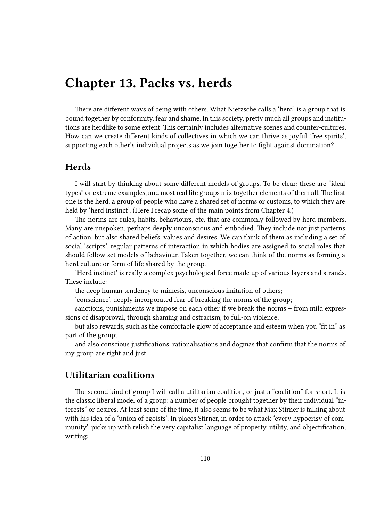## **Chapter 13. Packs vs. herds**

There are different ways of being with others. What Nietzsche calls a 'herd' is a group that is bound together by conformity, fear and shame. In this society, pretty much all groups and institutions are herdlike to some extent. This certainly includes alternative scenes and counter-cultures. How can we create different kinds of collectives in which we can thrive as joyful 'free spirits', supporting each other's individual projects as we join together to fight against domination?

#### **Herds**

I will start by thinking about some different models of groups. To be clear: these are "ideal types" or extreme examples, and most real life groups mix together elements of them all. The first one is the herd, a group of people who have a shared set of norms or customs, to which they are held by 'herd instinct'. (Here I recap some of the main points from Chapter 4.)

The norms are rules, habits, behaviours, etc. that are commonly followed by herd members. Many are unspoken, perhaps deeply unconscious and embodied. They include not just patterns of action, but also shared beliefs, values and desires. We can think of them as including a set of social 'scripts', regular patterns of interaction in which bodies are assigned to social roles that should follow set models of behaviour. Taken together, we can think of the norms as forming a herd culture or form of life shared by the group.

'Herd instinct' is really a complex psychological force made up of various layers and strands. These include:

the deep human tendency to mimesis, unconscious imitation of others;

'conscience', deeply incorporated fear of breaking the norms of the group;

sanctions, punishments we impose on each other if we break the norms – from mild expressions of disapproval, through shaming and ostracism, to full-on violence;

but also rewards, such as the comfortable glow of acceptance and esteem when you "fit in" as part of the group;

and also conscious justifications, rationalisations and dogmas that confirm that the norms of my group are right and just.

#### **Utilitarian coalitions**

The second kind of group I will call a utilitarian coalition, or just a "coalition" for short. It is the classic liberal model of a group: a number of people brought together by their individual "interests" or desires. At least some of the time, it also seems to be what Max Stirner is talking about with his idea of a 'union of egoists'. In places Stirner, in order to attack 'every hypocrisy of community', picks up with relish the very capitalist language of property, utility, and objectification, writing: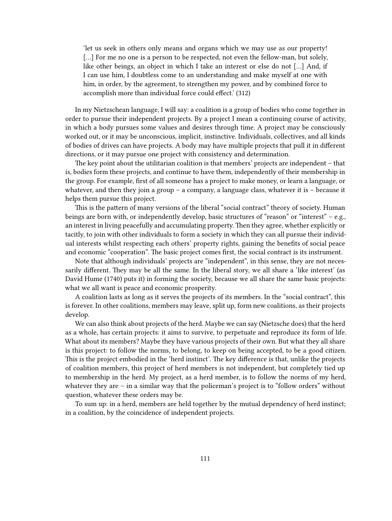'let us seek in others only means and organs which we may use as our property! [...] For me no one is a person to be respected, not even the fellow-man, but solely, like other beings, an object in which I take an interest or else do not […] And, if I can use him, I doubtless come to an understanding and make myself at one with him, in order, by the agreement, to strengthen my power, and by combined force to accomplish more than individual force could effect.' (312)

In my Nietzschean language, I will say: a coalition is a group of bodies who come together in order to pursue their independent projects. By a project I mean a continuing course of activity, in which a body pursues some values and desires through time. A project may be consciously worked out, or it may be unconscious, implicit, instinctive. Individuals, collectives, and all kinds of bodies of drives can have projects. A body may have multiple projects that pull it in different directions, or it may pursue one project with consistency and determination.

The key point about the utilitarian coalition is that members' projects are independent – that is, bodies form these projects, and continue to have them, independently of their membership in the group. For example, first of all someone has a project to make money, or learn a language, or whatever, and then they join a group – a company, a language class, whatever it is – because it helps them pursue this project.

This is the pattern of many versions of the liberal "social contract" theory of society. Human beings are born with, or independently develop, basic structures of "reason" or "interest" – e.g., an interest in living peacefully and accumulating property. Then they agree, whether explicitly or tacitly, to join with other individuals to form a society in which they can all pursue their individual interests whilst respecting each others' property rights, gaining the benefits of social peace and economic "cooperation". The basic project comes first, the social contract is its instrument.

Note that although individuals' projects are "independent", in this sense, they are not necessarily different. They may be all the same. In the liberal story, we all share a 'like interest' (as David Hume (1740) puts it) in forming the society, because we all share the same basic projects: what we all want is peace and economic prosperity.

A coalition lasts as long as it serves the projects of its members. In the "social contract", this is forever. In other coalitions, members may leave, split up, form new coalitions, as their projects develop.

We can also think about projects of the herd. Maybe we can say (Nietzsche does) that the herd as a whole, has certain projects: it aims to survive, to perpetuate and reproduce its form of life. What about its members? Maybe they have various projects of their own. But what they all share is this project: to follow the norms, to belong, to keep on being accepted, to be a good citizen. This is the project embodied in the 'herd instinct'. The key difference is that, unlike the projects of coalition members, this project of herd members is not independent, but completely tied up to membership in the herd. My project, as a herd member, is to follow the norms of my herd, whatever they are – in a similar way that the policeman's project is to "follow orders" without question, whatever these orders may be.

To sum up: in a herd, members are held together by the mutual dependency of herd instinct; in a coalition, by the coincidence of independent projects.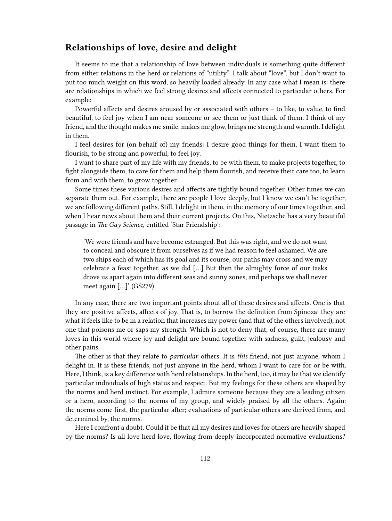#### **Relationships of love, desire and delight**

It seems to me that a relationship of love between individuals is something quite different from either relations in the herd or relations of "utility". I talk about "love", but I don't want to put too much weight on this word, so heavily loaded already. In any case what I mean is: there are relationships in which we feel strong desires and affects connected to particular others. For example:

Powerful affects and desires aroused by or associated with others – to like, to value, to find beautiful, to feel joy when I am near someone or see them or just think of them. I think of my friend, and the thought makes me smile, makes me glow, brings me strength and warmth. I delight in them.

I feel desires for (on behalf of) my friends: I desire good things for them, I want them to flourish, to be strong and powerful, to feel joy.

I want to share part of my life with my friends, to be with them, to make projects together, to fight alongside them, to care for them and help them flourish, and receive their care too, to learn from and with them, to grow together.

Some times these various desires and affects are tightly bound together. Other times we can separate them out. For example, there are people I love deeply, but I know we can't be together, we are following different paths. Still, I delight in them, in the memory of our times together, and when I hear news about them and their current projects. On this, Nietzsche has a very beautiful passage in *The Gay Science*, entitled 'Star Friendship':

'We were friends and have become estranged. But this was right, and we do not want to conceal and obscure it from ourselves as if we had reason to feel ashamed. We are two ships each of which has its goal and its course; our paths may cross and we may celebrate a feast together, as we did […] But then the almighty force of our tasks drove us apart again into different seas and sunny zones, and perhaps we shall never meet again […]' (GS279)

In any case, there are two important points about all of these desires and affects. One is that they are positive affects, affects of joy. That is, to borrow the definition from Spinoza: they are what it feels like to be in a relation that increases my power (and that of the others involved), not one that poisons me or saps my strength. Which is not to deny that, of course, there are many loves in this world where joy and delight are bound together with sadness, guilt, jealousy and other pains.

The other is that they relate to *particular* others. It is *this* friend, not just anyone, whom I delight in. It is these friends, not just anyone in the herd, whom I want to care for or be with. Here, I think, is a key difference with herd relationships. In the herd, too, it may be that we identify particular individuals of high status and respect. But my feelings for these others are shaped by the norms and herd instinct. For example, I admire someone because they are a leading citizen or a hero, according to the norms of my group, and widely praised by all the others. Again: the norms come first, the particular after; evaluations of particular others are derived from, and determined by, the norms.

Here I confront a doubt. Could it be that all my desires and loves for others are heavily shaped by the norms? Is all love herd love, flowing from deeply incorporated normative evaluations?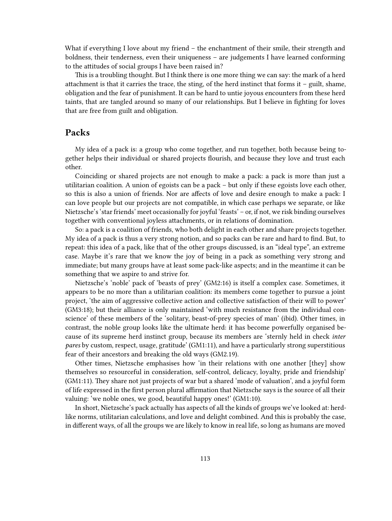What if everything I love about my friend – the enchantment of their smile, their strength and boldness, their tenderness, even their uniqueness – are judgements I have learned conforming to the attitudes of social groups I have been raised in?

This is a troubling thought. But I think there is one more thing we can say: the mark of a herd attachment is that it carries the trace, the sting, of the herd instinct that forms it – guilt, shame, obligation and the fear of punishment. It can be hard to untie joyous encounters from these herd taints, that are tangled around so many of our relationships. But I believe in fighting for loves that are free from guilt and obligation.

#### **Packs**

My idea of a pack is: a group who come together, and run together, both because being together helps their individual or shared projects flourish, and because they love and trust each other.

Coinciding or shared projects are not enough to make a pack: a pack is more than just a utilitarian coalition. A union of egoists can be a pack – but only if these egoists love each other, so this is also a union of friends. Nor are affects of love and desire enough to make a pack: I can love people but our projects are not compatible, in which case perhaps we separate, or like Nietzsche's 'star friends' meet occasionally for joyful 'feasts' – or, if not, we risk binding ourselves together with conventional joyless attachments, or in relations of domination.

So: a pack is a coalition of friends, who both delight in each other and share projects together. My idea of a pack is thus a very strong notion, and so packs can be rare and hard to find. But, to repeat: this idea of a pack, like that of the other groups discussed, is an "ideal type", an extreme case. Maybe it's rare that we know the joy of being in a pack as something very strong and immediate; but many groups have at least some pack-like aspects; and in the meantime it can be something that we aspire to and strive for.

Nietzsche's 'noble' pack of 'beasts of prey' (GM2:16) is itself a complex case. Sometimes, it appears to be no more than a utilitarian coalition: its members come together to pursue a joint project, 'the aim of aggressive collective action and collective satisfaction of their will to power' (GM3:18); but their alliance is only maintained 'with much resistance from the individual conscience' of these members of the 'solitary, beast-of-prey species of man' (ibid). Other times, in contrast, the noble group looks like the ultimate herd: it has become powerfully organised because of its supreme herd instinct group, because its members are 'sternly held in check *inter pares* by custom, respect, usage, gratitude' (GM1:11), and have a particularly strong superstitious fear of their ancestors and breaking the old ways (GM2.19).

Other times, Nietzsche emphasises how 'in their relations with one another [they] show themselves so resourceful in consideration, self-control, delicacy, loyalty, pride and friendship' (GM1:11). They share not just projects of war but a shared 'mode of valuation', and a joyful form of life expressed in the first person plural affirmation that Nietzsche says is the source of all their valuing: 'we noble ones, we good, beautiful happy ones!' (GM1:10).

In short, Nietzsche's pack actually has aspects of all the kinds of groups we've looked at: herdlike norms, utilitarian calculations, and love and delight combined. And this is probably the case, in different ways, of all the groups we are likely to know in real life, so long as humans are moved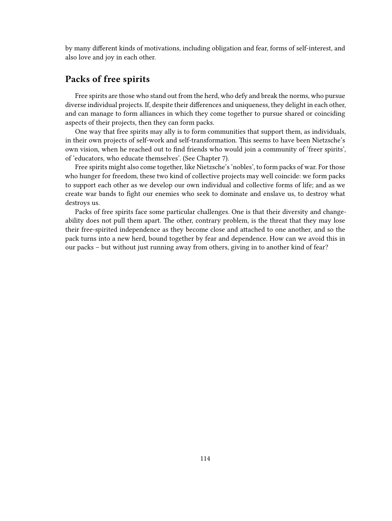by many different kinds of motivations, including obligation and fear, forms of self-interest, and also love and joy in each other.

#### **Packs of free spirits**

Free spirits are those who stand out from the herd, who defy and break the norms, who pursue diverse individual projects. If, despite their differences and uniqueness, they delight in each other, and can manage to form alliances in which they come together to pursue shared or coinciding aspects of their projects, then they can form packs.

One way that free spirits may ally is to form communities that support them, as individuals, in their own projects of self-work and self-transformation. This seems to have been Nietzsche's own vision, when he reached out to find friends who would join a community of 'freer spirits', of 'educators, who educate themselves'. (See Chapter 7).

Free spirits might also come together, like Nietzsche's 'nobles', to form packs of war. For those who hunger for freedom, these two kind of collective projects may well coincide: we form packs to support each other as we develop our own individual and collective forms of life; and as we create war bands to fight our enemies who seek to dominate and enslave us, to destroy what destroys us.

Packs of free spirits face some particular challenges. One is that their diversity and changeability does not pull them apart. The other, contrary problem, is the threat that they may lose their free-spirited independence as they become close and attached to one another, and so the pack turns into a new herd, bound together by fear and dependence. How can we avoid this in our packs – but without just running away from others, giving in to another kind of fear?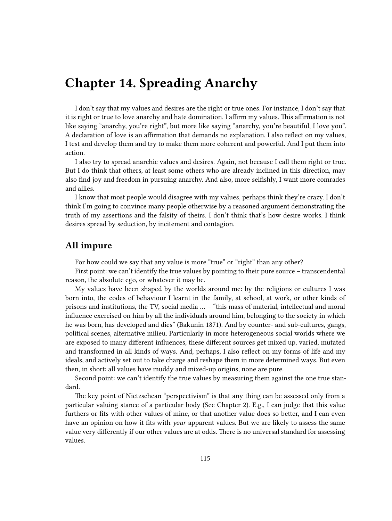# **Chapter 14. Spreading Anarchy**

I don't say that my values and desires are the right or true ones. For instance, I don't say that it is right or true to love anarchy and hate domination. I affirm my values. This affirmation is not like saying "anarchy, you're right", but more like saying "anarchy, you're beautiful, I love you". A declaration of love is an affirmation that demands no explanation. I also reflect on my values, I test and develop them and try to make them more coherent and powerful. And I put them into action.

I also try to spread anarchic values and desires. Again, not because I call them right or true. But I do think that others, at least some others who are already inclined in this direction, may also find joy and freedom in pursuing anarchy. And also, more selfishly, I want more comrades and allies.

I know that most people would disagree with my values, perhaps think they're crazy. I don't think I'm going to convince many people otherwise by a reasoned argument demonstrating the truth of my assertions and the falsity of theirs. I don't think that's how desire works. I think desires spread by seduction, by incitement and contagion.

#### **All impure**

For how could we say that any value is more "true" or "right" than any other?

First point: we can't identify the true values by pointing to their pure source – transcendental reason, the absolute ego, or whatever it may be.

My values have been shaped by the worlds around me: by the religions or cultures I was born into, the codes of behaviour I learnt in the family, at school, at work, or other kinds of prisons and institutions, the TV, social media … – "this mass of material, intellectual and moral influence exercised on him by all the individuals around him, belonging to the society in which he was born, has developed and dies" (Bakunin 1871). And by counter- and sub-cultures, gangs, political scenes, alternative milieu. Particularly in more heterogeneous social worlds where we are exposed to many different influences, these different sources get mixed up, varied, mutated and transformed in all kinds of ways. And, perhaps, I also reflect on my forms of life and my ideals, and actively set out to take charge and reshape them in more determined ways. But even then, in short: all values have muddy and mixed-up origins, none are pure.

Second point: we can't identify the true values by measuring them against the one true standard.

The key point of Nietzschean "perspectivism" is that any thing can be assessed only from a particular valuing stance of a particular body (See Chapter 2). E.g., I can judge that this value furthers or fits with other values of mine, or that another value does so better, and I can even have an opinion on how it fits with *your* apparent values. But we are likely to assess the same value very differently if our other values are at odds. There is no universal standard for assessing values.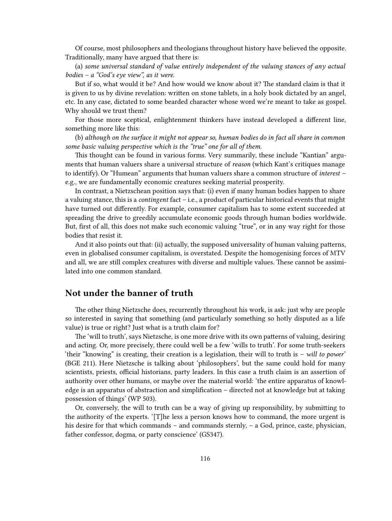Of course, most philosophers and theologians throughout history have believed the opposite. Traditionally, many have argued that there is:

(a) *some universal standard of value entirely independent of the valuing stances of any actual bodies – a "God's eye view", as it were.*

But if so, what would it be? And how would we know about it? The standard claim is that it is given to us by divine revelation: written on stone tablets, in a holy book dictated by an angel, etc. In any case, dictated to some bearded character whose word we're meant to take as gospel. Why should we trust them?

For those more sceptical, enlightenment thinkers have instead developed a different line, something more like this:

(b) *although on the surface it might not appear so, human bodies do in fact all share in common some basic valuing perspective which is the "true" one for all of them.*

This thought can be found in various forms. Very summarily, these include "Kantian" arguments that human valuers share a universal structure of *reason* (which Kant's critiques manage to identify). Or "Humean" arguments that human valuers share a common structure of *interest* – e.g., we are fundamentally economic creatures seeking material prosperity.

In contrast, a Nietzschean position says that: (i) even if many human bodies happen to share a valuing stance, this is a *contingent* fact – i.e., a product of particular historical events that might have turned out differently. For example, consumer capitalism has to some extent succeeded at spreading the drive to greedily accumulate economic goods through human bodies worldwide. But, first of all, this does not make such economic valuing "true", or in any way right for those bodies that resist it.

And it also points out that: (ii) actually, the supposed universality of human valuing patterns, even in globalised consumer capitalism, is overstated. Despite the homogenising forces of MTV and all, we are still complex creatures with diverse and multiple values. These cannot be assimilated into one common standard.

#### **Not under the banner of truth**

The other thing Nietzsche does, recurrently throughout his work, is ask: just why are people so interested in saying that something (and particularly something so hotly disputed as a life value) is true or right? Just what is a truth claim for?

The 'will to truth', says Nietzsche, is one more drive with its own patterns of valuing, desiring and acting. Or, more precisely, there could well be a few 'wills to truth'. For some truth-seekers 'their "knowing" is creating, their creation is a legislation, their will to truth is – *will to power*' (BGE 211). Here Nietzsche is talking about 'philosophers', but the same could hold for many scientists, priests, official historians, party leaders. In this case a truth claim is an assertion of authority over other humans, or maybe over the material world: 'the entire apparatus of knowledge is an apparatus of abstraction and simplification – directed not at knowledge but at taking possession of things' (WP 503).

Or, conversely, the will to truth can be a way of giving up responsibility, by submitting to the authority of the experts. '[T]he less a person knows how to command, the more urgent is his desire for that which commands – and commands sternly, – a God, prince, caste, physician, father confessor, dogma, or party conscience' (GS347).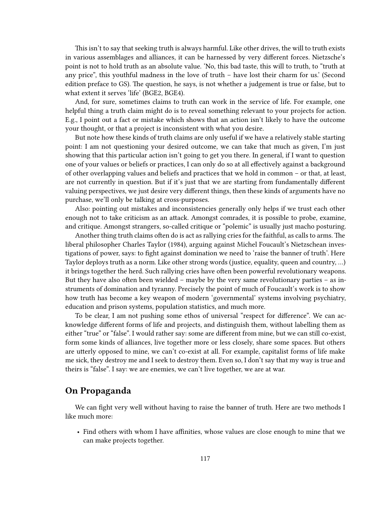This isn't to say that seeking truth is always harmful. Like other drives, the will to truth exists in various assemblages and alliances, it can be harnessed by very different forces. Nietzsche's point is not to hold truth as an absolute value. 'No, this bad taste, this will to truth, to "truth at any price", this youthful madness in the love of truth – have lost their charm for us.' (Second edition preface to GS). The question, he says, is not whether a judgement is true or false, but to what extent it serves 'life' (BGE2, BGE4).

And, for sure, sometimes claims to truth can work in the service of life. For example, one helpful thing a truth claim might do is to reveal something relevant to your projects for action. E.g., I point out a fact or mistake which shows that an action isn't likely to have the outcome your thought, or that a project is inconsistent with what you desire.

But note how these kinds of truth claims are only useful if we have a relatively stable starting point: I am not questioning your desired outcome, we can take that much as given, I'm just showing that this particular action isn't going to get you there. In general, if I want to question one of your values or beliefs or practices, I can only do so at all effectively against a background of other overlapping values and beliefs and practices that we hold in common – or that, at least, are not currently in question. But if it's just that we are starting from fundamentally different valuing perspectives, we just desire very different things, then these kinds of arguments have no purchase, we'll only be talking at cross-purposes.

Also: pointing out mistakes and inconsistencies generally only helps if we trust each other enough not to take criticism as an attack. Amongst comrades, it is possible to probe, examine, and critique. Amongst strangers, so-called critique or "polemic" is usually just macho posturing.

Another thing truth claims often do is act as rallying cries for the faithful, as calls to arms. The liberal philosopher Charles Taylor (1984), arguing against Michel Foucault's Nietzschean investigations of power, says: to fight against domination we need to 'raise the banner of truth'. Here Taylor deploys truth as a norm. Like other strong words (justice, equality, queen and country, …) it brings together the herd. Such rallying cries have often been powerful revolutionary weapons. But they have also often been wielded – maybe by the very same revolutionary parties – as instruments of domination and tyranny. Precisely the point of much of Foucault's work is to show how truth has become a key weapon of modern 'governmental' systems involving psychiatry, education and prison systems, population statistics, and much more.

To be clear, I am not pushing some ethos of universal "respect for difference". We can acknowledge different forms of life and projects, and distinguish them, without labelling them as either "true" or "false". I would rather say: some are different from mine, but we can still co-exist, form some kinds of alliances, live together more or less closely, share some spaces. But others are utterly opposed to mine, we can't co-exist at all. For example, capitalist forms of life make me sick, they destroy me and I seek to destroy them. Even so, I don't say that my way is true and theirs is "false". I say: we are enemies, we can't live together, we are at war.

#### **On Propaganda**

We can fight very well without having to raise the banner of truth. Here are two methods I like much more:

• Find others with whom I have affinities, whose values are close enough to mine that we can make projects together.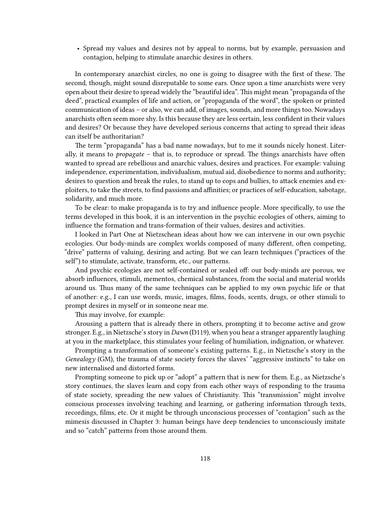• Spread my values and desires not by appeal to norms, but by example, persuasion and contagion, helping to stimulate anarchic desires in others.

In contemporary anarchist circles, no one is going to disagree with the first of these. The second, though, might sound disreputable to some ears. Once upon a time anarchists were very open about their desire to spread widely the "beautiful idea". This might mean "propaganda of the deed", practical examples of life and action, or "propaganda of the word", the spoken or printed communication of ideas – or also, we can add, of images, sounds, and more things too. Nowadays anarchists often seem more shy. Is this because they are less certain, less confident in their values and desires? Or because they have developed serious concerns that acting to spread their ideas can itself be authoritarian?

The term "propaganda" has a bad name nowadays, but to me it sounds nicely honest. Literally, it means to *propagate* – that is, to reproduce or spread. The things anarchists have often wanted to spread are rebellious and anarchic values, desires and practices. For example: valuing independence, experimentation, individualism, mutual aid, disobedience to norms and authority; desires to question and break the rules, to stand up to cops and bullies, to attack enemies and exploiters, to take the streets, to find passions and affinities; or practices of self-education, sabotage, solidarity, and much more.

To be clear: to make propaganda is to try and influence people. More specifically, to use the terms developed in this book, it is an intervention in the psychic ecologies of others, aiming to influence the formation and trans-formation of their values, desires and activities.

I looked in Part One at Nietzschean ideas about how we can intervene in our own psychic ecologies. Our body-minds are complex worlds composed of many different, often competing, "drive" patterns of valuing, desiring and acting. But we can learn techniques ("practices of the self") to stimulate, activate, transform, etc., our patterns.

And psychic ecologies are not self-contained or sealed off: our body-minds are porous, we absorb influences, stimuli, mementos, chemical substances, from the social and material worlds around us. Thus many of the same techniques can be applied to my own psychic life or that of another: e.g., I can use words, music, images, films, foods, scents, drugs, or other stimuli to prompt desires in myself or in someone near me.

This may involve, for example:

Arousing a pattern that is already there in others, prompting it to become active and grow stronger. E.g., in Nietzsche's story in *Dawn* (D119), when you hear a stranger apparently laughing at you in the marketplace, this stimulates your feeling of humiliation, indignation, or whatever.

Prompting a transformation of someone's existing patterns. E.g., in Nietzsche's story in the *Genealogy* (GM), the trauma of state society forces the slaves' "aggressive instincts" to take on new internalised and distorted forms.

Prompting someone to pick up or "adopt" a pattern that is new for them. E.g., as Nietzsche's story continues, the slaves learn and copy from each other ways of responding to the trauma of state society, spreading the new values of Christianity. This "transmission" might involve conscious processes involving teaching and learning, or gathering information through texts, recordings, films, etc. Or it might be through unconscious processes of "contagion" such as the mimesis discussed in Chapter 3: human beings have deep tendencies to unconsciously imitate and so "catch" patterns from those around them.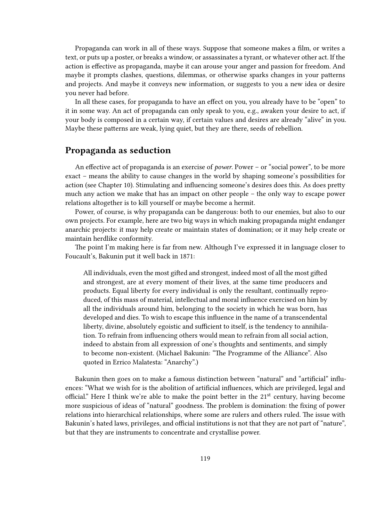Propaganda can work in all of these ways. Suppose that someone makes a film, or writes a text, or puts up a poster, or breaks a window, or assassinates a tyrant, or whatever other act. If the action is effective as propaganda, maybe it can arouse your anger and passion for freedom. And maybe it prompts clashes, questions, dilemmas, or otherwise sparks changes in your patterns and projects. And maybe it conveys new information, or suggests to you a new idea or desire you never had before.

In all these cases, for propaganda to have an effect on you, you already have to be "open" to it in some way. An act of propaganda can only speak to you, e.g., awaken your desire to act, if your body is composed in a certain way, if certain values and desires are already "alive" in you. Maybe these patterns are weak, lying quiet, but they are there, seeds of rebellion.

#### **Propaganda as seduction**

An effective act of propaganda is an exercise of *power*. Power – or "social power", to be more exact – means the ability to cause changes in the world by shaping someone's possibilities for action (see Chapter 10). Stimulating and influencing someone's desires does this. As does pretty much any action we make that has an impact on other people – the only way to escape power relations altogether is to kill yourself or maybe become a hermit.

Power, of course, is why propaganda can be dangerous: both to our enemies, but also to our own projects. For example, here are two big ways in which making propaganda might endanger anarchic projects: it may help create or maintain states of domination; or it may help create or maintain herdlike conformity.

The point I'm making here is far from new. Although I've expressed it in language closer to Foucault's, Bakunin put it well back in 1871:

All individuals, even the most gifted and strongest, indeed most of all the most gifted and strongest, are at every moment of their lives, at the same time producers and products. Equal liberty for every individual is only the resultant, continually reproduced, of this mass of material, intellectual and moral influence exercised on him by all the individuals around him, belonging to the society in which he was born, has developed and dies. To wish to escape this influence in the name of a transcendental liberty, divine, absolutely egoistic and sufficient to itself, is the tendency to annihilation. To refrain from influencing others would mean to refrain from all social action, indeed to abstain from all expression of one's thoughts and sentiments, and simply to become non-existent. (Michael Bakunin: "The Programme of the Alliance". Also quoted in Errico Malatesta: "Anarchy".)

Bakunin then goes on to make a famous distinction between "natural" and "artificial" influences: "What we wish for is the abolition of artificial influences, which are privileged, legal and official." Here I think we're able to make the point better in the  $21<sup>st</sup>$  century, having become more suspicious of ideas of "natural" goodness. The problem is domination: the fixing of power relations into hierarchical relationships, where some are rulers and others ruled. The issue with Bakunin's hated laws, privileges, and official institutions is not that they are not part of "nature", but that they are instruments to concentrate and crystallise power.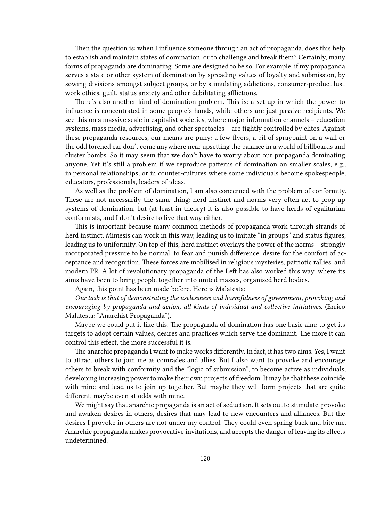Then the question is: when I influence someone through an act of propaganda, does this help to establish and maintain states of domination, or to challenge and break them? Certainly, many forms of propaganda are dominating. Some are designed to be so. For example, if my propaganda serves a state or other system of domination by spreading values of loyalty and submission, by sowing divisions amongst subject groups, or by stimulating addictions, consumer-product lust, work ethics, guilt, status anxiety and other debilitating afflictions.

There's also another kind of domination problem. This is: a set-up in which the power to influence is concentrated in some people's hands, while others are just passive recipients. We see this on a massive scale in capitalist societies, where major information channels – education systems, mass media, advertising, and other spectacles – are tightly controlled by elites. Against these propaganda resources, our means are puny: a few flyers, a bit of spraypaint on a wall or the odd torched car don't come anywhere near upsetting the balance in a world of billboards and cluster bombs. So it may seem that we don't have to worry about our propaganda dominating anyone. Yet it's still a problem if we reproduce patterns of domination on smaller scales, e.g., in personal relationships, or in counter-cultures where some individuals become spokespeople, educators, professionals, leaders of ideas.

As well as the problem of domination, I am also concerned with the problem of conformity. These are not necessarily the same thing: herd instinct and norms very often act to prop up systems of domination, but (at least in theory) it is also possible to have herds of egalitarian conformists, and I don't desire to live that way either.

This is important because many common methods of propaganda work through strands of herd instinct. Mimesis can work in this way, leading us to imitate "in groups" and status figures, leading us to uniformity. On top of this, herd instinct overlays the power of the norms – strongly incorporated pressure to be normal, to fear and punish difference, desire for the comfort of acceptance and recognition. These forces are mobilised in religious mysteries, patriotic rallies, and modern PR. A lot of revolutionary propaganda of the Left has also worked this way, where its aims have been to bring people together into united masses, organised herd bodies.

Again, this point has been made before. Here is Malatesta:

*Our task is that of demonstrating the uselessness and harmfulness of government, provoking and encouraging by propaganda and action, all kinds of individual and collective initiatives.* (Errico Malatesta: "Anarchist Propaganda").

Maybe we could put it like this. The propaganda of domination has one basic aim: to get its targets to adopt certain values, desires and practices which serve the dominant. The more it can control this effect, the more successful it is.

The anarchic propaganda I want to make works differently. In fact, it has two aims. Yes, I want to attract others to join me as comrades and allies. But I also want to provoke and encourage others to break with conformity and the "logic of submission", to become active as individuals, developing increasing power to make their own projects of freedom. It may be that these coincide with mine and lead us to join up together. But maybe they will form projects that are quite different, maybe even at odds with mine.

We might say that anarchic propaganda is an act of seduction. It sets out to stimulate, provoke and awaken desires in others, desires that may lead to new encounters and alliances. But the desires I provoke in others are not under my control. They could even spring back and bite me. Anarchic propaganda makes provocative invitations, and accepts the danger of leaving its effects undetermined.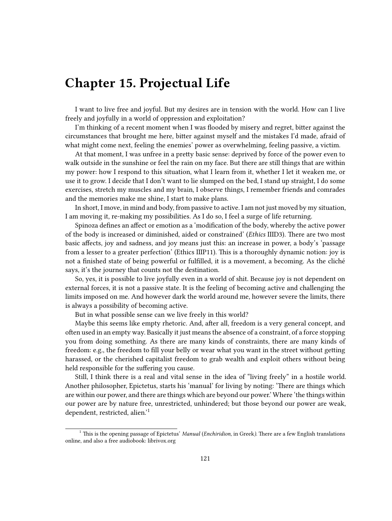## **Chapter 15. Projectual Life**

I want to live free and joyful. But my desires are in tension with the world. How can I live freely and joyfully in a world of oppression and exploitation?

I'm thinking of a recent moment when I was flooded by misery and regret, bitter against the circumstances that brought me here, bitter against myself and the mistakes I'd made, afraid of what might come next, feeling the enemies' power as overwhelming, feeling passive, a victim.

At that moment, I was unfree in a pretty basic sense: deprived by force of the power even to walk outside in the sunshine or feel the rain on my face. But there are still things that are within my power: how I respond to this situation, what I learn from it, whether I let it weaken me, or use it to grow. I decide that I don't want to lie slumped on the bed, I stand up straight, I do some exercises, stretch my muscles and my brain, I observe things, I remember friends and comrades and the memories make me shine, I start to make plans.

In short, I move, in mind and body, from passive to active. I am not just moved by my situation, I am moving it, re-making my possibilities. As I do so, I feel a surge of life returning.

Spinoza defines an affect or emotion as a 'modification of the body, whereby the active power of the body is increased or diminished, aided or constrained' (*Ethics* IIID3). There are two most basic affects, joy and sadness, and joy means just this: an increase in power, a body's 'passage from a lesser to a greater perfection' (Ethics IIIP11). This is a thoroughly dynamic notion: joy is not a finished state of being powerful or fulfilled, it is a movement, a becoming. As the cliché says, it's the journey that counts not the destination.

So, yes, it is possible to live joyfully even in a world of shit. Because joy is not dependent on external forces, it is not a passive state. It is the feeling of becoming active and challenging the limits imposed on me. And however dark the world around me, however severe the limits, there is always a possibility of becoming active.

But in what possible sense can we live freely in this world?

Maybe this seems like empty rhetoric. And, after all, freedom is a very general concept, and often used in an empty way. Basically it just means the absence of a constraint, of a force stopping you from doing something. As there are many kinds of constraints, there are many kinds of freedom: e.g., the freedom to fill your belly or wear what you want in the street without getting harassed, or the cherished capitalist freedom to grab wealth and exploit others without being held responsible for the suffering you cause.

Still, I think there is a real and vital sense in the idea of "living freely" in a hostile world. Another philosopher, Epictetus, starts his 'manual' for living by noting: 'There are things which are within our power, and there are things which are beyond our power.' Where 'the things within our power are by nature free, unrestricted, unhindered; but those beyond our power are weak, dependent, restricted, alien.'<sup>1</sup>

<sup>1</sup> This is the opening passage of Epictetus' *Manual* (*Enchiridion,* in Greek*).* There are a few English translations online, and also a free audiobook: [librivox.org](https://librivox.org/the-enchiridion-by-epictetus-tr-elizabeth-carter/)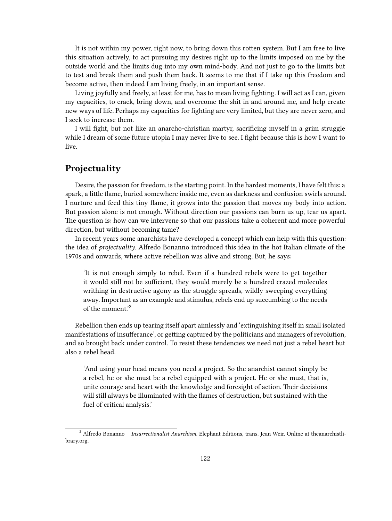It is not within my power, right now, to bring down this rotten system. But I am free to live this situation actively, to act pursuing my desires right up to the limits imposed on me by the outside world and the limits dug into my own mind-body. And not just to go to the limits but to test and break them and push them back. It seems to me that if I take up this freedom and become active, then indeed I am living freely, in an important sense.

Living joyfully and freely, at least for me, has to mean living fighting. I will act as I can, given my capacities, to crack, bring down, and overcome the shit in and around me, and help create new ways of life. Perhaps my capacities for fighting are very limited, but they are never zero, and I seek to increase them.

I will fight, but not like an anarcho-christian martyr, sacrificing myself in a grim struggle while I dream of some future utopia I may never live to see. I fight because this is how I want to live.

#### **Projectuality**

Desire, the passion for freedom, is the starting point. In the hardest moments, I have felt this: a spark, a little flame, buried somewhere inside me, even as darkness and confusion swirls around. I nurture and feed this tiny flame, it grows into the passion that moves my body into action. But passion alone is not enough. Without direction our passions can burn us up, tear us apart. The question is: how can we intervene so that our passions take a coherent and more powerful direction, but without becoming tame?

In recent years some anarchists have developed a concept which can help with this question: the idea of *projectuality*. Alfredo Bonanno introduced this idea in the hot Italian climate of the 1970s and onwards, where active rebellion was alive and strong. But, he says:

'It is not enough simply to rebel. Even if a hundred rebels were to get together it would still not be sufficient, they would merely be a hundred crazed molecules writhing in destructive agony as the struggle spreads, wildly sweeping everything away. Important as an example and stimulus, rebels end up succumbing to the needs of the moment.'<sup>2</sup>

Rebellion then ends up tearing itself apart aimlessly and 'extinguishing itself in small isolated manifestations of insufferance', or getting captured by the politicians and managers of revolution, and so brought back under control. To resist these tendencies we need not just a rebel heart but also a rebel head.

'And using your head means you need a project. So the anarchist cannot simply be a rebel, he or she must be a rebel equipped with a project. He or she must, that is, unite courage and heart with the knowledge and foresight of action. Their decisions will still always be illuminated with the flames of destruction, but sustained with the fuel of critical analysis.'

<sup>&</sup>lt;sup>2</sup> Alfredo Bonanno – *Insurrectionalist Anarchism*. Elephant Editions, trans. Jean Weir. Online at theanarchistlibrary.org.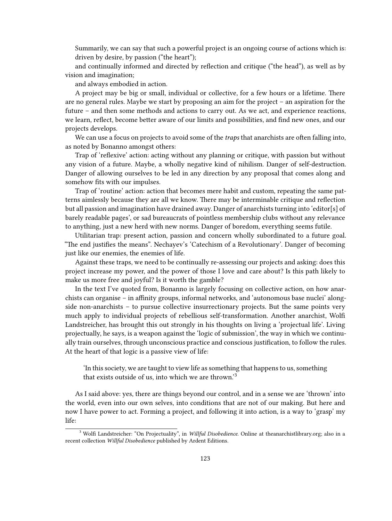Summarily, we can say that such a powerful project is an ongoing course of actions which is: driven by desire, by passion ("the heart");

and continually informed and directed by reflection and critique ("the head"), as well as by vision and imagination;

and always embodied in action.

A project may be big or small, individual or collective, for a few hours or a lifetime. There are no general rules. Maybe we start by proposing an aim for the project – an aspiration for the future – and then some methods and actions to carry out. As we act, and experience reactions, we learn, reflect, become better aware of our limits and possibilities, and find new ones, and our projects develops.

We can use a focus on projects to avoid some of the *traps* that anarchists are often falling into, as noted by Bonanno amongst others:

Trap of 'reflexive' action: acting without any planning or critique, with passion but without any vision of a future. Maybe, a wholly negative kind of nihilism. Danger of self-destruction. Danger of allowing ourselves to be led in any direction by any proposal that comes along and somehow fits with our impulses.

Trap of 'routine' action: action that becomes mere habit and custom, repeating the same patterns aimlessly because they are all we know. There may be interminable critique and reflection but all passion and imagination have drained away. Danger of anarchists turning into 'editor[s] of barely readable pages', or sad bureaucrats of pointless membership clubs without any relevance to anything, just a new herd with new norms. Danger of boredom, everything seems futile.

Utilitarian trap: present action, passion and concern wholly subordinated to a future goal. "The end justifies the means". Nechayev's 'Catechism of a Revolutionary'. Danger of becoming just like our enemies, the enemies of life.

Against these traps, we need to be continually re-assessing our projects and asking: does this project increase my power, and the power of those I love and care about? Is this path likely to make us more free and joyful? Is it worth the gamble?

In the text I've quoted from, Bonanno is largely focusing on collective action, on how anarchists can organise – in affinity groups, informal networks, and 'autonomous base nuclei' alongside non-anarchists – to pursue collective insurrectionary projects. But the same points very much apply to individual projects of rebellious self-transformation. Another anarchist, Wolfi Landstreicher, has brought this out strongly in his thoughts on living a 'projectual life'. Living projectually, he says, is a weapon against the 'logic of submission', the way in which we continually train ourselves, through unconscious practice and conscious justification, to follow the rules. At the heart of that logic is a passive view of life:

'In this society, we are taught to view life as something that happens to us, something that exists outside of us, into which we are thrown.'<sup>3</sup>

As I said above: yes, there are things beyond our control, and in a sense we are 'thrown' into the world, even into our own selves, into conditions that are not of our making. But here and now I have power to act. Forming a project, and following it into action, is a way to 'grasp' my life:

<sup>3</sup> Wolfi Landstreicher: "On Projectuality", in *Willful Disobedience*. Online at theanarchistlibrary.org; also in a recent collection *Willful Disobedience* published by Ardent Editions.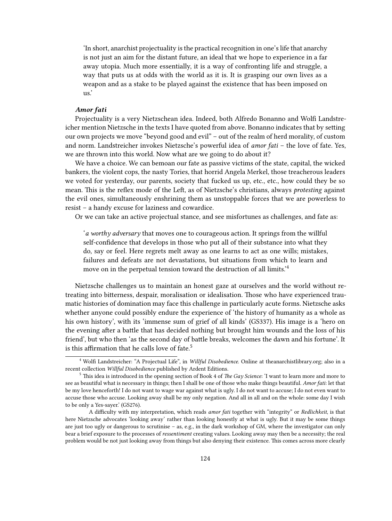'In short, anarchist projectuality is the practical recognition in one's life that anarchy is not just an aim for the distant future, an ideal that we hope to experience in a far away utopia. Much more essentially, it is a way of confronting life and struggle, a way that puts us at odds with the world as it is. It is grasping our own lives as a weapon and as a stake to be played against the existence that has been imposed on us.'

#### *Amor fati*

Projectuality is a very Nietzschean idea. Indeed, both Alfredo Bonanno and Wolfi Landstreicher mention Nietzsche in the texts I have quoted from above. Bonanno indicates that by setting our own projects we move "beyond good and evil" – out of the realm of herd morality, of custom and norm. Landstreicher invokes Nietzsche's powerful idea of *amor fati* – the love of fate. Yes, we are thrown into this world. Now what are we going to do about it?

We have a choice. We can bemoan our fate as passive victims of the state, capital, the wicked bankers, the violent cops, the nasty Tories, that horrid Angela Merkel, those treacherous leaders we voted for yesterday, our parents, society that fucked us up, etc., etc., how could they be so mean. This is the reflex mode of the Left, as of Nietzsche's christians, always *protesting* against the evil ones, simultaneously enshrining them as unstoppable forces that we are powerless to resist – a handy excuse for laziness and cowardice.

Or we can take an active projectual stance, and see misfortunes as challenges, and fate as:

'*a worthy adversary* that moves one to courageous action. It springs from the willful self-confidence that develops in those who put all of their substance into what they do, say or feel. Here regrets melt away as one learns to act as one wills; mistakes, failures and defeats are not devastations, but situations from which to learn and move on in the perpetual tension toward the destruction of all limits.<sup>4</sup>

Nietzsche challenges us to maintain an honest gaze at ourselves and the world without retreating into bitterness, despair, moralisation or idealisation. Those who have experienced traumatic histories of domination may face this challenge in particularly acute forms. Nietzsche asks whether anyone could possibly endure the experience of 'the history of humanity as a whole as his own history', with its 'immense sum of grief of all kinds' (GS337). His image is a 'hero on the evening after a battle that has decided nothing but brought him wounds and the loss of his friend', but who then 'as the second day of battle breaks, welcomes the dawn and his fortune'. It is this affirmation that he calls love of fate.<sup>5</sup>

<sup>4</sup> Wolfi Landstreicher: "A Projectual Life", in *Willful Disobedience*. Online at theanarchistlibrary.org; also in a recent collection *Willful Disobedience* published by Ardent Editions.

<sup>5</sup> This idea is introduced in the opening section of Book 4 of *The Gay Science*: 'I want to learn more and more to see as beautiful what is necessary in things; then I shall be one of those who make things beautiful. *Amor fati*: let that be my love henceforth! I do not want to wage war against what is ugly. I do not want to accuse; I do not even want to accuse those who accuse. Looking away shall be my only negation. And all in all and on the whole: some day I wish to be only a Yes-sayer.' (GS276).

A difficulty with my interpretation, which reads *amor fati* together with "integrity" or *Redlichkeit*, is that here Nietzsche advocates 'looking away' rather than looking honestly at what is ugly. But it may be some things are just too ugly or dangerous to scrutinise – as, e.g., in the dark workshop of GM, where the investigator can only bear a brief exposure to the processes of *ressentiment* creating values. Looking away may then be a necessity; the real problem would be not just looking away from things but also denying their existence. This comes across more clearly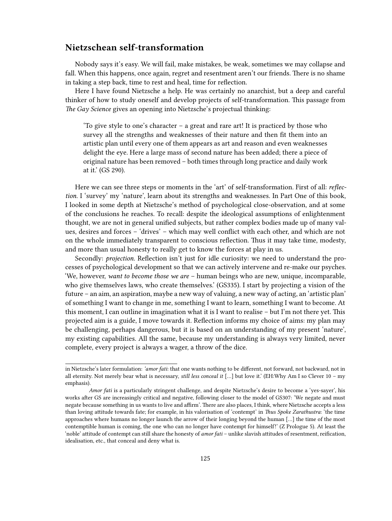#### **Nietzschean self-transformation**

Nobody says it's easy. We will fail, make mistakes, be weak, sometimes we may collapse and fall. When this happens, once again, regret and resentment aren't our friends. There is no shame in taking a step back, time to rest and heal, time for reflection.

Here I have found Nietzsche a help. He was certainly no anarchist, but a deep and careful thinker of how to study oneself and develop projects of self-transformation. This passage from *The Gay Science* gives an opening into Nietzsche's projectual thinking:

'To give style to one's character – a great and rare art! It is practiced by those who survey all the strengths and weaknesses of their nature and then fit them into an artistic plan until every one of them appears as art and reason and even weaknesses delight the eye. Here a large mass of second nature has been added; there a piece of original nature has been removed – both times through long practice and daily work at it.' (GS 290).

Here we can see three steps or moments in the 'art' of self-transformation. First of all: *reflection*. I 'survey' my 'nature', learn about its strengths and weaknesses. In Part One of this book, I looked in some depth at Nietzsche's method of psychological close-observation, and at some of the conclusions he reaches. To recall: despite the ideological assumptions of enlightenment thought, we are not in general unified subjects, but rather complex bodies made up of many values, desires and forces – 'drives' – which may well conflict with each other, and which are not on the whole immediately transparent to conscious reflection. Thus it may take time, modesty, and more than usual honesty to really get to know the forces at play in us.

Secondly: *projection*. Reflection isn't just for idle curiosity: we need to understand the processes of psychological development so that we can actively intervene and re-make our psyches. 'We, however, *want to become those we are* – human beings who are new, unique, incomparable, who give themselves laws, who create themselves.' (GS335). I start by projecting a vision of the future – an aim, an aspiration, maybe a new way of valuing, a new way of acting, an 'artistic plan' of something I want to change in me, something I want to learn, something I want to become. At this moment, I can outline in imagination what it is I want to realise – but I'm not there yet. This projected aim is a guide, I move towards it. Reflection informs my choice of aims: my plan may be challenging, perhaps dangerous, but it is based on an understanding of my present 'nature', my existing capabilities. All the same, because my understanding is always very limited, never complete, every project is always a wager, a throw of the dice.

in Nietzsche's later formulation: *'amor fati*: that one wants nothing to be different, not forward, not backward, not in all eternity. Not merely bear what is necessary, *still less conceal it* […] but love it.' (EH:Why Am I so Clever 10 – my emphasis).

*Amor fati* is a particularly stringent challenge, and despite Nietzsche's desire to become a 'yes-sayer', his works after GS are increasingly critical and negative, following closer to the model of GS307: 'We negate and must negate because something in us wants to live and affirm'. There are also places, I think, where Nietzsche accepts a less than loving attitude towards fate; for example, in his valorisation of 'contempt' in *Thus Spoke Zarathustra*: 'the time approaches where humans no longer launch the arrow of their longing beyond the human […] the time of the most contemptible human is coming, the one who can no longer have contempt for himself!' (Z Prologue 5). At least the 'noble' attitude of contempt can still share the honesty of *amor fati* – unlike slavish attitudes of resentment, reification, idealisation, etc., that conceal and deny what is.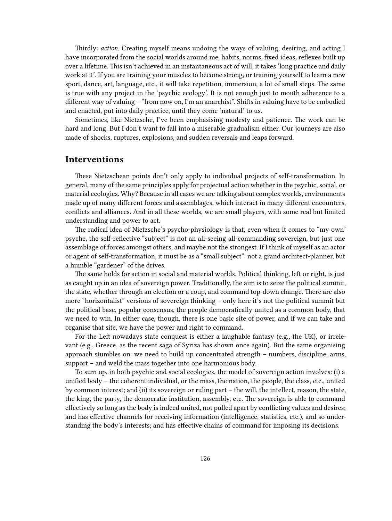Thirdly: *action*. Creating myself means undoing the ways of valuing, desiring, and acting I have incorporated from the social worlds around me, habits, norms, fixed ideas, reflexes built up over a lifetime. This isn't achieved in an instantaneous act of will, it takes 'long practice and daily work at it'. If you are training your muscles to become strong, or training yourself to learn a new sport, dance, art, language, etc., it will take repetition, immersion, a lot of small steps. The same is true with any project in the 'psychic ecology'. It is not enough just to mouth adherence to a different way of valuing – "from now on, I'm an anarchist". Shifts in valuing have to be embodied and enacted, put into daily practice, until they come 'natural' to us.

Sometimes, like Nietzsche, I've been emphasising modesty and patience. The work can be hard and long. But I don't want to fall into a miserable gradualism either. Our journeys are also made of shocks, ruptures, explosions, and sudden reversals and leaps forward.

#### **Interventions**

These Nietzschean points don't only apply to individual projects of self-transformation. In general, many of the same principles apply for projectual action whether in the psychic, social, or material ecologies. Why? Because in all cases we are talking about complex worlds, environments made up of many different forces and assemblages, which interact in many different encounters, conflicts and alliances. And in all these worlds, we are small players, with some real but limited understanding and power to act.

The radical idea of Nietzsche's psycho-physiology is that, even when it comes to "my own' psyche, the self-reflective "subject" is not an all-seeing all-commanding sovereign, but just one assemblage of forces amongst others, and maybe not the strongest. If I think of myself as an actor or agent of self-transformation, it must be as a "small subject": not a grand architect-planner, but a humble "gardener" of the drives.

The same holds for action in social and material worlds. Political thinking, left or right, is just as caught up in an idea of sovereign power. Traditionally, the aim is to seize the political summit, the state, whether through an election or a coup, and command top-down change. There are also more "horizontalist" versions of sovereign thinking – only here it's not the political summit but the political base, popular consensus, the people democratically united as a common body, that we need to win. In either case, though, there is one basic site of power, and if we can take and organise that site, we have the power and right to command.

For the Left nowadays state conquest is either a laughable fantasy (e.g., the UK), or irrelevant (e.g., Greece, as the recent saga of Syriza has shown once again). But the same organising approach stumbles on: we need to build up concentrated strength – numbers, discipline, arms, support – and weld the mass together into one harmonious body.

To sum up, in both psychic and social ecologies, the model of sovereign action involves: (i) a unified body – the coherent individual, or the mass, the nation, the people, the class, etc., united by common interest; and (ii) its sovereign or ruling part – the will, the intellect, reason, the state, the king, the party, the democratic institution, assembly, etc. The sovereign is able to command effectively so long as the body is indeed united, not pulled apart by conflicting values and desires; and has effective channels for receiving information (intelligence, statistics, etc.), and so understanding the body's interests; and has effective chains of command for imposing its decisions.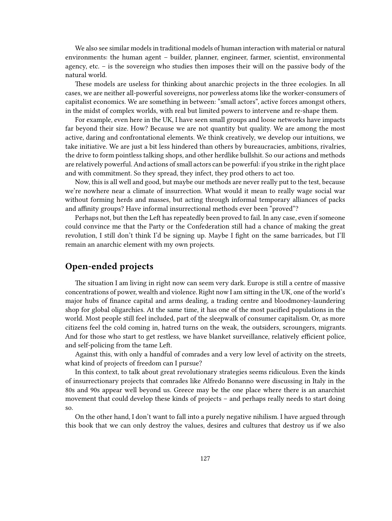We also see similar models in traditional models of human interaction with material or natural environments: the human agent – builder, planner, engineer, farmer, scientist, environmental agency, etc. – is the sovereign who studies then imposes their will on the passive body of the natural world.

These models are useless for thinking about anarchic projects in the three ecologies. In all cases, we are neither all-powerful sovereigns, nor powerless atoms like the worker-consumers of capitalist economics. We are something in between: "small actors", active forces amongst others, in the midst of complex worlds, with real but limited powers to intervene and re-shape them.

For example, even here in the UK, I have seen small groups and loose networks have impacts far beyond their size. How? Because we are not quantity but quality. We are among the most active, daring and confrontational elements. We think creatively, we develop our intuitions, we take initiative. We are just a bit less hindered than others by bureaucracies, ambitions, rivalries, the drive to form pointless talking shops, and other herdlike bullshit. So our actions and methods are relatively powerful. And actions of small actors can be powerful: if you strike in the right place and with commitment. So they spread, they infect, they prod others to act too.

Now, this is all well and good, but maybe our methods are never really put to the test, because we're nowhere near a climate of insurrection. What would it mean to really wage social war without forming herds and masses, but acting through informal temporary alliances of packs and affinity groups? Have informal insurrectional methods ever been "proved"?

Perhaps not, but then the Left has repeatedly been proved to fail. In any case, even if someone could convince me that the Party or the Confederation still had a chance of making the great revolution, I still don't think I'd be signing up. Maybe I fight on the same barricades, but I'll remain an anarchic element with my own projects.

#### **Open-ended projects**

The situation I am living in right now can seem very dark. Europe is still a centre of massive concentrations of power, wealth and violence. Right now I am sitting in the UK, one of the world's major hubs of finance capital and arms dealing, a trading centre and bloodmoney-laundering shop for global oligarchies. At the same time, it has one of the most pacified populations in the world. Most people still feel included, part of the sleepwalk of consumer capitalism. Or, as more citizens feel the cold coming in, hatred turns on the weak, the outsiders, scroungers, migrants. And for those who start to get restless, we have blanket surveillance, relatively efficient police, and self-policing from the tame Left.

Against this, with only a handful of comrades and a very low level of activity on the streets, what kind of projects of freedom can I pursue?

In this context, to talk about great revolutionary strategies seems ridiculous. Even the kinds of insurrectionary projects that comrades like Alfredo Bonanno were discussing in Italy in the 80s and 90s appear well beyond us. Greece may be the one place where there is an anarchist movement that could develop these kinds of projects – and perhaps really needs to start doing so.

On the other hand, I don't want to fall into a purely negative nihilism. I have argued through this book that we can only destroy the values, desires and cultures that destroy us if we also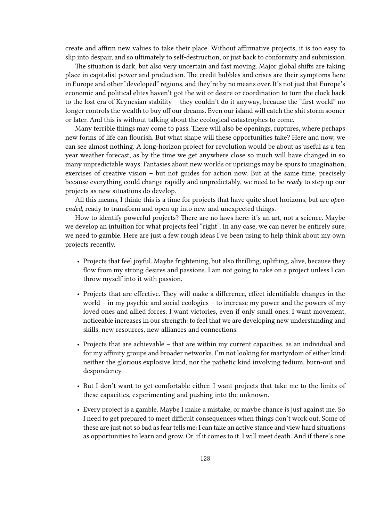create and affirm new values to take their place. Without affirmative projects, it is too easy to slip into despair, and so ultimately to self-destruction, or just back to conformity and submission.

The situation is dark, but also very uncertain and fast moving. Major global shifts are taking place in capitalist power and production. The credit bubbles and crises are their symptoms here in Europe and other "developed" regions, and they're by no means over. It's not just that Europe's economic and political elites haven't got the wit or desire or coordination to turn the clock back to the lost era of Keynesian stability – they couldn't do it anyway, because the "first world" no longer controls the wealth to buy off our dreams. Even our island will catch the shit storm sooner or later. And this is without talking about the ecological catastrophes to come.

Many terrible things may come to pass. There will also be openings, ruptures, where perhaps new forms of life can flourish. But what shape will these opportunities take? Here and now, we can see almost nothing. A long-horizon project for revolution would be about as useful as a ten year weather forecast, as by the time we get anywhere close so much will have changed in so many unpredictable ways. Fantasies about new worlds or uprisings may be spurs to imagination, exercises of creative vision – but not guides for action now. But at the same time, precisely because everything could change rapidly and unpredictably, we need to be *ready* to step up our projects as new situations do develop.

All this means, I think: this is a time for projects that have quite short horizons, but are *openended*, ready to transform and open up into new and unexpected things.

How to identify powerful projects? There are no laws here: it's an art, not a science. Maybe we develop an intuition for what projects feel "right". In any case, we can never be entirely sure, we need to gamble. Here are just a few rough ideas I've been using to help think about my own projects recently.

- Projects that feel joyful. Maybe frightening, but also thrilling, uplifting, alive, because they flow from my strong desires and passions. I am not going to take on a project unless I can throw myself into it with passion.
- Projects that are effective. They will make a difference, effect identifiable changes in the world – in my psychic and social ecologies – to increase my power and the powers of my loved ones and allied forces. I want victories, even if only small ones. I want movement, noticeable increases in our strength: to feel that we are developing new understanding and skills, new resources, new alliances and connections.
- Projects that are achievable that are within my current capacities, as an individual and for my affinity groups and broader networks. I'm not looking for martyrdom of either kind: neither the glorious explosive kind, nor the pathetic kind involving tedium, burn-out and despondency.
- But I don't want to get comfortable either. I want projects that take me to the limits of these capacities, experimenting and pushing into the unknown.
- Every project is a gamble. Maybe I make a mistake, or maybe chance is just against me. So I need to get prepared to meet difficult consequences when things don't work out. Some of these are just not so bad as fear tells me: I can take an active stance and view hard situations as opportunities to learn and grow. Or, if it comes to it, I will meet death. And if there's one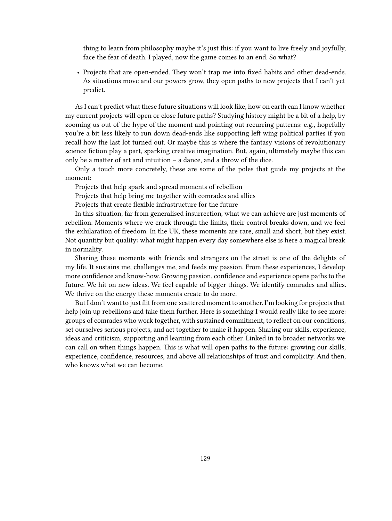thing to learn from philosophy maybe it's just this: if you want to live freely and joyfully, face the fear of death. I played, now the game comes to an end. So what?

• Projects that are open-ended. They won't trap me into fixed habits and other dead-ends. As situations move and our powers grow, they open paths to new projects that I can't yet predict.

As I can't predict what these future situations will look like, how on earth can I know whether my current projects will open or close future paths? Studying history might be a bit of a help, by zooming us out of the hype of the moment and pointing out recurring patterns: e.g., hopefully you're a bit less likely to run down dead-ends like supporting left wing political parties if you recall how the last lot turned out. Or maybe this is where the fantasy visions of revolutionary science fiction play a part, sparking creative imagination. But, again, ultimately maybe this can only be a matter of art and intuition – a dance, and a throw of the dice.

Only a touch more concretely, these are some of the poles that guide my projects at the moment:

Projects that help spark and spread moments of rebellion

Projects that help bring me together with comrades and allies

Projects that create flexible infrastructure for the future

In this situation, far from generalised insurrection, what we can achieve are just moments of rebellion. Moments where we crack through the limits, their control breaks down, and we feel the exhilaration of freedom. In the UK, these moments are rare, small and short, but they exist. Not quantity but quality: what might happen every day somewhere else is here a magical break in normality.

Sharing these moments with friends and strangers on the street is one of the delights of my life. It sustains me, challenges me, and feeds my passion. From these experiences, I develop more confidence and know-how. Growing passion, confidence and experience opens paths to the future. We hit on new ideas. We feel capable of bigger things. We identify comrades and allies. We thrive on the energy these moments create to do more.

But I don't want to just flit from one scattered moment to another. I'm looking for projects that help join up rebellions and take them further. Here is something I would really like to see more: groups of comrades who work together, with sustained commitment, to reflect on our conditions, set ourselves serious projects, and act together to make it happen. Sharing our skills, experience, ideas and criticism, supporting and learning from each other. Linked in to broader networks we can call on when things happen. This is what will open paths to the future: growing our skills, experience, confidence, resources, and above all relationships of trust and complicity. And then, who knows what we can become.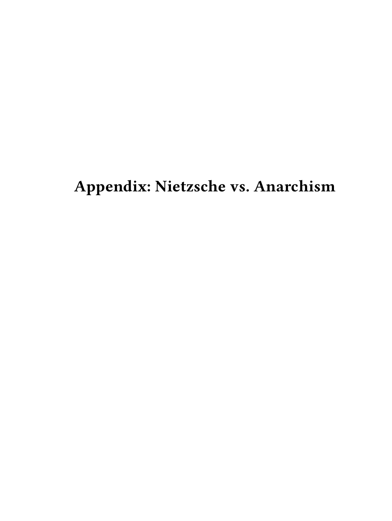**Appendix: Nietzsche vs. Anarchism**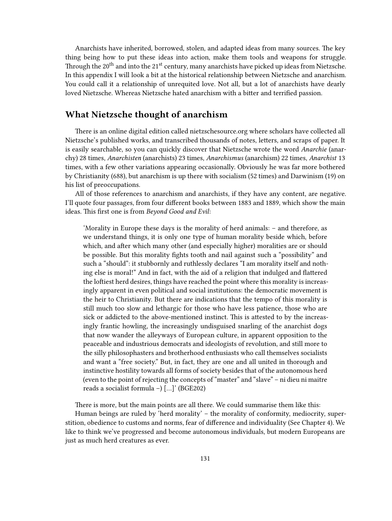Anarchists have inherited, borrowed, stolen, and adapted ideas from many sources. The key thing being how to put these ideas into action, make them tools and weapons for struggle. Through the 20<sup>th</sup> and into the 21<sup>st</sup> century, many anarchists have picked up ideas from Nietzsche. In this appendix I will look a bit at the historical relationship between Nietzsche and anarchism. You could call it a relationship of unrequited love. Not all, but a lot of anarchists have dearly loved Nietzsche. Whereas Nietzsche hated anarchism with a bitter and terrified passion.

#### **What Nietzsche thought of anarchism**

There is an online digital edition called nietzschesource.org where scholars have collected all Nietzsche's published works, and transcribed thousands of notes, letters, and scraps of paper. It is easily searchable, so you can quickly discover that Nietzsche wrote the word *Anarchie* (anarchy) 28 times, *Anarchisten* (anarchists) 23 times, *Anarchismus* (anarchism) 22 times, *Anarchist* 13 times, with a few other variations appearing occasionally. Obviously he was far more bothered by Christianity (688), but anarchism is up there with socialism (52 times) and Darwinism (19) on his list of preoccupations.

All of those references to anarchism and anarchists, if they have any content, are negative. I'll quote four passages, from four different books between 1883 and 1889, which show the main ideas. This first one is from *Beyond Good and Evil*:

'Morality in Europe these days is the morality of herd animals: – and therefore, as we understand things, it is only one type of human morality beside which, before which, and after which many other (and especially higher) moralities are or should be possible. But this morality fights tooth and nail against such a "possibility" and such a "should": it stubbornly and ruthlessly declares "I am morality itself and nothing else is moral!" And in fact, with the aid of a religion that indulged and flattered the loftiest herd desires, things have reached the point where this morality is increasingly apparent in even political and social institutions: the democratic movement is the heir to Christianity. But there are indications that the tempo of this morality is still much too slow and lethargic for those who have less patience, those who are sick or addicted to the above-mentioned instinct. This is attested to by the increasingly frantic howling, the increasingly undisguised snarling of the anarchist dogs that now wander the alleyways of European culture, in apparent opposition to the peaceable and industrious democrats and ideologists of revolution, and still more to the silly philosophasters and brotherhood enthusiasts who call themselves socialists and want a "free society." But, in fact, they are one and all united in thorough and instinctive hostility towards all forms of society besides that of the autonomous herd (even to the point of rejecting the concepts of "master" and "slave" – ni dieu ni maitre reads a socialist formula –) […]' (BGE202)

There is more, but the main points are all there. We could summarise them like this:

Human beings are ruled by 'herd morality' – the morality of conformity, mediocrity, superstition, obedience to customs and norms, fear of difference and individuality (See Chapter 4). We like to think we've progressed and become autonomous individuals, but modern Europeans are just as much herd creatures as ever.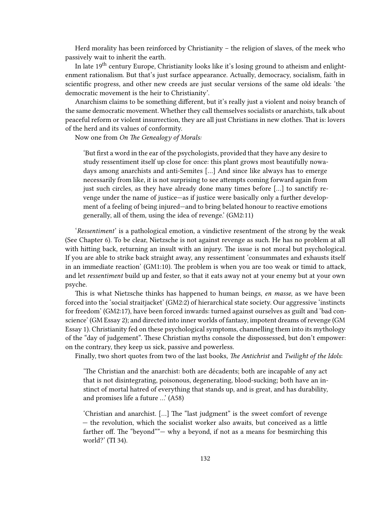Herd morality has been reinforced by Christianity – the religion of slaves, of the meek who passively wait to inherit the earth.

In late 19<sup>th</sup> century Europe, Christianity looks like it's losing ground to atheism and enlightenment rationalism. But that's just surface appearance. Actually, democracy, socialism, faith in scientific progress, and other new creeds are just secular versions of the same old ideals: 'the democratic movement is the heir to Christianity'.

Anarchism claims to be something different, but it's really just a violent and noisy branch of the same democratic movement. Whether they call themselves socialists or anarchists, talk about peaceful reform or violent insurrection, they are all just Christians in new clothes. That is: lovers of the herd and its values of conformity.

Now one from *On The Genealogy of Morals:*

'But first a word in the ear of the psychologists, provided that they have any desire to study ressentiment itself up close for once: this plant grows most beautifully nowadays among anarchists and anti-Semites […] And since like always has to emerge necessarily from like, it is not surprising to see attempts coming forward again from just such circles, as they have already done many times before […] to sanctify revenge under the name of justice—as if justice were basically only a further development of a feeling of being injured—and to bring belated honour to reactive emotions generally, all of them, using the idea of revenge.' (GM2:11)

'*Ressentiment*' is a pathological emotion, a vindictive resentment of the strong by the weak (See Chapter 6). To be clear, Nietzsche is not against revenge as such. He has no problem at all with hitting back, returning an insult with an injury. The issue is not moral but psychological. If you are able to strike back straight away, any ressentiment 'consummates and exhausts itself in an immediate reaction' (GM1:10). The problem is when you are too weak or timid to attack, and let *ressentiment* build up and fester, so that it eats away not at your enemy but at your own psyche.

This is what Nietzsche thinks has happened to human beings, *en masse*, as we have been forced into the 'social straitjacket' (GM2:2) of hierarchical state society. Our aggressive 'instincts for freedom' (GM2:17), have been forced inwards: turned against ourselves as guilt and 'bad conscience' (GM Essay 2); and directed into inner worlds of fantasy, impotent dreams of revenge (GM Essay 1). Christianity fed on these psychological symptoms, channelling them into its mythology of the "day of judgement". These Christian myths console the dispossessed, but don't empower: on the contrary, they keep us sick, passive and powerless.

Finally, two short quotes from two of the last books, *The Antichrist* and *Twilight of the Idols*:

'The Christian and the anarchist: both are décadents; both are incapable of any act that is not disintegrating, poisonous, degenerating, blood-sucking; both have an instinct of mortal hatred of everything that stands up, and is great, and has durability, and promises life a future …' (A58)

'Christian and anarchist. […] The "last judgment" is the sweet comfort of revenge — the revolution, which the socialist worker also awaits, but conceived as a little farther off. The "beyond""— why a beyond, if not as a means for besmirching this world?' (TI 34).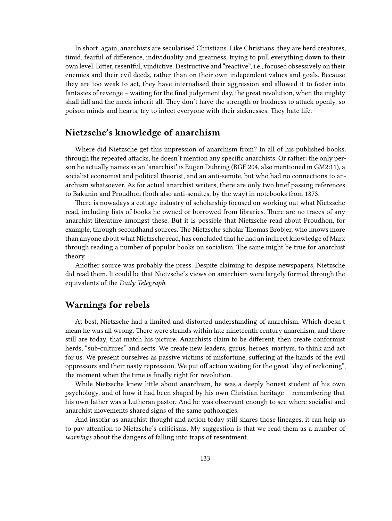In short, again, anarchists are secularised Christians. Like Christians, they are herd creatures, timid, fearful of difference, individuality and greatness, trying to pull everything down to their own level. Bitter, resentful, vindictive. Destructive and "reactive", i.e., focused obsessively on their enemies and their evil deeds, rather than on their own independent values and goals. Because they are too weak to act, they have internalised their aggression and allowed it to fester into fantasies of revenge – waiting for the final judgement day, the great revolution, when the mighty shall fall and the meek inherit all. They don't have the strength or boldness to attack openly, so poison minds and hearts, try to infect everyone with their sicknesses. They hate life.

#### **Nietzsche's knowledge of anarchism**

Where did Nietzsche get this impression of anarchism from? In all of his published books, through the repeated attacks, he doesn't mention any specific anarchists. Or rather: the only person he actually names as an 'anarchist' is Eugen Dühring (BGE 204, also mentioned in GM2:11), a socialist economist and political theorist, and an anti-semite, but who had no connections to anarchism whatsoever. As for actual anarchist writers, there are only two brief passing references to Bakunin and Proudhon (both also anti-semites, by the way) in notebooks from 1873.

There is nowadays a cottage industry of scholarship focused on working out what Nietzsche read, including lists of books he owned or borrowed from libraries. There are no traces of any anarchist literature amongst these. But it is possible that Nietzsche read about Proudhon, for example, through secondhand sources. The Nietzsche scholar Thomas Brobjer, who knows more than anyone about what Nietzsche read, has concluded that he had an indirect knowledge of Marx through reading a number of popular books on socialism. The same might be true for anarchist theory.

Another source was probably the press. Despite claiming to despise newspapers, Nietzsche did read them. It could be that Nietzsche's views on anarchism were largely formed through the equivalents of the *Daily Telegraph*.

#### **Warnings for rebels**

At best, Nietzsche had a limited and distorted understanding of anarchism. Which doesn't mean he was all wrong. There were strands within late nineteenth century anarchism, and there still are today, that match his picture. Anarchists claim to be different, then create conformist herds, "sub-cultures" and sects. We create new leaders, gurus, heroes, martyrs, to think and act for us. We present ourselves as passive victims of misfortune, suffering at the hands of the evil oppressors and their nasty repression. We put off action waiting for the great "day of reckoning", the moment when the time is finally right for revolution.

While Nietzsche knew little about anarchism, he was a deeply honest student of his own psychology, and of how it had been shaped by his own Christian heritage – remembering that his own father was a Lutheran pastor. And he was observant enough to see where socialist and anarchist movements shared signs of the same pathologies.

And insofar as anarchist thought and action today still shares those lineages, it can help us to pay attention to Nietzsche's criticisms. My suggestion is that we read them as a number of *warnings* about the dangers of falling into traps of resentment.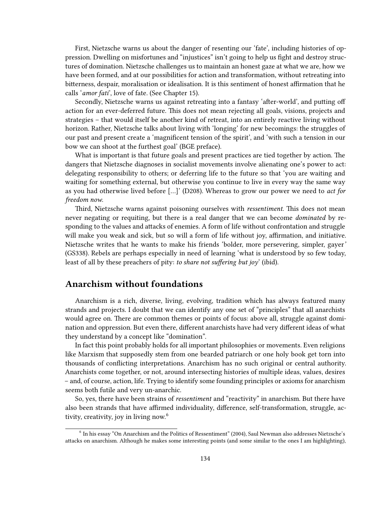First, Nietzsche warns us about the danger of resenting our 'fate', including histories of oppression. Dwelling on misfortunes and "injustices" isn't going to help us fight and destroy structures of domination. Nietzsche challenges us to maintain an honest gaze at what we are, how we have been formed, and at our possibilities for action and transformation, without retreating into bitterness, despair, moralisation or idealisation. It is this sentiment of honest affirmation that he calls '*amor fati*', love of fate*.* (See Chapter 15).

Secondly, Nietzsche warns us against retreating into a fantasy 'after-world', and putting off action for an ever-deferred future. This does not mean rejecting all goals, visions, projects and strategies – that would itself be another kind of retreat, into an entirely reactive living without horizon. Rather, Nietzsche talks about living with 'longing' for new becomings: the struggles of our past and present create a 'magnificent tension of the spirit', and 'with such a tension in our bow we can shoot at the furthest goal' (BGE preface).

What is important is that future goals and present practices are tied together by action. The dangers that Nietzsche diagnoses in socialist movements involve alienating one's power to act: delegating responsibility to others; or deferring life to the future so that 'you are waiting and waiting for something external, but otherwise you continue to live in every way the same way as you had otherwise lived before […]' (D208). Whereas to grow our power we need to *act for freedom now*.

Third, Nietzsche warns against poisoning ourselves with *ressentiment*. This does not mean never negating or requiting, but there is a real danger that we can become *dominated* by responding to the values and attacks of enemies. A form of life without confrontation and struggle will make you weak and sick, but so will a form of life without joy, affirmation, and initiative. Nietzsche writes that he wants to make his friends 'bolder, more persevering, simpler, gayer*'* (GS338)*.* Rebels are perhaps especially in need of learning 'what is understood by so few today, least of all by these preachers of pity: *to share not suffering but joy*' (ibid).

#### **Anarchism without foundations**

Anarchism is a rich, diverse, living, evolving, tradition which has always featured many strands and projects. I doubt that we can identify any one set of "principles" that all anarchists would agree on. There are common themes or points of focus: above all, struggle against domination and oppression. But even there, different anarchists have had very different ideas of what they understand by a concept like "domination".

In fact this point probably holds for all important philosophies or movements. Even religions like Marxism that supposedly stem from one bearded patriarch or one holy book get torn into thousands of conflicting interpretations. Anarchism has no such original or central authority. Anarchists come together, or not, around intersecting histories of multiple ideas, values, desires – and, of course, action, life. Trying to identify some founding principles or axioms for anarchism seems both futile and very un-anarchic.

So, yes, there have been strains of *ressentiment* and "reactivity" in anarchism. But there have also been strands that have affirmed individuality, difference, self-transformation, struggle, activity, creativity, joy in living now.<sup>6</sup>

 $^6$  In his essay  $^{\rm o}$ On Anarchism and the Politics of Ressentiment" (2004), Saul Newman also addresses Nietzsche's attacks on anarchism. Although he makes some interesting points (and some similar to the ones I am highlighting),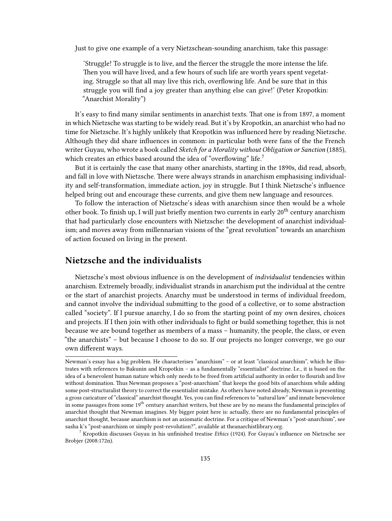Just to give one example of a very Nietzschean-sounding anarchism, take this passage:

'Struggle! To struggle is to live, and the fiercer the struggle the more intense the life. Then you will have lived, and a few hours of such life are worth years spent vegetating. Struggle so that all may live this rich, overflowing life. And be sure that in this struggle you will find a joy greater than anything else can give!' (Peter Kropotkin: "Anarchist Morality")

It's easy to find many similar sentiments in anarchist texts. That one is from 1897, a moment in which Nietzsche was starting to be widely read. But it's by Kropotkin, an anarchist who had no time for Nietzsche. It's highly unlikely that Kropotkin was influenced here by reading Nietzsche. Although they did share influences in common: in particular both were fans of the the French writer Guyau, who wrote a book called *Sketch for a Morality without Obligation or Sanction* (1885), which creates an ethics based around the idea of "overflowing" life.<sup>7</sup>

But it is certainly the case that many other anarchists, starting in the 1890s, did read, absorb, and fall in love with Nietzsche. There were always strands in anarchism emphasising individuality and self-transformation, immediate action, joy in struggle. But I think Nietzsche's influence helped bring out and encourage these currents, and give them new language and resources.

To follow the interaction of Nietzsche's ideas with anarchism since then would be a whole other book. To finish up, I will just briefly mention two currents in early 20<sup>th</sup> century anarchism that had particularly close encounters with Nietzsche: the development of anarchist individualism; and moves away from millennarian visions of the "great revolution" towards an anarchism of action focused on living in the present.

#### **Nietzsche and the individualists**

Nietzsche's most obvious influence is on the development of *individualist* tendencies within anarchism. Extremely broadly, individualist strands in anarchism put the individual at the centre or the start of anarchist projects. Anarchy must be understood in terms of individual freedom, and cannot involve the individual submitting to the good of a collective, or to some abstraction called "society". If I pursue anarchy, I do so from the starting point of my own desires, choices and projects. If I then join with other individuals to fight or build something together, this is not because we are bound together as members of a mass – humanity, the people, the class, or even "the anarchists" – but because I choose to do so. If our projects no longer converge, we go our own different ways.

Newman's essay has a big problem. He characterises "anarchism" – or at least "classical anarchism", which he illustrates with references to Bakunin and Kropotkin – as a fundamentally "essentialist" doctrine. I.e., it is based on the idea of a benevolent human nature which only needs to be freed from artificial authority in order to flourish and live without domination. Thus Newman proposes a "post-anarchism" that keeps the good bits of anarchism while adding some post-structuralist theory to correct the essentialist mistake. As others have noted already, Newman is presenting a gross caricature of "classical" anarchist thought. Yes, you can find references to "natural law" and innate benevolence in some passages from some 19<sup>th</sup> century anarchist writers, but these are by no means the fundamental principles of anarchist thought that Newman imagines. My bigger point here is: actually, there are no fundamental principles of anarchist thought, because anarchism is not an axiomatic doctrine. For a critique of Newman's "post-anarchism", see sasha k's "post-anarchism or simply post-revolution?", available at theanarchistlibrary.org.

<sup>7</sup> Kropotkin discusses Guyau in his unfinished treatise *Ethics* (1924). For Guyau's influence on Nietzsche see Brobjer (2008:172n).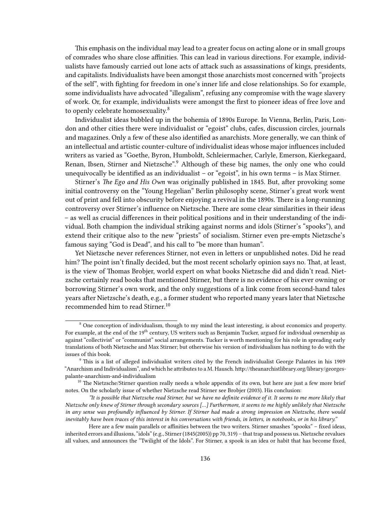This emphasis on the individual may lead to a greater focus on acting alone or in small groups of comrades who share close affinities. This can lead in various directions. For example, individualists have famously carried out lone acts of attack such as assassinations of kings, presidents, and capitalists. Individualists have been amongst those anarchists most concerned with "projects of the self", with fighting for freedom in one's inner life and close relationships. So for example, some individualists have advocated "illegalism", refusing any compromise with the wage slavery of work. Or, for example, individualists were amongst the first to pioneer ideas of free love and to openly celebrate homosexuality.<sup>8</sup>

Individualist ideas bubbled up in the bohemia of 1890s Europe. In Vienna, Berlin, Paris, London and other cities there were individualist or "egoist" clubs, cafes, discussion circles, journals and magazines. Only a few of these also identified as anarchists. More generally, we can think of an intellectual and artistic counter-culture of individualist ideas whose major influences included writers as varied as "Goethe, Byron, Humboldt, Schleiermacher, Carlyle, Emerson, Kierkegaard, Renan, Ibsen, Stirner and Nietzsche".<sup>9</sup> Although of these big names, the only one who could unequivocally be identified as an individualist - or "egoist", in his own terms - is Max Stirner.

Stirner's *The Ego and His Own* was originally published in 1845. But, after provoking some initial controversy on the "Young Hegelian" Berlin philosophy scene, Stirner's great work went out of print and fell into obscurity before enjoying a revival in the 1890s. There is a long-running controversy over Stirner's influence on Nietzsche. There are some clear similarities in their ideas – as well as crucial differences in their political positions and in their understanding of the individual. Both champion the individual striking against norms and idols (Stirner's "spooks"), and extend their critique also to the new "priests" of socialism. Stirner even pre-empts Nietzsche's famous saying "God is Dead", and his call to "be more than human".

Yet Nietzsche never references Stirner, not even in letters or unpublished notes. Did he read him? The point isn't finally decided, but the most recent scholarly opinion says no. That, at least, is the view of Thomas Brobjer, world expert on what books Nietzsche did and didn't read. Nietzsche certainly read books that mentioned Stirner, but there is no evidence of his ever owning or borrowing Stirner's own work, and the only suggestions of a link come from second-hand tales years after Nietzsche's death, e.g., a former student who reported many years later that Nietzsche recommended him to read Stirner.<sup>10</sup>

<sup>&</sup>lt;sup>8</sup> One conception of individualism, though to my mind the least interesting, is about economics and property. For example, at the end of the 19<sup>th</sup> century, US writers such as Benjamin Tucker, argued for individual ownership as against "collectivist" or "communist" social arrangements. Tucker is worth mentioning for his role in spreading early translations of both Nietzsche and Max Stirner; but otherwise his version of individualism has nothing to do with the issues of this book.

<sup>9</sup> This is a list of alleged individualist writers cited by the French individualist George Palantes in his 1909 "Anarchism and Individualism", and which he attributes to a M. Hausch. [http://theanarchistlibrary.org/library/georges](http://theanarchistlibrary.org/library/georges-palante-anarchism-and-individualism)[palante-anarchism-and-individualism](http://theanarchistlibrary.org/library/georges-palante-anarchism-and-individualism)

<sup>&</sup>lt;sup>10</sup> The Nietzsche/Stirner question really needs a whole appendix of its own, but here are just a few more brief notes. On the scholarly issue of whether Nietzsche read Stirner see Brobjer (2003). His conclusion:

*<sup>&</sup>quot;It is possible that Nietzsche read Stirner, but we have no definite evidence of it. It seems to me more likely that Nietzsche only knew of Stirner through secondary sources […] Furthermore, it seems to me highly unlikely that Nietzsche in any sense was profoundly influenced by Stirner. If Stirner had made a strong impression on Nietzsche, there would inevitably have been traces of this interest in his conversations with friends, in letters, in notebooks, or in his library."*

Here are a few main parallels or affinities between the two writers. Stirner smashes "spooks" – fixed ideas, inherited errors and illusions, "idols" (e.g., Stirner (1845(2005)) pp 70, 319) – that trap and possess us. Nietzsche revalues all values, and announces the "Twilight of the Idols". For Stirner, a spook is an idea or habit that has become fixed,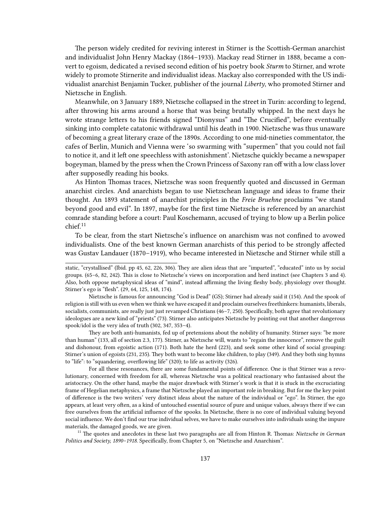The person widely credited for reviving interest in Stirner is the Scottish-German anarchist and individualist John Henry Mackay (1864–1933). Mackay read Stirner in 1888, became a convert to egoism, dedicated a revised second edition of his poetry book *Sturm* to Stirner, and wrote widely to promote Stirnerite and individualist ideas. Mackay also corresponded with the US individualist anarchist Benjamin Tucker, publisher of the journal *Liberty*, who promoted Stirner and Nietzsche in English.

Meanwhile, on 3 January 1889, Nietzsche collapsed in the street in Turin: according to legend, after throwing his arms around a horse that was being brutally whipped. In the next days he wrote strange letters to his friends signed "Dionysus" and "The Crucified", before eventually sinking into complete catatonic withdrawal until his death in 1900. Nietzsche was thus unaware of becoming a great literary craze of the 1890s. According to one mid-nineties commentator, the cafes of Berlin, Munich and Vienna were 'so swarming with "supermen" that you could not fail to notice it, and it left one speechless with astonishment'. Nietzsche quickly became a newspaper bogeyman, blamed by the press when the Crown Princess of Saxony ran off with a low class lover after supposedly reading his books.

As Hinton Thomas traces, Nietzsche was soon frequently quoted and discussed in German anarchist circles. And anarchists began to use Nietzschean language and ideas to frame their thought. An 1893 statement of anarchist principles in the *Freie Bruehne* proclaims "we stand beyond good and evil". In 1897, maybe for the first time Nietzsche is referenced by an anarchist comrade standing before a court: Paul Koschemann, accused of trying to blow up a Berlin police chief.<sup>11</sup>

To be clear, from the start Nietzsche's influence on anarchism was not confined to avowed individualists. One of the best known German anarchists of this period to be strongly affected was Gustav Landauer (1870–1919), who became interested in Nietzsche and Stirner while still a

Nietzsche is famous for announcing "God is Dead" (GS); Stirner had already said it (154). And the spook of religion is still with us even when we think we have escaped it and proclaim ourselves freethinkers: humanists, liberals, socialists, communists, are really just just revamped Christians (46-7, 250). Specifically, both agree that revolutionary ideologues are a new kind of "priests" (73). Stirner also anticipates Nietzsche by pointing out that another dangerous spook/idol is the very idea of truth (302, 347, 353–4).

They are both anti-humanists, fed up of pretensions about the nobility of humanity. Stirner says: "be more than human" (133, all of section 2.3, 177). Stirner, as Nietzsche will, wants to "regain the innocence", remove the guilt and dishonour, from egoistic action (171). Both hate the herd (223), and seek some other kind of social grouping: Stirner's union of egoists (231, 235). They both want to become like children, to play (349). And they both sing hymns to "life": to "squandering, overflowing life" (320); to life as activity (326).

For all these resonances, there are some fundamental points of difference. One is that Stirner was a revolutionary, concerned with freedom for all, whereas Nietzsche was a political reactionary who fantasised about the aristocracy. On the other hand, maybe the major drawback with Stirner's work is that it is stuck in the excruciating frame of Hegelian metaphysics, a frame that Nietzsche played an important role in breaking. But for me the key point of difference is the two writers' very distinct ideas about the nature of the individual or "ego". In Stirner, the ego appears, at least very often, as a kind of untouched essential source of pure and unique values, always there if we can free ourselves from the artificial influence of the spooks. In Nietzsche, there is no core of individual valuing beyond social influence. We don't find our true individual selves, we have to make ourselves into individuals using the impure materials, the damaged goods, we are given.

<sup>11</sup> The quotes and anecdotes in these last two paragraphs are all from Hinton R. Thomas: *Nietzsche in German Politics and Society, 1890–1918*. Specifically, from Chapter 5, on "Nietzsche and Anarchism".

static, "crystallised" (Ibid. pp 45, 62, 226, 306). They are alien ideas that are "imparted", "educated" into us by social groups. (65–6, 82, 242). This is close to Nietzsche's views on incorporation and herd instinct (see Chapters 3 and 4). Also, both oppose metaphysical ideas of "mind", instead affirming the living fleshy body, physiology over thought. Stirner's ego is "flesh". (29, 64, 125, 148, 174).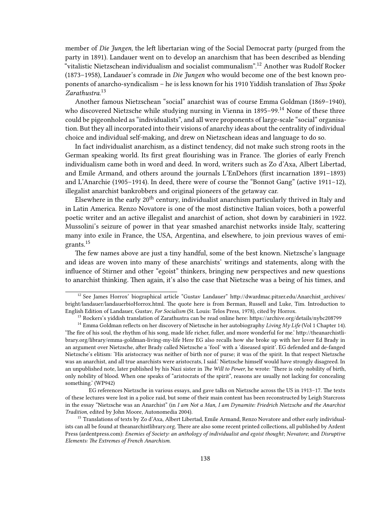member of *Die Jungen*, the left libertarian wing of the Social Democrat party (purged from the party in 1891). Landauer went on to develop an anarchism that has been described as blending "vitalistic Nietzschean individualism and socialist communalism".<sup>12</sup> Another was Rudolf Rocker (1873–1958), Landauer's comrade in *Die Jungen* who would become one of the best known proponents of anarcho-syndicalism – he is less known for his 1910 Yiddish translation of *Thus Spoke Zarathustra*. 13

Another famous Nietzschean "social" anarchist was of course Emma Goldman (1869–1940), who discovered Nietzsche while studying nursing in Vienna in 1895–99.<sup>14</sup> None of these three could be pigeonholed as "individualists", and all were proponents of large-scale "social" organisation. But they all incorporated into their visions of anarchy ideas about the centrality of individual choice and individual self-making, and drew on Nietzschean ideas and language to do so.

In fact individualist anarchism, as a distinct tendency, did not make such strong roots in the German speaking world. Its first great flourishing was in France. The glories of early French individualism came both in word and deed. In word, writers such as Zo d'Axa, Albert Libertad, and Emile Armand, and others around the journals L'EnDehors (first incarnation 1891–1893) and L'Anarchie (1905–1914). In deed, there were of course the "Bonnot Gang" (active 1911–12), illegalist anarchist bankrobbers and original pioneers of the getaway car.

Elsewhere in the early 20<sup>th</sup> century, individualist anarchism particularly thrived in Italy and in Latin America. Renzo Novatore is one of the most distinctive Italian voices, both a powerful poetic writer and an active illegalist and anarchist of action, shot down by carabinieri in 1922. Mussolini's seizure of power in that year smashed anarchist networks inside Italy, scattering many into exile in France, the USA, Argentina, and elsewhere, to join previous waves of emigrants.<sup>15</sup>

The few names above are just a tiny handful, some of the best known. Nietzsche's language and ideas are woven into many of these anarchists' writings and statements, along with the influence of Stirner and other "egoist" thinkers, bringing new perspectives and new questions to anarchist thinking. Then again, it's also the case that Nietzsche was a being of his times, and

<sup>&</sup>lt;sup>12</sup> See James Horrox' biographical article "Gustav Landauer" [http://dwardmac.pitzer.edu/Anarchist\\_archives/](http://dwardmac.pitzer.edu/Anarchist_archives/bright/landauer/landauerbioHorrox.html) [bright/landauer/landauerbioHorrox.html](http://dwardmac.pitzer.edu/Anarchist_archives/bright/landauer/landauerbioHorrox.html). The quote here is from Berman, Russell and Luke, Tim. Introduction to English Edition of Landauer, Gustav, *For Socialism* (St. Louis: Telos Press, 1978), cited by Horrox.

<sup>&</sup>lt;sup>13</sup> Rockers's yiddish translation of Zarathustra can be read online here: <https://archive.org/details/nybc208799>

<sup>14</sup> Emma Goldman reflects on her discovery of Nietzsche in her autobiography *Living My Life* (Vol 1 Chapter 14). 'The fire of his soul, the rhythm of his song, made life richer, fuller, and more wonderful for me.' [http://theanarchistli](http://theanarchistlibrary.org/library/emma-goldman-living-my-life)[brary.org/library/emma-goldman-living-my-life](http://theanarchistlibrary.org/library/emma-goldman-living-my-life) Here EG also recalls how she broke up with her lover Ed Brady in an argument over Nietzsche, after Brady called Nietzsche a 'fool' with a 'diseased spirit'. EG defended and de-fanged Nietzsche's elitism: 'His aristocracy was neither of birth nor of purse; it was of the spirit. In that respect Nietzsche was an anarchist, and all true anarchists were aristocrats, I said.' Nietzsche himself would have strongly disagreed. In an unpublished note, later published by his Nazi sister in *The Will to Power*, he wrote: 'There is only nobility of birth, only nobility of blood. When one speaks of "aristocrats of the spirit", reasons are usually not lacking for concealing something.' (WP942)

EG references Nietzsche in various essays, and gave talks on Nietzsche across the US in 1913–17. The texts of these lectures were lost in a police raid, but some of their main content has been reconstructed by Leigh Starcross in the essay "Nietzsche was an Anarchist" (in *I am Not a Man, I am Dynamite: Friedrich Nietzsche and the Anarchist Tradition*, edited by John Moore, Autonomedia 2004).

<sup>&</sup>lt;sup>15</sup> Translations of texts by Zo d'Axa, Albert Libertad, Emile Armand, Renzo Novatore and other early individualists can all be found at theanarchistlibrary.org. There are also some recent printed collections, all published by Ardent Press (ardentpress.com): *Enemies of Society: an anthology of individualist and egoist thought*; *Novatore*; and *Disruptive Elements: The Extremes of French Anarchism*.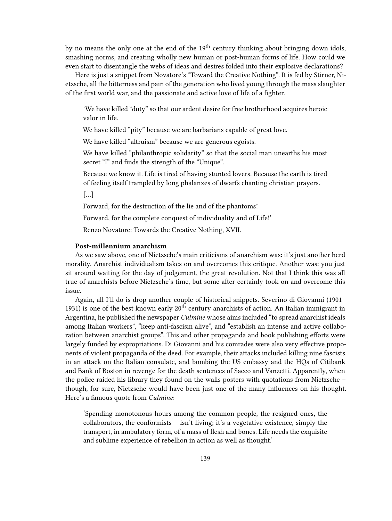by no means the only one at the end of the  $19<sup>th</sup>$  century thinking about bringing down idols, smashing norms, and creating wholly new human or post-human forms of life. How could we even start to disentangle the webs of ideas and desires folded into their explosive declarations?

Here is just a snippet from Novatore's "Toward the Creative Nothing". It is fed by Stirner, Nietzsche, all the bitterness and pain of the generation who lived young through the mass slaughter of the first world war, and the passionate and active love of life of a fighter.

'We have killed "duty" so that our ardent desire for free brotherhood acquires heroic valor in life.

We have killed "pity" because we are barbarians capable of great love.

We have killed "altruism" because we are generous egoists.

We have killed "philanthropic solidarity" so that the social man unearths his most secret "I" and finds the strength of the "Unique".

Because we know it. Life is tired of having stunted lovers. Because the earth is tired of feeling itself trampled by long phalanxes of dwarfs chanting christian prayers.

[…]

Forward, for the destruction of the lie and of the phantoms!

Forward, for the complete conquest of individuality and of Life!'

Renzo Novatore: Towards the Creative Nothing, XVII.

#### **Post-millennium anarchism**

As we saw above, one of Nietzsche's main criticisms of anarchism was: it's just another herd morality. Anarchist individualism takes on and overcomes this critique. Another was: you just sit around waiting for the day of judgement, the great revolution. Not that I think this was all true of anarchists before Nietzsche's time, but some after certainly took on and overcome this issue.

Again, all I'll do is drop another couple of historical snippets. Severino di Giovanni (1901– 1931) is one of the best known early  $20<sup>th</sup>$  century anarchists of action. An Italian immigrant in Argentina, he published the newspaper *Culmine* whose aims included "to spread anarchist ideals among Italian workers", "keep anti-fascism alive", and "establish an intense and active collaboration between anarchist groups". This and other propaganda and book publishing efforts were largely funded by expropriations. Di Giovanni and his comrades were also very effective proponents of violent propaganda of the deed. For example, their attacks included killing nine fascists in an attack on the Italian consulate, and bombing the US embassy and the HQs of Citibank and Bank of Boston in revenge for the death sentences of Sacco and Vanzetti. Apparently, when the police raided his library they found on the walls posters with quotations from Nietzsche – though, for sure, Nietzsche would have been just one of the many influences on his thought. Here's a famous quote from *Culmine*:

'Spending monotonous hours among the common people, the resigned ones, the collaborators, the conformists – isn't living; it's a vegetative existence, simply the transport, in ambulatory form, of a mass of flesh and bones. Life needs the exquisite and sublime experience of rebellion in action as well as thought.'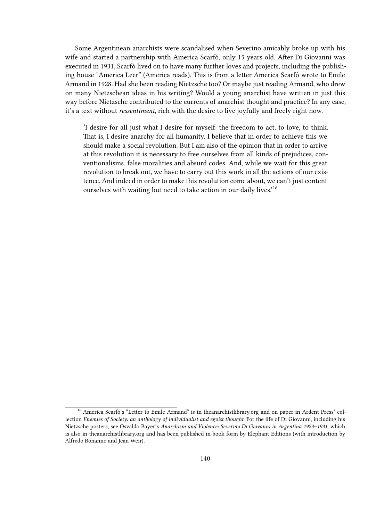Some Argentinean anarchists were scandalised when Severino amicably broke up with his wife and started a partnership with America Scarfó, only 15 years old. After Di Giovanni was executed in 1931, Scarfó lived on to have many further loves and projects, including the publishing house "America Leer" (America reads). This is from a letter America Scarfó wrote to Emile Armand in 1928. Had she been reading Nietzsche too? Or maybe just reading Armand, who drew on many Nietzschean ideas in his writing? Would a young anarchist have written in just this way before Nietzsche contributed to the currents of anarchist thought and practice? In any case, it's a text without *ressentiment*, rich with the desire to live joyfully and freely right now.

'I desire for all just what I desire for myself: the freedom to act, to love, to think. That is, I desire anarchy for all humanity. I believe that in order to achieve this we should make a social revolution. But I am also of the opinion that in order to arrive at this revolution it is necessary to free ourselves from all kinds of prejudices, conventionalisms, false moralities and absurd codes. And, while we wait for this great revolution to break out, we have to carry out this work in all the actions of our existence. And indeed in order to make this revolution come about, we can't just content ourselves with waiting but need to take action in our daily lives.<sup>16</sup>

<sup>&</sup>lt;sup>16</sup> America Scarfó's "Letter to Emile Armand" is in theanarchistlibrary.org and on paper in Ardent Press' collection *Enemies of Society: an anthology of individualist and egoist thought*. For the life of Di Giovanni, including his Nietzsche posters, see Osvaldo Bayer's *Anarchism and Violence: Severino Di Giovanni in Argentina 1923–1931*, which is also in theanarchistlibrary.org and has been published in book form by Elephant Editions (with introduction by Alfredo Bonanno and Jean Weir).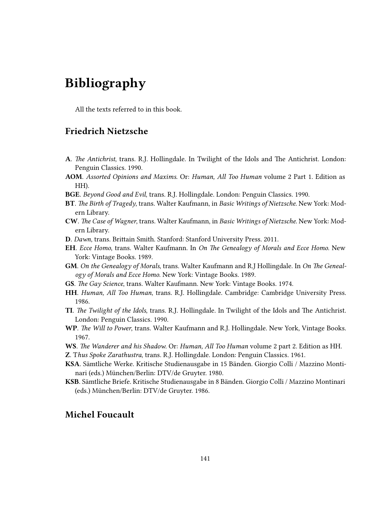# **Bibliography**

All the texts referred to in this book.

## **Friedrich Nietzsche**

- **A**. *The Antichrist*, trans. R.J. Hollingdale. In Twilight of the Idols and The Antichrist. London: Penguin Classics. 1990.
- **AOM**. *Assorted Opinions and Maxims*. Or: *Human, All Too Human* volume 2 Part 1. Edition as HH).
- **BGE**. *Beyond Good and Evil*, trans. R.J. Hollingdale. London: Penguin Classics. 1990.
- **BT**. *The Birth of Tragedy*, trans. Walter Kaufmann, in *Basic Writings of Nietzsche*. New York: Modern Library.
- **CW**. *The Case of Wagner*, trans. Walter Kaufmann, in *Basic Writings of Nietzsche*. New York: Modern Library.
- **D**. *Dawn*, trans. Brittain Smith. Stanford: Stanford University Press. 2011.
- **EH**. *Ecce Homo*, trans. Walter Kaufmann. In *On The Genealogy of Morals and Ecce Homo*. New York: Vintage Books. 1989.
- **GM**. *On the Genealogy of Morals*, trans. Walter Kaufmann and R.J Hollingdale. In *On The Genealogy of Morals and Ecce Homo*. New York: Vintage Books. 1989.
- **GS**. *The Gay Science*, trans. Walter Kaufmann. New York: Vintage Books. 1974.
- **HH**. *Human, All Too Human*, trans. R.J. Hollingdale. Cambridge: Cambridge University Press. 1986.
- **TI**. *The Twilight of the Idols*, trans. R.J. Hollingdale. In Twilight of the Idols and The Antichrist. London: Penguin Classics. 1990.
- **WP**. *The Will to Power*, trans. Walter Kaufmann and R.J. Hollingdale. New York, Vintage Books. 1967.
- **WS**. *The Wanderer and his Shadow*. Or: *Human, All Too Human* volume 2 part 2. Edition as HH.
- **Z**. T*hus Spoke Zarathustra*, trans. R.J. Hollingdale. London: Penguin Classics. 1961.
- **KSA**. Sämtliche Werke. Kritische Studienausgabe in 15 Bänden. Giorgio Colli / Mazzino Montinari (eds.) München/Berlin: DTV/de Gruyter. 1980.
- **KSB**. Sämtliche Briefe. Kritische Studienausgabe in 8 Bänden. Giorgio Colli / Mazzino Montinari (eds.) München/Berlin: DTV/de Gruyter. 1986.

### **Michel Foucault**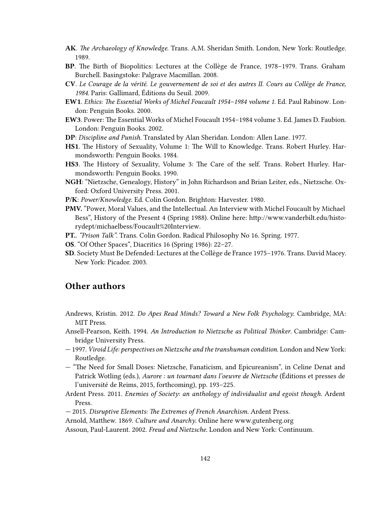- **AK**. *The Archaeology of Knowledge.* Trans. A.M. Sheridan Smith. London, New York: Routledge. 1989.
- **BP**. The Birth of Biopolitics: Lectures at the Collège de France, 1978–1979. Trans. Graham Burchell. Basingstoke: Palgrave Macmillan. 2008.
- **CV**. *Le Courage de la vérité. Le gouvernement de soi et des autres II*. *Cours au Collège de France, 1984.* Paris: Gallimard, Éditions du Seuil. 2009.
- **EW1**. *Ethics: The Essential Works of Michel Foucault 1954–1984 volume 1.* Ed. Paul Rabinow*.* London: Penguin Books. 2000.
- **EW3**. Power: The Essential Works of Michel Foucault 1954–1984 volume 3. Ed. James D. Faubion. London: Penguin Books. 2002.
- **DP**: *Discipline and Punish.* Translated by Alan Sheridan. London: Allen Lane. 1977.
- **HS1**. The History of Sexuality, Volume 1: The Will to Knowledge. Trans. Robert Hurley. Harmondsworth: Penguin Books. 1984.
- **HS3**. The History of Sexuality, Volume 3: The Care of the self. Trans. Robert Hurley. Harmondsworth: Penguin Books. 1990.
- **NGH**: "Nietzsche, Genealogy, History" in John Richardson and Brian Leiter, eds., Nietzsche. Oxford: Oxford University Press. 2001.
- **P/K**: *Power/Knowledge*. Ed. Colin Gordon. Brighton: Harvester. 1980.
- **PMV.** "Power, Moral Values, and the Intellectual. An Interview with Michel Foucault by Michael Bess", History of the Present 4 (Spring 1988). Online here: [http://www.vanderbilt.edu/histo](http://www.vanderbilt.edu/historydept/michaelbess/Foucault%20Interview)[rydept/michaelbess/Foucault%20Interview.](http://www.vanderbilt.edu/historydept/michaelbess/Foucault%20Interview)
- **PT.***. "Prison Talk".* Trans. Colin Gordon. Radical Philosophy No 16. Spring. 1977.
- **OS**. "Of Other Spaces", Diacritics 16 (Spring 1986): 22–27.
- **SD**. Society Must Be Defended: Lectures at the Collège de France 1975–1976. Trans. David Macey. New York: Picador. 2003.

#### **Other authors**

- Andrews, Kristin. 2012. *Do Apes Read Minds? Toward a New Folk Psychology*. Cambridge, MA: MIT Press.
- Ansell-Pearson, Keith. 1994. *An Introduction to Nietzsche as Political Thinker*. Cambridge: Cambridge University Press.
- 1997. *Viroid Life: perspectives on Nietzsche and the transhuman condition*. London and New York: Routledge.
- "The Need for Small Doses: Nietzsche, Fanaticism, and Epicureanism", in Celine Denat and Patrick Wotling (eds.), *Aurore : un tournant dans l'oeuvre de Nietzsche* (Éditions et presses de l'université de Reims, 2015, forthcoming), pp. 193–225.
- Ardent Press. 2011. *Enemies of Society: an anthology of individualist and egoist though.* Ardent Press.
- *—* 2015. *Disruptive Elements: The Extremes of French Anarchism*. Ardent Press.
- Arnold, Matthew. 1869. *Culture and Anarchy*. Online here [www.gutenberg.org](https://www.gutenberg.org/ebooks/4212)

Assoun, Paul-Laurent. 2002. *Freud and Nietzsche*. London and New York: Continuum.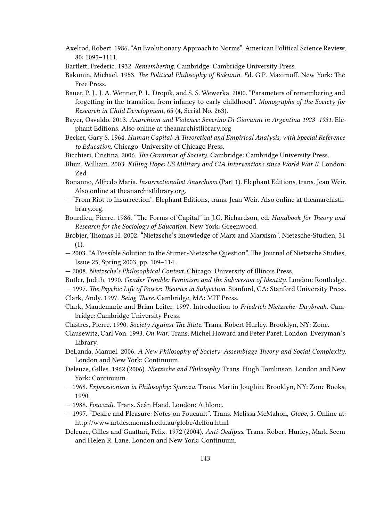Axelrod, Robert. 1986. "An Evolutionary Approach to Norms", American Political Science Review, 80: 1095–1111.

Bartlett, Frederic. 1932. *Remembering*. Cambridge: Cambridge University Press.

- Bakunin, Michael. 1953. *The Political Philosophy of Bakunin. E*d. G.P. Maximoff. New York: The Free Press.
- Bauer, P. J., J. A. Wenner, P. L. Dropik, and S. S. Wewerka. 2000. "Parameters of remembering and forgetting in the transition from infancy to early childhood". *Monographs of the Society for Research in Child Development*, 65 (4, Serial No. 263).
- Bayer, Osvaldo. 2013. *Anarchism and Violence: Severino Di Giovanni in Argentina 1923–1931*. Elephant Editions. Also online at theanarchistlibrary.org
- Becker, Gary S. 1964. *Human Capital: A Theoretical and Empirical Analysis, with Special Reference to Education*. Chicago: University of Chicago Press.

Bicchieri, Cristina. 2006. *The Grammar of Society*. Cambridge: Cambridge University Press.

- Blum, William. 2003. *Killing Hope: US Military and CIA Interventions since World War II*. London: Zed.
- Bonanno, Alfredo Maria. *Insurrectionalist Anarchism* (Part 1). Elephant Editions, trans. Jean Weir. Also online at theanarchistlibrary.org.
- "From Riot to Insurrection". Elephant Editions, trans. Jean Weir. Also online at theanarchistlibrary.org.
- Bourdieu, Pierre. 1986. "The Forms of Capital" in J.G. Richardson, ed. *Handbook for Theory and Research for the Sociology of Education.* New York: Greenwood.
- Brobjer, Thomas H. 2002. "Nietzsche's knowledge of Marx and Marxism". Nietzsche-Studien, 31 (1).
- 2003. "A Possible Solution to the Stirner-NietzscheQuestion". The Journal of Nietzsche Studies, Issue 25, Spring 2003, pp. 109–114 .
- 2008. *Nietzsche's Philosophical Context*. Chicago: University of Illinois Press.
- Butler, Judith. 1990. *Gender Trouble: Feminism and the Subversion of Identity*. London: Routledge.
- 1997. *The Psychic Life of Power: Theories in Subjection*. Stanford, CA: Stanford University Press. Clark, Andy. 1997. *Being There*. Cambridge, MA: MIT Press.
- Clark, Maudemarie and Brian Leiter. 1997. Introduction to *Friedrich Nietzsche: Daybreak.* Cambridge: Cambridge University Press.
- Clastres, Pierre. 1990. *Society Against The State*. Trans. Robert Hurley. Brooklyn, NY: Zone.
- Clausewitz, Carl Von. 1993. *On War*. Trans. Michel Howard and Peter Paret. London: Everyman's Library.
- DeLanda, Manuel. 2006. *A New Philosophy of Society: Assemblage Theory and Social Complexity*. London and New York: Continuum.
- Deleuze, Gilles. 1962 (2006). *Nietzsche and Philosophy.* Trans. Hugh Tomlinson. London and New York: Continuum.
- 1968. *Expressionism in Philosophy: Spinoza.* Trans. Martin Joughin. Brooklyn, NY: Zone Books, 1990.
- 1988. *Foucault*. Trans. Seán Hand. London: Athlone.
- 1997. "Desire and Pleasure: Notes on Foucault". Trans. Melissa McMahon, *Globe,* 5. Online at: <http://www.artdes.monash.edu.au/globe/delfou.html>
- Deleuze, Gilles and Guattari, Felix. 1972 (2004). *Anti-Oedipus*. Trans. Robert Hurley, Mark Seem and Helen R. Lane. London and New York: Continuum.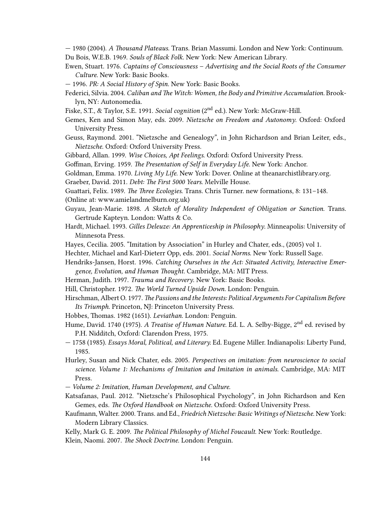— 1980 (2004). *A Thousand Plateaus.* Trans. Brian Massumi. London and New York: Continuum. Du Bois, W.E.B. 1969. *Souls of Black Folk*. New York: New American Library.

- Ewen, Stuart. 1976. *Captains of Consciousness Advertising and the Social Roots of the Consumer Culture.* New York: Basic Books.
- 1996. *PR: A Social History of Spin*. New York: Basic Books.
- Federici, Silvia. 2004. *Caliban and The Witch: Women, the Body and Primitive Accumulation.* Brooklyn, NY: Autonomedia.
- Fiske, S.T., & Taylor, S.E. 1991. *Social cognition* (2nd ed.). New York: McGraw-Hill.
- Gemes, Ken and Simon May, eds. 2009. *Nietzsche on Freedom and Autonomy*. Oxford: Oxford University Press.
- Geuss, Raymond. 2001. "Nietzsche and Genealogy", in John Richardson and Brian Leiter, eds., *Nietzsche*. Oxford: Oxford University Press.
- Gibbard, Allan. 1999. *Wise Choices, Apt Feelings*. Oxford: Oxford University Press.
- Goffman, Erving. 1959. *The Presentation of Self in Everyday Life*. New York: Anchor.
- Goldman, Emma. 1970. *Living My Life*. New York: Dover. Online at theanarchistlibrary.org. Graeber, David. 2011. *Debt: The First 5000 Years*. Melville House.
- Guattari, Felix. 1989. *The Three Ecologies*. Trans. Chris Turner. new formations, 8: 131–148. (Online at: [www.amielandmelburn.org.uk\)](http://www.amielandmelburn.org.uk/collections/newformations/08_131.pdf)
- Guyau, Jean-Marie. 1898. *A Sketch of Morality Independent of Obligation or Sanction.* Trans. Gertrude Kapteyn. London: Watts & Co.
- Hardt, Michael. 1993. *Gilles Deleuze: An Apprenticeship in Philosophy*. Minneapolis: University of Minnesota Press.
- Hayes, Cecilia. 2005. "Imitation by Association" in Hurley and Chater, eds., (2005) vol 1.
- Hechter, Michael and Karl-Dieterr Opp, eds. 2001. *Social Norms*. New York: Russell Sage.
- Hendriks-Jansen, Horst. 1996. *Catching Ourselves in the Act: Situated Activity, Interactive Emergence, Evolution, and Human Thought*. Cambridge, MA: MIT Press.
- Herman, Judith. 1997. *Trauma and Recovery*. New York: Basic Books.
- Hill, Christopher. 1972. *The World Turned Upside Down*. London: Penguin.
- Hirschman, Albert O. 1977. *The Passions and the Interests: Political Arguments For Capitalism Before Its Triumph*. Princeton, NJ: Princeton University Press.
- Hobbes, Thomas. 1982 (1651). *Leviathan*. London: Penguin.
- Hume, David. 1740 (1975). *A Treatise of Human Nature.* Ed. L. A. Selby-Bigge, 2nd ed. revised by P.H. Nidditch, Oxford: Clarendon Press, 1975.
- 1758 (1985). *Essays Moral, Political, and Literary.* Ed. Eugene Miller. Indianapolis: Liberty Fund, 1985.
- Hurley, Susan and Nick Chater, eds. 2005. *Perspectives on imitation: from neuroscience to social science. Volume 1: Mechanisms of Imitation and Imitation in animals.* Cambridge, MA: MIT Press.
- *Volume 2: Imitation, Human Development, and Culture.*
- Katsafanas, Paul. 2012. "Nietzsche's Philosophical Psychology", in John Richardson and Ken Gemes, eds. *The Oxford Handbook on Nietzsche.* Oxford: Oxford University Press.
- Kaufmann, Walter. 2000. Trans. and Ed., *Friedrich Nietzsche: Basic Writings of Nietzsche*. New York: Modern Library Classics.
- Kelly, Mark G. E. 2009. *The Political Philosophy of Michel Foucault*. New York: Routledge. Klein, Naomi. 2007. *The Shock Doctrine*. London: Penguin.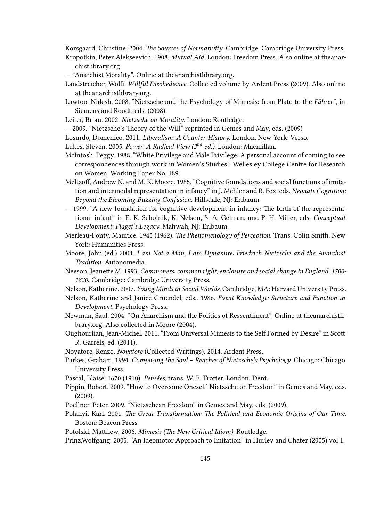Korsgaard, Christine. 2004. *The Sources of Normativity*. Cambridge: Cambridge University Press.

- Kropotkin, Peter Alekseevich. 1908. *Mutual Aid*. London: Freedom Press. Also online at theanarchistlibrary.org.
- "Anarchist Morality". Online at theanarchistlibrary.org.
- Landstreicher, Wolfi. *Willful Disobedience*. Collected volume by Ardent Press (2009). Also online at theanarchistlibrary.org.
- Lawtoo, Nidesh. 2008. "Nietzsche and the Psychology of Mimesis: from Plato to the *Führer*", in Siemens and Roodt, eds. (2008).
- Leiter, Brian. 2002. *Nietzsche on Morality*. London: Routledge.
- 2009. "Nietzsche's Theory of the Will" reprinted in Gemes and May, eds. (2009)
- Losurdo, Domenico. 2011. *Liberalism: A Counter-History*. London, New York: Verso.
- Lukes, Steven. 2005. *Power: A Radical View (2nd ed.)*. London: Macmillan.
- McIntosh, Peggy. 1988. "White Privilege and Male Privilege: A personal account of coming to see correspondences through work in Women's Studies". Wellesley College Centre for Research on Women, Working Paper No. 189.
- Meltzoff, Andrew N. and M. K. Moore. 1985. "Cognitive foundations and social functions of imitation and intermodal representation in infancy" in J. Mehler and R. Fox, eds. *Neonate Cognition: Beyond the Blooming Buzzing Confusion*. Hillsdale, NJ: Erlbaum.
- 1999. "A new foundation for cognitive development in infancy: The birth of the representational infant" in E. K. Scholnik, K. Nelson, S. A. Gelman, and P. H. Miller, eds. *Conceptual Development: Piaget's Legacy*. Mahwah, NJ: Erlbaum.
- Merleau-Ponty, Maurice. 1945 (1962). *The Phenomenology of Perception*. Trans. Colin Smith. New York: Humanities Press.
- Moore, John (ed.) 2004. *I am Not a Man, I am Dynamite: Friedrich Nietzsche and the Anarchist Tradition.* Autonomedia.
- Neeson, Jeanette M. 1993. *Commoners: common right; enclosure and social change in England, 1700- 1820.* Cambridge: Cambridge University Press.
- Nelson, Katherine. 2007. *Young Minds in Social Worlds*. Cambridge, MA: Harvard University Press.
- Nelson, Katherine and Janice Gruendel, eds.. 1986. *Event Knowledge: Structure and Function in Development.* Psychology Press.
- Newman, Saul. 2004. "On Anarchism and the Politics of Ressentiment". Online at theanarchistlibrary.org. Also collected in Moore (2004).
- Oughourlian, Jean-Michel. 2011. "From Universal Mimesis to the Self Formed by Desire" in Scott R. Garrels, ed. (2011).
- Novatore, Renzo. *Novatore* (Collected Writings). 2014. Ardent Press.
- Parkes, Graham. 1994. *Composing the Soul Reaches of Nietzsche's Psychology*. Chicago: Chicago University Press.
- Pascal, Blaise. 1670 (1910). *Pensées*, trans. W. F. Trotter. London: Dent.
- Pippin, Robert. 2009. "How to Overcome Oneself: Nietzsche on Freedom" in Gemes and May, eds. (2009).
- Poellner, Peter. 2009. "Nietzschean Freedom" in Gemes and May, eds. (2009).
- Polanyi, Karl. 2001. *The Great Transformation: The Political and Economic Origins of Our Time*. Boston: Beacon Press
- Potolski, Matthew. 2006. *Mimesis (The New Critical Idiom)*. Routledge.
- Prinz,Wolfgang. 2005. "An Ideomotor Approach to Imitation" in Hurley and Chater (2005) vol 1.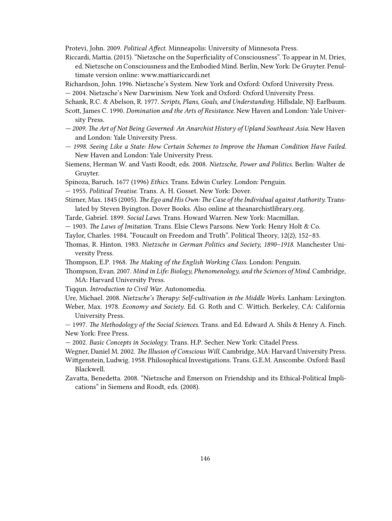Protevi, John. 2009. *Political Affect*. Minneapolis: University of Minnesota Press.

- Riccardi, Mattia. (2015). "Nietzsche on the Superficiality of Consciousness". To appear in M. Dries, ed. Nietzsche on Consciousness and the Embodied Mind. Berlin, New York: De Gruyter. Penultimate version online: [www.mattiariccardi.net](http://www.mattiariccardi.net/Publications.htm)
- Richardson, John. 1996. Nietzsche's System. New York and Oxford: Oxford University Press.
- 2004. Nietzsche's New Darwinism. New York and Oxford: Oxford University Press.

Schank, R.C. & Abelson, R. 1977. *Scripts, Plans, Goals, and Understanding*. Hillsdale, NJ: Earlbaum.

- Scott, James C. 1990. *Domination and the Arts of Resistance*. New Haven and London: Yale University Press.
- *2009. The Art of Not Being Governed: An Anarchist History of Upland Southeast Asia*. New Haven and London: Yale University Press.
- *1998. Seeing Like a State: How Certain Schemes to Improve the Human Condition Have Failed*. New Haven and London: Yale University Press.
- Siemens, Herman W. and Vasti Roodt, eds. 2008. *Nietzsche, Power and Politics*. Berlin: Walter de Gruyter.
- Spinoza, Baruch. 1677 (1996) *Ethics.* Trans. Edwin Curley. London: Penguin.
- 1955. *Political Treatise.* Trans. A. H. Gosset. New York: Dover.
- Stirner, Max. 1845 (2005). *The Ego and His Own: The Case of the Individual against Authority.* Translated by Steven Byington. Dover Books. Also online at theanarchistlibrary.org.
- Tarde, Gabriel. 1899. *Social Laws.* Trans. Howard Warren. New York: Macmillan.
- 1903. *The Laws of Imitation.* Trans. Elsie Clews Parsons. New York: Henry Holt & Co.
- Taylor, Charles. 1984. "Foucault on Freedom and Truth". Political Theory, 12(2), 152–83.
- Thomas, R. Hinton. 1983. *Nietzsche in German Politics and Society, 1890–1918*. Manchester University Press.
- Thompson, E.P. 1968. *The Making of the English Working Class*. London: Penguin.
- Thompson, Evan. 2007. *Mind in Life: Biology, Phenomenology, and the Sciences of Mind*. Cambridge, MA: Harvard University Press.
- Tiqqun. *Introduction to Civil War*. Autonomedia.
- Ure, Michael. 2008. *Nietzsche's Therapy: Self-cultivation in the Middle Works*. Lanham: Lexington.
- Weber, Max. 1978. *Economy and Society*. Ed. G. Roth and C. Wittich. Berkeley, CA: California University Press.
- 1997. *The Methodology of the Social Sciences*. Trans. and Ed. Edward A. Shils & Henry A. Finch. New York: Free Press.
- 2002. *Basic Concepts in Sociology*. Trans. H.P. Secher. New York: Citadel Press.
- Wegner, Daniel M. 2002. *The Illusion of Conscious Will*. Cambridge, MA: Harvard University Press. Wittgenstein, Ludwig. 1958. Philosophical Investigations. Trans. G.E.M. Anscombe. Oxford: Basil Blackwell.
- Zavatta, Benedetta. 2008. "Nietzsche and Emerson on Friendship and its Ethical-Political Implications" in Siemens and Roodt, eds. (2008).